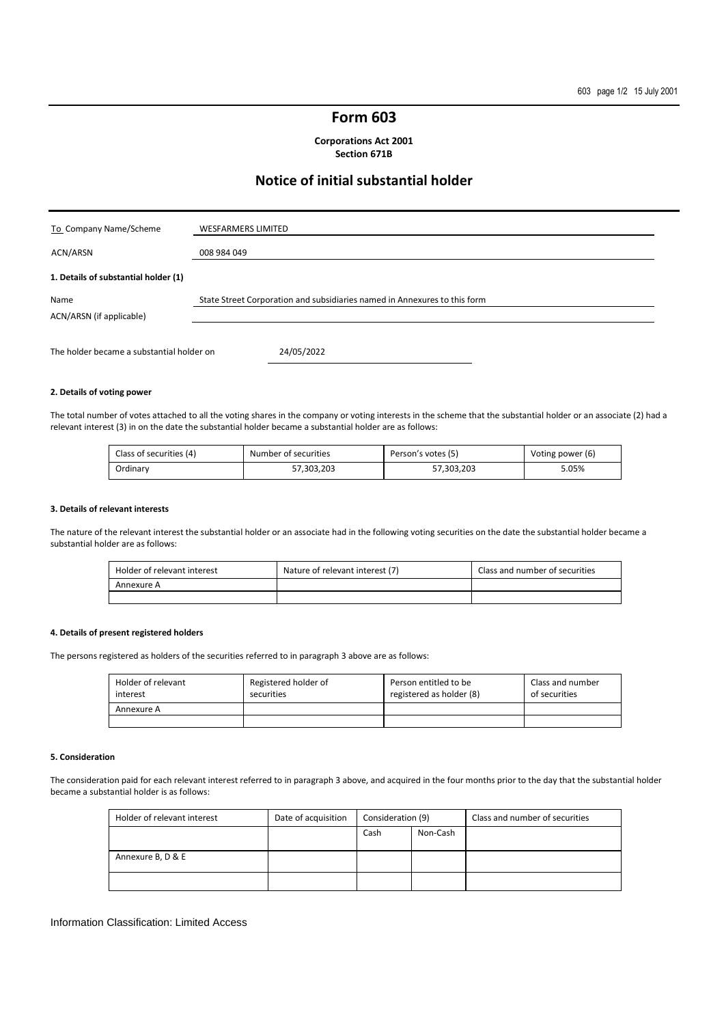## **Form 603**

**Corporations Act 2001 Section 671B** 

# **Notice of initial substantial holder**

| To Company Name/Scheme                    | <b>WESFARMERS LIMITED</b>                                                 |
|-------------------------------------------|---------------------------------------------------------------------------|
| ACN/ARSN                                  | 008 984 049                                                               |
| 1. Details of substantial holder (1)      |                                                                           |
| Name<br>ACN/ARSN (if applicable)          | State Street Corporation and subsidiaries named in Annexures to this form |
| The holder became a substantial holder on | 24/05/2022                                                                |

#### **2. Details of voting power**

The total number of votes attached to all the voting shares in the company or voting interests in the scheme that the substantial holder or an associate (2) had a relevant interest (3) in on the date the substantial holder became a substantial holder are as follows:

| Class of securities (4) | Number of securities | Person's votes (5) | Voting power (6) |
|-------------------------|----------------------|--------------------|------------------|
| Ordinarv                | 57.303.203           | 57.303.203         | 5.05%            |

#### **3. Details of relevant interests**

The nature of the relevant interest the substantial holder or an associate had in the following voting securities on the date the substantial holder became a substantial holder are as follows:

| Holder of relevant interest | Nature of relevant interest (7) | Class and number of securities |
|-----------------------------|---------------------------------|--------------------------------|
| Annexure A                  |                                 |                                |
|                             |                                 |                                |

## **4. Details of present registered holders**

The persons registered as holders of the securities referred to in paragraph 3 above are as follows:

| Holder of relevant<br>interest | Registered holder of<br>securities | Person entitled to be<br>registered as holder (8) | Class and number<br>of securities |
|--------------------------------|------------------------------------|---------------------------------------------------|-----------------------------------|
| Annexure A                     |                                    |                                                   |                                   |
|                                |                                    |                                                   |                                   |

#### **5. Consideration**

The consideration paid for each relevant interest referred to in paragraph 3 above, and acquired in the four months prior to the day that the substantial holder became a substantial holder is as follows:

| Holder of relevant interest | Date of acquisition | Consideration (9) |          |  |  | Class and number of securities |
|-----------------------------|---------------------|-------------------|----------|--|--|--------------------------------|
|                             |                     | Cash              | Non-Cash |  |  |                                |
| Annexure B, D & E           |                     |                   |          |  |  |                                |
|                             |                     |                   |          |  |  |                                |
|                             |                     |                   |          |  |  |                                |

### Information Classification: Limited Access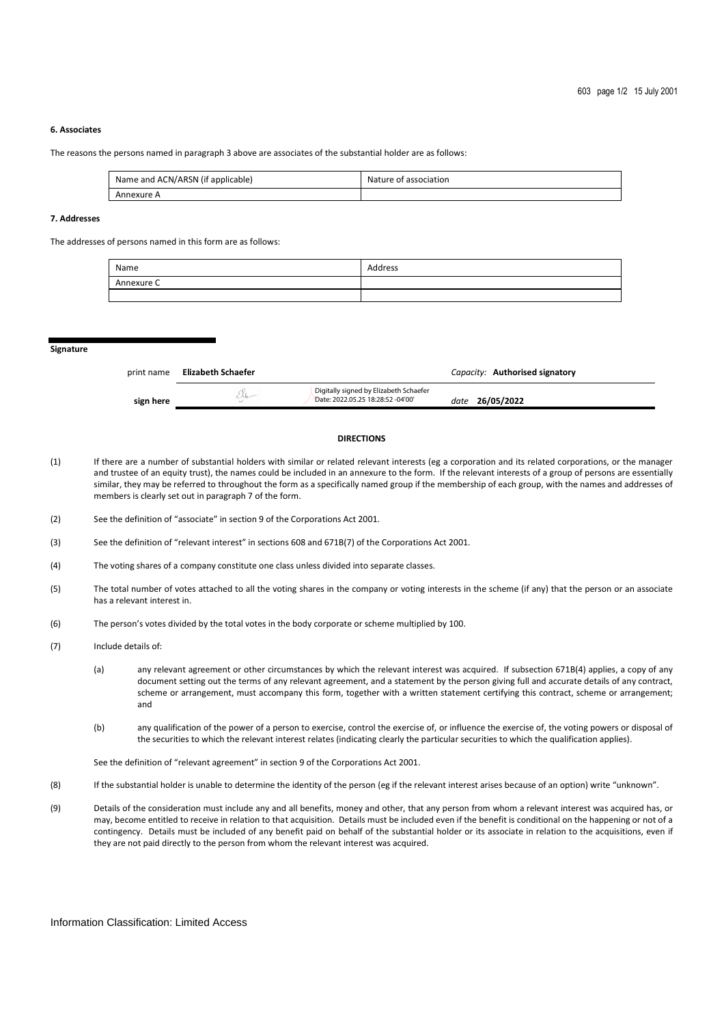### **6. Associates**

The reasons the persons named in paragraph 3 above are associates of the substantial holder are as follows:

| Name and ACN/ARSN (if applicable) | Nature of association |
|-----------------------------------|-----------------------|
| Annexure A                        |                       |

### **7. Addresses**

The addresses of persons named in this form are as follows:

| Name       | Address |
|------------|---------|
| Annexure C |         |
|            |         |

**Signature** 

| print name | Elizabeth Schaefer |                                                                             | Capacity: Authorised signatory |
|------------|--------------------|-----------------------------------------------------------------------------|--------------------------------|
| sign here  |                    | Digitally signed by Elizabeth Schaefer<br>Date: 2022.05.25 18:28:52 -04'00' | date 26/05/2022                |

#### **DIRECTIONS**

- (1) If there are a number of substantial holders with similar or related relevant interests (eg a corporation and its related corporations, or the manager and trustee of an equity trust), the names could be included in an annexure to the form. If the relevant interests of a group of persons are essentially similar, they may be referred to throughout the form as a specifically named group if the membership of each group, with the names and addresses of members is clearly set out in paragraph 7 of the form.
- (2) See the definition of "associate" in section 9 of the Corporations Act 2001.
- (3) See the definition of "relevant interest" in sections 608 and 671B(7) of the Corporations Act 2001.
- (4) The voting shares of a company constitute one class unless divided into separate classes.
- (5) The total number of votes attached to all the voting shares in the company or voting interests in the scheme (if any) that the person or an associate has a relevant interest in.
- (6) The person's votes divided by the total votes in the body corporate or scheme multiplied by 100.
- (7) Include details of:
	- (a) any relevant agreement or other circumstances by which the relevant interest was acquired. If subsection 671B(4) applies, a copy of any document setting out the terms of any relevant agreement, and a statement by the person giving full and accurate details of any contract, scheme or arrangement, must accompany this form, together with a written statement certifying this contract, scheme or arrangement; and
	- (b) any qualification of the power of a person to exercise, control the exercise of, or influence the exercise of, the voting powers or disposal of the securities to which the relevant interest relates (indicating clearly the particular securities to which the qualification applies).

See the definition of "relevant agreement" in section 9 of the Corporations Act 2001.

- (8) If the substantial holder is unable to determine the identity of the person (eg if the relevant interest arises because of an option) write "unknown".
- (9) Details of the consideration must include any and all benefits, money and other, that any person from whom a relevant interest was acquired has, or may, become entitled to receive in relation to that acquisition. Details must be included even if the benefit is conditional on the happening or not of a contingency. Details must be included of any benefit paid on behalf of the substantial holder or its associate in relation to the acquisitions, even if they are not paid directly to the person from whom the relevant interest was acquired.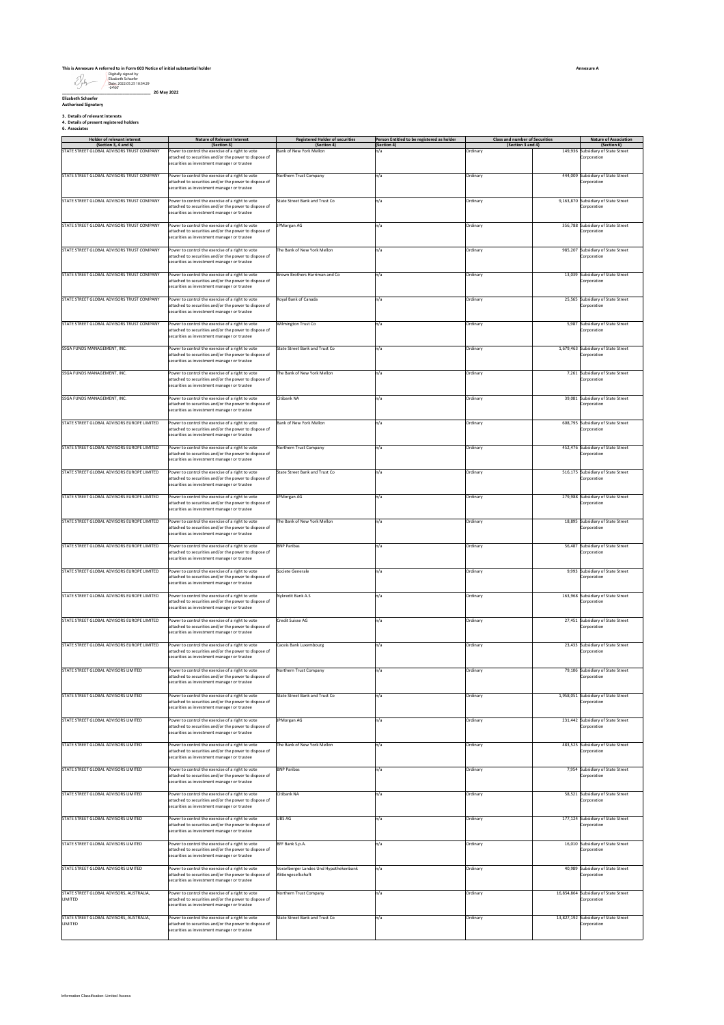### **This is Annexure A referred to in Form 603 Notice of initial substantial holder**

Digitally signed by Elizabeth Schaefer Date: 2022.05.25 18:34:29 -04'00'

**\_\_\_\_\_\_\_\_\_\_\_\_\_\_\_\_\_\_\_\_\_\_\_\_\_\_\_\_\_\_\_\_\_\_\_\_\_\_ 26 May 2022 Elizabeth Schaefer Authorised Signatory**

**3. Details of relevant interests 4. Details of present registered holders 6. Associates**

| 6. Associates |  |
|---------------|--|
|               |  |

| <b>Holder of relevant interest</b><br>(Section 3, 4 and 6) | <b>Nature of Relevant Interest</b><br>(Section 3)                                                                                                        | <b>Registered Holder of securities</b><br>(Section 4)        | Person Entitled to be registered as holder<br>(Section 4) | <b>Class and number of Securities</b><br>(Section 3 and 4) |         | <b>Nature of Association</b><br>(Section 6)          |
|------------------------------------------------------------|----------------------------------------------------------------------------------------------------------------------------------------------------------|--------------------------------------------------------------|-----------------------------------------------------------|------------------------------------------------------------|---------|------------------------------------------------------|
| STATE STREET GLOBAL ADVISORS TRUST COMPANY                 | ower to control the exercise of a right to vote<br>attached to securities and/or the power to dispose of<br>securities as investment manager or trustee  | ank of New York Mellon                                       | n/a                                                       | Ordinary                                                   | 149,936 | Subsidiary of State Street<br>Corporation            |
| STATE STREET GLOBAL ADVISORS TRUST COMPANY                 | Power to control the exercise of a right to vote<br>attached to securities and/or the power to dispose of<br>ecurities as investment manager or trustee  | <b>Northern Trust Company</b>                                | n/a                                                       | Ordinary                                                   |         | 444,009 Subsidiary of State Street<br>Corporation    |
| STATE STREET GLOBAL ADVISORS TRUST COMPANY                 | ower to control the exercise of a right to vote<br>sttached to securities and/or the power to dispose of<br>ecurities as investment manager or trustee   | State Street Bank and Trust Co                               | n/a                                                       | Ordinary                                                   |         | 9,163,870 Subsidiary of State Street<br>Corporation  |
| STATE STREET GLOBAL ADVISORS TRUST COMPANY                 | Power to control the exercise of a right to vote<br>ittached to securities and/or the power to dispose of<br>ecurities as investment manager or trustee  | <b>IPMorgan AG</b>                                           | n/a                                                       | Ordinary                                                   |         | 356,788 Subsidiary of State Street<br>Corporation    |
| STATE STREET GLOBAL ADVISORS TRUST COMPANY                 | ower to control the exercise of a right to vote<br>attached to securities and/or the power to dispose of<br>ecurities as investment manager or trustee   | he Bank of New York Mellon                                   | n/a                                                       | Ordinary                                                   |         | 985,207 Subsidiary of State Street<br>Corporation    |
| STATE STREET GLOBAL ADVISORS TRUST COMPANY                 | Power to control the exercise of a right to vote<br>attached to securities and/or the power to dispose of<br>ecurities as investment manager or trustee  | Brown Brothers Harriman and Co                               | n/a                                                       | Ordinary                                                   |         | 13,039 Subsidiary of State Street<br>Corporation     |
| STATE STREET GLOBAL ADVISORS TRUST COMPANY                 | ower to control the exercise of a right to vote<br>attached to securities and/or the power to dispose of<br>ecurities as investment manager or trustee   | <b>Royal Bank of Canada</b>                                  | n/a                                                       | Ordinary                                                   |         | 25,565 Subsidiary of State Street<br>Corporation     |
| STATE STREET GLOBAL ADVISORS TRUST COMPANY                 | Power to control the exercise of a right to vote<br>ttached to securities and/or the power to dispose of<br>securities as investment manager or trustee  | Wilmington Trust Co                                          | n/a                                                       | Ordinary                                                   |         | 5,987 Subsidiary of State Street<br>crporation       |
| SSGA FUNDS MANAGEMENT, INC.                                | ower to control the exercise of a right to vote<br>attached to securities and/or the power to dispose of<br>ecurities as investment manager or trustee   | State Street Bank and Trust Co                               | n/a                                                       | Ordinary                                                   |         | 1,679,463 Subsidiary of State Street<br>Corporation  |
| SSGA FUNDS MANAGEMENT. INC.                                | Power to control the exercise of a right to vote<br>attached to securities and/or the power to dispose of<br>ecurities as investment manager or trustee  | The Bank of New York Mellon                                  | n/a                                                       | Ordinary                                                   |         | 7.261 Subsidiary of State Street<br>Corporation      |
| SSGA FUNDS MANAGEMENT, INC.                                | Power to control the exercise of a right to vote<br>attached to securities and/or the power to dispose of<br>ecurities as investment manager or trustee  | Citibank NA                                                  | n/a                                                       | Ordinary                                                   |         | 39,081 Subsidiary of State Street<br>Corporation     |
| STATE STREET GLOBAL ADVISORS EUROPE LIMITED                | Power to control the exercise of a right to vote<br>ttached to securities and/or the power to dispose of<br>ecurities as investment manager or trustee   | Bank of New York Mellon                                      | n/a                                                       | Ordinary                                                   |         | 608,795 Subsidiary of State Street<br>Corporation    |
| STATE STREET GLOBAL ADVISORS EUROPE LIMITED                | Yower to control the exercise of a right to vote<br>attached to securities and/or the power to dispose of<br>ecurities as investment manager or trustee  | <b>Northern Trust Company</b>                                | n/a                                                       | Ordinary                                                   |         | 452,476 Subsidiary of State Street<br>Corporation    |
| STATE STREET GLOBAL ADVISORS EUROPE LIMITED                | ower to control the exercise of a right to vote<br>attached to securities and/or the power to dispose of<br>securities as investment manager or trustee  | State Street Bank and Trust Co.                              | n/a                                                       | Ordinary                                                   |         | 516.175 Subsidiary of State Street<br>Corporation    |
| STATE STREET GLOBAL ADVISORS EUROPE LIMITED                | Power to control the exercise of a right to vote<br>attached to securities and/or the power to dispose of<br>ecurities as investment manager or trustee  | PMorgan AG                                                   | n/a                                                       | Ordinary                                                   |         | 279,988 Subsidiary of State Street<br>Corporation    |
| STATE STREET GLOBAL ADVISORS EUROPE LIMITED                | ower to control the exercise of a right to vote<br>attached to securities and/or the power to dispose of<br>securities as investment manager or trustee  | he Bank of New York Mellon                                   | n/a                                                       | Ordinary                                                   |         | 18,895 Subsidiary of State Street<br>Corporation     |
| STATE STREET GLOBAL ADVISORS EUROPE LIMITED                | ower to control the exercise of a right to vote<br>attached to securities and/or the power to dispose of                                                 | <b>BNP Paribas</b>                                           | n/a                                                       | Ordinary                                                   |         | 56,487 Subsidiary of State Street<br>Corporation     |
| STATE STREET GLOBAL ADVISORS EUROPE LIMITED                | ecurities as investment manager or trustee<br>ower to control the exercise of a right to vote                                                            | Societe Generale                                             | n/a                                                       | Ordinary                                                   |         | 9,993 Subsidiary of State Street                     |
| STATE STREET GLOBAL ADVISORS EUROPE LIMITED                | attached to securities and/or the power to dispose of<br>securities as investment manager or trustee<br>Power to control the exercise of a right to vote | Nykredit Bank A.S                                            | n/a                                                       | Ordinary                                                   |         | Corporation<br>163,968 Subsidiary of State Street    |
|                                                            | attached to securities and/or the power to dispose of<br>ecurities as investment manager or trustee                                                      |                                                              |                                                           |                                                            |         | Corporation                                          |
| STATE STREET GLOBAL ADVISORS EUROPE LIMITED                | ower to control the exercise of a right to vote<br>attached to securities and/or the power to dispose of<br>ecurities as investment manager or trustee   | Credit Suisse AG                                             | n/a                                                       | Ordinary                                                   |         | 27,451 Subsidiary of State Street<br>Corporation     |
| STATE STREET GLOBAL ADVISORS EUROPE LIMITED                | Power to control the exercise of a right to vote<br>attached to securities and/or the power to dispose of<br>securities as investment manager or trustee | Caceis Bank Luxembourg                                       | n/a                                                       | Ordinary                                                   |         | 23,433 Subsidiary of State Street<br>Corporation     |
| STATE STREET GLOBAL ADVISORS LIMITED                       | ower to control the exercise of a right to vote<br>attached to securities and/or the power to dispose of<br>ecurities as investment manager or trustee   | Northern Trust Company                                       | n/a                                                       | Ordinary                                                   |         | 79,106 Subsidiary of State Street<br>Corporation     |
| STATE STREET GLOBAL ADVISORS LIMITED                       | ower to control the exercise of a right to vote<br>attached to securities and/or the power to dispose of<br>ecurities as investment manager or trustee   | State Street Bank and Trust Co                               | n/a                                                       | <b>Ordinary</b>                                            |         | 1,958,051 Subsidiary of State Street<br>Corporation  |
| STATE STREET GLOBAL ADVISORS LIMITED                       | ower to control the exercise of a right to vote<br>attached to securities and/or the power to dispose of<br>ecurities as investment manager or trustee   | PMorgan AG                                                   | n/a                                                       | Ordinary                                                   |         | 231,442 Subsidiary of State Street<br>Corporation    |
| STATE STREET GLOBAL ADVISORS LIMITED                       | Power to control the exercise of a right to vote<br>attached to securities and/or the power to dispose of<br>ecurities as investment manager or trustee  | The Bank of New York Mellon                                  | n/a                                                       | Ordinary                                                   |         | 483,525 Subsidiary of State Street<br>Corporation    |
| STATE STREET GLOBAL ADVISORS LIMITED                       | Power to control the exercise of a right to vote<br>ttached to securities and/or the power to dispose of<br>ecurities as investment manager or trustee   | <b>BNP Paribas</b>                                           | n/a                                                       | Ordinary                                                   |         | 7.954 Subsidiary of State Street<br>Corporation      |
| STATE STREET GLOBAL ADVISORS LIMITED                       | ower to control the exercise of a right to vote<br>attached to securities and/or the power to dispose of<br>ecurities as investment manager or trustee   | Citibank NA                                                  | n/a                                                       | Ordinary                                                   |         | 58,521 Subsidiary of State Street<br>Corporation     |
| STATE STREET GLOBAL ADVISORS LIMITED                       | ower to control the exercise of a right to vote<br>attached to securities and/or the power to dispose of<br>ecurities as investment manager or trustee   | <b>UBS AG</b>                                                | n/a                                                       | Ordinary                                                   |         | 177,124 Subsidiary of State Street<br>Corporation    |
| STATE STREET GLOBAL ADVISORS LIMITED                       | Power to control the exercise of a right to vote<br>attached to securities and/or the power to dispose of<br>ecurities as investment manager or trustee  | BFF Bank S.p.A.                                              | n/a                                                       | Ordinary                                                   |         | 16,010 Subsidiary of State Street<br>Corporation     |
| STATE STREET GLOBAL ADVISORS LIMITED                       | ower to control the exercise of a right to vote<br>ttached to securities and/or the power to dispose of<br>ecurities as investment manager or trustee    | /orarlberger Landes Und Hypothekenbank<br>Aktiengesellschaft | n/a                                                       | Ordinary                                                   |         | 40,989 Subsidiary of State Street<br>Corporation     |
| STATE STREET GLOBAL ADVISORS, AUSTRALIA,<br>LIMITED        | Power to control the exercise of a right to vote<br>attached to securities and/or the power to dispose of<br>securities as investment manager or trustee | <b>Northern Trust Company</b>                                | n/a                                                       | Ordinary                                                   |         | 16,854,864 Subsidiary of State Street<br>Corporation |
| STATE STREET GLOBAL ADVISORS, AUSTRALIA,<br>LIMITED        | ower to control the exercise of a right to vote<br>attached to securities and/or the power to dispose of<br>ecurities as investment manager or trustee   | State Street Bank and Trust Co                               | n/a                                                       | Ordinary                                                   |         | 13,827,192 Subsidiary of State Street<br>Corporation |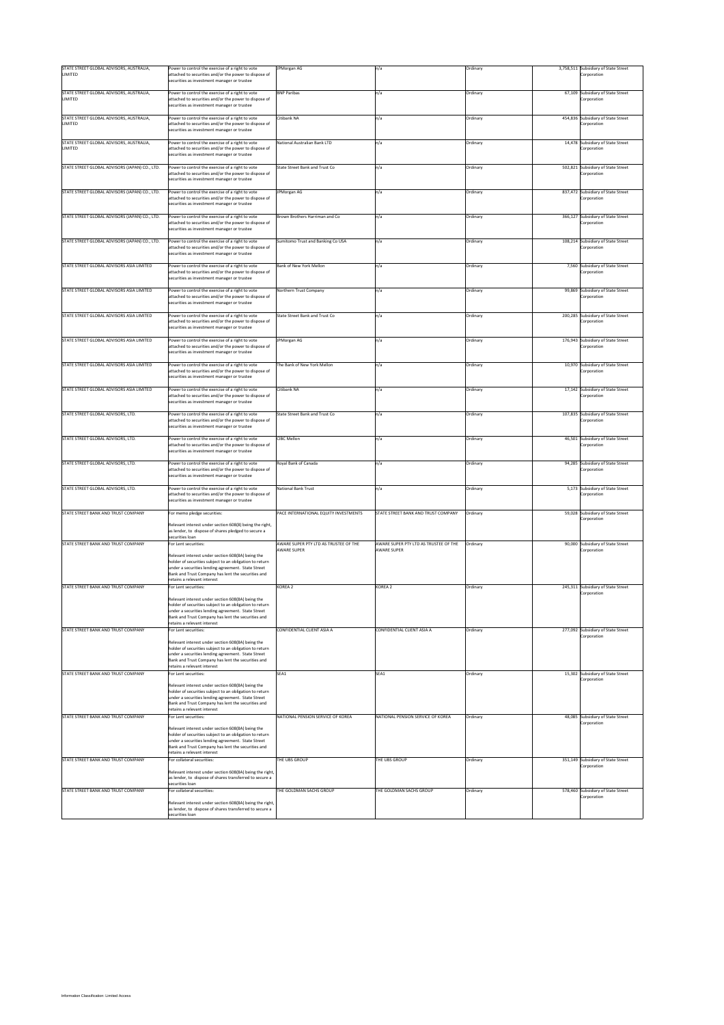| STATE STREET GLOBAL ADVISORS, AUSTRALIA,<br>LIMITED        | Power to control the exercise of a right to vote<br>sttached to securities and/or the power to dispose of<br>securities as investment manager or trustee | JPMorgan AG                                         | n/a                                                 | Ordinary |         | 3,758,511 Subsidiary of State Street<br>Corporation |
|------------------------------------------------------------|----------------------------------------------------------------------------------------------------------------------------------------------------------|-----------------------------------------------------|-----------------------------------------------------|----------|---------|-----------------------------------------------------|
|                                                            |                                                                                                                                                          |                                                     |                                                     |          |         |                                                     |
| STATE STREET GLOBAL ADVISORS, AUSTRALIA,<br><b>LIMITED</b> | Power to control the exercise of a right to vote<br>attached to securities and/or the power to dispose of<br>ecurities as investment manager or trustee  | <b>BNP Paribas</b>                                  | n/a                                                 | Ordinary |         | 67,109 Subsidiary of State Street<br>corporation    |
| STATE STREET GLOBAL ADVISORS, AUSTRALIA,                   | Power to control the exercise of a right to vote                                                                                                         | Citibank NA                                         | n/a                                                 | Ordinary |         | 454,836 Subsidiary of State Street                  |
| LIMITED                                                    | attached to securities and/or the power to dispose of<br>ecurities as investment manager or trustee                                                      |                                                     |                                                     |          |         | crporation                                          |
| STATE STREET GLOBAL ADVISORS, AUSTRALIA,                   | Power to control the exercise of a right to vote                                                                                                         | National Australian Bank LTD                        | n/a                                                 | Ordinary |         | 14,478 Subsidiary of State Street                   |
| LIMITED                                                    | attached to securities and/or the power to dispose of<br>ecurities as investment manager or trustee                                                      |                                                     |                                                     |          |         | Corporation                                         |
| STATE STREET GLOBAL ADVISORS (JAPAN) CO., LTD.             | Power to control the exercise of a right to vote                                                                                                         | State Street Bank and Trust Co                      | n/a                                                 | Ordinary |         | 502,821 Subsidiary of State Street                  |
|                                                            | ttached to securities and/or the power to dispose of<br>ecurities as investment manager or trustee                                                       |                                                     |                                                     |          |         | orporation                                          |
| STATE STREET GLOBAL ADVISORS (JAPAN) CO., LTD.             | Power to control the exercise of a right to vote                                                                                                         | PMorgan AG                                          | n/a                                                 | Ordinary | 837,472 | Subsidiary of State Street                          |
|                                                            | attached to securities and/or the power to dispose of<br>securities as investment manager or trustee                                                     |                                                     |                                                     |          |         | orporation                                          |
| STATE STREET GLOBAL ADVISORS (JAPAN) CO., LTD.             | Power to control the exercise of a right to vote                                                                                                         | Brown Brothers Harriman and Co                      | n/a                                                 | Ordinary |         | 366,127 Subsidiary of State Street                  |
|                                                            | attached to securities and/or the power to dispose of<br>securities as investment manager or trustee                                                     |                                                     |                                                     |          |         | crporation                                          |
| STATE STREET GLOBAL ADVISORS (JAPAN) CO., LTD.             | Power to control the exercise of a right to vote                                                                                                         | Sumitomo Trust and Banking Co USA                   | n/a                                                 | Ordinary |         | 108,214 Subsidiary of State Street                  |
|                                                            | attached to securities and/or the power to dispose of<br>ecurities as investment manager or trustee                                                      |                                                     |                                                     |          |         | Corporation                                         |
| STATE STREET GLOBAL ADVISORS ASIA LIMITED                  | Power to control the exercise of a right to vote                                                                                                         | Bank of New York Mellon                             | n/a                                                 | Ordinary |         | 7,560 Subsidiary of State Street                    |
|                                                            | attached to securities and/or the power to dispose of<br>securities as investment manager or trustee                                                     |                                                     |                                                     |          |         | orporation                                          |
| STATE STREET GLOBAL ADVISORS ASIA LIMITED                  | ower to control the exercise of a right to vote                                                                                                          | Northern Trust Company                              | n/a                                                 | Ordinary |         | 99,869 Subsidiary of State Street                   |
|                                                            | attached to securities and/or the power to dispose of<br>ecurities as investment manager or trustee                                                      |                                                     |                                                     |          |         | orporation                                          |
| STATE STREET GLOBAL ADVISORS ASIA LIMITED                  | ower to control the exercise of a right to vote                                                                                                          | State Street Bank and Trust Co                      | ٦/a                                                 | Ordinary |         | 200,285 Subsidiary of State Street                  |
|                                                            | attached to securities and/or the power to dispose of<br>securities as investment manager or trustee                                                     |                                                     |                                                     |          |         | corporation                                         |
| STATE STREET GLOBAL ADVISORS ASIA LIMITED                  | Power to control the exercise of a right to vote                                                                                                         | <b>JPMorgan AG</b>                                  | n/a                                                 | Ordinary |         | 176,943 Subsidiary of State Street                  |
|                                                            | attached to securities and/or the power to dispose of<br>ecurities as investment manager or trustee                                                      |                                                     |                                                     |          |         | corporation                                         |
| STATE STREET GLOBAL ADVISORS ASIA LIMITED                  | Power to control the exercise of a right to vote                                                                                                         | The Bank of New York Mellon                         | n/a                                                 | Ordinary |         | 10,970 Subsidiary of State Street                   |
|                                                            | attached to securities and/or the power to dispose of<br>securities as investment manager or trustee                                                     |                                                     |                                                     |          |         | crporation                                          |
| STATE STREET GLOBAL ADVISORS ASIA LIMITED                  | Power to control the exercise of a right to vote                                                                                                         | Citibank NA                                         | n/a                                                 | Ordinary |         | 17,142 Subsidiary of State Street                   |
|                                                            | attached to securities and/or the power to dispose of<br>securities as investment manager or trustee                                                     |                                                     |                                                     |          |         | corporation                                         |
| STATE STREET GLOBAL ADVISORS, LTD.                         | ower to control the exercise of a right to vote                                                                                                          | State Street Bank and Trust Co                      | ٦/a                                                 | Ordinary | 107,835 | Subsidiary of State Street                          |
|                                                            | attached to securities and/or the power to dispose of<br>securities as investment manager or trustee                                                     |                                                     |                                                     |          |         | corporation                                         |
| STATE STREET GLOBAL ADVISORS, LTD.                         | Power to control the exercise of a right to vote                                                                                                         | <b>CIBC Mellon</b>                                  | n/a                                                 | Ordinary |         | 46,501 Subsidiary of State Street                   |
|                                                            | attached to securities and/or the power to dispose of<br>ecurities as investment manager or trustee                                                      |                                                     |                                                     |          |         | crporation                                          |
| STATE STREET GLOBAL ADVISORS, LTD.                         | Power to control the exercise of a right to vote                                                                                                         | Royal Bank of Canada                                | n/a                                                 | Ordinary |         | 94,285 Subsidiary of State Street                   |
|                                                            | attached to securities and/or the power to dispose of<br>ecurities as investment manager or trustee                                                      |                                                     |                                                     |          |         | Corporation                                         |
| STATE STREET GLOBAL ADVISORS. LTD.                         | Power to control the exercise of a right to vote                                                                                                         | National Bank Trust                                 | n/a                                                 | Ordinary |         | 5,173 Subsidiary of State Street                    |
|                                                            | ttached to securities and/or the power to dispose of<br>ecurities as investment manager or trustee                                                       |                                                     |                                                     |          |         | orporation                                          |
| STATE STREET BANK AND TRUST COMPANY                        | For memo pledge securities:                                                                                                                              | PACE INTERNATIONAL EQUITY INVESTMENTS               | STATE STREET BANK AND TRUST COMPANY                 | Ordinary |         | 59,028 Subsidiary of State Street                   |
|                                                            | Relevant interest under section 608(8) being the right,                                                                                                  |                                                     |                                                     |          |         | Corporation                                         |
|                                                            | as lender, to dispose of shares pledged to secure a                                                                                                      |                                                     |                                                     |          |         |                                                     |
|                                                            | securities Ioan                                                                                                                                          |                                                     |                                                     |          |         |                                                     |
| STATE STREET BANK AND TRUST COMPANY                        | or Lent securities:                                                                                                                                      | AWARE SUPER PTY LTD AS TRUSTEE OF THE<br>WARE SUPER | AWARE SUPER PTY LTD AS TRUSTEE OF THE<br>WARE SUPER | Ordinary |         | 90,000 Subsidiary of State Street                   |
|                                                            | Relevant interest under section 608(8A) being the                                                                                                        |                                                     |                                                     |          |         | orporation                                          |
|                                                            | holder of securities subject to an obligation to return                                                                                                  |                                                     |                                                     |          |         |                                                     |
|                                                            | inder a securities lending agreement. State Street                                                                                                       |                                                     |                                                     |          |         |                                                     |
|                                                            | Bank and Trust Company has lent the securities and<br>retains a relevant interest                                                                        |                                                     |                                                     |          |         |                                                     |
| STATE STREET BANK AND TRUST COMPANY                        | For Lent securities:                                                                                                                                     | KORFA <sub>2</sub>                                  | KORFA <sub>2</sub>                                  | Ordinary |         | 245,311 Subsidiary of State Street                  |
|                                                            |                                                                                                                                                          |                                                     |                                                     |          |         | orporation                                          |
|                                                            | Relevant interest under section 608(8A) being the<br>holder of securities subject to an obligation to return                                             |                                                     |                                                     |          |         |                                                     |
|                                                            | ities lending agi                                                                                                                                        |                                                     |                                                     |          |         |                                                     |
|                                                            | Bank and Trust Company has lent the securities and                                                                                                       |                                                     |                                                     |          |         |                                                     |
| STATE STREET BANK AND TRUST COMPANY                        | etains a relevant interest<br>or Lent securities:                                                                                                        | CONFIDENTIAL CLIENT ASIA A                          | CONFIDENTIAL CLIENT ASIA A                          | Ordinary |         | 277,092 Subsidiary of State Street                  |
|                                                            |                                                                                                                                                          |                                                     |                                                     |          |         | orporation                                          |
|                                                            | Relevant interest under section 608(8A) being the                                                                                                        |                                                     |                                                     |          |         |                                                     |
|                                                            | holder of securities subject to an obligation to return<br>under a securities lending agreement. State Street                                            |                                                     |                                                     |          |         |                                                     |
|                                                            | Bank and Trust Company has lent the securities and                                                                                                       |                                                     |                                                     |          |         |                                                     |
|                                                            | etains a relevant interest                                                                                                                               |                                                     |                                                     |          |         |                                                     |
| STATE STREET BANK AND TRUST COMPANY                        | or Lent securities:                                                                                                                                      | SEA1                                                | SEA1                                                | Ordinary |         | 15,302 Subsidiary of State Street<br>Corporation    |
|                                                            | Relevant interest under section 608(8A) being the                                                                                                        |                                                     |                                                     |          |         |                                                     |
|                                                            | nolder of securities subject to an obligation to return<br>under a securities lending agreement. State Street                                            |                                                     |                                                     |          |         |                                                     |
|                                                            | Bank and Trust Company has lent the securities and                                                                                                       |                                                     |                                                     |          |         |                                                     |
|                                                            | etains a relevant interest                                                                                                                               |                                                     |                                                     |          |         |                                                     |
| STATE STREET BANK AND TRUST COMPANY                        | or Lent securities:                                                                                                                                      | NATIONAL PENSION SERVICE OF KOREA                   | NATIONAL PENSION SERVICE OF KOREA                   | Ordinary |         | 48,085 Subsidiary of State Street<br>Corporation    |
|                                                            | Relevant interest under section 608(8A) being the                                                                                                        |                                                     |                                                     |          |         |                                                     |
|                                                            | holder of securities subject to an obligation to return                                                                                                  |                                                     |                                                     |          |         |                                                     |
|                                                            | under a securities lending agreement. State Street<br>Bank and Trust Company has lent the securities and                                                 |                                                     |                                                     |          |         |                                                     |
|                                                            | etains a relevant interest                                                                                                                               |                                                     |                                                     |          |         |                                                     |
| STATE STREET BANK AND TRUST COMPANY                        | For collateral securities:                                                                                                                               | THE UBS GROUP                                       | THE UBS GROUP                                       | Ordinary |         | 351,149 Subsidiary of State Street<br>orporation    |
|                                                            | televant interest under section 608(8A) being the right,                                                                                                 |                                                     |                                                     |          |         |                                                     |
|                                                            | as lender, to dispose of shares transferred to secure a<br>ecurities Ioan                                                                                |                                                     |                                                     |          |         |                                                     |
| STATE STREET BANK AND TRUST COMPANY                        | or collateral securities:                                                                                                                                | THE GOLDMAN SACHS GROUP                             | THE GOLDMAN SACHS GROUP                             | Ordinary |         | 578,460 Subsidiary of State Street                  |
|                                                            |                                                                                                                                                          |                                                     |                                                     |          |         | orporation                                          |
|                                                            | Relevant interest under section 608(8A) being the right,<br>as lender, to dispose of shares transferred to secure a<br>ecurities Ioan                    |                                                     |                                                     |          |         |                                                     |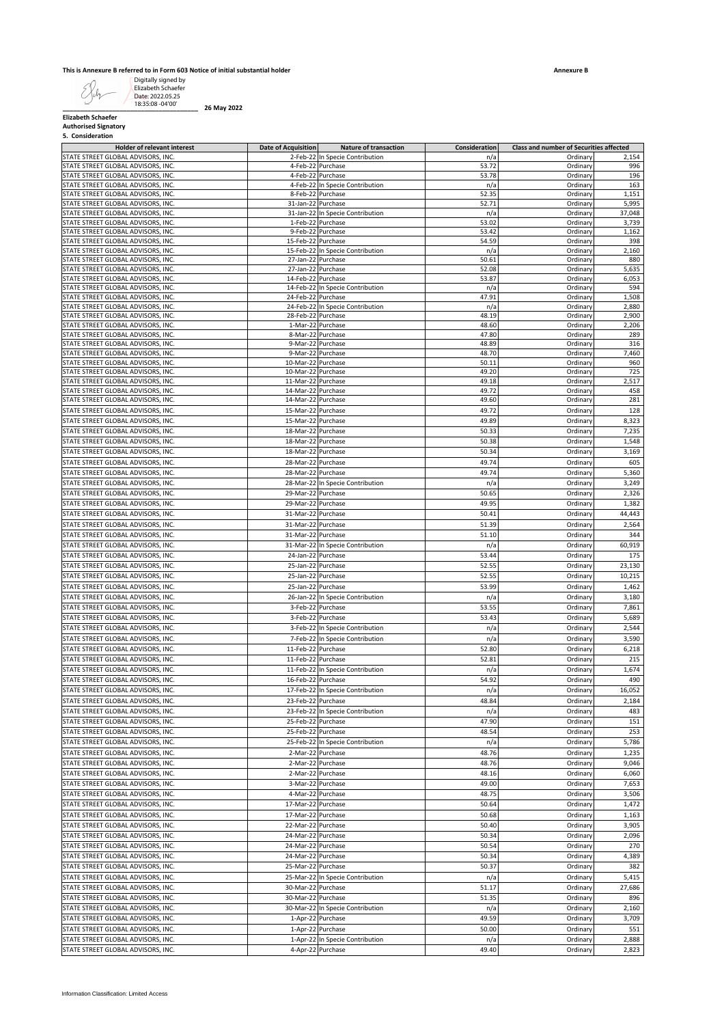#### **This is Annexure B referred to in Form 603 Notice of initial substantial holder**

|  | 5. Consideration |  |
|--|------------------|--|
|--|------------------|--|

| <b>Elizabeth Schaefer</b><br><b>Authorised Signatory</b>                 |                                          |                                                                    |                      |                                                     |                |
|--------------------------------------------------------------------------|------------------------------------------|--------------------------------------------------------------------|----------------------|-----------------------------------------------------|----------------|
| 5. Consideration                                                         |                                          |                                                                    |                      |                                                     |                |
| <b>Holder of relevant interest</b><br>STATE STREET GLOBAL ADVISORS, INC. | <b>Date of Acquisition</b>               | <b>Nature of transaction</b><br>2-Feb-22 In Specie Contribution    | Consideration<br>n/a | Class and number of Securities affected<br>Ordinary | 2,154          |
| STATE STREET GLOBAL ADVISORS, INC.                                       |                                          | 4-Feb-22 Purchase                                                  | 53.72                | Ordinary                                            | 996            |
| STATE STREET GLOBAL ADVISORS, INC.                                       |                                          | 4-Feb-22 Purchase                                                  | 53.78                | Ordinary                                            | 196            |
| STATE STREET GLOBAL ADVISORS, INC.                                       |                                          | 4-Feb-22 In Specie Contribution                                    | n/a                  | Ordinary                                            | 163            |
| STATE STREET GLOBAL ADVISORS, INC.<br>STATE STREET GLOBAL ADVISORS, INC. | 31-Jan-22 Purchase                       | 8-Feb-22 Purchase                                                  | 52.35<br>52.71       | Ordinary<br>Ordinary                                | 1,151<br>5,995 |
| STATE STREET GLOBAL ADVISORS, INC.                                       |                                          | 31-Jan-22 In Specie Contribution                                   | n/a                  | Ordinary                                            | 37,048         |
| STATE STREET GLOBAL ADVISORS, INC.                                       |                                          | 1-Feb-22 Purchase                                                  | 53.02                | Ordinary                                            | 3,739          |
| STATE STREET GLOBAL ADVISORS, INC.                                       |                                          | 9-Feb-22 Purchase                                                  | 53.42                | Ordinary                                            | 1,162          |
| STATE STREET GLOBAL ADVISORS. INC.<br>STATE STREET GLOBAL ADVISORS, INC. | 15-Feb-22 Purchase                       | 15-Feb-22 In Specie Contribution                                   | 54.59<br>n/a         | Ordinary<br>Ordinary                                | 398<br>2,160   |
| STATE STREET GLOBAL ADVISORS, INC.                                       | 27-Jan-22 Purchase                       |                                                                    | 50.61                | Ordinary                                            | 880            |
| STATE STREET GLOBAL ADVISORS, INC.                                       | 27-Jan-22 Purchase                       |                                                                    | 52.08                | Ordinary                                            | 5,635          |
| STATE STREET GLOBAL ADVISORS, INC.                                       | 14-Feb-22 Purchase                       |                                                                    | 53.87                | Ordinary                                            | 6,053          |
| STATE STREET GLOBAL ADVISORS, INC.                                       |                                          | 14-Feb-22 In Specie Contribution                                   | n/a<br>47.91         | Ordinary                                            | 594            |
| STATE STREET GLOBAL ADVISORS, INC.<br>STATE STREET GLOBAL ADVISORS, INC. | 24-Feb-22 Purchase                       | 24-Feb-22 In Specie Contribution                                   | n/a                  | Ordinary<br>Ordinary                                | 1,508<br>2,880 |
| STATE STREET GLOBAL ADVISORS, INC.                                       | 28-Feb-22 Purchase                       |                                                                    | 48.19                | Ordinary                                            | 2,900          |
| STATE STREET GLOBAL ADVISORS, INC.                                       |                                          | 1-Mar-22 Purchase                                                  | 48.60                | Ordinary                                            | 2,206          |
| STATE STREET GLOBAL ADVISORS, INC.                                       |                                          | 8-Mar-22 Purchase                                                  | 47.80                | Ordinary                                            | 289            |
| STATE STREET GLOBAL ADVISORS, INC.<br>STATE STREET GLOBAL ADVISORS, INC. | 9-Mar-22 Purchase                        | 9-Mar-22 Purchase                                                  | 48.89<br>48.70       | Ordinary<br>Ordinary                                | 316<br>7,460   |
| STATE STREET GLOBAL ADVISORS, INC.                                       | 10-Mar-22 Purchase                       |                                                                    | 50.11                | Ordinary                                            | 960            |
| STATE STREET GLOBAL ADVISORS, INC.                                       | 10-Mar-22 Purchase                       |                                                                    | 49.20                | Ordinary                                            | 725            |
| STATE STREET GLOBAL ADVISORS, INC.                                       | 11-Mar-22 Purchase                       |                                                                    | 49.18                | Ordinary                                            | 2,517          |
| STATE STREET GLOBAL ADVISORS, INC.                                       | 14-Mar-22 Purchase<br>14-Mar-22 Purchase |                                                                    | 49.72<br>49.60       | Ordinary                                            | 458<br>281     |
| STATE STREET GLOBAL ADVISORS, INC.<br>STATE STREET GLOBAL ADVISORS, INC. | 15-Mar-22 Purchase                       |                                                                    | 49.72                | Ordinary<br>Ordinary                                | 128            |
| STATE STREET GLOBAL ADVISORS, INC.                                       | 15-Mar-22 Purchase                       |                                                                    | 49.89                | Ordinary                                            | 8,323          |
| STATE STREET GLOBAL ADVISORS, INC.                                       | 18-Mar-22 Purchase                       |                                                                    | 50.33                | Ordinary                                            | 7,235          |
| STATE STREET GLOBAL ADVISORS, INC.                                       | 18-Mar-22 Purchase                       |                                                                    | 50.38                | Ordinary                                            | 1,548          |
| STATE STREET GLOBAL ADVISORS, INC.                                       | 18-Mar-22 Purchase                       |                                                                    | 50.34                | Ordinary                                            | 3,169          |
| STATE STREET GLOBAL ADVISORS, INC.                                       | 28-Mar-22 Purchase                       |                                                                    | 49.74                | Ordinary                                            | 605            |
| STATE STREET GLOBAL ADVISORS, INC.                                       | 28-Mar-22 Purchase                       |                                                                    | 49.74                | Ordinary                                            | 5,360          |
| STATE STREET GLOBAL ADVISORS, INC.                                       |                                          | 28-Mar-22 In Specie Contribution                                   | n/a                  | Ordinary                                            | 3,249          |
| STATE STREET GLOBAL ADVISORS, INC.<br>STATE STREET GLOBAL ADVISORS, INC. | 29-Mar-22 Purchase<br>29-Mar-22 Purchase |                                                                    | 50.65<br>49.95       | Ordinary                                            | 2,326<br>1,382 |
| STATE STREET GLOBAL ADVISORS, INC.                                       | 31-Mar-22 Purchase                       |                                                                    | 50.41                | Ordinary<br>Ordinary                                | 44,443         |
| STATE STREET GLOBAL ADVISORS, INC.                                       | 31-Mar-22 Purchase                       |                                                                    | 51.39                | Ordinary                                            | 2,564          |
| STATE STREET GLOBAL ADVISORS, INC.                                       | 31-Mar-22 Purchase                       |                                                                    | 51.10                | Ordinary                                            | 344            |
| STATE STREET GLOBAL ADVISORS, INC.                                       |                                          | 31-Mar-22 In Specie Contribution                                   | n/a                  | Ordinary                                            | 60,919         |
| STATE STREET GLOBAL ADVISORS, INC.                                       | 24-Jan-22 Purchase                       |                                                                    | 53.44                | Ordinary                                            | 175            |
| STATE STREET GLOBAL ADVISORS, INC.                                       | 25-Jan-22 Purchase                       |                                                                    | 52.55                | Ordinary                                            | 23,130         |
| STATE STREET GLOBAL ADVISORS, INC.                                       | 25-Jan-22 Purchase                       |                                                                    | 52.55                | Ordinary                                            | 10,215         |
| STATE STREET GLOBAL ADVISORS, INC.                                       | 25-Jan-22 Purchase                       |                                                                    | 53.99                | Ordinary                                            | 1,462          |
| STATE STREET GLOBAL ADVISORS, INC.                                       |                                          | 26-Jan-22 In Specie Contribution                                   | n/a                  | Ordinary                                            | 3,180          |
| STATE STREET GLOBAL ADVISORS, INC.                                       |                                          | 3-Feb-22 Purchase                                                  | 53.55                | Ordinary                                            | 7,861          |
| STATE STREET GLOBAL ADVISORS. INC.                                       |                                          | 3-Feb-22 Purchase                                                  | 53.43                | Ordinary                                            | 5,689          |
| STATE STREET GLOBAL ADVISORS, INC.<br>STATE STREET GLOBAL ADVISORS, INC. |                                          | 3-Feb-22 In Specie Contribution<br>7-Feb-22 In Specie Contribution | n/a<br>n/a           | Ordinary<br>Ordinary                                | 2,544<br>3,590 |
| STATE STREET GLOBAL ADVISORS, INC.                                       | 11-Feb-22 Purchase                       |                                                                    | 52.80                | Ordinary                                            | 6,218          |
| STATE STREET GLOBAL ADVISORS, INC.                                       | 11-Feb-22 Purchase                       |                                                                    | 52.81                | Ordinary                                            | 215            |
| STATE STREET GLOBAL ADVISORS, INC.                                       |                                          | 11-Feb-22 In Specie Contribution                                   | n/a                  | Ordinary                                            | 1,674          |
| STATE STREET GLOBAL ADVISORS, INC.                                       | 16-Feb-22 Purchase                       |                                                                    | 54.92                | Ordinary                                            | 490            |
| STATE STREET GLOBAL ADVISORS, INC.                                       |                                          | 17-Feb-22 In Specie Contribution                                   | n/a                  | Ordinary                                            | 16,052         |
| STATE STREET GLOBAL ADVISORS, INC.                                       | 23-Feb-22 Purchase                       |                                                                    | 48.84                | Ordinary                                            | 2,184          |
| STATE STREET GLOBAL ADVISORS, INC.                                       |                                          | 23-Feb-22 In Specie Contribution                                   | n/a                  | Ordinary                                            | 483            |
| STATE STREET GLOBAL ADVISORS, INC.                                       | 25-Feb-22 Purchase                       |                                                                    | 47.90                | Ordinary                                            | 151            |
| STATE STREET GLOBAL ADVISORS, INC.                                       | 25-Feb-22 Purchase                       | 25-Feb-22 In Specie Contribution                                   | 48.54                | Ordinary                                            | 253<br>5,786   |
| STATE STREET GLOBAL ADVISORS, INC.<br>STATE STREET GLOBAL ADVISORS, INC. |                                          | 2-Mar-22 Purchase                                                  | n/a<br>48.76         | Ordinary<br>Ordinary                                | 1,235          |
| STATE STREET GLOBAL ADVISORS, INC.                                       |                                          | 2-Mar-22 Purchase                                                  | 48.76                | Ordinary                                            | 9,046          |
| STATE STREET GLOBAL ADVISORS, INC.                                       |                                          | 2-Mar-22 Purchase                                                  | 48.16                | Ordinary                                            | 6,060          |
| STATE STREET GLOBAL ADVISORS, INC.                                       | 3-Mar-22 Purchase                        |                                                                    | 49.00                | Ordinary                                            | 7,653          |
| STATE STREET GLOBAL ADVISORS, INC.                                       |                                          | 4-Mar-22 Purchase                                                  | 48.75                | Ordinary                                            | 3,506          |
| STATE STREET GLOBAL ADVISORS, INC.                                       | 17-Mar-22 Purchase                       |                                                                    | 50.64                | Ordinary                                            | 1,472          |
| STATE STREET GLOBAL ADVISORS, INC.                                       | 17-Mar-22 Purchase                       |                                                                    | 50.68                | Ordinary                                            | 1,163          |
| STATE STREET GLOBAL ADVISORS, INC.                                       | 22-Mar-22 Purchase                       |                                                                    | 50.40                | Ordinary                                            | 3,905          |
| STATE STREET GLOBAL ADVISORS, INC.                                       | 24-Mar-22 Purchase                       |                                                                    | 50.34                | Ordinary                                            | 2,096          |
| STATE STREET GLOBAL ADVISORS, INC.                                       | 24-Mar-22 Purchase                       |                                                                    | 50.54                | Ordinary                                            | 270            |
| STATE STREET GLOBAL ADVISORS, INC.<br>STATE STREET GLOBAL ADVISORS, INC. | 24-Mar-22 Purchase                       |                                                                    | 50.34<br>50.37       | Ordinary                                            | 4,389          |
| STATE STREET GLOBAL ADVISORS, INC.                                       | 25-Mar-22 Purchase                       | 25-Mar-22 In Specie Contribution                                   | n/a                  | Ordinary<br>Ordinary                                | 382<br>5,415   |
| STATE STREET GLOBAL ADVISORS, INC.                                       | 30-Mar-22 Purchase                       |                                                                    | 51.17                | Ordinary                                            | 27,686         |
| STATE STREET GLOBAL ADVISORS, INC.                                       | 30-Mar-22 Purchase                       |                                                                    | 51.35                | Ordinary                                            | 896            |
| STATE STREET GLOBAL ADVISORS, INC.                                       |                                          | 30-Mar-22 In Specie Contribution                                   | n/a                  | Ordinary                                            | 2,160          |
| STATE STREET GLOBAL ADVISORS, INC.                                       |                                          | 1-Apr-22 Purchase                                                  | 49.59                | Ordinary                                            | 3,709          |
| STATE STREET GLOBAL ADVISORS, INC.                                       |                                          | 1-Apr-22 Purchase                                                  | 50.00                | Ordinary                                            | 551            |
| STATE STREET GLOBAL ADVISORS, INC.                                       |                                          | 1-Apr-22 In Specie Contribution                                    | n/a                  | Ordinary                                            | 2,888          |
| STATE STREET GLOBAL ADVISORS, INC.                                       |                                          | 4-Apr-22 Purchase                                                  | 49.40                | Ordinary                                            | 2,823          |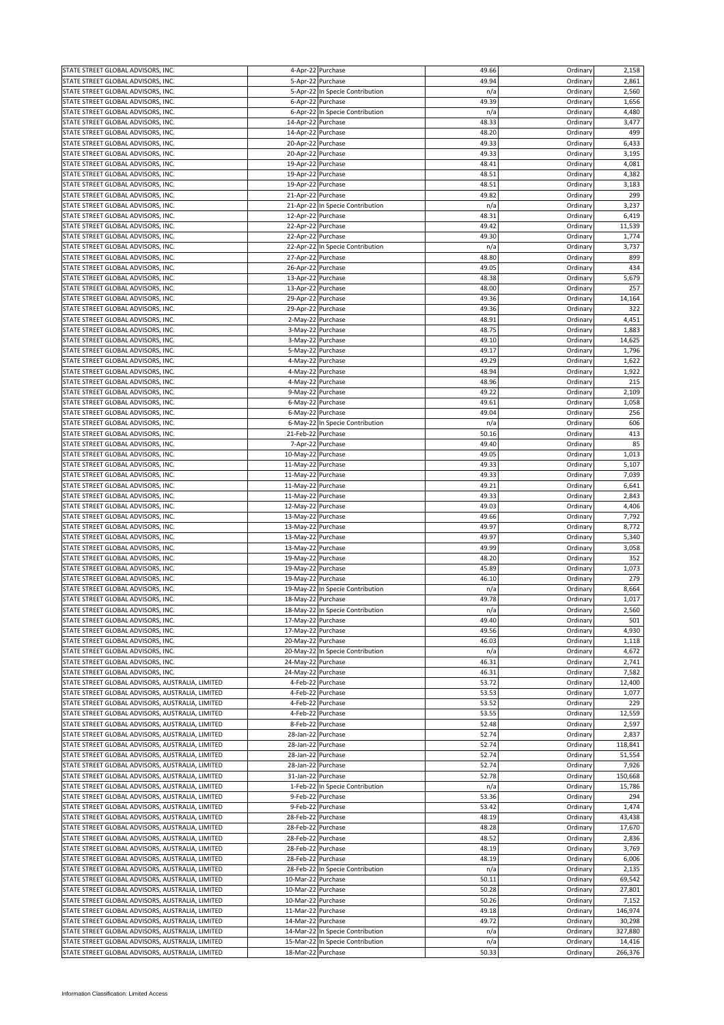| STATE STREET GLOBAL ADVISORS, INC.               |                    | 4-Apr-22 Purchase                | 49.66 | Ordinary | 2,158   |
|--------------------------------------------------|--------------------|----------------------------------|-------|----------|---------|
| STATE STREET GLOBAL ADVISORS, INC.               |                    | 5-Apr-22 Purchase                | 49.94 | Ordinary | 2,861   |
| STATE STREET GLOBAL ADVISORS, INC.               |                    | 5-Apr-22 In Specie Contribution  | n/a   | Ordinary | 2,560   |
| STATE STREET GLOBAL ADVISORS, INC.               |                    | 6-Apr-22 Purchase                | 49.39 | Ordinary | 1,656   |
|                                                  |                    |                                  |       |          |         |
| STATE STREET GLOBAL ADVISORS, INC.               |                    | 6-Apr-22 In Specie Contribution  | n/a   | Ordinary | 4,480   |
| STATE STREET GLOBAL ADVISORS, INC.               | 14-Apr-22 Purchase |                                  | 48.33 | Ordinary | 3,477   |
| STATE STREET GLOBAL ADVISORS, INC.               | 14-Apr-22 Purchase |                                  | 48.20 | Ordinary | 499     |
| STATE STREET GLOBAL ADVISORS, INC.               | 20-Apr-22 Purchase |                                  | 49.33 | Ordinary | 6,433   |
| STATE STREET GLOBAL ADVISORS, INC.               |                    |                                  | 49.33 |          | 3,195   |
|                                                  | 20-Apr-22 Purchase |                                  |       | Ordinary |         |
| STATE STREET GLOBAL ADVISORS, INC.               | 19-Apr-22 Purchase |                                  | 48.41 | Ordinary | 4,081   |
| STATE STREET GLOBAL ADVISORS, INC.               | 19-Apr-22 Purchase |                                  | 48.51 | Ordinary | 4,382   |
| STATE STREET GLOBAL ADVISORS, INC.               | 19-Apr-22 Purchase |                                  | 48.51 | Ordinary | 3,183   |
| STATE STREET GLOBAL ADVISORS, INC.               | 21-Apr-22 Purchase |                                  | 49.82 | Ordinary | 299     |
|                                                  |                    |                                  |       |          |         |
| STATE STREET GLOBAL ADVISORS, INC.               |                    | 21-Apr-22 In Specie Contribution | n/a   | Ordinary | 3,237   |
| STATE STREET GLOBAL ADVISORS, INC.               | 12-Apr-22 Purchase |                                  | 48.31 | Ordinary | 6,419   |
| STATE STREET GLOBAL ADVISORS, INC.               | 22-Apr-22 Purchase |                                  | 49.42 | Ordinary | 11,539  |
| STATE STREET GLOBAL ADVISORS, INC.               | 22-Apr-22 Purchase |                                  | 49.30 | Ordinary | 1,774   |
| STATE STREET GLOBAL ADVISORS, INC.               |                    | 22-Apr-22 In Specie Contribution | n/a   | Ordinary | 3,737   |
|                                                  |                    |                                  |       |          |         |
| STATE STREET GLOBAL ADVISORS, INC.               | 27-Apr-22 Purchase |                                  | 48.80 | Ordinary | 899     |
| STATE STREET GLOBAL ADVISORS, INC.               | 26-Apr-22 Purchase |                                  | 49.05 | Ordinary | 434     |
| STATE STREET GLOBAL ADVISORS, INC.               | 13-Apr-22 Purchase |                                  | 48.38 | Ordinary | 5,679   |
| STATE STREET GLOBAL ADVISORS, INC.               | 13-Apr-22 Purchase |                                  | 48.00 | Ordinary | 257     |
|                                                  |                    |                                  |       |          |         |
| STATE STREET GLOBAL ADVISORS, INC.               | 29-Apr-22 Purchase |                                  | 49.36 | Ordinary | 14,164  |
| STATE STREET GLOBAL ADVISORS, INC.               | 29-Apr-22 Purchase |                                  | 49.36 | Ordinary | 322     |
| STATE STREET GLOBAL ADVISORS, INC.               | 2-May-22 Purchase  |                                  | 48.91 | Ordinary | 4,451   |
| STATE STREET GLOBAL ADVISORS, INC.               | 3-May-22 Purchase  |                                  | 48.75 | Ordinary | 1,883   |
|                                                  |                    |                                  |       |          |         |
| STATE STREET GLOBAL ADVISORS, INC.               | 3-May-22 Purchase  |                                  | 49.10 | Ordinary | 14,625  |
| STATE STREET GLOBAL ADVISORS, INC.               | 5-May-22 Purchase  |                                  | 49.17 | Ordinary | 1,796   |
| STATE STREET GLOBAL ADVISORS, INC.               |                    | 4-May-22 Purchase                | 49.29 | Ordinary | 1,622   |
| STATE STREET GLOBAL ADVISORS, INC.               | 4-May-22           | Purchase                         | 48.94 | Ordinary | 1,922   |
|                                                  |                    |                                  |       |          |         |
| STATE STREET GLOBAL ADVISORS, INC.               | 4-May-22 Purchase  |                                  | 48.96 | Ordinary | 215     |
| STATE STREET GLOBAL ADVISORS, INC.               | 9-May-22 Purchase  |                                  | 49.22 | Ordinary | 2,109   |
| STATE STREET GLOBAL ADVISORS, INC.               | 6-May-22 Purchase  |                                  | 49.61 | Ordinary | 1,058   |
| STATE STREET GLOBAL ADVISORS, INC.               |                    | 6-May-22 Purchase                | 49.04 | Ordinary | 256     |
| STATE STREET GLOBAL ADVISORS, INC.               |                    |                                  |       |          | 606     |
|                                                  |                    | 6-May-22 In Specie Contribution  | n/a   | Ordinary |         |
| STATE STREET GLOBAL ADVISORS, INC.               | 21-Feb-22 Purchase |                                  | 50.16 | Ordinary | 413     |
| STATE STREET GLOBAL ADVISORS, INC.               |                    | 7-Apr-22 Purchase                | 49.40 | Ordinary | 85      |
| STATE STREET GLOBAL ADVISORS, INC.               | 10-May-22 Purchase |                                  | 49.05 | Ordinary | 1,013   |
| STATE STREET GLOBAL ADVISORS, INC.               | 11-May-22 Purchase |                                  | 49.33 | Ordinary | 5,107   |
|                                                  |                    |                                  |       |          |         |
| STATE STREET GLOBAL ADVISORS, INC.               | 11-May-22 Purchase |                                  | 49.33 | Ordinary | 7,039   |
| STATE STREET GLOBAL ADVISORS, INC.               | 11-May-22 Purchase |                                  | 49.21 | Ordinary | 6,641   |
| STATE STREET GLOBAL ADVISORS, INC.               | 11-May-22 Purchase |                                  | 49.33 | Ordinary | 2,843   |
| STATE STREET GLOBAL ADVISORS, INC.               | 12-May-22 Purchase |                                  | 49.03 | Ordinary | 4,406   |
|                                                  |                    |                                  |       |          |         |
| STATE STREET GLOBAL ADVISORS, INC.               | 13-May-22 Purchase |                                  | 49.66 | Ordinary | 7,792   |
| STATE STREET GLOBAL ADVISORS, INC.               | 13-May-22 Purchase |                                  | 49.97 | Ordinary | 8,772   |
| STATE STREET GLOBAL ADVISORS, INC.               | 13-May-22 Purchase |                                  | 49.97 | Ordinary | 5,340   |
| STATE STREET GLOBAL ADVISORS, INC.               | 13-May-22 Purchase |                                  | 49.99 | Ordinary | 3,058   |
|                                                  |                    |                                  |       |          |         |
| STATE STREET GLOBAL ADVISORS, INC.               | 19-May-22 Purchase |                                  | 48.20 | Ordinary | 352     |
| STATE STREET GLOBAL ADVISORS, INC.               | 19-May-22 Purchase |                                  | 45.89 | Ordinary | 1,073   |
| STATE STREET GLOBAL ADVISORS, INC.               | 19-May-22 Purchase |                                  | 46.10 | Ordinary | 279     |
| STATE STREET GLOBAL ADVISORS, INC.               |                    | 19-May-22 In Specie Contribution | n/a   | Ordinary | 8,664   |
|                                                  |                    |                                  |       |          |         |
| STATE STREET GLOBAL ADVISORS, INC.               | 18-May-22 Purchase |                                  | 49.78 | Ordinary | 1,017   |
| STATE STREET GLOBAL ADVISORS, INC.               |                    | 18-May-22 In Specie Contribution | n/a   | Ordinary | 2,560   |
| STATE STREET GLOBAL ADVISORS, INC.               | 17-May-22 Purchase |                                  | 49.40 | Ordinary | 501     |
| STATE STREET GLOBAL ADVISORS, INC.               | 17-May-22 Purchase |                                  | 49.56 | Ordinary | 4,930   |
| STATE STREET GLOBAL ADVISORS, INC.               | 20-May-22 Purchase |                                  | 46.03 | Ordinary | 1,118   |
|                                                  |                    |                                  |       |          |         |
| STATE STREET GLOBAL ADVISORS, INC.               |                    | 20-May-22 In Specie Contribution | n/a   | Ordinary | 4,672   |
| STATE STREET GLOBAL ADVISORS, INC.               | 24-May-22 Purchase |                                  | 46.31 | Ordinary | 2,741   |
| STATE STREET GLOBAL ADVISORS, INC.               | 24-May-22 Purchase |                                  | 46.31 | Ordinary | 7,582   |
| STATE STREET GLOBAL ADVISORS, AUSTRALIA, LIMITED |                    | 4-Feb-22 Purchase                | 53.72 | Ordinary | 12,400  |
|                                                  |                    |                                  |       |          |         |
| STATE STREET GLOBAL ADVISORS, AUSTRALIA, LIMITED |                    | 4-Feb-22 Purchase                | 53.53 | Ordinary | 1,077   |
| STATE STREET GLOBAL ADVISORS, AUSTRALIA, LIMITED |                    | 4-Feb-22 Purchase                | 53.52 | Ordinary | 229     |
| STATE STREET GLOBAL ADVISORS, AUSTRALIA, LIMITED |                    | 4-Feb-22 Purchase                | 53.55 | Ordinary | 12,559  |
| STATE STREET GLOBAL ADVISORS, AUSTRALIA, LIMITED |                    | 8-Feb-22 Purchase                | 52.48 | Ordinary | 2,597   |
|                                                  |                    |                                  |       |          |         |
| STATE STREET GLOBAL ADVISORS, AUSTRALIA, LIMITED | 28-Jan-22          | Purchase                         | 52.74 | Ordinary | 2,837   |
| STATE STREET GLOBAL ADVISORS, AUSTRALIA, LIMITED | 28-Jan-22          | Purchase                         | 52.74 | Ordinary | 118,841 |
| STATE STREET GLOBAL ADVISORS, AUSTRALIA, LIMITED |                    | 28-Jan-22 Purchase               | 52.74 | Ordinary | 51,554  |
| STATE STREET GLOBAL ADVISORS, AUSTRALIA, LIMITED | 28-Jan-22          | Purchase                         | 52.74 | Ordinary | 7,926   |
|                                                  |                    |                                  |       |          |         |
| STATE STREET GLOBAL ADVISORS, AUSTRALIA, LIMITED | 31-Jan-22 Purchase |                                  | 52.78 | Ordinary | 150,668 |
| STATE STREET GLOBAL ADVISORS, AUSTRALIA, LIMITED |                    | 1-Feb-22 In Specie Contribution  | n/a   | Ordinary | 15,786  |
| STATE STREET GLOBAL ADVISORS, AUSTRALIA, LIMITED |                    | 9-Feb-22 Purchase                | 53.36 | Ordinary | 294     |
| STATE STREET GLOBAL ADVISORS, AUSTRALIA, LIMITED |                    | 9-Feb-22 Purchase                | 53.42 | Ordinary | 1,474   |
|                                                  |                    |                                  |       |          |         |
| STATE STREET GLOBAL ADVISORS, AUSTRALIA, LIMITED | 28-Feb-22 Purchase |                                  | 48.19 | Ordinary | 43,438  |
| STATE STREET GLOBAL ADVISORS, AUSTRALIA, LIMITED | 28-Feb-22 Purchase |                                  | 48.28 | Ordinary | 17,670  |
| STATE STREET GLOBAL ADVISORS, AUSTRALIA, LIMITED | 28-Feb-22 Purchase |                                  | 48.52 | Ordinary | 2,836   |
| STATE STREET GLOBAL ADVISORS, AUSTRALIA, LIMITED | 28-Feb-22 Purchase |                                  | 48.19 | Ordinary | 3,769   |
|                                                  |                    |                                  |       |          |         |
| STATE STREET GLOBAL ADVISORS, AUSTRALIA, LIMITED | 28-Feb-22 Purchase |                                  | 48.19 | Ordinary | 6,006   |
| STATE STREET GLOBAL ADVISORS, AUSTRALIA, LIMITED |                    | 28-Feb-22 In Specie Contribution | n/a   | Ordinary | 2,135   |
| STATE STREET GLOBAL ADVISORS, AUSTRALIA, LIMITED | 10-Mar-22 Purchase |                                  | 50.11 | Ordinary | 69,542  |
| STATE STREET GLOBAL ADVISORS, AUSTRALIA, LIMITED | 10-Mar-22 Purchase |                                  | 50.28 | Ordinary | 27,801  |
| STATE STREET GLOBAL ADVISORS, AUSTRALIA, LIMITED | 10-Mar-22 Purchase |                                  | 50.26 | Ordinary | 7,152   |
|                                                  |                    |                                  |       |          |         |
| STATE STREET GLOBAL ADVISORS, AUSTRALIA, LIMITED | 11-Mar-22 Purchase |                                  | 49.18 | Ordinary | 146,974 |
| STATE STREET GLOBAL ADVISORS, AUSTRALIA, LIMITED | 14-Mar-22 Purchase |                                  | 49.72 | Ordinary | 30,298  |
| STATE STREET GLOBAL ADVISORS, AUSTRALIA, LIMITED |                    | 14-Mar-22 In Specie Contribution | n/a   | Ordinary | 327,880 |
| STATE STREET GLOBAL ADVISORS, AUSTRALIA, LIMITED |                    | 15-Mar-22 In Specie Contribution | n/a   | Ordinary | 14,416  |
|                                                  |                    |                                  |       |          |         |
| STATE STREET GLOBAL ADVISORS, AUSTRALIA, LIMITED | 18-Mar-22 Purchase |                                  | 50.33 | Ordinary | 266,376 |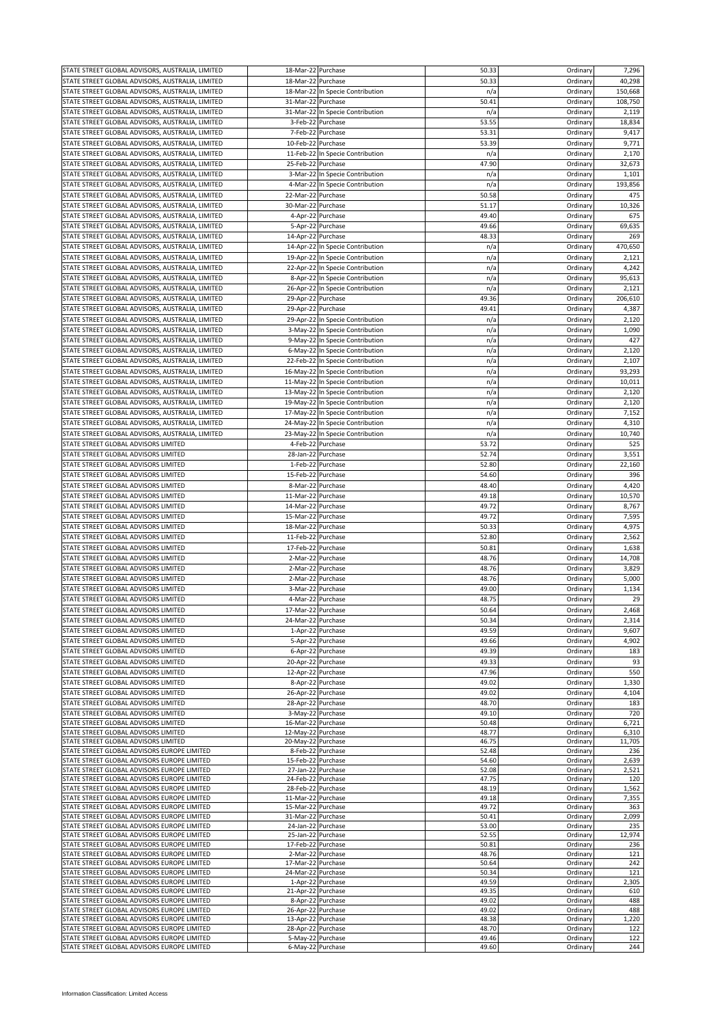| STATE STREET GLOBAL ADVISORS, AUSTRALIA, LIMITED                                           | 18-Mar-22 Purchase                       |                                  | 50.33          | Ordinary             | 7,296           |
|--------------------------------------------------------------------------------------------|------------------------------------------|----------------------------------|----------------|----------------------|-----------------|
| STATE STREET GLOBAL ADVISORS, AUSTRALIA, LIMITED                                           | 18-Mar-22 Purchase                       |                                  | 50.33          | Ordinary             | 40,298          |
| STATE STREET GLOBAL ADVISORS, AUSTRALIA, LIMITED                                           |                                          | 18-Mar-22 In Specie Contribution | n/a            | Ordinary             | 150,668         |
| STATE STREET GLOBAL ADVISORS, AUSTRALIA, LIMITED                                           | 31-Mar-22                                | Purchase                         | 50.41          | Ordinary             | 108,750         |
| STATE STREET GLOBAL ADVISORS, AUSTRALIA, LIMITED                                           |                                          | 31-Mar-22 In Specie Contribution | n/a            | Ordinary             | 2,119           |
| STATE STREET GLOBAL ADVISORS, AUSTRALIA, LIMITED                                           |                                          | 3-Feb-22 Purchase                | 53.55          | Ordinary             | 18,834          |
| STATE STREET GLOBAL ADVISORS, AUSTRALIA, LIMITED                                           | 7-Feb-22                                 | Purchase                         | 53.31          | Ordinary             | 9,417           |
| STATE STREET GLOBAL ADVISORS, AUSTRALIA, LIMITED                                           | 10-Feb-22 Purchase                       |                                  | 53.39          | Ordinary             | 9,771           |
| STATE STREET GLOBAL ADVISORS, AUSTRALIA, LIMITED                                           |                                          | 11-Feb-22 In Specie Contribution | n/a            | Ordinary             | 2,170           |
| STATE STREET GLOBAL ADVISORS, AUSTRALIA, LIMITED                                           | 25-Feb-22 Purchase                       |                                  | 47.90          | Ordinary             | 32,673          |
| STATE STREET GLOBAL ADVISORS, AUSTRALIA, LIMITED                                           |                                          | 3-Mar-22 In Specie Contribution  | n/a            | Ordinary             | 1,101           |
| STATE STREET GLOBAL ADVISORS, AUSTRALIA, LIMITED                                           |                                          | 4-Mar-22 In Specie Contribution  | n/a            | Ordinary             | 193,856         |
| STATE STREET GLOBAL ADVISORS, AUSTRALIA, LIMITED                                           | 22-Mar-22 Purchase                       |                                  | 50.58          | Ordinary             | 475             |
| STATE STREET GLOBAL ADVISORS, AUSTRALIA, LIMITED                                           | 30-Mar-22 Purchase                       |                                  | 51.17          | Ordinary             | 10,326          |
| STATE STREET GLOBAL ADVISORS, AUSTRALIA, LIMITED                                           |                                          | 4-Apr-22 Purchase                | 49.40          | Ordinary             | 675             |
| STATE STREET GLOBAL ADVISORS, AUSTRALIA, LIMITED                                           |                                          | 5-Apr-22 Purchase                | 49.66          | Ordinary             | 69,635          |
| STATE STREET GLOBAL ADVISORS, AUSTRALIA, LIMITED                                           | 14-Apr-22 Purchase                       |                                  | 48.33          | Ordinary             | 269             |
| STATE STREET GLOBAL ADVISORS, AUSTRALIA, LIMITED                                           |                                          | 14-Apr-22 In Specie Contribution | n/a            | Ordinary             | 470,650         |
| STATE STREET GLOBAL ADVISORS, AUSTRALIA, LIMITED                                           |                                          | 19-Apr-22 In Specie Contribution | n/a            | Ordinary             | 2,121           |
| STATE STREET GLOBAL ADVISORS, AUSTRALIA, LIMITED                                           |                                          | 22-Apr-22 In Specie Contribution | n/a            | Ordinary             | 4,242           |
| STATE STREET GLOBAL ADVISORS, AUSTRALIA, LIMITED                                           |                                          | 8-Apr-22 In Specie Contribution  | n/a            | Ordinary             | 95,613          |
| STATE STREET GLOBAL ADVISORS, AUSTRALIA, LIMITED                                           |                                          | 26-Apr-22 In Specie Contribution | n/a            | Ordinary             | 2,121           |
| STATE STREET GLOBAL ADVISORS, AUSTRALIA, LIMITED                                           | 29-Apr-22 Purchase                       |                                  | 49.36          | Ordinary             | 206,610         |
| STATE STREET GLOBAL ADVISORS, AUSTRALIA, LIMITED                                           | 29-Apr-22 Purchase                       |                                  | 49.41          | Ordinary             | 4,387           |
| STATE STREET GLOBAL ADVISORS, AUSTRALIA, LIMITED                                           |                                          | 29-Apr-22 In Specie Contribution | n/a            | Ordinary             | 2,120           |
| STATE STREET GLOBAL ADVISORS, AUSTRALIA, LIMITED                                           |                                          | 3-May-22 In Specie Contribution  | n/a            | Ordinary             | 1,090           |
| STATE STREET GLOBAL ADVISORS, AUSTRALIA, LIMITED                                           |                                          | 9-May-22 In Specie Contribution  | n/a            | Ordinary             | 427             |
| STATE STREET GLOBAL ADVISORS, AUSTRALIA, LIMITED                                           |                                          | 6-May-22 In Specie Contribution  | n/a            | Ordinary             | 2,120           |
| STATE STREET GLOBAL ADVISORS, AUSTRALIA, LIMITED                                           |                                          | 22-Feb-22 In Specie Contribution | n/a            | Ordinary             | 2,107           |
| STATE STREET GLOBAL ADVISORS, AUSTRALIA, LIMITED                                           |                                          | 16-May-22 In Specie Contribution | n/a            | Ordinary             | 93,293          |
| STATE STREET GLOBAL ADVISORS, AUSTRALIA, LIMITED                                           |                                          | 11-May-22 In Specie Contribution | n/a            | Ordinary             | 10,011          |
| STATE STREET GLOBAL ADVISORS, AUSTRALIA, LIMITED                                           |                                          | 13-May-22 In Specie Contribution | n/a            | Ordinary             | 2,120           |
| STATE STREET GLOBAL ADVISORS, AUSTRALIA, LIMITED                                           |                                          | 19-May-22 In Specie Contribution | n/a            | Ordinary             | 2,120           |
| STATE STREET GLOBAL ADVISORS, AUSTRALIA, LIMITED                                           |                                          | 17-May-22 In Specie Contribution | n/a            | Ordinary             | 7,152           |
| STATE STREET GLOBAL ADVISORS, AUSTRALIA, LIMITED                                           |                                          | 24-May-22 In Specie Contribution | n/a            | Ordinary             | 4,310           |
| STATE STREET GLOBAL ADVISORS, AUSTRALIA, LIMITED                                           |                                          | 23-May-22 In Specie Contribution | n/a            | Ordinary             | 10,740          |
| STATE STREET GLOBAL ADVISORS LIMITED                                                       |                                          | 4-Feb-22 Purchase                | 53.72          | Ordinary             | 525             |
| STATE STREET GLOBAL ADVISORS LIMITED                                                       | 28-Jan-22 Purchase                       |                                  | 52.74          | Ordinary             | 3,551           |
| STATE STREET GLOBAL ADVISORS LIMITED                                                       | 1-Feb-22                                 | Purchase                         | 52.80          | Ordinary             | 22,160          |
| STATE STREET GLOBAL ADVISORS LIMITED                                                       | 15-Feb-22                                | Purchase                         | 54.60          | Ordinary             | 396             |
| STATE STREET GLOBAL ADVISORS LIMITED                                                       | 8-Mar-22 Purchase                        |                                  | 48.40          | Ordinary             | 4,420           |
| STATE STREET GLOBAL ADVISORS LIMITED                                                       | 11-Mar-22                                | Purchase                         | 49.18          | Ordinary             | 10,570          |
| STATE STREET GLOBAL ADVISORS LIMITED                                                       | 14-Mar-22 Purchase                       |                                  | 49.72          | Ordinary             | 8,767           |
| STATE STREET GLOBAL ADVISORS LIMITED                                                       | 15-Mar-22 Purchase                       |                                  | 49.72          | Ordinary             | 7,595           |
| STATE STREET GLOBAL ADVISORS LIMITED                                                       | 18-Mar-22                                | Purchase                         | 50.33          | Ordinary             | 4,975           |
| STATE STREET GLOBAL ADVISORS LIMITED                                                       | 11-Feb-22 Purchase                       |                                  | 52.80          | Ordinary             | 2,562           |
| STATE STREET GLOBAL ADVISORS LIMITED                                                       | 17-Feb-22                                | Purchase                         | 50.81          | Ordinary             | 1,638           |
| STATE STREET GLOBAL ADVISORS LIMITED                                                       | 2-Mar-22                                 | Purchase                         | 48.76          | Ordinary             | 14,708          |
| STATE STREET GLOBAL ADVISORS LIMITED                                                       | 2-Mar-22 Purchase                        |                                  | 48.76          | Ordinary             | 3,829           |
| STATE STREET GLOBAL ADVISORS LIMITED                                                       | 2-Mar-22 Purchase                        |                                  | 48.76          | Ordinary             | 5,000           |
| STATE STREET GLOBAL ADVISORS LIMITED                                                       | 3-Mar-22 Purchase                        |                                  | 49.00          | Ordinary             | 1,134           |
| STATE STREET GLOBAL ADVISORS LIMITED                                                       | 4-Mar-22 Purchase                        |                                  | 48.75          | Ordinary             | 29              |
| STATE STREET GLOBAL ADVISORS LIMITED                                                       | 17-Mar-22 Purchase                       |                                  | 50.64          | Ordinary             | 2,468           |
| STATE STREET GLOBAL ADVISORS LIMITED                                                       | 24-Mar-22 Purchase                       |                                  | 50.34          | Ordinary             | 2,314           |
| STATE STREET GLOBAL ADVISORS LIMITED                                                       |                                          | 1-Apr-22 Purchase                | 49.59          | Ordinary             | 9,607           |
| STATE STREET GLOBAL ADVISORS LIMITED                                                       |                                          | 5-Apr-22 Purchase                | 49.66          | Ordinary             | 4,902           |
| STATE STREET GLOBAL ADVISORS LIMITED                                                       |                                          | 6-Apr-22 Purchase                | 49.39          | Ordinary             | 183             |
| STATE STREET GLOBAL ADVISORS LIMITED                                                       | 20-Apr-22 Purchase                       |                                  | 49.33          | Ordinary             | 93              |
| STATE STREET GLOBAL ADVISORS LIMITED                                                       | 12-Apr-22 Purchase                       |                                  | 47.96          | Ordinary             | 550             |
| STATE STREET GLOBAL ADVISORS LIMITED                                                       |                                          | 8-Apr-22 Purchase                | 49.02          | Ordinary             | 1,330           |
| STATE STREET GLOBAL ADVISORS LIMITED                                                       | 26-Apr-22 Purchase                       |                                  | 49.02          | Ordinary             | 4,104           |
| STATE STREET GLOBAL ADVISORS LIMITED                                                       | 28-Apr-22 Purchase                       |                                  | 48.70          | Ordinary             | 183             |
| STATE STREET GLOBAL ADVISORS LIMITED                                                       | 3-May-22 Purchase                        |                                  | 49.10          | Ordinary             | 720             |
| STATE STREET GLOBAL ADVISORS LIMITED                                                       | 16-Mar-22 Purchase                       |                                  | 50.48          | Ordinary             | 6,721           |
| STATE STREET GLOBAL ADVISORS LIMITED<br>STATE STREET GLOBAL ADVISORS LIMITED               | 12-May-22 Purchase<br>20-May-22 Purchase |                                  | 48.77<br>46.75 | Ordinary<br>Ordinary | 6,310<br>11,705 |
| STATE STREET GLOBAL ADVISORS EUROPE LIMITED                                                |                                          | 8-Feb-22 Purchase                | 52.48          | Ordinary             | 236             |
| STATE STREET GLOBAL ADVISORS EUROPE LIMITED                                                | 15-Feb-22 Purchase                       |                                  | 54.60          | Ordinary             | 2,639           |
| STATE STREET GLOBAL ADVISORS EUROPE LIMITED                                                | 27-Jan-22 Purchase                       |                                  | 52.08          | Ordinary             | 2,521           |
| STATE STREET GLOBAL ADVISORS EUROPE LIMITED                                                | 24-Feb-22 Purchase                       |                                  | 47.75          | Ordinary             | 120             |
| STATE STREET GLOBAL ADVISORS EUROPE LIMITED                                                | 28-Feb-22 Purchase                       |                                  | 48.19          | Ordinary             | 1,562           |
| STATE STREET GLOBAL ADVISORS EUROPE LIMITED                                                | 11-Mar-22 Purchase                       |                                  | 49.18          | Ordinary             | 7,355           |
| STATE STREET GLOBAL ADVISORS EUROPE LIMITED                                                | 15-Mar-22 Purchase                       |                                  | 49.72          | Ordinary             | 363             |
| STATE STREET GLOBAL ADVISORS EUROPE LIMITED<br>STATE STREET GLOBAL ADVISORS EUROPE LIMITED | 31-Mar-22 Purchase<br>24-Jan-22 Purchase |                                  | 50.41<br>53.00 | Ordinary<br>Ordinary | 2,099<br>235    |
| STATE STREET GLOBAL ADVISORS EUROPE LIMITED                                                | 25-Jan-22 Purchase                       |                                  | 52.55          | Ordinary             | 12,974          |
| STATE STREET GLOBAL ADVISORS EUROPE LIMITED                                                | 17-Feb-22 Purchase                       |                                  | 50.81          | Ordinary             | 236             |
| STATE STREET GLOBAL ADVISORS EUROPE LIMITED                                                | 2-Mar-22 Purchase                        |                                  | 48.76          | Ordinary             | 121             |
| STATE STREET GLOBAL ADVISORS EUROPE LIMITED                                                | 17-Mar-22 Purchase                       |                                  | 50.64          | Ordinary             | 242             |
| STATE STREET GLOBAL ADVISORS EUROPE LIMITED                                                | 24-Mar-22 Purchase                       |                                  | 50.34          | Ordinary             | 121             |
| STATE STREET GLOBAL ADVISORS EUROPE LIMITED                                                |                                          | 1-Apr-22 Purchase                | 49.59          | Ordinary             | 2,305           |
| STATE STREET GLOBAL ADVISORS EUROPE LIMITED                                                | 21-Apr-22 Purchase                       |                                  | 49.35          | Ordinary             | 610             |
| STATE STREET GLOBAL ADVISORS EUROPE LIMITED<br>STATE STREET GLOBAL ADVISORS EUROPE LIMITED | 26-Apr-22 Purchase                       | 8-Apr-22 Purchase                | 49.02<br>49.02 | Ordinary<br>Ordinary | 488<br>488      |
| STATE STREET GLOBAL ADVISORS EUROPE LIMITED                                                | 13-Apr-22 Purchase                       |                                  | 48.38          | Ordinary             | 1,220           |
| STATE STREET GLOBAL ADVISORS EUROPE LIMITED                                                | 28-Apr-22 Purchase                       |                                  | 48.70          | Ordinary             | 122             |
| STATE STREET GLOBAL ADVISORS EUROPE LIMITED                                                | 5-May-22 Purchase                        |                                  | 49.46          | Ordinary             | 122             |
| STATE STREET GLOBAL ADVISORS EUROPE LIMITED                                                | 6-May-22 Purchase                        |                                  | 49.60          | Ordinary             | 244             |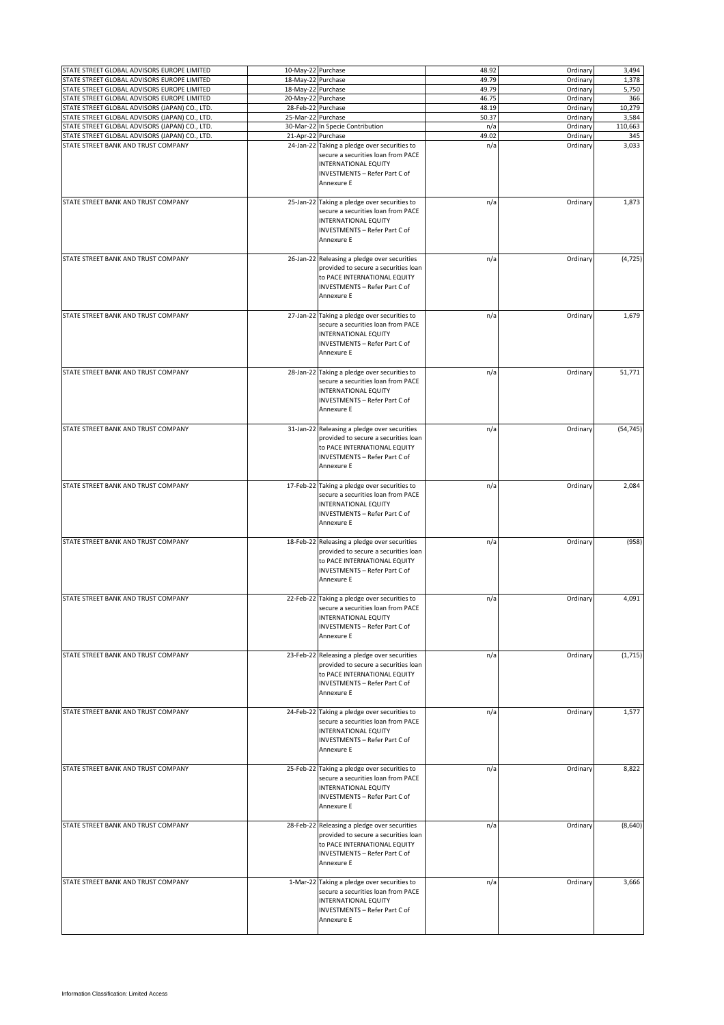| STATE STREET GLOBAL ADVISORS EUROPE LIMITED                                           | 10-May-22 Purchase |                                                                                                                                                                                        | 48.92        | Ordinary             | 3,494        |
|---------------------------------------------------------------------------------------|--------------------|----------------------------------------------------------------------------------------------------------------------------------------------------------------------------------------|--------------|----------------------|--------------|
| STATE STREET GLOBAL ADVISORS EUROPE LIMITED                                           | 18-May-22 Purchase |                                                                                                                                                                                        | 49.79        |                      |              |
|                                                                                       |                    |                                                                                                                                                                                        |              | Ordinary             | 1,378        |
| STATE STREET GLOBAL ADVISORS EUROPE LIMITED                                           | 18-May-22 Purchase |                                                                                                                                                                                        | 49.79        | Ordinary             | 5,750        |
| STATE STREET GLOBAL ADVISORS EUROPE LIMITED                                           | 20-May-22 Purchase |                                                                                                                                                                                        | 46.75        | Ordinary             | 366          |
| STATE STREET GLOBAL ADVISORS (JAPAN) CO., LTD.                                        |                    | 28-Feb-22 Purchase                                                                                                                                                                     | 48.19        | Ordinary             | 10,279       |
| STATE STREET GLOBAL ADVISORS (JAPAN) CO., LTD.                                        | 25-Mar-22 Purchase |                                                                                                                                                                                        | 50.37        | Ordinary             | 3,584        |
| STATE STREET GLOBAL ADVISORS (JAPAN) CO., LTD.                                        |                    |                                                                                                                                                                                        |              |                      |              |
|                                                                                       |                    | 30-Mar-22 In Specie Contribution                                                                                                                                                       | n/a          | Ordinary             | 110,663      |
| STATE STREET GLOBAL ADVISORS (JAPAN) CO., LTD.<br>STATE STREET BANK AND TRUST COMPANY |                    | 21-Apr-22 Purchase<br>24-Jan-22 Taking a pledge over securities to<br>secure a securities loan from PACE<br><b>INTERNATIONAL EQUITY</b><br>INVESTMENTS - Refer Part C of<br>Annexure E | 49.02<br>n/a | Ordinary<br>Ordinary | 345<br>3,033 |
| STATE STREET BANK AND TRUST COMPANY                                                   |                    | 25-Jan-22 Taking a pledge over securities to<br>secure a securities loan from PACE<br><b>INTERNATIONAL EQUITY</b><br>INVESTMENTS - Refer Part C of<br>Annexure E                       | n/a          | Ordinary             | 1,873        |
| STATE STREET BANK AND TRUST COMPANY                                                   |                    | 26-Jan-22 Releasing a pledge over securities<br>provided to secure a securities loan<br>to PACE INTERNATIONAL EQUITY<br>INVESTMENTS - Refer Part C of<br>Annexure E                    | n/a          | Ordinary             | (4, 725)     |
| STATE STREET BANK AND TRUST COMPANY                                                   |                    | 27-Jan-22 Taking a pledge over securities to<br>secure a securities loan from PACE<br><b>INTERNATIONAL EQUITY</b><br>INVESTMENTS - Refer Part C of<br>Annexure E                       | n/a          | Ordinary             | 1,679        |
| STATE STREET BANK AND TRUST COMPANY                                                   |                    | 28-Jan-22 Taking a pledge over securities to<br>secure a securities loan from PACE<br><b>INTERNATIONAL EQUITY</b><br>INVESTMENTS - Refer Part C of<br>Annexure E                       | n/a          | Ordinary             | 51,771       |
| STATE STREET BANK AND TRUST COMPANY                                                   |                    | 31-Jan-22 Releasing a pledge over securities<br>provided to secure a securities loan<br>to PACE INTERNATIONAL EQUITY<br>INVESTMENTS - Refer Part C of<br>Annexure E                    | n/a          | Ordinary             | (54, 745)    |
| STATE STREET BANK AND TRUST COMPANY                                                   |                    | 17-Feb-22 Taking a pledge over securities to<br>secure a securities loan from PACE<br><b>INTERNATIONAL EQUITY</b><br>INVESTMENTS - Refer Part C of<br>Annexure E                       | n/a          | Ordinary             | 2,084        |
| STATE STREET BANK AND TRUST COMPANY                                                   |                    | 18-Feb-22 Releasing a pledge over securities<br>provided to secure a securities loan<br>to PACE INTERNATIONAL EQUITY<br>INVESTMENTS - Refer Part C of<br>Annexure E                    | n/a          | Ordinary             | (958)        |
| STATE STREET BANK AND TRUST COMPANY                                                   |                    | 22-Feb-22 Taking a pledge over securities to<br>secure a securities loan from PACE<br><b>INTERNATIONAL EQUITY</b><br>INVESTMENTS - Refer Part C of<br>Annexure E                       | n/a          | Ordinary             | 4,091        |
| STATE STREET BANK AND TRUST COMPANY                                                   |                    | 23-Feb-22 Releasing a pledge over securities<br>provided to secure a securities loan<br>to PACE INTERNATIONAL EQUITY<br>INVESTMENTS - Refer Part C of<br>Annexure E                    | n/a          | Ordinary             | (1,715)      |
| STATE STREET BANK AND TRUST COMPANY                                                   |                    | 24-Feb-22 Taking a pledge over securities to<br>secure a securities loan from PACE<br><b>INTERNATIONAL EQUITY</b><br>INVESTMENTS - Refer Part C of<br>Annexure E                       | n/a          | Ordinary             | 1,577        |
| STATE STREET BANK AND TRUST COMPANY                                                   |                    | 25-Feb-22 Taking a pledge over securities to<br>secure a securities loan from PACE<br>INTERNATIONAL EQUITY<br>INVESTMENTS - Refer Part C of<br>Annexure E                              | n/a          | Ordinary             | 8,822        |
| STATE STREET BANK AND TRUST COMPANY                                                   |                    | 28-Feb-22 Releasing a pledge over securities<br>provided to secure a securities loan<br>to PACE INTERNATIONAL EQUITY<br>INVESTMENTS - Refer Part C of<br>Annexure E                    | n/a          | Ordinary             | (8,640)      |
| STATE STREET BANK AND TRUST COMPANY                                                   |                    | 1-Mar-22 Taking a pledge over securities to<br>secure a securities loan from PACE<br>INTERNATIONAL EQUITY<br>INVESTMENTS - Refer Part C of<br>Annexure E                               | n/a          | Ordinary             | 3,666        |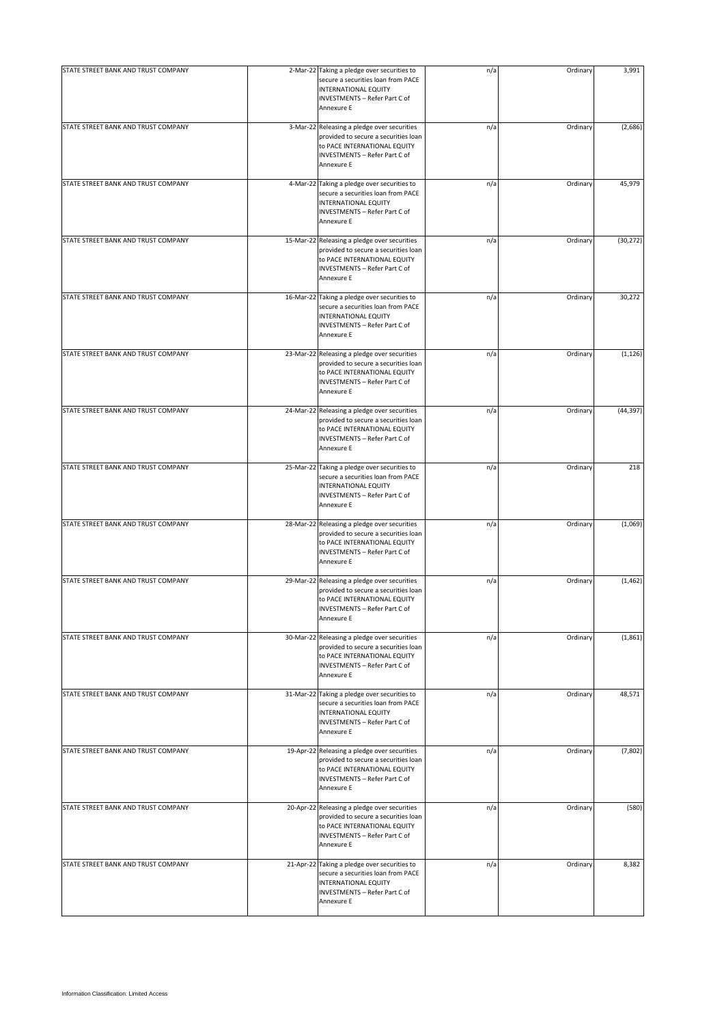| STATE STREET BANK AND TRUST COMPANY | 2-Mar-22 Taking a pledge over securities to<br>secure a securities loan from PACE<br>INTERNATIONAL EQUITY<br>INVESTMENTS - Refer Part C of<br>Annexure E            | n/a | Ordinary | 3,991     |
|-------------------------------------|---------------------------------------------------------------------------------------------------------------------------------------------------------------------|-----|----------|-----------|
| STATE STREET BANK AND TRUST COMPANY | 3-Mar-22 Releasing a pledge over securities<br>provided to secure a securities loan<br>to PACE INTERNATIONAL EQUITY<br>INVESTMENTS - Refer Part C of<br>Annexure E  | n/a | Ordinary | (2,686)   |
| STATE STREET BANK AND TRUST COMPANY | 4-Mar-22 Taking a pledge over securities to<br>secure a securities loan from PACE<br>INTERNATIONAL EQUITY<br>INVESTMENTS - Refer Part C of<br>Annexure E            | n/a | Ordinary | 45,979    |
| STATE STREET BANK AND TRUST COMPANY | 15-Mar-22 Releasing a pledge over securities<br>provided to secure a securities loan<br>to PACE INTERNATIONAL EQUITY<br>INVESTMENTS - Refer Part C of<br>Annexure E | n/a | Ordinary | (30, 272) |
| STATE STREET BANK AND TRUST COMPANY | 16-Mar-22 Taking a pledge over securities to<br>secure a securities loan from PACE<br><b>INTERNATIONAL EQUITY</b><br>INVESTMENTS - Refer Part C of<br>Annexure E    | n/a | Ordinary | 30,272    |
| STATE STREET BANK AND TRUST COMPANY | 23-Mar-22 Releasing a pledge over securities<br>provided to secure a securities loan<br>to PACE INTERNATIONAL EQUITY<br>INVESTMENTS - Refer Part C of<br>Annexure E | n/a | Ordinary | (1, 126)  |
| STATE STREET BANK AND TRUST COMPANY | 24-Mar-22 Releasing a pledge over securities<br>provided to secure a securities loan<br>to PACE INTERNATIONAL EQUITY<br>INVESTMENTS - Refer Part C of<br>Annexure E | n/a | Ordinary | (44, 397) |
| STATE STREET BANK AND TRUST COMPANY | 25-Mar-22 Taking a pledge over securities to<br>secure a securities loan from PACE<br>INTERNATIONAL EQUITY<br>INVESTMENTS - Refer Part C of<br>Annexure E           | n/a | Ordinary | 218       |
| STATE STREET BANK AND TRUST COMPANY | 28-Mar-22 Releasing a pledge over securities<br>provided to secure a securities loan<br>to PACE INTERNATIONAL EQUITY<br>INVESTMENTS - Refer Part C of<br>Annexure E | n/a | Ordinary | (1,069)   |
| STATE STREET BANK AND TRUST COMPANY | 29-Mar-22 Releasing a pledge over securities<br>provided to secure a securities loan<br>to PACE INTERNATIONAL EQUITY<br>INVESTMENTS - Refer Part C of<br>Annexure E | n/a | Ordinary | (1, 462)  |
| STATE STREET BANK AND TRUST COMPANY | 30-Mar-22 Releasing a pledge over securities<br>provided to secure a securities loan<br>to PACE INTERNATIONAL EQUITY<br>INVESTMENTS - Refer Part C of<br>Annexure E | n/a | Ordinary | (1,861)   |
| STATE STREET BANK AND TRUST COMPANY | 31-Mar-22 Taking a pledge over securities to<br>secure a securities loan from PACE<br>INTERNATIONAL EQUITY<br>INVESTMENTS - Refer Part C of<br>Annexure E           | n/a | Ordinary | 48,571    |
| STATE STREET BANK AND TRUST COMPANY | 19-Apr-22 Releasing a pledge over securities<br>provided to secure a securities loan<br>to PACE INTERNATIONAL EQUITY<br>INVESTMENTS - Refer Part C of<br>Annexure E | n/a | Ordinary | (7, 802)  |
| STATE STREET BANK AND TRUST COMPANY | 20-Apr-22 Releasing a pledge over securities<br>provided to secure a securities loan<br>to PACE INTERNATIONAL EQUITY<br>INVESTMENTS - Refer Part C of<br>Annexure E | n/a | Ordinary | (580)     |
| STATE STREET BANK AND TRUST COMPANY | 21-Apr-22 Taking a pledge over securities to<br>secure a securities loan from PACE<br><b>INTERNATIONAL EQUITY</b><br>INVESTMENTS - Refer Part C of<br>Annexure E    | n/a | Ordinary | 8,382     |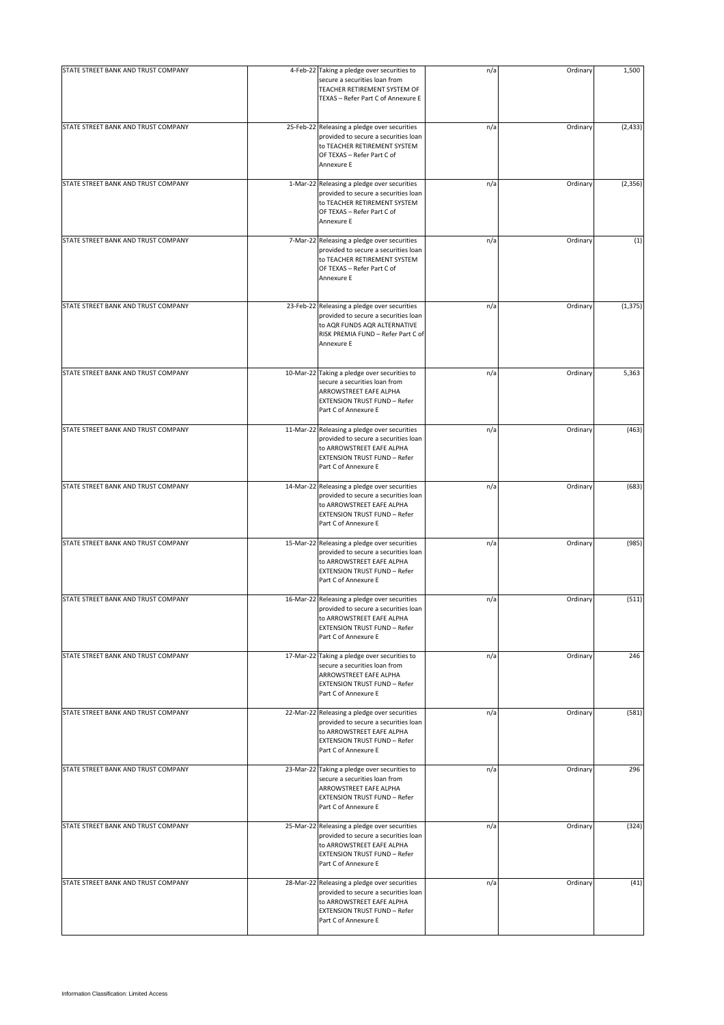| STATE STREET BANK AND TRUST COMPANY | 4-Feb-22 Taking a pledge over securities to<br>secure a securities loan from<br>TEACHER RETIREMENT SYSTEM OF<br>TEXAS - Refer Part C of Annexure E                               | n/a | Ordinary | 1,500    |
|-------------------------------------|----------------------------------------------------------------------------------------------------------------------------------------------------------------------------------|-----|----------|----------|
| STATE STREET BANK AND TRUST COMPANY | 25-Feb-22 Releasing a pledge over securities<br>provided to secure a securities loan<br>to TEACHER RETIREMENT SYSTEM<br>OF TEXAS - Refer Part C of<br>Annexure E                 | n/a | Ordinary | (2, 433) |
| STATE STREET BANK AND TRUST COMPANY | 1-Mar-22 Releasing a pledge over securities<br>provided to secure a securities loan<br>to TEACHER RETIREMENT SYSTEM<br>OF TEXAS - Refer Part C of<br>Annexure E                  | n/a | Ordinary | (2, 356) |
| STATE STREET BANK AND TRUST COMPANY | 7-Mar-22 Releasing a pledge over securities<br>provided to secure a securities loan<br>to TEACHER RETIREMENT SYSTEM<br>OF TEXAS - Refer Part C of<br>Annexure E                  | n/a | Ordinary | (1)      |
| STATE STREET BANK AND TRUST COMPANY | 23-Feb-22 Releasing a pledge over securities<br>provided to secure a securities loan<br>to AQR FUNDS AQR ALTERNATIVE<br>RISK PREMIA FUND - Refer Part C of<br>Annexure E         | n/a | Ordinary | (1, 375) |
| STATE STREET BANK AND TRUST COMPANY | 10-Mar-22 Taking a pledge over securities to<br>secure a securities loan from<br>ARROWSTREET EAFE ALPHA<br><b>EXTENSION TRUST FUND - Refer</b><br>Part C of Annexure E           | n/a | Ordinary | 5,363    |
| STATE STREET BANK AND TRUST COMPANY | 11-Mar-22 Releasing a pledge over securities<br>provided to secure a securities loan<br>to ARROWSTREET EAFE ALPHA<br><b>EXTENSION TRUST FUND - Refer</b><br>Part C of Annexure E | n/a | Ordinary | (463)    |
| STATE STREET BANK AND TRUST COMPANY | 14-Mar-22 Releasing a pledge over securities<br>provided to secure a securities loan<br>to ARROWSTREET EAFE ALPHA<br><b>EXTENSION TRUST FUND - Refer</b><br>Part C of Annexure E | n/a | Ordinary | (683)    |
| STATE STREET BANK AND TRUST COMPANY | 15-Mar-22 Releasing a pledge over securities<br>provided to secure a securities loan<br>to ARROWSTREET EAFE ALPHA<br><b>EXTENSION TRUST FUND - Refer</b><br>Part C of Annexure E | n/a | Ordinary | (985)    |
| STATE STREET BANK AND TRUST COMPANY | 16-Mar-22 Releasing a pledge over securities<br>provided to secure a securities loan<br>to ARROWSTREET EAFE ALPHA<br><b>EXTENSION TRUST FUND - Refer</b><br>Part C of Annexure E | n/a | Ordinary | (511)    |
| STATE STREET BANK AND TRUST COMPANY | 17-Mar-22 Taking a pledge over securities to<br>secure a securities loan from<br>ARROWSTREET EAFE ALPHA<br><b>EXTENSION TRUST FUND - Refer</b><br>Part C of Annexure E           | n/a | Ordinary | 246      |
| STATE STREET BANK AND TRUST COMPANY | 22-Mar-22 Releasing a pledge over securities<br>provided to secure a securities loan<br>to ARROWSTREET EAFE ALPHA<br><b>EXTENSION TRUST FUND - Refer</b><br>Part C of Annexure E | n/a | Ordinary | (581)    |
| STATE STREET BANK AND TRUST COMPANY | 23-Mar-22 Taking a pledge over securities to<br>secure a securities loan from<br>ARROWSTREET EAFE ALPHA<br><b>EXTENSION TRUST FUND - Refer</b><br>Part C of Annexure E           | n/a | Ordinary | 296      |
| STATE STREET BANK AND TRUST COMPANY | 25-Mar-22 Releasing a pledge over securities<br>provided to secure a securities loan<br>to ARROWSTREET EAFE ALPHA<br><b>EXTENSION TRUST FUND - Refer</b><br>Part C of Annexure E | n/a | Ordinary | (324)    |
| STATE STREET BANK AND TRUST COMPANY | 28-Mar-22 Releasing a pledge over securities<br>provided to secure a securities loan<br>to ARROWSTREET EAFE ALPHA<br><b>EXTENSION TRUST FUND - Refer</b><br>Part C of Annexure E | n/a | Ordinary | (41)     |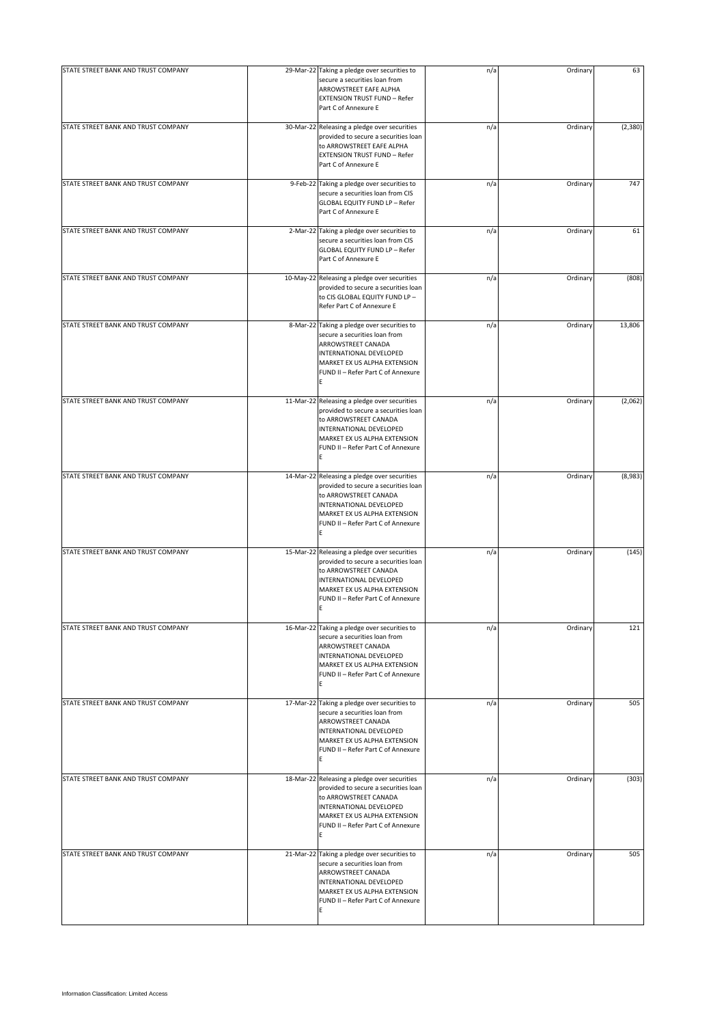| STATE STREET BANK AND TRUST COMPANY | 29-Mar-22 Taking a pledge over securities to<br>secure a securities loan from<br>ARROWSTREET EAFE ALPHA<br><b>EXTENSION TRUST FUND - Refer</b><br>Part C of Annexure E                                              | n/a | Ordinary | 63      |
|-------------------------------------|---------------------------------------------------------------------------------------------------------------------------------------------------------------------------------------------------------------------|-----|----------|---------|
| STATE STREET BANK AND TRUST COMPANY | 30-Mar-22 Releasing a pledge over securities<br>provided to secure a securities loan<br>to ARROWSTREET EAFE ALPHA<br><b>EXTENSION TRUST FUND - Refer</b><br>Part C of Annexure E                                    | n/a | Ordinary | (2,380) |
| STATE STREET BANK AND TRUST COMPANY | 9-Feb-22 Taking a pledge over securities to<br>secure a securities loan from CIS<br><b>GLOBAL EQUITY FUND LP - Refer</b><br>Part C of Annexure E                                                                    | n/a | Ordinary | 747     |
| STATE STREET BANK AND TRUST COMPANY | 2-Mar-22 Taking a pledge over securities to<br>secure a securities loan from CIS<br><b>GLOBAL EQUITY FUND LP - Refer</b><br>Part C of Annexure E                                                                    | n/a | Ordinary | 61      |
| STATE STREET BANK AND TRUST COMPANY | 10-May-22 Releasing a pledge over securities<br>provided to secure a securities loan<br>to CIS GLOBAL EQUITY FUND LP -<br>Refer Part C of Annexure E                                                                | n/a | Ordinary | (808)   |
| STATE STREET BANK AND TRUST COMPANY | 8-Mar-22 Taking a pledge over securities to<br>secure a securities loan from<br>ARROWSTREET CANADA<br>INTERNATIONAL DEVELOPED<br>MARKET EX US ALPHA EXTENSION<br>FUND II - Refer Part C of Annexure<br>E            | n/a | Ordinary | 13,806  |
| STATE STREET BANK AND TRUST COMPANY | 11-Mar-22 Releasing a pledge over securities<br>provided to secure a securities loan<br>to ARROWSTREET CANADA<br>INTERNATIONAL DEVELOPED<br>MARKET EX US ALPHA EXTENSION<br>FUND II - Refer Part C of Annexure<br>E | n/a | Ordinary | (2,062) |
| STATE STREET BANK AND TRUST COMPANY | 14-Mar-22 Releasing a pledge over securities<br>provided to secure a securities loan<br>to ARROWSTREET CANADA<br>INTERNATIONAL DEVELOPED<br>MARKET EX US ALPHA EXTENSION<br>FUND II - Refer Part C of Annexure<br>E | n/a | Ordinary | (8,983) |
| STATE STREET BANK AND TRUST COMPANY | 15-Mar-22 Releasing a pledge over securities<br>provided to secure a securities loan<br>to ARROWSTREET CANADA<br>INTERNATIONAL DEVELOPED<br>MARKET EX US ALPHA EXTENSION<br>FUND II - Refer Part C of Annexure      | n/a | Ordinary | (145)   |
| STATE STREET BANK AND TRUST COMPANY | 16-Mar-22 Taking a pledge over securities to<br>secure a securities loan from<br>ARROWSTREET CANADA<br>INTERNATIONAL DEVELOPED<br>MARKET EX US ALPHA EXTENSION<br>FUND II - Refer Part C of Annexure<br>E           | n/a | Ordinary | 121     |
| STATE STREET BANK AND TRUST COMPANY | 17-Mar-22 Taking a pledge over securities to<br>secure a securities loan from<br>ARROWSTREET CANADA<br>INTERNATIONAL DEVELOPED<br>MARKET EX US ALPHA EXTENSION<br>FUND II - Refer Part C of Annexure<br>E           | n/a | Ordinary | 505     |
| STATE STREET BANK AND TRUST COMPANY | 18-Mar-22 Releasing a pledge over securities<br>provided to secure a securities loan<br>to ARROWSTREET CANADA<br>INTERNATIONAL DEVELOPED<br>MARKET EX US ALPHA EXTENSION<br>FUND II - Refer Part C of Annexure<br>E | n/a | Ordinary | (303)   |
| STATE STREET BANK AND TRUST COMPANY | 21-Mar-22 Taking a pledge over securities to<br>secure a securities loan from<br>ARROWSTREET CANADA<br>INTERNATIONAL DEVELOPED<br>MARKET EX US ALPHA EXTENSION<br>FUND II - Refer Part C of Annexure<br>E           | n/a | Ordinary | 505     |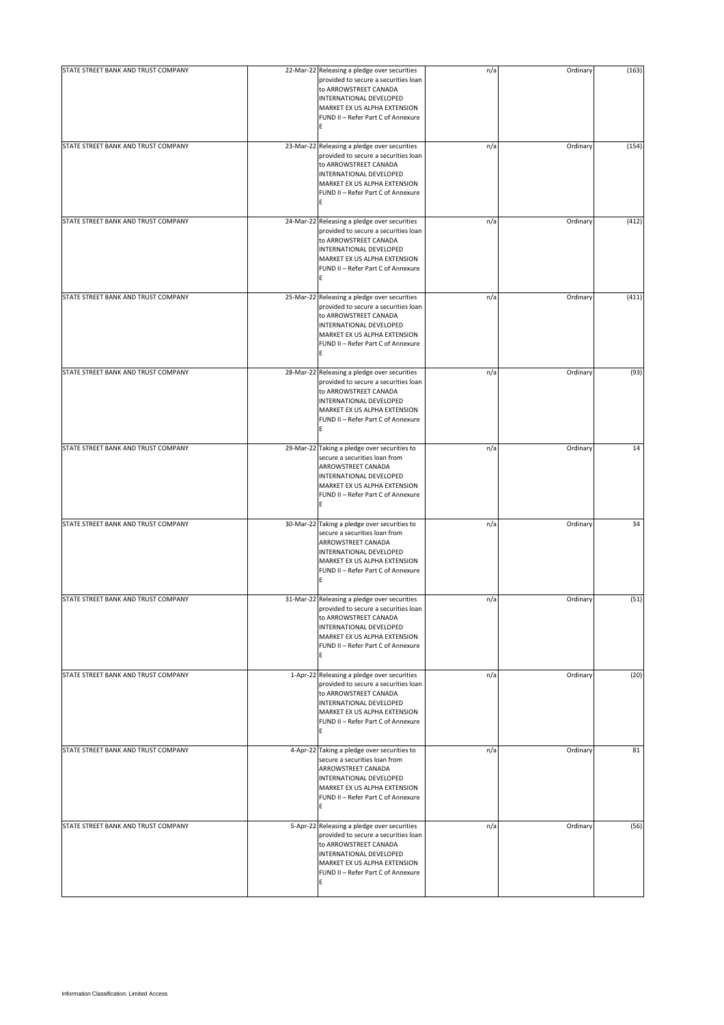| STATE STREET BANK AND TRUST COMPANY | 22-Mar-22 Releasing a pledge over securities<br>provided to secure a securities loan<br>to ARROWSTREET CANADA<br>INTERNATIONAL DEVELOPED<br>MARKET EX US ALPHA EXTENSION<br>FUND II - Refer Part C of Annexure<br>E | n/a | Ordinary | (163) |
|-------------------------------------|---------------------------------------------------------------------------------------------------------------------------------------------------------------------------------------------------------------------|-----|----------|-------|
| STATE STREET BANK AND TRUST COMPANY | 23-Mar-22 Releasing a pledge over securities<br>provided to secure a securities loan<br>to ARROWSTREET CANADA<br>INTERNATIONAL DEVELOPED<br>MARKET EX US ALPHA EXTENSION<br>FUND II - Refer Part C of Annexure<br>E | n/a | Ordinary | (154) |
| STATE STREET BANK AND TRUST COMPANY | 24-Mar-22 Releasing a pledge over securities<br>provided to secure a securities loan<br>to ARROWSTREET CANADA<br>INTERNATIONAL DEVELOPED<br>MARKET EX US ALPHA EXTENSION<br>FUND II - Refer Part C of Annexure<br>E | n/a | Ordinary | (412) |
| STATE STREET BANK AND TRUST COMPANY | 25-Mar-22 Releasing a pledge over securities<br>provided to secure a securities loan<br>to ARROWSTREET CANADA<br>INTERNATIONAL DEVELOPED<br>MARKET EX US ALPHA EXTENSION<br>FUND II - Refer Part C of Annexure<br>E | n/a | Ordinary | (411) |
| STATE STREET BANK AND TRUST COMPANY | 28-Mar-22 Releasing a pledge over securities<br>provided to secure a securities loan<br>to ARROWSTREET CANADA<br>INTERNATIONAL DEVELOPED<br>MARKET EX US ALPHA EXTENSION<br>FUND II - Refer Part C of Annexure<br>E | n/a | Ordinary | (93)  |
| STATE STREET BANK AND TRUST COMPANY | 29-Mar-22 Taking a pledge over securities to<br>secure a securities loan from<br>ARROWSTREET CANADA<br>INTERNATIONAL DEVELOPED<br>MARKET EX US ALPHA EXTENSION<br>FUND II - Refer Part C of Annexure<br>E           | n/a | Ordinary | 14    |
| STATE STREET BANK AND TRUST COMPANY | 30-Mar-22 Taking a pledge over securities to<br>secure a securities loan from<br>ARROWSTREET CANADA<br>INTERNATIONAL DEVELOPED<br>MARKET EX US ALPHA EXTENSION<br>FUND II - Refer Part C of Annexure<br>E           | n/a | Ordinary | 34    |
| STATE STREET BANK AND TRUST COMPANY | 31-Mar-22 Releasing a pledge over securities<br>provided to secure a securities loan<br>to ARROWSTREET CANADA<br>INTERNATIONAL DEVELOPED<br>MARKET EX US ALPHA EXTENSION<br>FUND II - Refer Part C of Annexure<br>E | n/a | Ordinary | (51)  |
| STATE STREET BANK AND TRUST COMPANY | 1-Apr-22 Releasing a pledge over securities<br>provided to secure a securities loan<br>to ARROWSTREET CANADA<br>INTERNATIONAL DEVELOPED<br>MARKET EX US ALPHA EXTENSION<br>FUND II - Refer Part C of Annexure<br>E  | n/a | Ordinary | (20)  |
| STATE STREET BANK AND TRUST COMPANY | 4-Apr-22 Taking a pledge over securities to<br>secure a securities loan from<br>ARROWSTREET CANADA<br>INTERNATIONAL DEVELOPED<br>MARKET EX US ALPHA EXTENSION<br>FUND II - Refer Part C of Annexure<br>E            | n/a | Ordinary | 81    |
| STATE STREET BANK AND TRUST COMPANY | 5-Apr-22 Releasing a pledge over securities<br>provided to secure a securities loan<br>to ARROWSTREET CANADA<br>INTERNATIONAL DEVELOPED<br>MARKET EX US ALPHA EXTENSION<br>FUND II - Refer Part C of Annexure<br>E  | n/a | Ordinary | (56)  |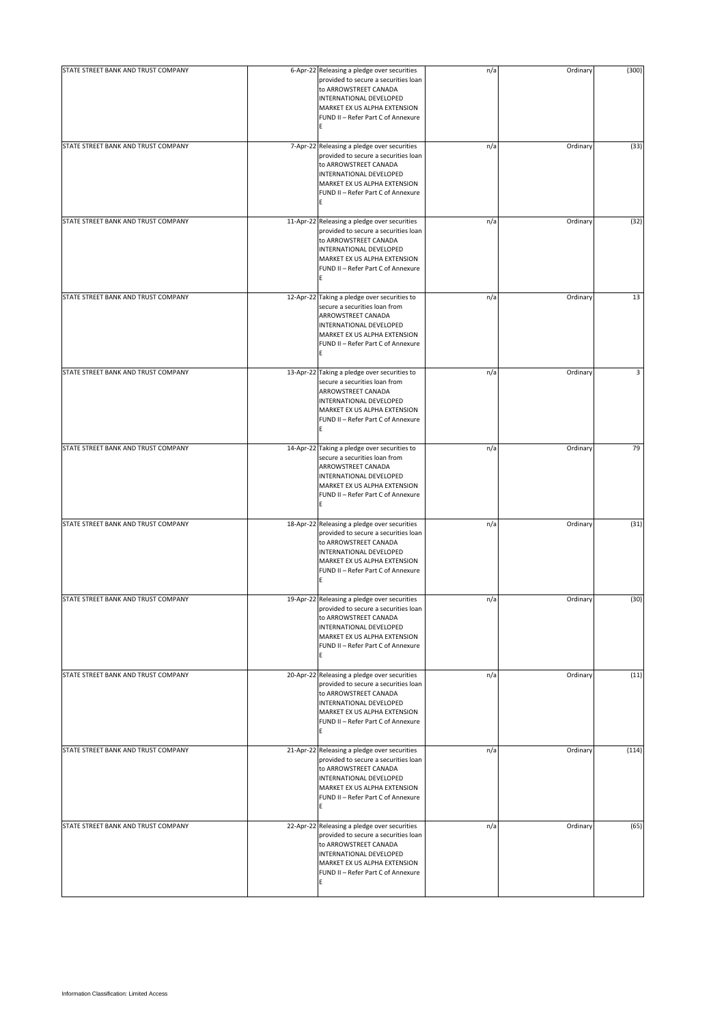| STATE STREET BANK AND TRUST COMPANY | 6-Apr-22 Releasing a pledge over securities                                                                                                                                                                         | n/a | Ordinary | (300) |
|-------------------------------------|---------------------------------------------------------------------------------------------------------------------------------------------------------------------------------------------------------------------|-----|----------|-------|
|                                     | provided to secure a securities loan<br>to ARROWSTREET CANADA<br>INTERNATIONAL DEVELOPED<br>MARKET EX US ALPHA EXTENSION<br>FUND II - Refer Part C of Annexure<br>E                                                 |     |          |       |
| STATE STREET BANK AND TRUST COMPANY | 7-Apr-22 Releasing a pledge over securities<br>provided to secure a securities loan<br>to ARROWSTREET CANADA<br>INTERNATIONAL DEVELOPED<br>MARKET EX US ALPHA EXTENSION<br>FUND II - Refer Part C of Annexure<br>E  | n/a | Ordinary | (33)  |
| STATE STREET BANK AND TRUST COMPANY | 11-Apr-22 Releasing a pledge over securities<br>provided to secure a securities loan<br>to ARROWSTREET CANADA<br>INTERNATIONAL DEVELOPED<br>MARKET EX US ALPHA EXTENSION<br>FUND II - Refer Part C of Annexure<br>E | n/a | Ordinary | (32)  |
| STATE STREET BANK AND TRUST COMPANY | 12-Apr-22 Taking a pledge over securities to<br>secure a securities loan from<br>ARROWSTREET CANADA<br>INTERNATIONAL DEVELOPED<br>MARKET EX US ALPHA EXTENSION<br>FUND II - Refer Part C of Annexure<br>E           | n/a | Ordinary | 13    |
| STATE STREET BANK AND TRUST COMPANY | 13-Apr-22 Taking a pledge over securities to<br>secure a securities loan from<br>ARROWSTREET CANADA<br>INTERNATIONAL DEVELOPED<br>MARKET EX US ALPHA EXTENSION<br>FUND II - Refer Part C of Annexure<br>E           | n/a | Ordinary | 3     |
| STATE STREET BANK AND TRUST COMPANY | 14-Apr-22 Taking a pledge over securities to<br>secure a securities loan from<br>ARROWSTREET CANADA<br>INTERNATIONAL DEVELOPED<br>MARKET EX US ALPHA EXTENSION<br>FUND II - Refer Part C of Annexure<br>E           | n/a | Ordinary | 79    |
| STATE STREET BANK AND TRUST COMPANY | 18-Apr-22 Releasing a pledge over securities<br>provided to secure a securities loan<br>to ARROWSTREET CANADA<br>INTERNATIONAL DEVELOPED<br>MARKET EX US ALPHA EXTENSION<br>FUND II - Refer Part C of Annexure<br>E | n/a | Ordinary | (31)  |
| STATE STREET BANK AND TRUST COMPANY | 19-Apr-22 Releasing a pledge over securities<br>provided to secure a securities loan<br>to ARROWSTREET CANADA<br>INTERNATIONAL DEVELOPED<br>MARKET EX US ALPHA EXTENSION<br>FUND II - Refer Part C of Annexure<br>E | n/a | Ordinary | (30)  |
| STATE STREET BANK AND TRUST COMPANY | 20-Apr-22 Releasing a pledge over securities<br>provided to secure a securities loan<br>to ARROWSTREET CANADA<br>INTERNATIONAL DEVELOPED<br>MARKET EX US ALPHA EXTENSION<br>FUND II - Refer Part C of Annexure<br>E | n/a | Ordinary | (11)  |
| STATE STREET BANK AND TRUST COMPANY | 21-Apr-22 Releasing a pledge over securities<br>provided to secure a securities loan<br>to ARROWSTREET CANADA<br>INTERNATIONAL DEVELOPED<br>MARKET EX US ALPHA EXTENSION<br>FUND II - Refer Part C of Annexure<br>E | n/a | Ordinary | (114) |
| STATE STREET BANK AND TRUST COMPANY | 22-Apr-22 Releasing a pledge over securities<br>provided to secure a securities loan<br>to ARROWSTREET CANADA<br>INTERNATIONAL DEVELOPED<br>MARKET EX US ALPHA EXTENSION<br>FUND II - Refer Part C of Annexure<br>E | n/a | Ordinary | (65)  |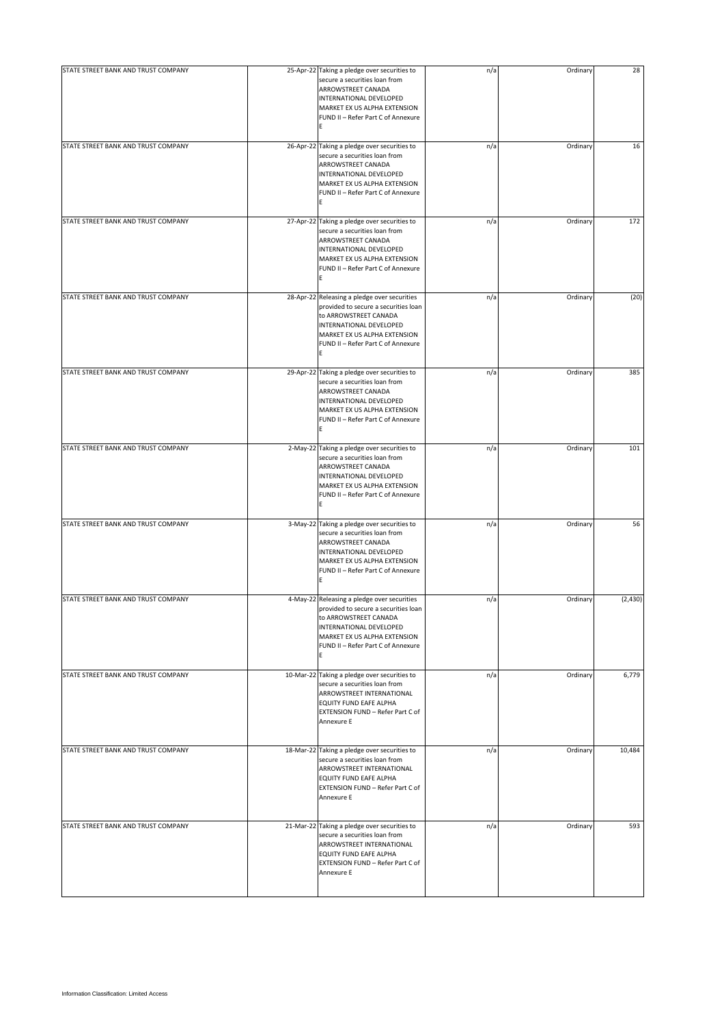| STATE STREET BANK AND TRUST COMPANY | 25-Apr-22 Taking a pledge over securities to<br>secure a securities loan from<br>ARROWSTREET CANADA<br>INTERNATIONAL DEVELOPED<br>MARKET EX US ALPHA EXTENSION<br>FUND II - Refer Part C of Annexure<br>E           | n/a | Ordinary | 28      |
|-------------------------------------|---------------------------------------------------------------------------------------------------------------------------------------------------------------------------------------------------------------------|-----|----------|---------|
| STATE STREET BANK AND TRUST COMPANY | 26-Apr-22 Taking a pledge over securities to<br>secure a securities loan from<br>ARROWSTREET CANADA<br>INTERNATIONAL DEVELOPED<br>MARKET EX US ALPHA EXTENSION<br>FUND II - Refer Part C of Annexure<br>E           | n/a | Ordinary | 16      |
| STATE STREET BANK AND TRUST COMPANY | 27-Apr-22 Taking a pledge over securities to<br>secure a securities loan from<br>ARROWSTREET CANADA<br>INTERNATIONAL DEVELOPED<br>MARKET EX US ALPHA EXTENSION<br>FUND II - Refer Part C of Annexure<br>E           | n/a | Ordinary | 172     |
| STATE STREET BANK AND TRUST COMPANY | 28-Apr-22 Releasing a pledge over securities<br>provided to secure a securities loan<br>to ARROWSTREET CANADA<br>INTERNATIONAL DEVELOPED<br>MARKET EX US ALPHA EXTENSION<br>FUND II - Refer Part C of Annexure<br>E | n/a | Ordinary | (20)    |
| STATE STREET BANK AND TRUST COMPANY | 29-Apr-22 Taking a pledge over securities to<br>secure a securities loan from<br>ARROWSTREET CANADA<br>INTERNATIONAL DEVELOPED<br>MARKET EX US ALPHA EXTENSION<br>FUND II - Refer Part C of Annexure<br>E           | n/a | Ordinary | 385     |
| STATE STREET BANK AND TRUST COMPANY | 2-May-22 Taking a pledge over securities to<br>secure a securities loan from<br>ARROWSTREET CANADA<br>INTERNATIONAL DEVELOPED<br>MARKET EX US ALPHA EXTENSION<br>FUND II - Refer Part C of Annexure<br>E            | n/a | Ordinary | 101     |
| STATE STREET BANK AND TRUST COMPANY | 3-May-22 Taking a pledge over securities to<br>secure a securities loan from<br>ARROWSTREET CANADA<br>INTERNATIONAL DEVELOPED<br>MARKET EX US ALPHA EXTENSION<br>FUND II - Refer Part C of Annexure<br>E            | n/a | Ordinary | 56      |
| STATE STREET BANK AND TRUST COMPANY | 4-May-22 Releasing a pledge over securities<br>provided to secure a securities loan<br>to ARROWSTREET CANADA<br>INTERNATIONAL DEVELOPED<br>MARKET EX US ALPHA EXTENSION<br>FUND II - Refer Part C of Annexure<br>E  | n/a | Ordinary | (2,430) |
| STATE STREET BANK AND TRUST COMPANY | 10-Mar-22 Taking a pledge over securities to<br>secure a securities loan from<br>ARROWSTREET INTERNATIONAL<br>EQUITY FUND EAFE ALPHA<br>EXTENSION FUND - Refer Part C of<br>Annexure E                              | n/a | Ordinary | 6,779   |
| STATE STREET BANK AND TRUST COMPANY | 18-Mar-22 Taking a pledge over securities to<br>secure a securities loan from<br>ARROWSTREET INTERNATIONAL<br>EQUITY FUND EAFE ALPHA<br>EXTENSION FUND - Refer Part C of<br>Annexure E                              | n/a | Ordinary | 10,484  |
| STATE STREET BANK AND TRUST COMPANY | 21-Mar-22 Taking a pledge over securities to<br>secure a securities loan from<br>ARROWSTREET INTERNATIONAL<br>EQUITY FUND EAFE ALPHA<br>EXTENSION FUND - Refer Part C of<br>Annexure E                              | n/a | Ordinary | 593     |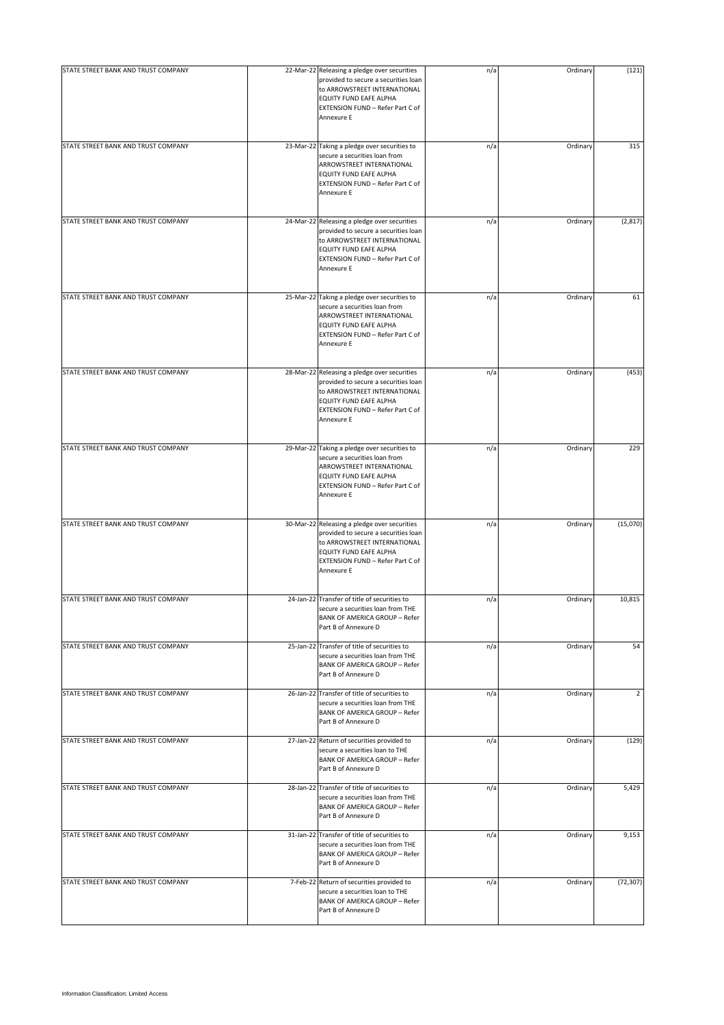| STATE STREET BANK AND TRUST COMPANY | 22-Mar-22 Releasing a pledge over securities                                                                                                                                                     | n/a | Ordinary | (121)          |
|-------------------------------------|--------------------------------------------------------------------------------------------------------------------------------------------------------------------------------------------------|-----|----------|----------------|
|                                     | provided to secure a securities loan<br>to ARROWSTREET INTERNATIONAL<br>EQUITY FUND EAFE ALPHA<br>EXTENSION FUND - Refer Part C of<br>Annexure E                                                 |     |          |                |
| STATE STREET BANK AND TRUST COMPANY | 23-Mar-22 Taking a pledge over securities to<br>secure a securities loan from<br>ARROWSTREET INTERNATIONAL<br>EQUITY FUND EAFE ALPHA<br>EXTENSION FUND - Refer Part C of<br>Annexure E           | n/a | Ordinary | 315            |
| STATE STREET BANK AND TRUST COMPANY | 24-Mar-22 Releasing a pledge over securities<br>provided to secure a securities loan<br>to ARROWSTREET INTERNATIONAL<br>EQUITY FUND EAFE ALPHA<br>EXTENSION FUND - Refer Part C of<br>Annexure E | n/a | Ordinary | (2, 817)       |
| STATE STREET BANK AND TRUST COMPANY | 25-Mar-22 Taking a pledge over securities to<br>secure a securities loan from<br>ARROWSTREET INTERNATIONAL<br>EQUITY FUND EAFE ALPHA<br>EXTENSION FUND - Refer Part C of<br>Annexure E           | n/a | Ordinary | 61             |
| STATE STREET BANK AND TRUST COMPANY | 28-Mar-22 Releasing a pledge over securities<br>provided to secure a securities loan<br>to ARROWSTREET INTERNATIONAL<br>EQUITY FUND EAFE ALPHA<br>EXTENSION FUND - Refer Part C of<br>Annexure E | n/a | Ordinary | (453)          |
| STATE STREET BANK AND TRUST COMPANY | 29-Mar-22 Taking a pledge over securities to<br>secure a securities loan from<br>ARROWSTREET INTERNATIONAL<br>EQUITY FUND EAFE ALPHA<br>EXTENSION FUND - Refer Part C of<br>Annexure E           | n/a | Ordinary | 229            |
| STATE STREET BANK AND TRUST COMPANY | 30-Mar-22 Releasing a pledge over securities<br>provided to secure a securities loan<br>to ARROWSTREET INTERNATIONAL<br>EQUITY FUND EAFE ALPHA<br>EXTENSION FUND - Refer Part C of<br>Annexure E | n/a | Ordinary | (15,070)       |
| STATE STREET BANK AND TRUST COMPANY | 24-Jan-22 Transfer of title of securities to<br>secure a securities loan from THE<br><b>BANK OF AMERICA GROUP - Refer</b><br>Part B of Annexure D                                                | n/a | Ordinary | 10,815         |
| STATE STREET BANK AND TRUST COMPANY | 25-Jan-22 Transfer of title of securities to<br>secure a securities loan from THE<br><b>BANK OF AMERICA GROUP - Refer</b><br>Part B of Annexure D                                                | n/a | Ordinary | 54             |
| STATE STREET BANK AND TRUST COMPANY | 26-Jan-22 Transfer of title of securities to<br>secure a securities loan from THE<br><b>BANK OF AMERICA GROUP - Refer</b><br>Part B of Annexure D                                                | n/a | Ordinary | $\overline{2}$ |
| STATE STREET BANK AND TRUST COMPANY | 27-Jan-22 Return of securities provided to<br>secure a securities loan to THE<br><b>BANK OF AMERICA GROUP - Refer</b><br>Part B of Annexure D                                                    | n/a | Ordinary | (129)          |
| STATE STREET BANK AND TRUST COMPANY | 28-Jan-22 Transfer of title of securities to<br>secure a securities loan from THE<br><b>BANK OF AMERICA GROUP - Refer</b><br>Part B of Annexure D                                                | n/a | Ordinary | 5,429          |
| STATE STREET BANK AND TRUST COMPANY | 31-Jan-22 Transfer of title of securities to<br>secure a securities loan from THE<br><b>BANK OF AMERICA GROUP - Refer</b><br>Part B of Annexure D                                                | n/a | Ordinary | 9,153          |
| STATE STREET BANK AND TRUST COMPANY | 7-Feb-22 Return of securities provided to<br>secure a securities loan to THE<br><b>BANK OF AMERICA GROUP - Refer</b><br>Part B of Annexure D                                                     | n/a | Ordinary | (72, 307)      |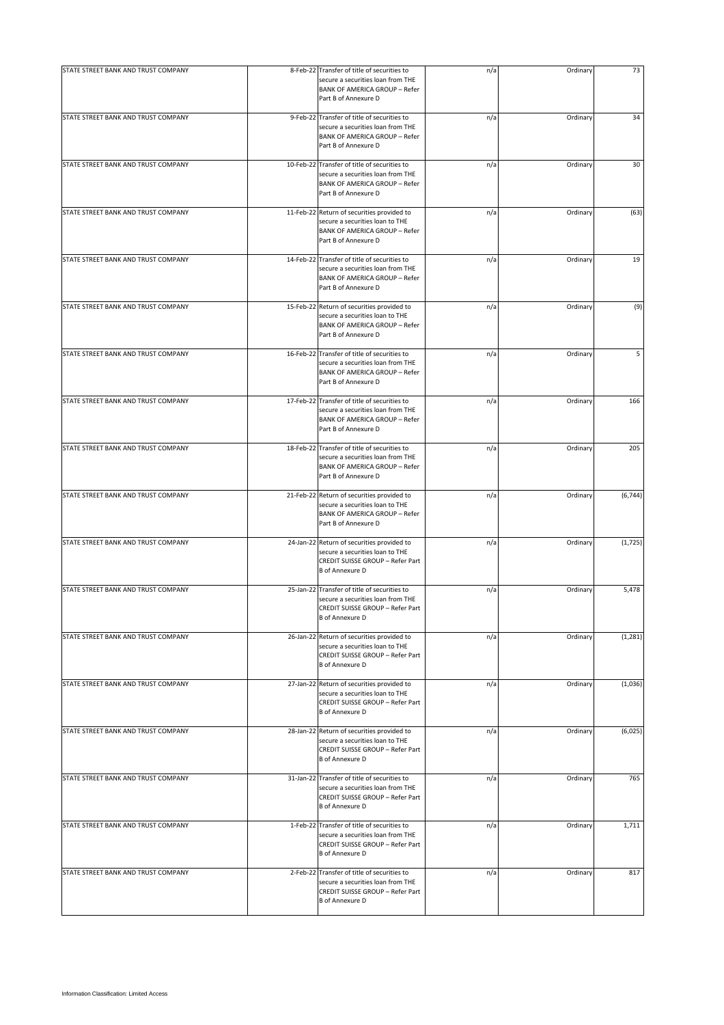| STATE STREET BANK AND TRUST COMPANY | 8-Feb-22 Transfer of title of securities to<br>secure a securities loan from THE<br><b>BANK OF AMERICA GROUP - Refer</b><br>Part B of Annexure D  | n/a | Ordinary | 73       |
|-------------------------------------|---------------------------------------------------------------------------------------------------------------------------------------------------|-----|----------|----------|
| STATE STREET BANK AND TRUST COMPANY | 9-Feb-22 Transfer of title of securities to<br>secure a securities loan from THE<br><b>BANK OF AMERICA GROUP - Refer</b><br>Part B of Annexure D  | n/a | Ordinary | 34       |
| STATE STREET BANK AND TRUST COMPANY | 10-Feb-22 Transfer of title of securities to<br>secure a securities loan from THE<br><b>BANK OF AMERICA GROUP - Refer</b><br>Part B of Annexure D | n/a | Ordinary | 30       |
| STATE STREET BANK AND TRUST COMPANY | 11-Feb-22 Return of securities provided to<br>secure a securities loan to THE<br><b>BANK OF AMERICA GROUP - Refer</b><br>Part B of Annexure D     | n/a | Ordinary | (63)     |
| STATE STREET BANK AND TRUST COMPANY | 14-Feb-22 Transfer of title of securities to<br>secure a securities loan from THE<br><b>BANK OF AMERICA GROUP - Refer</b><br>Part B of Annexure D | n/a | Ordinary | 19       |
| STATE STREET BANK AND TRUST COMPANY | 15-Feb-22 Return of securities provided to<br>secure a securities loan to THE<br><b>BANK OF AMERICA GROUP - Refer</b><br>Part B of Annexure D     | n/a | Ordinary | (9)      |
| STATE STREET BANK AND TRUST COMPANY | 16-Feb-22 Transfer of title of securities to<br>secure a securities loan from THE<br><b>BANK OF AMERICA GROUP - Refer</b><br>Part B of Annexure D | n/a | Ordinary | 5        |
| STATE STREET BANK AND TRUST COMPANY | 17-Feb-22 Transfer of title of securities to<br>secure a securities loan from THE<br><b>BANK OF AMERICA GROUP - Refer</b><br>Part B of Annexure D | n/a | Ordinary | 166      |
| STATE STREET BANK AND TRUST COMPANY | 18-Feb-22 Transfer of title of securities to<br>secure a securities loan from THE<br><b>BANK OF AMERICA GROUP - Refer</b><br>Part B of Annexure D | n/a | Ordinary | 205      |
| STATE STREET BANK AND TRUST COMPANY | 21-Feb-22 Return of securities provided to<br>secure a securities loan to THE<br><b>BANK OF AMERICA GROUP - Refer</b><br>Part B of Annexure D     | n/a | Ordinary | (6, 744) |
| STATE STREET BANK AND TRUST COMPANY | 24-Jan-22 Return of securities provided to<br>secure a securities loan to THE<br>CREDIT SUISSE GROUP - Refer Part<br><b>B</b> of Annexure D       | n/a | Ordinary | (1,725)  |
| STATE STREET BANK AND TRUST COMPANY | 25-Jan-22 Transfer of title of securities to<br>secure a securities loan from THE<br>CREDIT SUISSE GROUP - Refer Part<br><b>B</b> of Annexure D   | n/a | Ordinary | 5,478    |
| STATE STREET BANK AND TRUST COMPANY | 26-Jan-22 Return of securities provided to<br>secure a securities loan to THE<br>CREDIT SUISSE GROUP - Refer Part<br><b>B</b> of Annexure D       | n/a | Ordinary | (1, 281) |
| STATE STREET BANK AND TRUST COMPANY | 27-Jan-22 Return of securities provided to<br>secure a securities loan to THE<br>CREDIT SUISSE GROUP - Refer Part<br><b>B</b> of Annexure D       | n/a | Ordinary | (1,036)  |
| STATE STREET BANK AND TRUST COMPANY | 28-Jan-22 Return of securities provided to<br>secure a securities loan to THE<br>CREDIT SUISSE GROUP - Refer Part<br><b>B</b> of Annexure D       | n/a | Ordinary | (6,025)  |
| STATE STREET BANK AND TRUST COMPANY | 31-Jan-22 Transfer of title of securities to<br>secure a securities loan from THE<br>CREDIT SUISSE GROUP - Refer Part<br><b>B</b> of Annexure D   | n/a | Ordinary | 765      |
| STATE STREET BANK AND TRUST COMPANY | 1-Feb-22 Transfer of title of securities to<br>secure a securities loan from THE<br>CREDIT SUISSE GROUP - Refer Part<br><b>B</b> of Annexure D    | n/a | Ordinary | 1,711    |
| STATE STREET BANK AND TRUST COMPANY | 2-Feb-22 Transfer of title of securities to<br>secure a securities loan from THE<br>CREDIT SUISSE GROUP - Refer Part<br><b>B</b> of Annexure D    | n/a | Ordinary | 817      |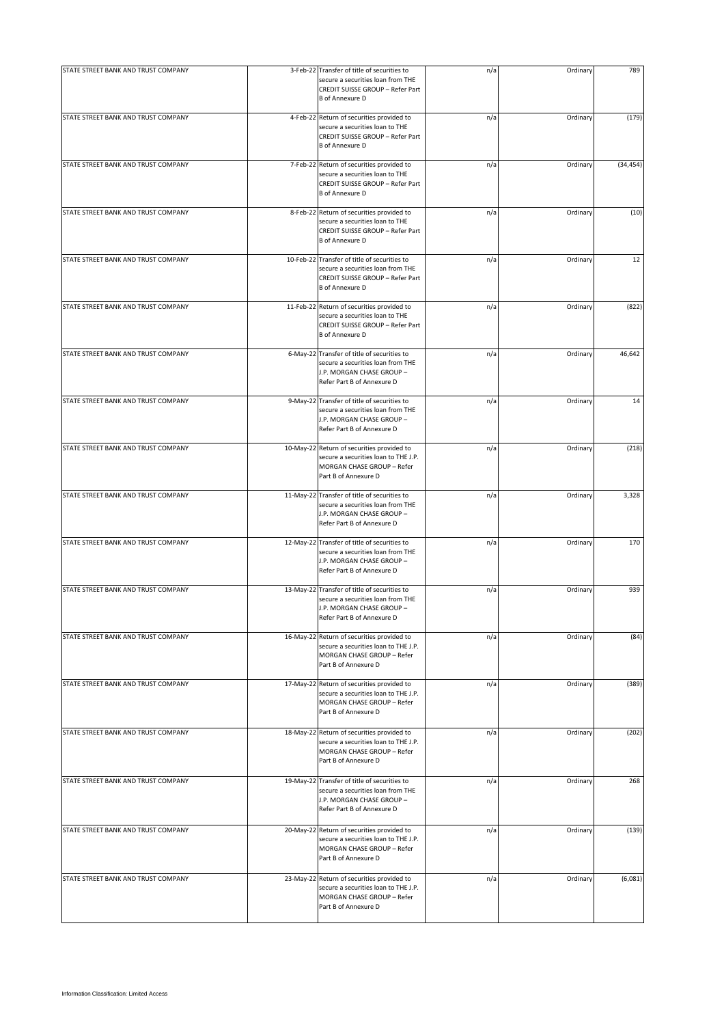| STATE STREET BANK AND TRUST COMPANY | 3-Feb-22 Transfer of title of securities to                                                                                                         | n/a | Ordinary | 789       |
|-------------------------------------|-----------------------------------------------------------------------------------------------------------------------------------------------------|-----|----------|-----------|
|                                     | secure a securities loan from THE<br>CREDIT SUISSE GROUP - Refer Part<br><b>B</b> of Annexure D                                                     |     |          |           |
| STATE STREET BANK AND TRUST COMPANY | 4-Feb-22 Return of securities provided to<br>secure a securities loan to THE<br>CREDIT SUISSE GROUP - Refer Part<br><b>B</b> of Annexure D          | n/a | Ordinary | (179)     |
| STATE STREET BANK AND TRUST COMPANY | 7-Feb-22 Return of securities provided to<br>secure a securities loan to THE<br>CREDIT SUISSE GROUP - Refer Part<br><b>B</b> of Annexure D          | n/a | Ordinary | (34, 454) |
| STATE STREET BANK AND TRUST COMPANY | 8-Feb-22 Return of securities provided to<br>secure a securities loan to THE<br>CREDIT SUISSE GROUP - Refer Part<br><b>B</b> of Annexure D          | n/a | Ordinary | (10)      |
| STATE STREET BANK AND TRUST COMPANY | 10-Feb-22 Transfer of title of securities to<br>secure a securities loan from THE<br>CREDIT SUISSE GROUP - Refer Part<br><b>B</b> of Annexure D     | n/a | Ordinary | 12        |
| STATE STREET BANK AND TRUST COMPANY | 11-Feb-22 Return of securities provided to<br>secure a securities loan to THE<br>CREDIT SUISSE GROUP - Refer Part<br><b>B</b> of Annexure D         | n/a | Ordinary | (822)     |
| STATE STREET BANK AND TRUST COMPANY | 6-May-22 Transfer of title of securities to<br>secure a securities loan from THE<br>J.P. MORGAN CHASE GROUP -<br>Refer Part B of Annexure D         | n/a | Ordinary | 46,642    |
| STATE STREET BANK AND TRUST COMPANY | 9-May-22 Transfer of title of securities to<br>secure a securities loan from THE<br>J.P. MORGAN CHASE GROUP -<br>Refer Part B of Annexure D         | n/a | Ordinary | 14        |
| STATE STREET BANK AND TRUST COMPANY | 10-May-22 Return of securities provided to<br>secure a securities loan to THE J.P.<br>MORGAN CHASE GROUP - Refer<br>Part B of Annexure D            | n/a | Ordinary | (218)     |
| STATE STREET BANK AND TRUST COMPANY | 11-May-22 Transfer of title of securities to<br>secure a securities loan from THE<br>J.P. MORGAN CHASE GROUP -<br>Refer Part B of Annexure D        | n/a | Ordinary | 3,328     |
| STATE STREET BANK AND TRUST COMPANY | 12-May-22 Transfer of title of securities to<br>secure a securities loan from THE<br>J.P. MORGAN CHASE GROUP -<br>Refer Part B of Annexure D        | n/a | Ordinary | 170       |
| STATE STREET BANK AND TRUST COMPANY | 13-May-22 Transfer of title of securities to<br>secure a securities loan from THE<br><b>J.P. MORGAN CHASE GROUP -</b><br>Refer Part B of Annexure D | n/a | Ordinary | 939       |
| STATE STREET BANK AND TRUST COMPANY | 16-May-22 Return of securities provided to<br>secure a securities loan to THE J.P.<br>MORGAN CHASE GROUP - Refer<br>Part B of Annexure D            | n/a | Ordinary | (84)      |
| STATE STREET BANK AND TRUST COMPANY | 17-May-22 Return of securities provided to<br>secure a securities loan to THE J.P.<br>MORGAN CHASE GROUP - Refer<br>Part B of Annexure D            | n/a | Ordinary | (389)     |
| STATE STREET BANK AND TRUST COMPANY | 18-May-22 Return of securities provided to<br>secure a securities loan to THE J.P.<br>MORGAN CHASE GROUP - Refer<br>Part B of Annexure D            | n/a | Ordinary | (202)     |
| STATE STREET BANK AND TRUST COMPANY | 19-May-22 Transfer of title of securities to<br>secure a securities loan from THE<br>J.P. MORGAN CHASE GROUP -<br>Refer Part B of Annexure D        | n/a | Ordinary | 268       |
| STATE STREET BANK AND TRUST COMPANY | 20-May-22 Return of securities provided to<br>secure a securities loan to THE J.P.<br>MORGAN CHASE GROUP - Refer<br>Part B of Annexure D            | n/a | Ordinary | (139)     |
| STATE STREET BANK AND TRUST COMPANY | 23-May-22 Return of securities provided to<br>secure a securities loan to THE J.P.<br>MORGAN CHASE GROUP - Refer<br>Part B of Annexure D            | n/a | Ordinary | (6,081)   |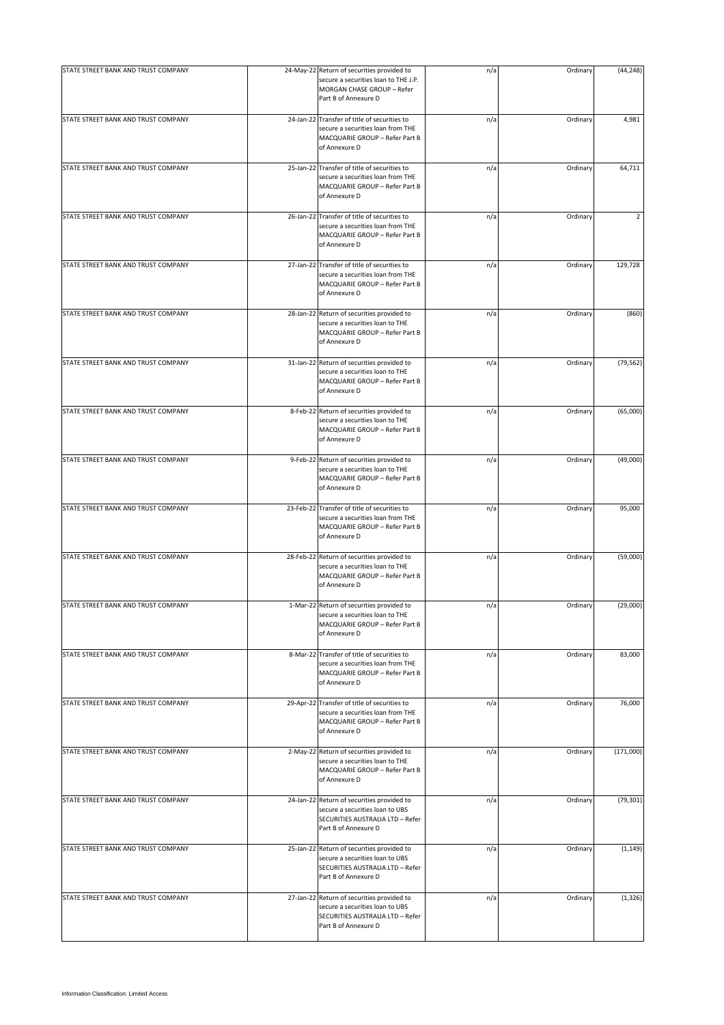|                                     |                                                                                                                                           |     |          | (44, 248) |
|-------------------------------------|-------------------------------------------------------------------------------------------------------------------------------------------|-----|----------|-----------|
| STATE STREET BANK AND TRUST COMPANY | 24-May-22 Return of securities provided to<br>secure a securities loan to THE J.P.<br>MORGAN CHASE GROUP - Refer<br>Part B of Annexure D  | n/a | Ordinary |           |
| STATE STREET BANK AND TRUST COMPANY | 24-Jan-22 Transfer of title of securities to<br>secure a securities loan from THE<br>MACQUARIE GROUP - Refer Part B<br>of Annexure D      | n/a | Ordinary | 4,981     |
| STATE STREET BANK AND TRUST COMPANY | 25-Jan-22 Transfer of title of securities to<br>secure a securities loan from THE<br>MACQUARIE GROUP - Refer Part B<br>of Annexure D      | n/a | Ordinary | 64,711    |
| STATE STREET BANK AND TRUST COMPANY | 26-Jan-22 Transfer of title of securities to<br>secure a securities loan from THE<br>MACQUARIE GROUP - Refer Part B<br>of Annexure D      | n/a | Ordinary | 2         |
| STATE STREET BANK AND TRUST COMPANY | 27-Jan-22 Transfer of title of securities to<br>secure a securities loan from THE<br>MACQUARIE GROUP - Refer Part B<br>of Annexure D      | n/a | Ordinary | 129,728   |
| STATE STREET BANK AND TRUST COMPANY | 28-Jan-22 Return of securities provided to<br>secure a securities loan to THE<br>MACQUARIE GROUP - Refer Part B<br>of Annexure D          | n/a | Ordinary | (860)     |
| STATE STREET BANK AND TRUST COMPANY | 31-Jan-22 Return of securities provided to<br>secure a securities loan to THE<br>MACQUARIE GROUP - Refer Part B<br>of Annexure D          | n/a | Ordinary | (79, 562) |
| STATE STREET BANK AND TRUST COMPANY | 8-Feb-22 Return of securities provided to<br>secure a securities loan to THE<br>MACQUARIE GROUP - Refer Part B<br>of Annexure D           | n/a | Ordinary | (65,000)  |
| STATE STREET BANK AND TRUST COMPANY | 9-Feb-22 Return of securities provided to<br>secure a securities loan to THE<br>MACQUARIE GROUP - Refer Part B<br>of Annexure D           | n/a | Ordinary | (49,000)  |
| STATE STREET BANK AND TRUST COMPANY | 23-Feb-22 Transfer of title of securities to<br>secure a securities loan from THE<br>MACQUARIE GROUP - Refer Part B<br>of Annexure D      | n/a | Ordinary | 95,000    |
| STATE STREET BANK AND TRUST COMPANY | 28-Feb-22 Return of securities provided to<br>secure a securities loan to THE<br>MACQUARIE GROUP - Refer Part B<br>of Annexure D          | n/a | Ordinary | (59,000)  |
| STATE STREET BANK AND TRUST COMPANY | 1-Mar-22 Return of securities provided to<br>secure a securities loan to THE<br>MACQUARIE GROUP - Refer Part B<br>of Annexure D           | n/a | Ordinary | (29,000)  |
| STATE STREET BANK AND TRUST COMPANY | 8-Mar-22 Transfer of title of securities to<br>secure a securities loan from THE<br>MACQUARIE GROUP - Refer Part B<br>of Annexure D       | n/a | Ordinary | 83,000    |
| STATE STREET BANK AND TRUST COMPANY | 29-Apr-22 Transfer of title of securities to<br>secure a securities loan from THE<br>MACQUARIE GROUP - Refer Part B<br>of Annexure D      | n/a | Ordinary | 76,000    |
| STATE STREET BANK AND TRUST COMPANY | 2-May-22 Return of securities provided to<br>secure a securities loan to THE<br>MACQUARIE GROUP - Refer Part B<br>of Annexure D           | n/a | Ordinary | (171,000) |
| STATE STREET BANK AND TRUST COMPANY | 24-Jan-22 Return of securities provided to<br>secure a securities loan to UBS<br>SECURITIES AUSTRALIA LTD - Refer<br>Part B of Annexure D | n/a | Ordinary | (79, 301) |
| STATE STREET BANK AND TRUST COMPANY | 25-Jan-22 Return of securities provided to<br>secure a securities loan to UBS<br>SECURITIES AUSTRALIA LTD - Refer<br>Part B of Annexure D | n/a | Ordinary | (1, 149)  |
| STATE STREET BANK AND TRUST COMPANY | 27-Jan-22 Return of securities provided to<br>secure a securities loan to UBS<br>SECURITIES AUSTRALIA LTD - Refer<br>Part B of Annexure D | n/a | Ordinary | (1, 326)  |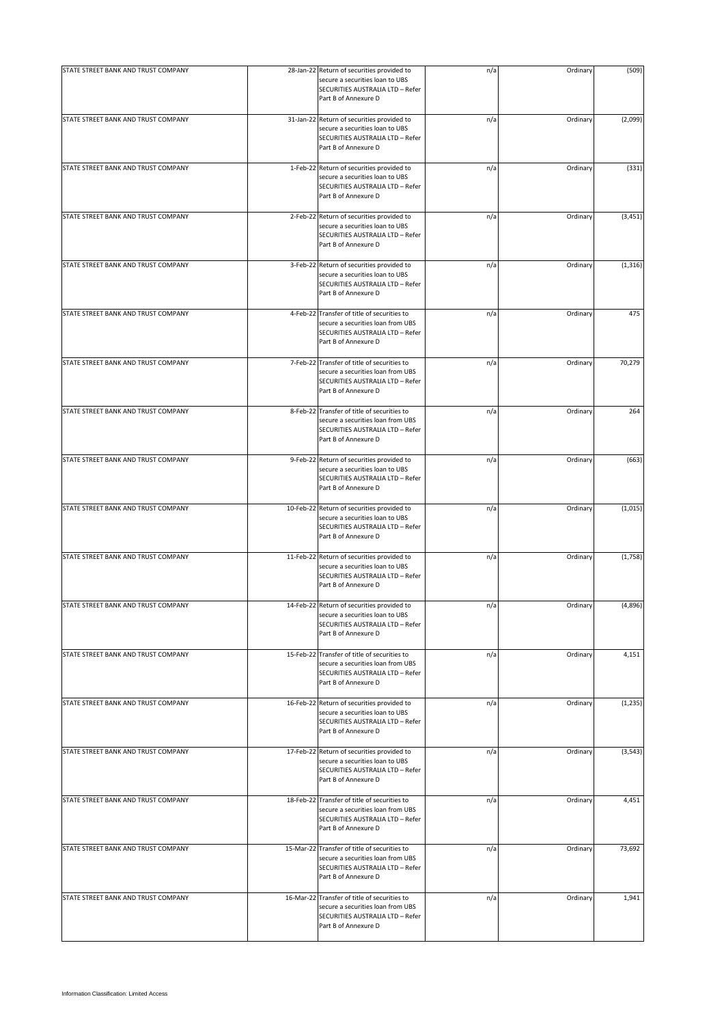| STATE STREET BANK AND TRUST COMPANY | 28-Jan-22 Return of securities provided to                                                                                                    |     | Ordinary | (509)    |
|-------------------------------------|-----------------------------------------------------------------------------------------------------------------------------------------------|-----|----------|----------|
|                                     | secure a securities loan to UBS<br>SECURITIES AUSTRALIA LTD - Refer<br>Part B of Annexure D                                                   | n/a |          |          |
| STATE STREET BANK AND TRUST COMPANY | 31-Jan-22 Return of securities provided to<br>secure a securities loan to UBS<br>SECURITIES AUSTRALIA LTD - Refer<br>Part B of Annexure D     | n/a | Ordinary | (2,099)  |
| STATE STREET BANK AND TRUST COMPANY | 1-Feb-22 Return of securities provided to<br>secure a securities loan to UBS<br>SECURITIES AUSTRALIA LTD - Refer<br>Part B of Annexure D      | n/a | Ordinary | (331)    |
| STATE STREET BANK AND TRUST COMPANY | 2-Feb-22 Return of securities provided to<br>secure a securities loan to UBS<br>SECURITIES AUSTRALIA LTD - Refer<br>Part B of Annexure D      | n/a | Ordinary | (3, 451) |
| STATE STREET BANK AND TRUST COMPANY | 3-Feb-22 Return of securities provided to<br>secure a securities loan to UBS<br>SECURITIES AUSTRALIA LTD - Refer<br>Part B of Annexure D      | n/a | Ordinary | (1, 316) |
| STATE STREET BANK AND TRUST COMPANY | 4-Feb-22 Transfer of title of securities to<br>secure a securities loan from UBS<br>SECURITIES AUSTRALIA LTD - Refer<br>Part B of Annexure D  | n/a | Ordinary | 475      |
| STATE STREET BANK AND TRUST COMPANY | 7-Feb-22 Transfer of title of securities to<br>secure a securities loan from UBS<br>SECURITIES AUSTRALIA LTD - Refer<br>Part B of Annexure D  | n/a | Ordinary | 70,279   |
| STATE STREET BANK AND TRUST COMPANY | 8-Feb-22 Transfer of title of securities to<br>secure a securities loan from UBS<br>SECURITIES AUSTRALIA LTD - Refer<br>Part B of Annexure D  | n/a | Ordinary | 264      |
| STATE STREET BANK AND TRUST COMPANY | 9-Feb-22 Return of securities provided to<br>secure a securities loan to UBS<br>SECURITIES AUSTRALIA LTD - Refer<br>Part B of Annexure D      | n/a | Ordinary | (663)    |
| STATE STREET BANK AND TRUST COMPANY | 10-Feb-22 Return of securities provided to<br>secure a securities loan to UBS<br>SECURITIES AUSTRALIA LTD - Refer<br>Part B of Annexure D     | n/a | Ordinary | (1,015)  |
| STATE STREET BANK AND TRUST COMPANY | 11-Feb-22 Return of securities provided to<br>secure a securities loan to UBS<br>SECURITIES AUSTRALIA LTD - Refer<br>Part B of Annexure D     | n/a | Ordinary | (1,758)  |
| STATE STREET BANK AND TRUST COMPANY | 14-Feb-22 Return of securities provided to<br>secure a securities loan to UBS<br>SECURITIES AUSTRALIA LTD - Refer<br>Part B of Annexure D     | n/a | Ordinary | (4,896)  |
| STATE STREET BANK AND TRUST COMPANY | 15-Feb-22 Transfer of title of securities to<br>secure a securities loan from UBS<br>SECURITIES AUSTRALIA LTD - Refer<br>Part B of Annexure D | n/a | Ordinary | 4,151    |
| STATE STREET BANK AND TRUST COMPANY | 16-Feb-22 Return of securities provided to<br>secure a securities loan to UBS<br>SECURITIES AUSTRALIA LTD - Refer<br>Part B of Annexure D     | n/a | Ordinary | (1, 235) |
| STATE STREET BANK AND TRUST COMPANY | 17-Feb-22 Return of securities provided to<br>secure a securities loan to UBS<br>SECURITIES AUSTRALIA LTD - Refer<br>Part B of Annexure D     | n/a | Ordinary | (3, 543) |
| STATE STREET BANK AND TRUST COMPANY | 18-Feb-22 Transfer of title of securities to<br>secure a securities loan from UBS<br>SECURITIES AUSTRALIA LTD - Refer<br>Part B of Annexure D | n/a | Ordinary | 4,451    |
| STATE STREET BANK AND TRUST COMPANY | 15-Mar-22 Transfer of title of securities to<br>secure a securities loan from UBS<br>SECURITIES AUSTRALIA LTD - Refer<br>Part B of Annexure D | n/a | Ordinary | 73,692   |
| STATE STREET BANK AND TRUST COMPANY | 16-Mar-22 Transfer of title of securities to<br>secure a securities loan from UBS<br>SECURITIES AUSTRALIA LTD - Refer<br>Part B of Annexure D | n/a | Ordinary | 1,941    |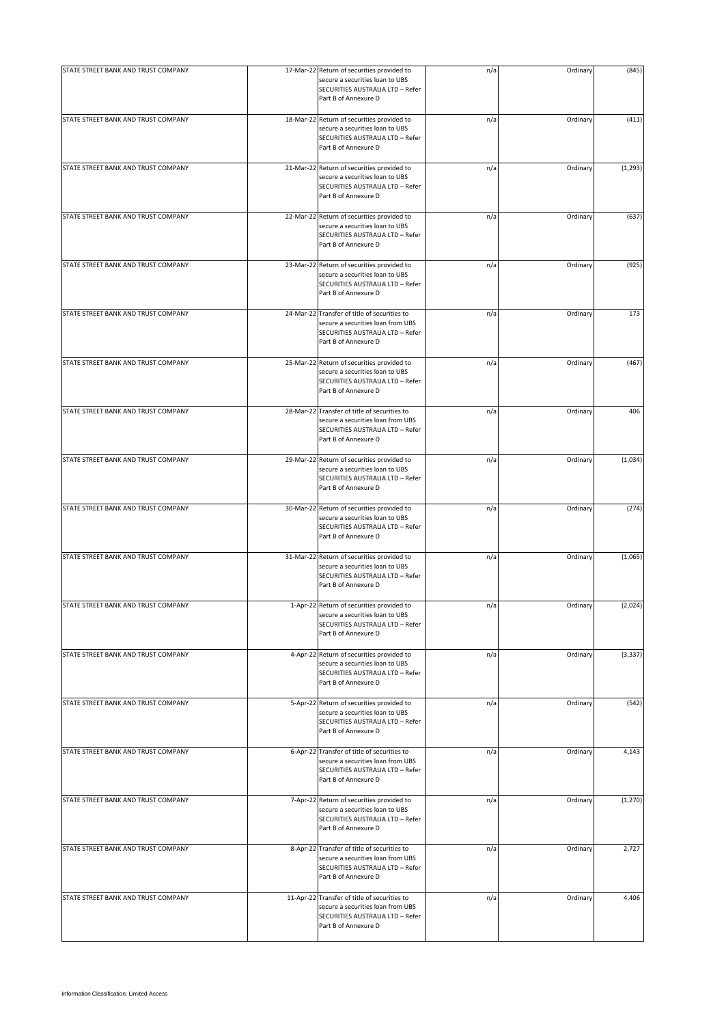| STATE STREET BANK AND TRUST COMPANY | 17-Mar-22 Return of securities provided to                                                                                                    | n/a | Ordinary | (845)    |
|-------------------------------------|-----------------------------------------------------------------------------------------------------------------------------------------------|-----|----------|----------|
|                                     | secure a securities loan to UBS<br>SECURITIES AUSTRALIA LTD - Refer<br>Part B of Annexure D                                                   |     |          |          |
| STATE STREET BANK AND TRUST COMPANY | 18-Mar-22 Return of securities provided to<br>secure a securities loan to UBS<br>SECURITIES AUSTRALIA LTD - Refer<br>Part B of Annexure D     | n/a | Ordinary | (411)    |
| STATE STREET BANK AND TRUST COMPANY | 21-Mar-22 Return of securities provided to<br>secure a securities loan to UBS<br>SECURITIES AUSTRALIA LTD - Refer<br>Part B of Annexure D     | n/a | Ordinary | (1, 293) |
| STATE STREET BANK AND TRUST COMPANY | 22-Mar-22 Return of securities provided to<br>secure a securities loan to UBS<br>SECURITIES AUSTRALIA LTD - Refer<br>Part B of Annexure D     | n/a | Ordinary | (637)    |
| STATE STREET BANK AND TRUST COMPANY | 23-Mar-22 Return of securities provided to<br>secure a securities loan to UBS<br>SECURITIES AUSTRALIA LTD - Refer<br>Part B of Annexure D     | n/a | Ordinary | (925)    |
| STATE STREET BANK AND TRUST COMPANY | 24-Mar-22 Transfer of title of securities to<br>secure a securities loan from UBS<br>SECURITIES AUSTRALIA LTD - Refer<br>Part B of Annexure D | n/a | Ordinary | 173      |
| STATE STREET BANK AND TRUST COMPANY | 25-Mar-22 Return of securities provided to<br>secure a securities loan to UBS<br>SECURITIES AUSTRALIA LTD - Refer<br>Part B of Annexure D     | n/a | Ordinary | (467)    |
| STATE STREET BANK AND TRUST COMPANY | 28-Mar-22 Transfer of title of securities to<br>secure a securities loan from UBS<br>SECURITIES AUSTRALIA LTD - Refer<br>Part B of Annexure D | n/a | Ordinary | 406      |
| STATE STREET BANK AND TRUST COMPANY | 29-Mar-22 Return of securities provided to<br>secure a securities loan to UBS<br>SECURITIES AUSTRALIA LTD - Refer<br>Part B of Annexure D     | n/a | Ordinary | (1,034)  |
| STATE STREET BANK AND TRUST COMPANY | 30-Mar-22 Return of securities provided to<br>secure a securities loan to UBS<br>SECURITIES AUSTRALIA LTD - Refer<br>Part B of Annexure D     | n/a | Ordinary | (274)    |
| STATE STREET BANK AND TRUST COMPANY | 31-Mar-22 Return of securities provided to<br>secure a securities loan to UBS<br>SECURITIES AUSTRALIA LTD - Refer<br>Part B of Annexure D     | n/a | Ordinary | (1,065)  |
| STATE STREET BANK AND TRUST COMPANY | 1-Apr-22 Return of securities provided to<br>secure a securities loan to UBS<br>SECURITIES AUSTRALIA LTD - Refer<br>Part B of Annexure D      | n/a | Ordinary | (2,024)  |
| STATE STREET BANK AND TRUST COMPANY | 4-Apr-22 Return of securities provided to<br>secure a securities loan to UBS<br>SECURITIES AUSTRALIA LTD - Refer<br>Part B of Annexure D      | n/a | Ordinary | (3, 337) |
| STATE STREET BANK AND TRUST COMPANY | 5-Apr-22 Return of securities provided to<br>secure a securities loan to UBS<br>SECURITIES AUSTRALIA LTD - Refer<br>Part B of Annexure D      | n/a | Ordinary | (542)    |
| STATE STREET BANK AND TRUST COMPANY | 6-Apr-22 Transfer of title of securities to<br>secure a securities loan from UBS<br>SECURITIES AUSTRALIA LTD - Refer<br>Part B of Annexure D  | n/a | Ordinary | 4,143    |
| STATE STREET BANK AND TRUST COMPANY | 7-Apr-22 Return of securities provided to<br>secure a securities loan to UBS<br>SECURITIES AUSTRALIA LTD - Refer<br>Part B of Annexure D      | n/a | Ordinary | (1, 270) |
| STATE STREET BANK AND TRUST COMPANY | 8-Apr-22 Transfer of title of securities to<br>secure a securities loan from UBS<br>SECURITIES AUSTRALIA LTD - Refer<br>Part B of Annexure D  | n/a | Ordinary | 2,727    |
| STATE STREET BANK AND TRUST COMPANY | 11-Apr-22 Transfer of title of securities to<br>secure a securities loan from UBS<br>SECURITIES AUSTRALIA LTD - Refer<br>Part B of Annexure D | n/a | Ordinary | 4,406    |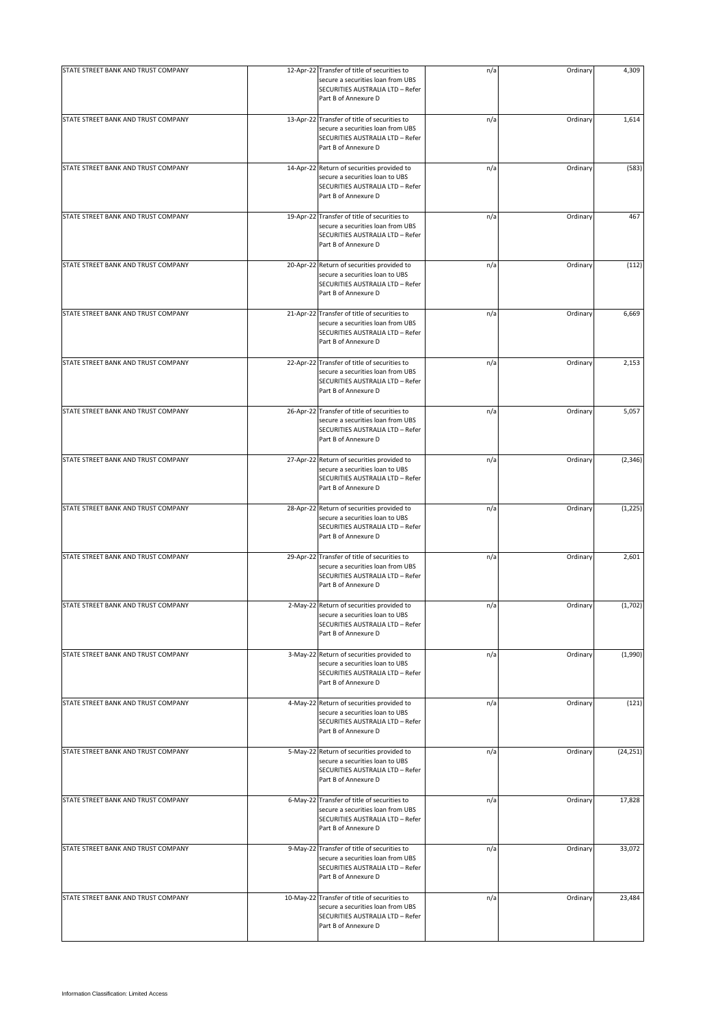| STATE STREET BANK AND TRUST COMPANY | 12-Apr-22 Transfer of title of securities to                                                                                                  | n/a | Ordinary | 4,309     |
|-------------------------------------|-----------------------------------------------------------------------------------------------------------------------------------------------|-----|----------|-----------|
|                                     | secure a securities loan from UBS<br>SECURITIES AUSTRALIA LTD - Refer<br>Part B of Annexure D                                                 |     |          |           |
| STATE STREET BANK AND TRUST COMPANY | 13-Apr-22 Transfer of title of securities to<br>secure a securities loan from UBS<br>SECURITIES AUSTRALIA LTD - Refer<br>Part B of Annexure D | n/a | Ordinary | 1,614     |
| STATE STREET BANK AND TRUST COMPANY | 14-Apr-22 Return of securities provided to<br>secure a securities loan to UBS<br>SECURITIES AUSTRALIA LTD - Refer<br>Part B of Annexure D     | n/a | Ordinary | (583)     |
| STATE STREET BANK AND TRUST COMPANY | 19-Apr-22 Transfer of title of securities to<br>secure a securities loan from UBS<br>SECURITIES AUSTRALIA LTD - Refer<br>Part B of Annexure D | n/a | Ordinary | 467       |
| STATE STREET BANK AND TRUST COMPANY | 20-Apr-22 Return of securities provided to<br>secure a securities loan to UBS<br>SECURITIES AUSTRALIA LTD - Refer<br>Part B of Annexure D     | n/a | Ordinary | (112)     |
| STATE STREET BANK AND TRUST COMPANY | 21-Apr-22 Transfer of title of securities to<br>secure a securities loan from UBS<br>SECURITIES AUSTRALIA LTD - Refer<br>Part B of Annexure D | n/a | Ordinary | 6,669     |
| STATE STREET BANK AND TRUST COMPANY | 22-Apr-22 Transfer of title of securities to<br>secure a securities loan from UBS<br>SECURITIES AUSTRALIA LTD - Refer<br>Part B of Annexure D | n/a | Ordinary | 2,153     |
| STATE STREET BANK AND TRUST COMPANY | 26-Apr-22 Transfer of title of securities to<br>secure a securities loan from UBS<br>SECURITIES AUSTRALIA LTD - Refer<br>Part B of Annexure D | n/a | Ordinary | 5,057     |
| STATE STREET BANK AND TRUST COMPANY | 27-Apr-22 Return of securities provided to<br>secure a securities loan to UBS<br>SECURITIES AUSTRALIA LTD - Refer<br>Part B of Annexure D     | n/a | Ordinary | (2, 346)  |
| STATE STREET BANK AND TRUST COMPANY | 28-Apr-22 Return of securities provided to<br>secure a securities loan to UBS<br>SECURITIES AUSTRALIA LTD - Refer<br>Part B of Annexure D     | n/a | Ordinary | (1, 225)  |
| STATE STREET BANK AND TRUST COMPANY | 29-Apr-22 Transfer of title of securities to<br>secure a securities loan from UBS<br>SECURITIES AUSTRALIA LTD - Refer<br>Part B of Annexure D | n/a | Ordinary | 2,601     |
| STATE STREET BANK AND TRUST COMPANY | 2-May-22 Return of securities provided to<br>secure a securities loan to UBS<br>SECURITIES AUSTRALIA LTD - Refer<br>Part B of Annexure D      | n/a | Ordinary | (1,702)   |
| STATE STREET BANK AND TRUST COMPANY | 3-May-22 Return of securities provided to<br>secure a securities loan to UBS<br>SECURITIES AUSTRALIA LTD - Refer<br>Part B of Annexure D      | n/a | Ordinary | (1,990)   |
| STATE STREET BANK AND TRUST COMPANY | 4-May-22 Return of securities provided to<br>secure a securities loan to UBS<br>SECURITIES AUSTRALIA LTD - Refer<br>Part B of Annexure D      | n/a | Ordinary | (121)     |
| STATE STREET BANK AND TRUST COMPANY | 5-May-22 Return of securities provided to<br>secure a securities loan to UBS<br>SECURITIES AUSTRALIA LTD - Refer<br>Part B of Annexure D      | n/a | Ordinary | (24, 251) |
| STATE STREET BANK AND TRUST COMPANY | 6-May-22 Transfer of title of securities to<br>secure a securities loan from UBS<br>SECURITIES AUSTRALIA LTD - Refer<br>Part B of Annexure D  | n/a | Ordinary | 17,828    |
| STATE STREET BANK AND TRUST COMPANY | 9-May-22 Transfer of title of securities to<br>secure a securities loan from UBS<br>SECURITIES AUSTRALIA LTD - Refer<br>Part B of Annexure D  | n/a | Ordinary | 33,072    |
| STATE STREET BANK AND TRUST COMPANY | 10-May-22 Transfer of title of securities to<br>secure a securities loan from UBS<br>SECURITIES AUSTRALIA LTD - Refer<br>Part B of Annexure D | n/a | Ordinary | 23,484    |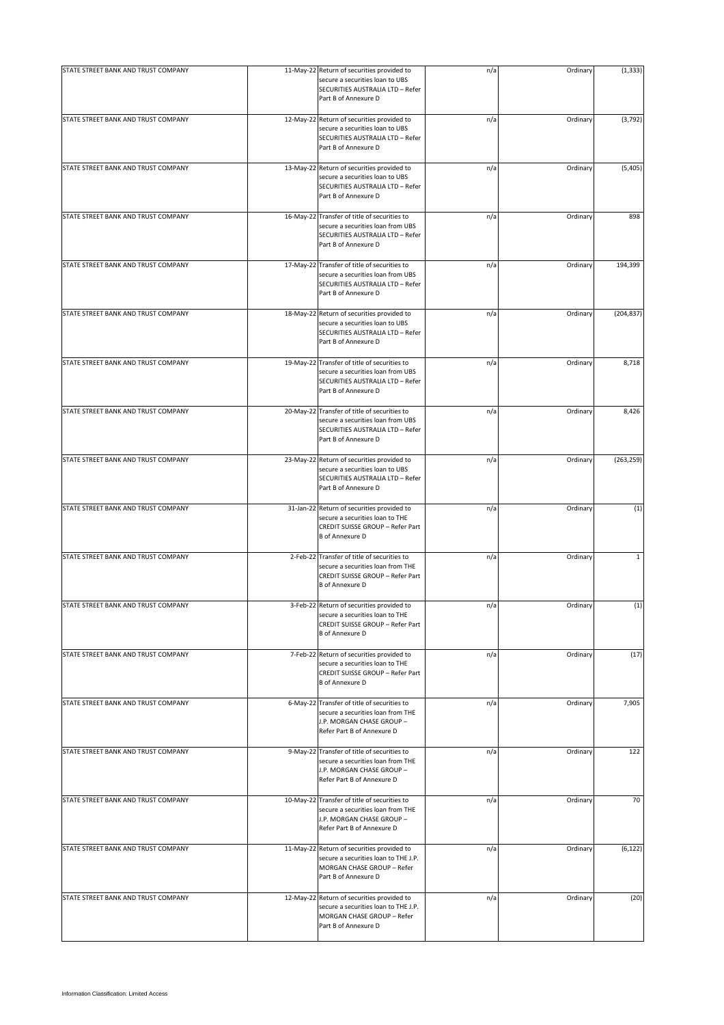| STATE STREET BANK AND TRUST COMPANY | 11-May-22 Return of securities provided to                                                                                                     | n/a | Ordinary | (1, 333)   |
|-------------------------------------|------------------------------------------------------------------------------------------------------------------------------------------------|-----|----------|------------|
|                                     | secure a securities loan to UBS<br>SECURITIES AUSTRALIA LTD - Refer<br>Part B of Annexure D                                                    |     |          |            |
| STATE STREET BANK AND TRUST COMPANY | 12-May-22 Return of securities provided to<br>secure a securities loan to UBS<br>SECURITIES AUSTRALIA LTD - Refer<br>Part B of Annexure D      | n/a | Ordinary | (3, 792)   |
| STATE STREET BANK AND TRUST COMPANY | 13-May-22 Return of securities provided to<br>secure a securities loan to UBS<br>SECURITIES AUSTRALIA LTD - Refer<br>Part B of Annexure D      | n/a | Ordinary | (5,405)    |
| STATE STREET BANK AND TRUST COMPANY | 16-May-22 Transfer of title of securities to<br>secure a securities loan from UBS<br>SECURITIES AUSTRALIA LTD - Refer<br>Part B of Annexure D  | n/a | Ordinary | 898        |
| STATE STREET BANK AND TRUST COMPANY | 17-May-22 Transfer of title of securities to<br>secure a securities loan from UBS<br>SECURITIES AUSTRALIA LTD - Refer<br>Part B of Annexure D  | n/a | Ordinary | 194,399    |
| STATE STREET BANK AND TRUST COMPANY | 18-May-22 Return of securities provided to<br>secure a securities loan to UBS<br>SECURITIES AUSTRALIA LTD - Refer<br>Part B of Annexure D      | n/a | Ordinary | (204, 837) |
| STATE STREET BANK AND TRUST COMPANY | 19-May-22 Transfer of title of securities to<br>secure a securities loan from UBS<br>SECURITIES AUSTRALIA LTD - Refer<br>Part B of Annexure D  | n/a | Ordinary | 8,718      |
| STATE STREET BANK AND TRUST COMPANY | 20-May-22 Transfer of title of securities to<br>secure a securities loan from UBS<br>SECURITIES AUSTRALIA LTD - Refer<br>Part B of Annexure D  | n/a | Ordinary | 8,426      |
| STATE STREET BANK AND TRUST COMPANY | 23-May-22 Return of securities provided to<br>secure a securities loan to UBS<br>SECURITIES AUSTRALIA LTD - Refer<br>Part B of Annexure D      | n/a | Ordinary | (263, 259) |
| STATE STREET BANK AND TRUST COMPANY | 31-Jan-22 Return of securities provided to<br>secure a securities loan to THE<br>CREDIT SUISSE GROUP - Refer Part<br><b>B</b> of Annexure D    | n/a | Ordinary | (1)        |
| STATE STREET BANK AND TRUST COMPANY | 2-Feb-22 Transfer of title of securities to<br>secure a securities loan from THE<br>CREDIT SUISSE GROUP - Refer Part<br><b>B</b> of Annexure D | n/a | Ordinary | 1          |
| STATE STREET BANK AND TRUST COMPANY | 3-Feb-22 Return of securities provided to<br>secure a securities loan to THE<br>CREDIT SUISSE GROUP - Refer Part<br><b>B</b> of Annexure D     | n/a | Ordinary | (1)        |
| STATE STREET BANK AND TRUST COMPANY | 7-Feb-22 Return of securities provided to<br>secure a securities loan to THE<br>CREDIT SUISSE GROUP - Refer Part<br><b>B</b> of Annexure D     | n/a | Ordinary | (17)       |
| STATE STREET BANK AND TRUST COMPANY | 6-May-22 Transfer of title of securities to<br>secure a securities loan from THE<br>J.P. MORGAN CHASE GROUP -<br>Refer Part B of Annexure D    | n/a | Ordinary | 7,905      |
| STATE STREET BANK AND TRUST COMPANY | 9-May-22 Transfer of title of securities to<br>secure a securities loan from THE<br>J.P. MORGAN CHASE GROUP -<br>Refer Part B of Annexure D    | n/a | Ordinary | 122        |
| STATE STREET BANK AND TRUST COMPANY | 10-May-22 Transfer of title of securities to<br>secure a securities loan from THE<br>J.P. MORGAN CHASE GROUP -<br>Refer Part B of Annexure D   | n/a | Ordinary | 70         |
| STATE STREET BANK AND TRUST COMPANY | 11-May-22 Return of securities provided to<br>secure a securities loan to THE J.P.<br>MORGAN CHASE GROUP - Refer<br>Part B of Annexure D       | n/a | Ordinary | (6, 122)   |
| STATE STREET BANK AND TRUST COMPANY | 12-May-22 Return of securities provided to<br>secure a securities loan to THE J.P.<br>MORGAN CHASE GROUP - Refer<br>Part B of Annexure D       | n/a | Ordinary | (20)       |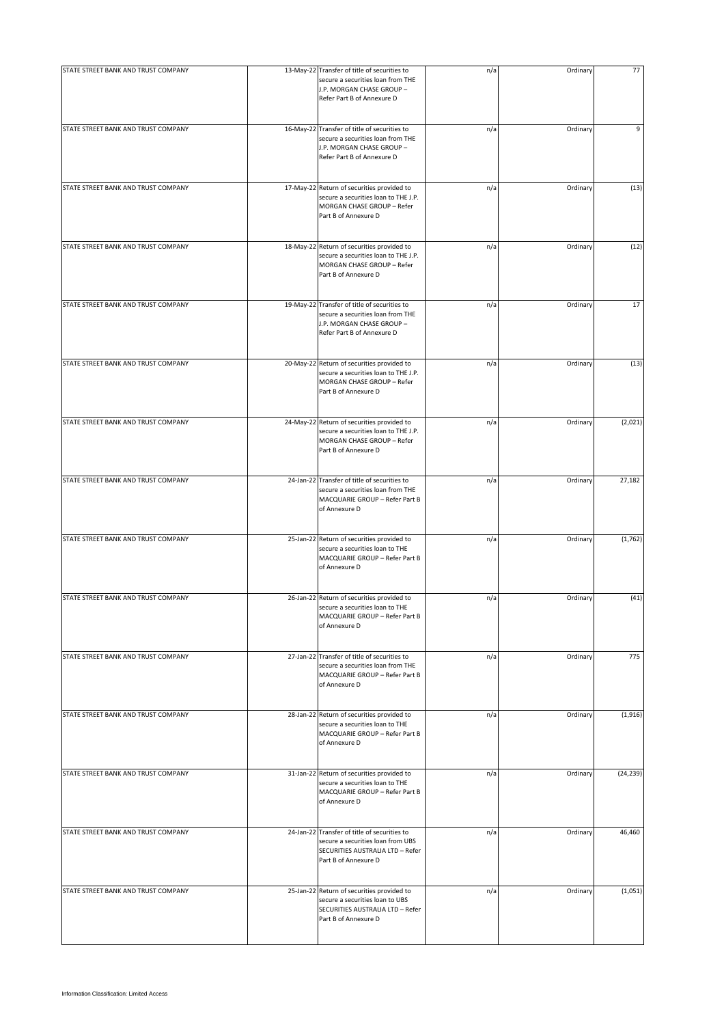| STATE STREET BANK AND TRUST COMPANY | 13-May-22 Transfer of title of securities to<br>secure a securities loan from THE<br>J.P. MORGAN CHASE GROUP -<br>Refer Part B of Annexure D  | n/a | Ordinary | 77        |
|-------------------------------------|-----------------------------------------------------------------------------------------------------------------------------------------------|-----|----------|-----------|
| STATE STREET BANK AND TRUST COMPANY | 16-May-22 Transfer of title of securities to<br>secure a securities loan from THE<br>J.P. MORGAN CHASE GROUP -<br>Refer Part B of Annexure D  | n/a | Ordinary | 9         |
| STATE STREET BANK AND TRUST COMPANY | 17-May-22 Return of securities provided to<br>secure a securities loan to THE J.P.<br>MORGAN CHASE GROUP - Refer<br>Part B of Annexure D      | n/a | Ordinary | (13)      |
| STATE STREET BANK AND TRUST COMPANY | 18-May-22 Return of securities provided to<br>secure a securities loan to THE J.P.<br>MORGAN CHASE GROUP - Refer<br>Part B of Annexure D      | n/a | Ordinary | (12)      |
| STATE STREET BANK AND TRUST COMPANY | 19-May-22 Transfer of title of securities to<br>secure a securities loan from THE<br>J.P. MORGAN CHASE GROUP -<br>Refer Part B of Annexure D  | n/a | Ordinary | 17        |
| STATE STREET BANK AND TRUST COMPANY | 20-May-22 Return of securities provided to<br>secure a securities loan to THE J.P.<br>MORGAN CHASE GROUP - Refer<br>Part B of Annexure D      | n/a | Ordinary | (13)      |
| STATE STREET BANK AND TRUST COMPANY | 24-May-22 Return of securities provided to<br>secure a securities loan to THE J.P.<br>MORGAN CHASE GROUP - Refer<br>Part B of Annexure D      | n/a | Ordinary | (2,021)   |
| STATE STREET BANK AND TRUST COMPANY | 24-Jan-22 Transfer of title of securities to<br>secure a securities loan from THE<br>MACQUARIE GROUP - Refer Part B<br>of Annexure D          | n/a | Ordinary | 27,182    |
| STATE STREET BANK AND TRUST COMPANY | 25-Jan-22 Return of securities provided to<br>secure a securities loan to THE<br>MACQUARIE GROUP - Refer Part B<br>of Annexure D              | n/a | Ordinary | (1,762)   |
| STATE STREET BANK AND TRUST COMPANY | 26-Jan-22 Return of securities provided to<br>secure a securities loan to THE<br>MACQUARIE GROUP - Refer Part B<br>of Annexure D              | n/a | Ordinary | (41)      |
| STATE STREET BANK AND TRUST COMPANY | 27-Jan-22 Transfer of title of securities to<br>secure a securities loan from THE<br>MACQUARIE GROUP - Refer Part B<br>of Annexure D          | n/a | Ordinary | 775       |
| STATE STREET BANK AND TRUST COMPANY | 28-Jan-22 Return of securities provided to<br>secure a securities loan to THE<br>MACQUARIE GROUP - Refer Part B<br>of Annexure D              | n/a | Ordinary | (1,916)   |
| STATE STREET BANK AND TRUST COMPANY | 31-Jan-22 Return of securities provided to<br>secure a securities loan to THE<br>MACQUARIE GROUP - Refer Part B<br>of Annexure D              | n/a | Ordinary | (24, 239) |
| STATE STREET BANK AND TRUST COMPANY | 24-Jan-22 Transfer of title of securities to<br>secure a securities loan from UBS<br>SECURITIES AUSTRALIA LTD - Refer<br>Part B of Annexure D | n/a | Ordinary | 46,460    |
| STATE STREET BANK AND TRUST COMPANY | 25-Jan-22 Return of securities provided to<br>secure a securities loan to UBS<br>SECURITIES AUSTRALIA LTD - Refer<br>Part B of Annexure D     | n/a | Ordinary | (1,051)   |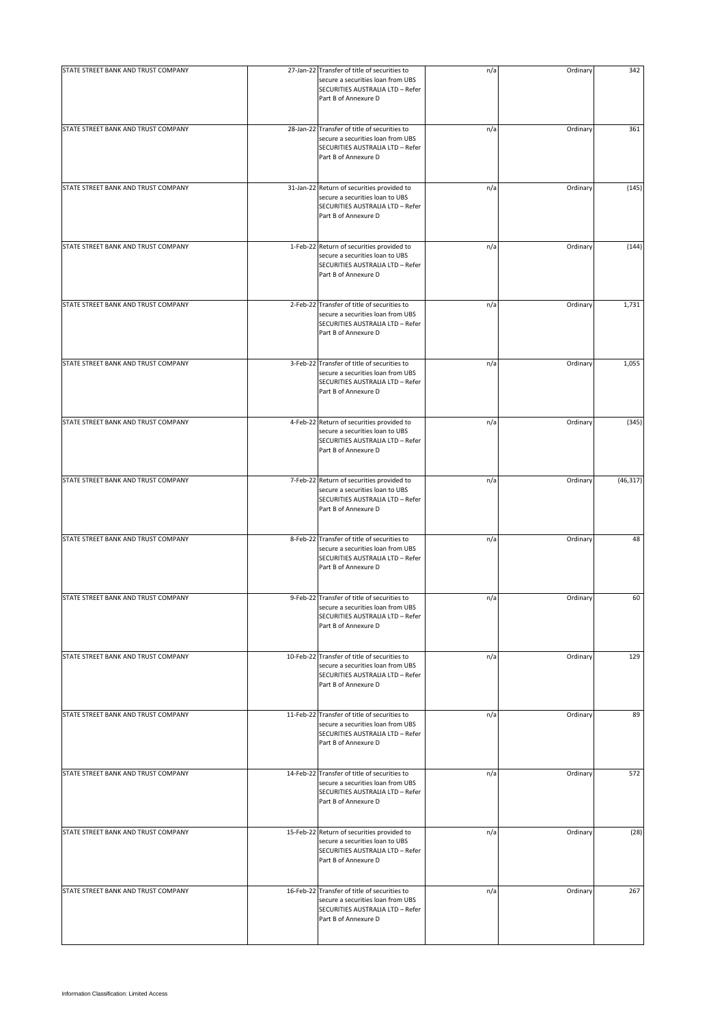| STATE STREET BANK AND TRUST COMPANY | 27-Jan-22 Transfer of title of securities to                                                                                                  | n/a | Ordinary | 342       |
|-------------------------------------|-----------------------------------------------------------------------------------------------------------------------------------------------|-----|----------|-----------|
|                                     | secure a securities loan from UBS<br>SECURITIES AUSTRALIA LTD - Refer<br>Part B of Annexure D                                                 |     |          |           |
| STATE STREET BANK AND TRUST COMPANY | 28-Jan-22 Transfer of title of securities to<br>secure a securities loan from UBS<br>SECURITIES AUSTRALIA LTD - Refer<br>Part B of Annexure D | n/a | Ordinary | 361       |
| STATE STREET BANK AND TRUST COMPANY | 31-Jan-22 Return of securities provided to<br>secure a securities loan to UBS<br>SECURITIES AUSTRALIA LTD - Refer<br>Part B of Annexure D     | n/a | Ordinary | (145)     |
| STATE STREET BANK AND TRUST COMPANY | 1-Feb-22 Return of securities provided to<br>secure a securities loan to UBS<br>SECURITIES AUSTRALIA LTD - Refer<br>Part B of Annexure D      | n/a | Ordinary | (144)     |
| STATE STREET BANK AND TRUST COMPANY | 2-Feb-22 Transfer of title of securities to<br>secure a securities loan from UBS<br>SECURITIES AUSTRALIA LTD - Refer<br>Part B of Annexure D  | n/a | Ordinary | 1,731     |
| STATE STREET BANK AND TRUST COMPANY | 3-Feb-22 Transfer of title of securities to<br>secure a securities loan from UBS<br>SECURITIES AUSTRALIA LTD - Refer<br>Part B of Annexure D  | n/a | Ordinary | 1,055     |
| STATE STREET BANK AND TRUST COMPANY | 4-Feb-22 Return of securities provided to<br>secure a securities loan to UBS<br>SECURITIES AUSTRALIA LTD - Refer<br>Part B of Annexure D      | n/a | Ordinary | (345)     |
| STATE STREET BANK AND TRUST COMPANY | 7-Feb-22 Return of securities provided to<br>secure a securities loan to UBS<br>SECURITIES AUSTRALIA LTD - Refer<br>Part B of Annexure D      | n/a | Ordinary | (46, 317) |
| STATE STREET BANK AND TRUST COMPANY | 8-Feb-22 Transfer of title of securities to<br>secure a securities loan from UBS<br>SECURITIES AUSTRALIA LTD - Refer<br>Part B of Annexure D  | n/a | Ordinary | 48        |
| STATE STREET BANK AND TRUST COMPANY | 9-Feb-22 Transfer of title of securities to<br>secure a securities loan from UBS<br>SECURITIES AUSTRALIA LTD - Refer<br>Part B of Annexure D  | n/a | Ordinary | 60        |
| STATE STREET BANK AND TRUST COMPANY | 10-Feb-22 Transfer of title of securities to<br>secure a securities loan from UBS<br>SECURITIES AUSTRALIA LTD - Refer<br>Part B of Annexure D | n/a | Ordinary | 129       |
| STATE STREET BANK AND TRUST COMPANY | 11-Feb-22 Transfer of title of securities to<br>secure a securities loan from UBS<br>SECURITIES AUSTRALIA LTD - Refer<br>Part B of Annexure D | n/a | Ordinary | 89        |
| STATE STREET BANK AND TRUST COMPANY | 14-Feb-22 Transfer of title of securities to<br>secure a securities loan from UBS<br>SECURITIES AUSTRALIA LTD - Refer<br>Part B of Annexure D | n/a | Ordinary | 572       |
| STATE STREET BANK AND TRUST COMPANY | 15-Feb-22 Return of securities provided to<br>secure a securities loan to UBS<br>SECURITIES AUSTRALIA LTD - Refer<br>Part B of Annexure D     | n/a | Ordinary | (28)      |
| STATE STREET BANK AND TRUST COMPANY | 16-Feb-22 Transfer of title of securities to<br>secure a securities loan from UBS<br>SECURITIES AUSTRALIA LTD - Refer<br>Part B of Annexure D | n/a | Ordinary | 267       |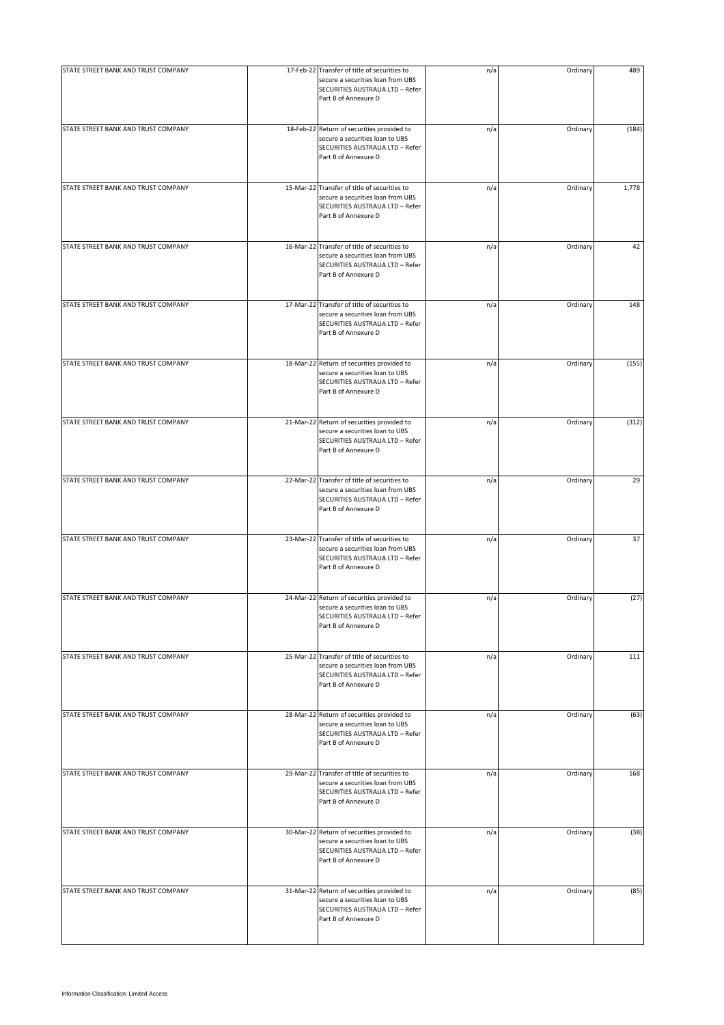| STATE STREET BANK AND TRUST COMPANY | 17-Feb-22 Transfer of title of securities to                                                                                                  | n/a | Ordinary | 489   |
|-------------------------------------|-----------------------------------------------------------------------------------------------------------------------------------------------|-----|----------|-------|
|                                     | secure a securities loan from UBS<br>SECURITIES AUSTRALIA LTD - Refer<br>Part B of Annexure D                                                 |     |          |       |
| STATE STREET BANK AND TRUST COMPANY | 18-Feb-22 Return of securities provided to<br>secure a securities loan to UBS<br>SECURITIES AUSTRALIA LTD - Refer<br>Part B of Annexure D     | n/a | Ordinary | (184) |
| STATE STREET BANK AND TRUST COMPANY | 15-Mar-22 Transfer of title of securities to<br>secure a securities loan from UBS<br>SECURITIES AUSTRALIA LTD - Refer<br>Part B of Annexure D | n/a | Ordinary | 1,778 |
| STATE STREET BANK AND TRUST COMPANY | 16-Mar-22 Transfer of title of securities to<br>secure a securities loan from UBS<br>SECURITIES AUSTRALIA LTD - Refer<br>Part B of Annexure D | n/a | Ordinary | 42    |
| STATE STREET BANK AND TRUST COMPANY | 17-Mar-22 Transfer of title of securities to<br>secure a securities loan from UBS<br>SECURITIES AUSTRALIA LTD - Refer<br>Part B of Annexure D | n/a | Ordinary | 148   |
| STATE STREET BANK AND TRUST COMPANY | 18-Mar-22 Return of securities provided to<br>secure a securities loan to UBS<br>SECURITIES AUSTRALIA LTD - Refer<br>Part B of Annexure D     | n/a | Ordinary | (155) |
| STATE STREET BANK AND TRUST COMPANY | 21-Mar-22 Return of securities provided to<br>secure a securities loan to UBS<br>SECURITIES AUSTRALIA LTD - Refer<br>Part B of Annexure D     | n/a | Ordinary | (312) |
| STATE STREET BANK AND TRUST COMPANY | 22-Mar-22 Transfer of title of securities to<br>secure a securities loan from UBS<br>SECURITIES AUSTRALIA LTD - Refer<br>Part B of Annexure D | n/a | Ordinary | 29    |
| STATE STREET BANK AND TRUST COMPANY | 23-Mar-22 Transfer of title of securities to<br>secure a securities loan from UBS<br>SECURITIES AUSTRALIA LTD - Refer<br>Part B of Annexure D | n/a | Ordinary | 37    |
| STATE STREET BANK AND TRUST COMPANY | 24-Mar-22 Return of securities provided to<br>secure a securities loan to UBS<br>SECURITIES AUSTRALIA LTD - Refer<br>Part B of Annexure D     | n/a | Ordinary | (27)  |
| STATE STREET BANK AND TRUST COMPANY | 25-Mar-22 Transfer of title of securities to<br>secure a securities loan from UBS<br>SECURITIES AUSTRALIA LTD - Refer<br>Part B of Annexure D | n/a | Ordinary | 111   |
| STATE STREET BANK AND TRUST COMPANY | 28-Mar-22 Return of securities provided to<br>secure a securities loan to UBS<br>SECURITIES AUSTRALIA LTD - Refer<br>Part B of Annexure D     | n/a | Ordinary | (63)  |
| STATE STREET BANK AND TRUST COMPANY | 29-Mar-22 Transfer of title of securities to<br>secure a securities loan from UBS<br>SECURITIES AUSTRALIA LTD - Refer<br>Part B of Annexure D | n/a | Ordinary | 168   |
| STATE STREET BANK AND TRUST COMPANY | 30-Mar-22 Return of securities provided to<br>secure a securities loan to UBS<br>SECURITIES AUSTRALIA LTD - Refer<br>Part B of Annexure D     | n/a | Ordinary | (38)  |
| STATE STREET BANK AND TRUST COMPANY | 31-Mar-22 Return of securities provided to<br>secure a securities loan to UBS<br>SECURITIES AUSTRALIA LTD - Refer<br>Part B of Annexure D     | n/a | Ordinary | (85)  |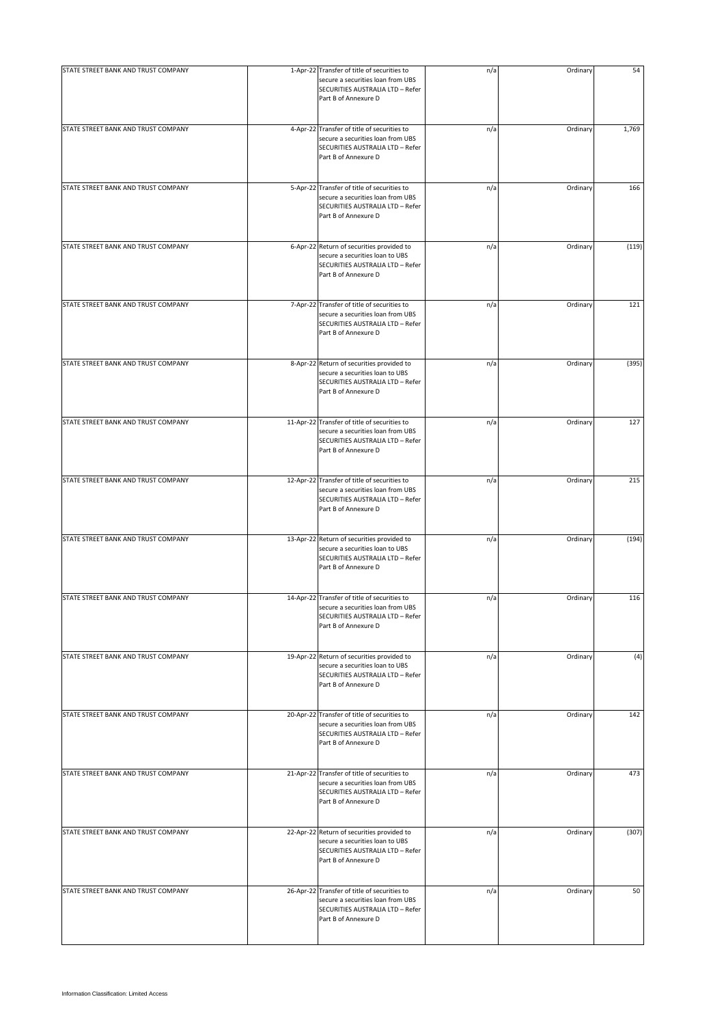| STATE STREET BANK AND TRUST COMPANY | 1-Apr-22 Transfer of title of securities to                                                                                                   | n/a | Ordinary | 54    |
|-------------------------------------|-----------------------------------------------------------------------------------------------------------------------------------------------|-----|----------|-------|
|                                     | secure a securities loan from UBS<br>SECURITIES AUSTRALIA LTD - Refer<br>Part B of Annexure D                                                 |     |          |       |
| STATE STREET BANK AND TRUST COMPANY | 4-Apr-22 Transfer of title of securities to<br>secure a securities loan from UBS<br>SECURITIES AUSTRALIA LTD - Refer<br>Part B of Annexure D  | n/a | Ordinary | 1,769 |
| STATE STREET BANK AND TRUST COMPANY | 5-Apr-22 Transfer of title of securities to<br>secure a securities loan from UBS<br>SECURITIES AUSTRALIA LTD - Refer<br>Part B of Annexure D  | n/a | Ordinary | 166   |
| STATE STREET BANK AND TRUST COMPANY | 6-Apr-22 Return of securities provided to<br>secure a securities loan to UBS<br>SECURITIES AUSTRALIA LTD - Refer<br>Part B of Annexure D      | n/a | Ordinary | (119) |
| STATE STREET BANK AND TRUST COMPANY | 7-Apr-22 Transfer of title of securities to<br>secure a securities loan from UBS<br>SECURITIES AUSTRALIA LTD - Refer<br>Part B of Annexure D  | n/a | Ordinary | 121   |
| STATE STREET BANK AND TRUST COMPANY | 8-Apr-22 Return of securities provided to<br>secure a securities loan to UBS<br>SECURITIES AUSTRALIA LTD - Refer<br>Part B of Annexure D      | n/a | Ordinary | (395) |
| STATE STREET BANK AND TRUST COMPANY | 11-Apr-22 Transfer of title of securities to<br>secure a securities loan from UBS<br>SECURITIES AUSTRALIA LTD - Refer<br>Part B of Annexure D | n/a | Ordinary | 127   |
| STATE STREET BANK AND TRUST COMPANY | 12-Apr-22 Transfer of title of securities to<br>secure a securities loan from UBS<br>SECURITIES AUSTRALIA LTD - Refer<br>Part B of Annexure D | n/a | Ordinary | 215   |
| STATE STREET BANK AND TRUST COMPANY | 13-Apr-22 Return of securities provided to<br>secure a securities loan to UBS<br>SECURITIES AUSTRALIA LTD - Refer<br>Part B of Annexure D     | n/a | Ordinary | (194) |
| STATE STREET BANK AND TRUST COMPANY | 14-Apr-22 Transfer of title of securities to<br>secure a securities loan from UBS<br>SECURITIES AUSTRALIA LTD - Refer<br>Part B of Annexure D | n/a | Ordinary | 116   |
| STATE STREET BANK AND TRUST COMPANY | 19-Apr-22 Return of securities provided to<br>secure a securities loan to UBS<br>SECURITIES AUSTRALIA LTD - Refer<br>Part B of Annexure D     | n/a | Ordinary | (4)   |
| STATE STREET BANK AND TRUST COMPANY | 20-Apr-22 Transfer of title of securities to<br>secure a securities loan from UBS<br>SECURITIES AUSTRALIA LTD - Refer<br>Part B of Annexure D | n/a | Ordinary | 142   |
| STATE STREET BANK AND TRUST COMPANY | 21-Apr-22 Transfer of title of securities to<br>secure a securities loan from UBS<br>SECURITIES AUSTRALIA LTD - Refer<br>Part B of Annexure D | n/a | Ordinary | 473   |
| STATE STREET BANK AND TRUST COMPANY | 22-Apr-22 Return of securities provided to<br>secure a securities loan to UBS<br>SECURITIES AUSTRALIA LTD - Refer<br>Part B of Annexure D     | n/a | Ordinary | (307) |
| STATE STREET BANK AND TRUST COMPANY | 26-Apr-22 Transfer of title of securities to<br>secure a securities loan from UBS<br>SECURITIES AUSTRALIA LTD - Refer<br>Part B of Annexure D | n/a | Ordinary | 50    |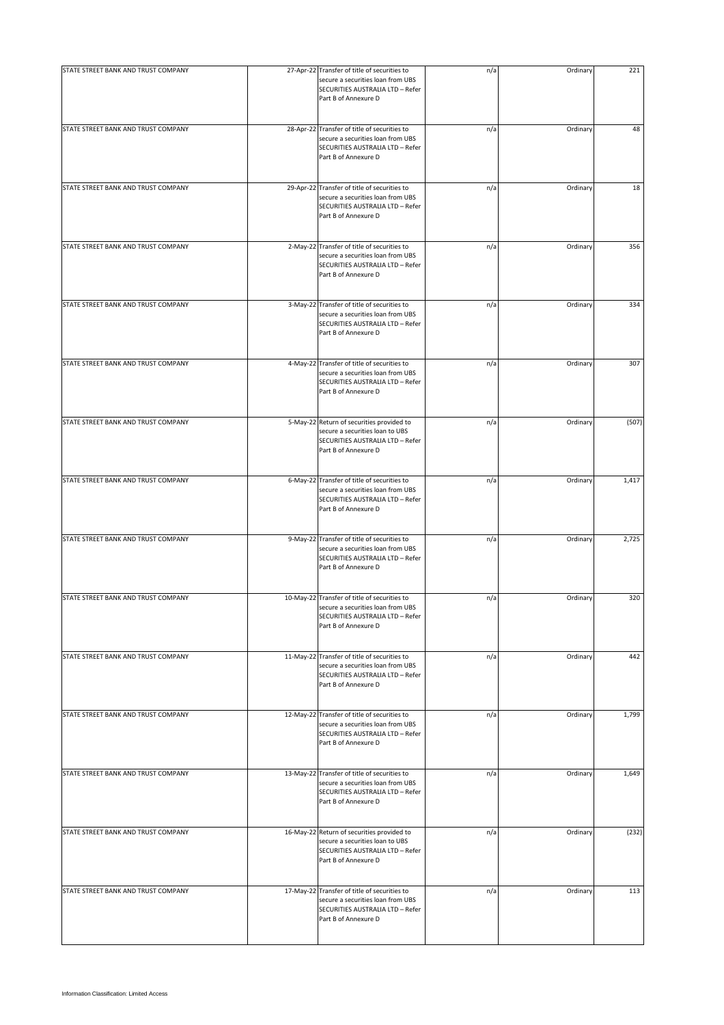| STATE STREET BANK AND TRUST COMPANY | 27-Apr-22 Transfer of title of securities to                                                                                                  | n/a | Ordinary | 221   |
|-------------------------------------|-----------------------------------------------------------------------------------------------------------------------------------------------|-----|----------|-------|
|                                     | secure a securities loan from UBS<br>SECURITIES AUSTRALIA LTD - Refer<br>Part B of Annexure D                                                 |     |          |       |
| STATE STREET BANK AND TRUST COMPANY | 28-Apr-22 Transfer of title of securities to<br>secure a securities loan from UBS<br>SECURITIES AUSTRALIA LTD - Refer<br>Part B of Annexure D | n/a | Ordinary | 48    |
| STATE STREET BANK AND TRUST COMPANY | 29-Apr-22 Transfer of title of securities to<br>secure a securities loan from UBS<br>SECURITIES AUSTRALIA LTD - Refer<br>Part B of Annexure D | n/a | Ordinary | 18    |
| STATE STREET BANK AND TRUST COMPANY | 2-May-22 Transfer of title of securities to<br>secure a securities loan from UBS<br>SECURITIES AUSTRALIA LTD - Refer<br>Part B of Annexure D  | n/a | Ordinary | 356   |
| STATE STREET BANK AND TRUST COMPANY | 3-May-22 Transfer of title of securities to<br>secure a securities loan from UBS<br>SECURITIES AUSTRALIA LTD - Refer<br>Part B of Annexure D  | n/a | Ordinary | 334   |
| STATE STREET BANK AND TRUST COMPANY | 4-May-22 Transfer of title of securities to<br>secure a securities loan from UBS<br>SECURITIES AUSTRALIA LTD - Refer<br>Part B of Annexure D  | n/a | Ordinary | 307   |
| STATE STREET BANK AND TRUST COMPANY | 5-May-22 Return of securities provided to<br>secure a securities loan to UBS<br>SECURITIES AUSTRALIA LTD - Refer<br>Part B of Annexure D      | n/a | Ordinary | (507) |
| STATE STREET BANK AND TRUST COMPANY | 6-May-22 Transfer of title of securities to<br>secure a securities loan from UBS<br>SECURITIES AUSTRALIA LTD - Refer<br>Part B of Annexure D  | n/a | Ordinary | 1,417 |
| STATE STREET BANK AND TRUST COMPANY | 9-May-22 Transfer of title of securities to<br>secure a securities loan from UBS<br>SECURITIES AUSTRALIA LTD - Refer<br>Part B of Annexure D  | n/a | Ordinary | 2,725 |
| STATE STREET BANK AND TRUST COMPANY | 10-May-22 Transfer of title of securities to<br>secure a securities loan from UBS<br>SECURITIES AUSTRALIA LTD - Refer<br>Part B of Annexure D | n/a | Ordinary | 320   |
| STATE STREET BANK AND TRUST COMPANY | 11-May-22 Transfer of title of securities to<br>secure a securities loan from UBS<br>SECURITIES AUSTRALIA LTD - Refer<br>Part B of Annexure D | n/a | Ordinary | 442   |
| STATE STREET BANK AND TRUST COMPANY | 12-May-22 Transfer of title of securities to<br>secure a securities loan from UBS<br>SECURITIES AUSTRALIA LTD - Refer<br>Part B of Annexure D | n/a | Ordinary | 1,799 |
| STATE STREET BANK AND TRUST COMPANY | 13-May-22 Transfer of title of securities to<br>secure a securities loan from UBS<br>SECURITIES AUSTRALIA LTD - Refer<br>Part B of Annexure D | n/a | Ordinary | 1,649 |
| STATE STREET BANK AND TRUST COMPANY | 16-May-22 Return of securities provided to<br>secure a securities loan to UBS<br>SECURITIES AUSTRALIA LTD - Refer<br>Part B of Annexure D     | n/a | Ordinary | (232) |
| STATE STREET BANK AND TRUST COMPANY | 17-May-22 Transfer of title of securities to<br>secure a securities loan from UBS<br>SECURITIES AUSTRALIA LTD - Refer<br>Part B of Annexure D | n/a | Ordinary | 113   |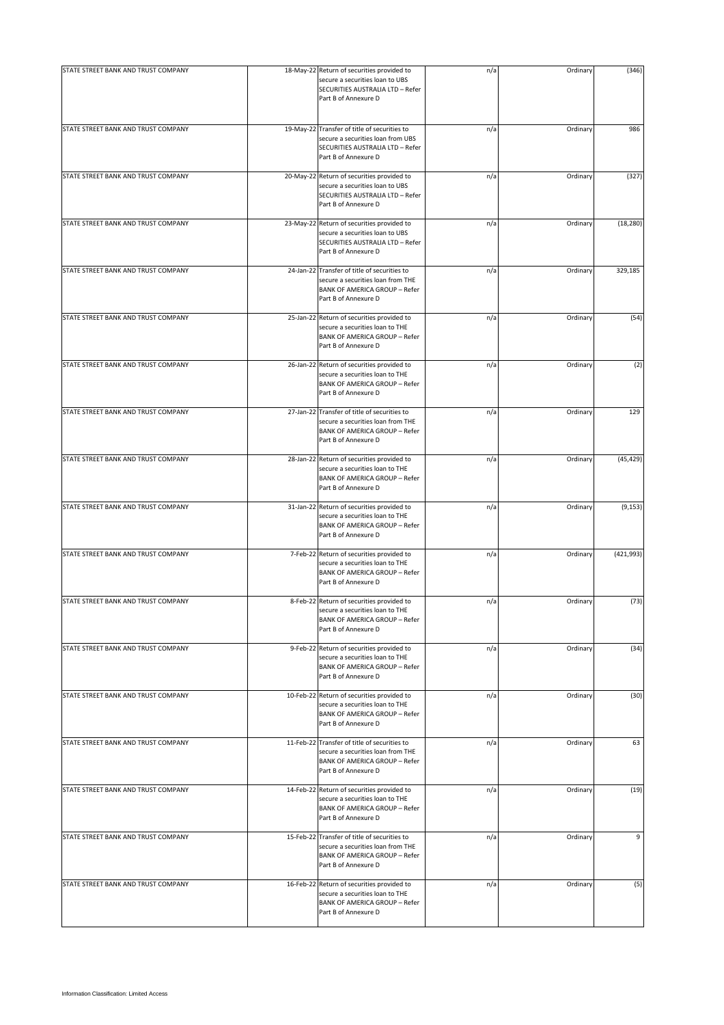| STATE STREET BANK AND TRUST COMPANY | 18-May-22 Return of securities provided to                                                                                                        | n/a | Ordinary | (346)      |
|-------------------------------------|---------------------------------------------------------------------------------------------------------------------------------------------------|-----|----------|------------|
|                                     | secure a securities loan to UBS<br>SECURITIES AUSTRALIA LTD - Refer<br>Part B of Annexure D                                                       |     |          |            |
| STATE STREET BANK AND TRUST COMPANY | 19-May-22 Transfer of title of securities to<br>secure a securities loan from UBS<br>SECURITIES AUSTRALIA LTD - Refer<br>Part B of Annexure D     | n/a | Ordinary | 986        |
| STATE STREET BANK AND TRUST COMPANY | 20-May-22 Return of securities provided to<br>secure a securities loan to UBS<br>SECURITIES AUSTRALIA LTD - Refer<br>Part B of Annexure D         | n/a | Ordinary | (327)      |
| STATE STREET BANK AND TRUST COMPANY | 23-May-22 Return of securities provided to<br>secure a securities loan to UBS<br>SECURITIES AUSTRALIA LTD - Refer<br>Part B of Annexure D         | n/a | Ordinary | (18, 280)  |
| STATE STREET BANK AND TRUST COMPANY | 24-Jan-22 Transfer of title of securities to<br>secure a securities loan from THE<br><b>BANK OF AMERICA GROUP - Refer</b><br>Part B of Annexure D | n/a | Ordinary | 329,185    |
| STATE STREET BANK AND TRUST COMPANY | 25-Jan-22 Return of securities provided to<br>secure a securities loan to THE<br><b>BANK OF AMERICA GROUP - Refer</b><br>Part B of Annexure D     | n/a | Ordinary | (54)       |
| STATE STREET BANK AND TRUST COMPANY | 26-Jan-22 Return of securities provided to<br>secure a securities loan to THE<br><b>BANK OF AMERICA GROUP - Refer</b><br>Part B of Annexure D     | n/a | Ordinary | (2)        |
| STATE STREET BANK AND TRUST COMPANY | 27-Jan-22 Transfer of title of securities to<br>secure a securities loan from THE<br><b>BANK OF AMERICA GROUP - Refer</b><br>Part B of Annexure D | n/a | Ordinary | 129        |
| STATE STREET BANK AND TRUST COMPANY | 28-Jan-22 Return of securities provided to<br>secure a securities loan to THE<br><b>BANK OF AMERICA GROUP - Refer</b><br>Part B of Annexure D     | n/a | Ordinary | (45, 429)  |
| STATE STREET BANK AND TRUST COMPANY | 31-Jan-22 Return of securities provided to<br>secure a securities loan to THE<br><b>BANK OF AMERICA GROUP - Refer</b><br>Part B of Annexure D     | n/a | Ordinary | (9, 153)   |
| STATE STREET BANK AND TRUST COMPANY | 7-Feb-22 Return of securities provided to<br>secure a securities loan to THE<br><b>BANK OF AMERICA GROUP - Refer</b><br>Part B of Annexure D      | n/a | Ordinary | (421, 993) |
| STATE STREET BANK AND TRUST COMPANY | 8-Feb-22 Return of securities provided to<br>secure a securities loan to THE<br><b>BANK OF AMERICA GROUP - Refer</b><br>Part B of Annexure D      | n/a | Ordinary | (73)       |
| STATE STREET BANK AND TRUST COMPANY | 9-Feb-22 Return of securities provided to<br>secure a securities loan to THE<br><b>BANK OF AMERICA GROUP - Refer</b><br>Part B of Annexure D      | n/a | Ordinary | (34)       |
| STATE STREET BANK AND TRUST COMPANY | 10-Feb-22 Return of securities provided to<br>secure a securities loan to THE<br><b>BANK OF AMERICA GROUP - Refer</b><br>Part B of Annexure D     | n/a | Ordinary | (30)       |
| STATE STREET BANK AND TRUST COMPANY | 11-Feb-22 Transfer of title of securities to<br>secure a securities loan from THE<br><b>BANK OF AMERICA GROUP - Refer</b><br>Part B of Annexure D | n/a | Ordinary | 63         |
| STATE STREET BANK AND TRUST COMPANY | 14-Feb-22 Return of securities provided to<br>secure a securities loan to THE<br><b>BANK OF AMERICA GROUP - Refer</b><br>Part B of Annexure D     | n/a | Ordinary | (19)       |
| STATE STREET BANK AND TRUST COMPANY | 15-Feb-22 Transfer of title of securities to<br>secure a securities loan from THE<br><b>BANK OF AMERICA GROUP - Refer</b><br>Part B of Annexure D | n/a | Ordinary | 9          |
| STATE STREET BANK AND TRUST COMPANY | 16-Feb-22 Return of securities provided to<br>secure a securities loan to THE<br><b>BANK OF AMERICA GROUP - Refer</b><br>Part B of Annexure D     | n/a | Ordinary | (5)        |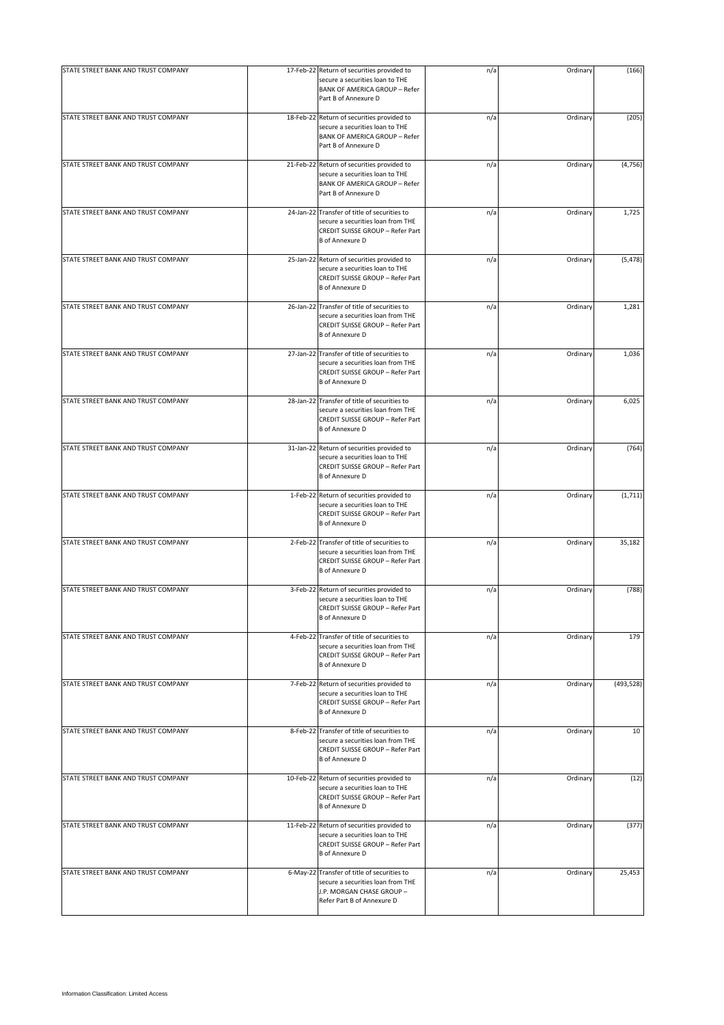| STATE STREET BANK AND TRUST COMPANY | 17-Feb-22 Return of securities provided to<br>secure a securities loan to THE<br><b>BANK OF AMERICA GROUP - Refer</b><br>Part B of Annexure D   | n/a | Ordinary | (166)      |
|-------------------------------------|-------------------------------------------------------------------------------------------------------------------------------------------------|-----|----------|------------|
| STATE STREET BANK AND TRUST COMPANY | 18-Feb-22 Return of securities provided to<br>secure a securities loan to THE<br><b>BANK OF AMERICA GROUP - Refer</b><br>Part B of Annexure D   | n/a | Ordinary | (205)      |
| STATE STREET BANK AND TRUST COMPANY | 21-Feb-22 Return of securities provided to<br>secure a securities loan to THE<br><b>BANK OF AMERICA GROUP - Refer</b><br>Part B of Annexure D   | n/a | Ordinary | (4, 756)   |
| STATE STREET BANK AND TRUST COMPANY | 24-Jan-22 Transfer of title of securities to<br>secure a securities loan from THE<br>CREDIT SUISSE GROUP - Refer Part<br><b>B</b> of Annexure D | n/a | Ordinary | 1,725      |
| STATE STREET BANK AND TRUST COMPANY | 25-Jan-22 Return of securities provided to<br>secure a securities loan to THE<br>CREDIT SUISSE GROUP - Refer Part<br><b>B</b> of Annexure D     | n/a | Ordinary | (5, 478)   |
| STATE STREET BANK AND TRUST COMPANY | 26-Jan-22 Transfer of title of securities to<br>secure a securities loan from THE<br>CREDIT SUISSE GROUP - Refer Part<br><b>B</b> of Annexure D | n/a | Ordinary | 1,281      |
| STATE STREET BANK AND TRUST COMPANY | 27-Jan-22 Transfer of title of securities to<br>secure a securities loan from THE<br>CREDIT SUISSE GROUP - Refer Part<br><b>B</b> of Annexure D | n/a | Ordinary | 1,036      |
| STATE STREET BANK AND TRUST COMPANY | 28-Jan-22 Transfer of title of securities to<br>secure a securities loan from THE<br>CREDIT SUISSE GROUP - Refer Part<br><b>B</b> of Annexure D | n/a | Ordinary | 6,025      |
| STATE STREET BANK AND TRUST COMPANY | 31-Jan-22 Return of securities provided to<br>secure a securities loan to THE<br>CREDIT SUISSE GROUP - Refer Part<br><b>B</b> of Annexure D     | n/a | Ordinary | (764)      |
| STATE STREET BANK AND TRUST COMPANY | 1-Feb-22 Return of securities provided to<br>secure a securities loan to THE<br>CREDIT SUISSE GROUP - Refer Part<br><b>B</b> of Annexure D      | n/a | Ordinary | (1, 711)   |
| STATE STREET BANK AND TRUST COMPANY | 2-Feb-22 Transfer of title of securities to<br>secure a securities loan from THE<br>CREDIT SUISSE GROUP - Refer Part<br><b>B</b> of Annexure D  | n/a | Ordinary | 35,182     |
| STATE STREET BANK AND TRUST COMPANY | 3-Feb-22 Return of securities provided to<br>secure a securities loan to THE<br>CREDIT SUISSE GROUP - Refer Part<br><b>B</b> of Annexure D      | n/a | Ordinary | (788)      |
| STATE STREET BANK AND TRUST COMPANY | 4-Feb-22 Transfer of title of securities to<br>secure a securities loan from THE<br>CREDIT SUISSE GROUP - Refer Part<br><b>B</b> of Annexure D  | n/a | Ordinary | 179        |
| STATE STREET BANK AND TRUST COMPANY | 7-Feb-22 Return of securities provided to<br>secure a securities loan to THE<br>CREDIT SUISSE GROUP - Refer Part<br><b>B</b> of Annexure D      | n/a | Ordinary | (493, 528) |
| STATE STREET BANK AND TRUST COMPANY | 8-Feb-22 Transfer of title of securities to<br>secure a securities loan from THE<br>CREDIT SUISSE GROUP - Refer Part<br><b>B</b> of Annexure D  | n/a | Ordinary | 10         |
| STATE STREET BANK AND TRUST COMPANY | 10-Feb-22 Return of securities provided to<br>secure a securities loan to THE<br>CREDIT SUISSE GROUP - Refer Part<br><b>B</b> of Annexure D     | n/a | Ordinary | (12)       |
| STATE STREET BANK AND TRUST COMPANY | 11-Feb-22 Return of securities provided to<br>secure a securities loan to THE<br>CREDIT SUISSE GROUP - Refer Part<br><b>B</b> of Annexure D     | n/a | Ordinary | (377)      |
| STATE STREET BANK AND TRUST COMPANY | 6-May-22 Transfer of title of securities to<br>secure a securities loan from THE<br>J.P. MORGAN CHASE GROUP -<br>Refer Part B of Annexure D     | n/a | Ordinary | 25,453     |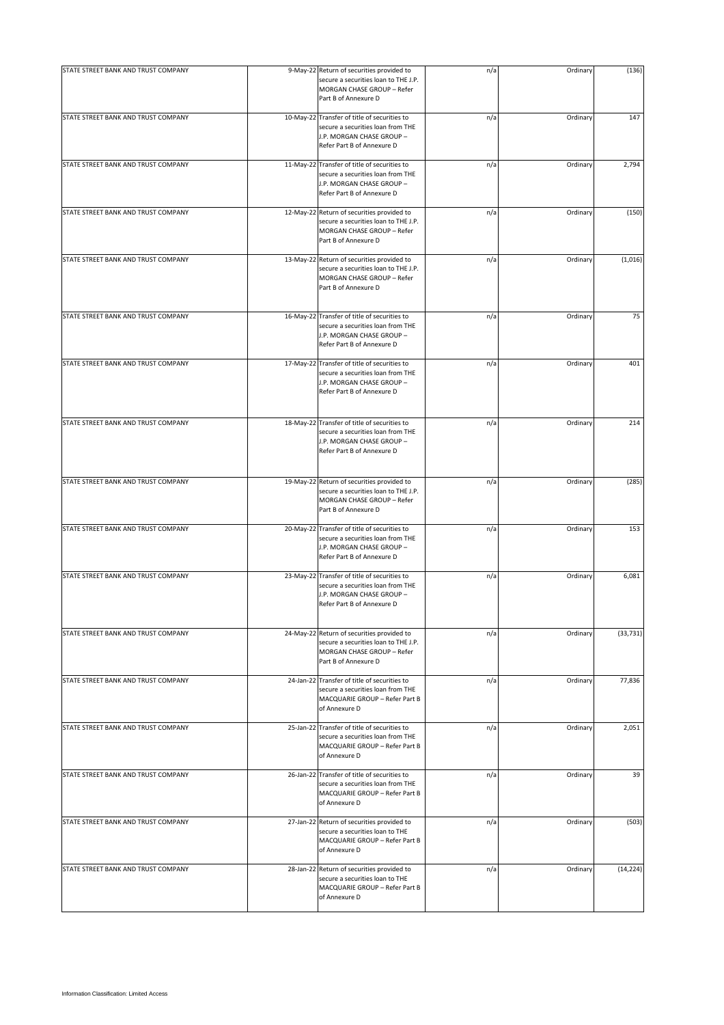| STATE STREET BANK AND TRUST COMPANY |           | 9-May-22 Return of securities provided to<br>secure a securities loan to THE J.P.<br>MORGAN CHASE GROUP - Refer<br>Part B of Annexure D      | n/a | Ordinary | (136)     |
|-------------------------------------|-----------|----------------------------------------------------------------------------------------------------------------------------------------------|-----|----------|-----------|
| STATE STREET BANK AND TRUST COMPANY |           | 10-May-22 Transfer of title of securities to<br>secure a securities loan from THE<br>J.P. MORGAN CHASE GROUP -<br>Refer Part B of Annexure D | n/a | Ordinary | 147       |
| STATE STREET BANK AND TRUST COMPANY |           | 11-May-22 Transfer of title of securities to<br>secure a securities loan from THE<br>J.P. MORGAN CHASE GROUP -<br>Refer Part B of Annexure D | n/a | Ordinary | 2,794     |
| STATE STREET BANK AND TRUST COMPANY |           | 12-May-22 Return of securities provided to<br>secure a securities loan to THE J.P.<br>MORGAN CHASE GROUP - Refer<br>Part B of Annexure D     | n/a | Ordinary | (150)     |
| STATE STREET BANK AND TRUST COMPANY |           | 13-May-22 Return of securities provided to<br>secure a securities loan to THE J.P.<br>MORGAN CHASE GROUP - Refer<br>Part B of Annexure D     | n/a | Ordinary | (1,016)   |
| STATE STREET BANK AND TRUST COMPANY |           | 16-May-22 Transfer of title of securities to<br>secure a securities loan from THE<br>J.P. MORGAN CHASE GROUP -<br>Refer Part B of Annexure D | n/a | Ordinary | 75        |
| STATE STREET BANK AND TRUST COMPANY |           | 17-May-22 Transfer of title of securities to<br>secure a securities loan from THE<br>J.P. MORGAN CHASE GROUP -<br>Refer Part B of Annexure D | n/a | Ordinary | 401       |
| STATE STREET BANK AND TRUST COMPANY |           | 18-May-22 Transfer of title of securities to<br>secure a securities loan from THE<br>J.P. MORGAN CHASE GROUP -<br>Refer Part B of Annexure D | n/a | Ordinary | 214       |
| STATE STREET BANK AND TRUST COMPANY |           | 19-May-22 Return of securities provided to<br>secure a securities loan to THE J.P.<br>MORGAN CHASE GROUP - Refer<br>Part B of Annexure D     | n/a | Ordinary | (285)     |
| STATE STREET BANK AND TRUST COMPANY |           | 20-May-22 Transfer of title of securities to<br>secure a securities loan from THE<br>J.P. MORGAN CHASE GROUP -<br>Refer Part B of Annexure D | n/a | Ordinary | 153       |
| STATE STREET BANK AND TRUST COMPANY | 23-May-22 | Transfer of title of securities to<br>secure a securities loan from THE<br>J.P. MORGAN CHASE GROUP -<br>Refer Part B of Annexure D           | n/a | Ordinary | 6,081     |
| STATE STREET BANK AND TRUST COMPANY |           | 24-May-22 Return of securities provided to<br>secure a securities loan to THE J.P.<br>MORGAN CHASE GROUP - Refer<br>Part B of Annexure D     | n/a | Ordinary | (33, 731) |
| STATE STREET BANK AND TRUST COMPANY |           | 24-Jan-22 Transfer of title of securities to<br>secure a securities loan from THE<br>MACQUARIE GROUP - Refer Part B<br>of Annexure D         | n/a | Ordinary | 77,836    |
| STATE STREET BANK AND TRUST COMPANY |           | 25-Jan-22 Transfer of title of securities to<br>secure a securities loan from THE<br>MACQUARIE GROUP - Refer Part B<br>of Annexure D         | n/a | Ordinary | 2,051     |
| STATE STREET BANK AND TRUST COMPANY |           | 26-Jan-22 Transfer of title of securities to<br>secure a securities loan from THE<br>MACQUARIE GROUP - Refer Part B<br>of Annexure D         | n/a | Ordinary | 39        |
| STATE STREET BANK AND TRUST COMPANY |           | 27-Jan-22 Return of securities provided to<br>secure a securities loan to THE<br>MACQUARIE GROUP - Refer Part B<br>of Annexure D             | n/a | Ordinary | (503)     |
| STATE STREET BANK AND TRUST COMPANY |           | 28-Jan-22 Return of securities provided to<br>secure a securities loan to THE<br>MACQUARIE GROUP - Refer Part B<br>of Annexure D             | n/a | Ordinary | (14, 224) |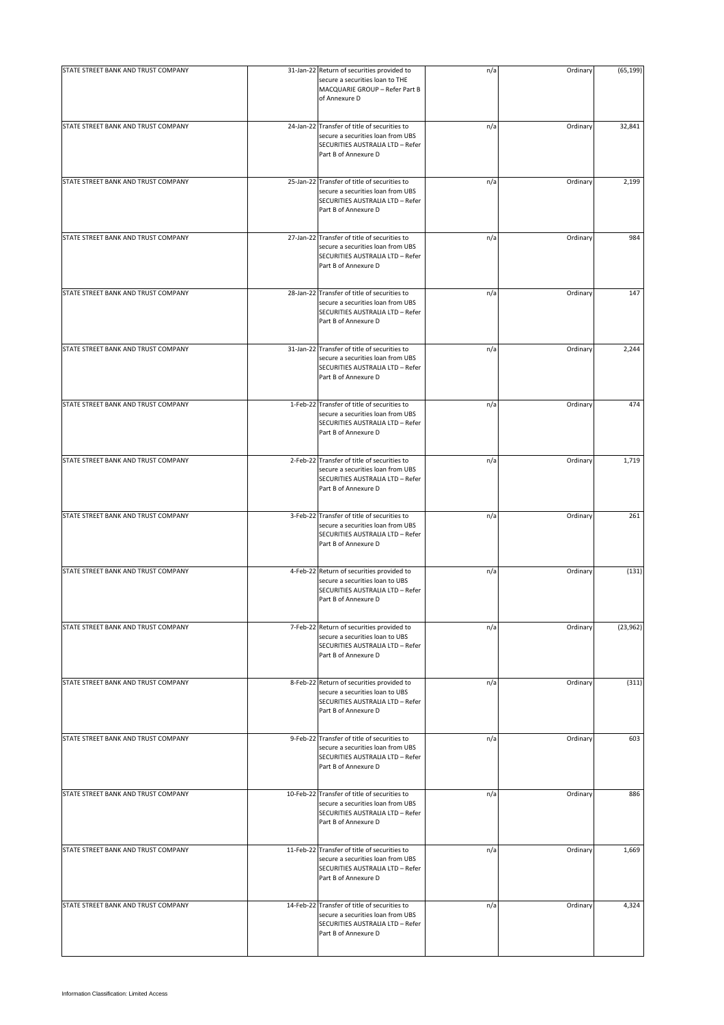| STATE STREET BANK AND TRUST COMPANY | 31-Jan-22 Return of securities provided to                                                                                                    | n/a | Ordinary | (65, 199) |
|-------------------------------------|-----------------------------------------------------------------------------------------------------------------------------------------------|-----|----------|-----------|
|                                     | secure a securities loan to THE<br>MACQUARIE GROUP - Refer Part B<br>of Annexure D                                                            |     |          |           |
| STATE STREET BANK AND TRUST COMPANY | 24-Jan-22 Transfer of title of securities to<br>secure a securities loan from UBS<br>SECURITIES AUSTRALIA LTD - Refer<br>Part B of Annexure D | n/a | Ordinary | 32,841    |
| STATE STREET BANK AND TRUST COMPANY | 25-Jan-22 Transfer of title of securities to<br>secure a securities loan from UBS<br>SECURITIES AUSTRALIA LTD - Refer<br>Part B of Annexure D | n/a | Ordinary | 2,199     |
| STATE STREET BANK AND TRUST COMPANY | 27-Jan-22 Transfer of title of securities to<br>secure a securities loan from UBS<br>SECURITIES AUSTRALIA LTD - Refer<br>Part B of Annexure D | n/a | Ordinary | 984       |
| STATE STREET BANK AND TRUST COMPANY | 28-Jan-22 Transfer of title of securities to<br>secure a securities loan from UBS<br>SECURITIES AUSTRALIA LTD - Refer<br>Part B of Annexure D | n/a | Ordinary | 147       |
| STATE STREET BANK AND TRUST COMPANY | 31-Jan-22 Transfer of title of securities to<br>secure a securities loan from UBS<br>SECURITIES AUSTRALIA LTD - Refer<br>Part B of Annexure D | n/a | Ordinary | 2,244     |
| STATE STREET BANK AND TRUST COMPANY | 1-Feb-22 Transfer of title of securities to<br>secure a securities loan from UBS<br>SECURITIES AUSTRALIA LTD - Refer<br>Part B of Annexure D  | n/a | Ordinary | 474       |
| STATE STREET BANK AND TRUST COMPANY | 2-Feb-22 Transfer of title of securities to<br>secure a securities loan from UBS<br>SECURITIES AUSTRALIA LTD - Refer<br>Part B of Annexure D  | n/a | Ordinary | 1,719     |
| STATE STREET BANK AND TRUST COMPANY | 3-Feb-22 Transfer of title of securities to<br>secure a securities loan from UBS<br>SECURITIES AUSTRALIA LTD - Refer<br>Part B of Annexure D  | n/a | Ordinary | 261       |
| STATE STREET BANK AND TRUST COMPANY | 4-Feb-22 Return of securities provided to<br>secure a securities loan to UBS<br>SECURITIES AUSTRALIA LTD - Refer<br>Part B of Annexure D      | n/a | Ordinary | (131)     |
| STATE STREET BANK AND TRUST COMPANY | 7-Feb-22 Return of securities provided to<br>secure a securities loan to UBS<br>SECURITIES AUSTRALIA LTD - Refer<br>Part B of Annexure D      | n/a | Ordinary | (23, 962) |
| STATE STREET BANK AND TRUST COMPANY | 8-Feb-22 Return of securities provided to<br>secure a securities loan to UBS<br>SECURITIES AUSTRALIA LTD - Refer<br>Part B of Annexure D      | n/a | Ordinary | (311)     |
| STATE STREET BANK AND TRUST COMPANY | 9-Feb-22 Transfer of title of securities to<br>secure a securities loan from UBS<br>SECURITIES AUSTRALIA LTD - Refer<br>Part B of Annexure D  | n/a | Ordinary | 603       |
| STATE STREET BANK AND TRUST COMPANY | 10-Feb-22 Transfer of title of securities to<br>secure a securities loan from UBS<br>SECURITIES AUSTRALIA LTD - Refer<br>Part B of Annexure D | n/a | Ordinary | 886       |
| STATE STREET BANK AND TRUST COMPANY | 11-Feb-22 Transfer of title of securities to<br>secure a securities loan from UBS<br>SECURITIES AUSTRALIA LTD - Refer<br>Part B of Annexure D | n/a | Ordinary | 1,669     |
| STATE STREET BANK AND TRUST COMPANY | 14-Feb-22 Transfer of title of securities to<br>secure a securities loan from UBS<br>SECURITIES AUSTRALIA LTD - Refer<br>Part B of Annexure D | n/a | Ordinary | 4,324     |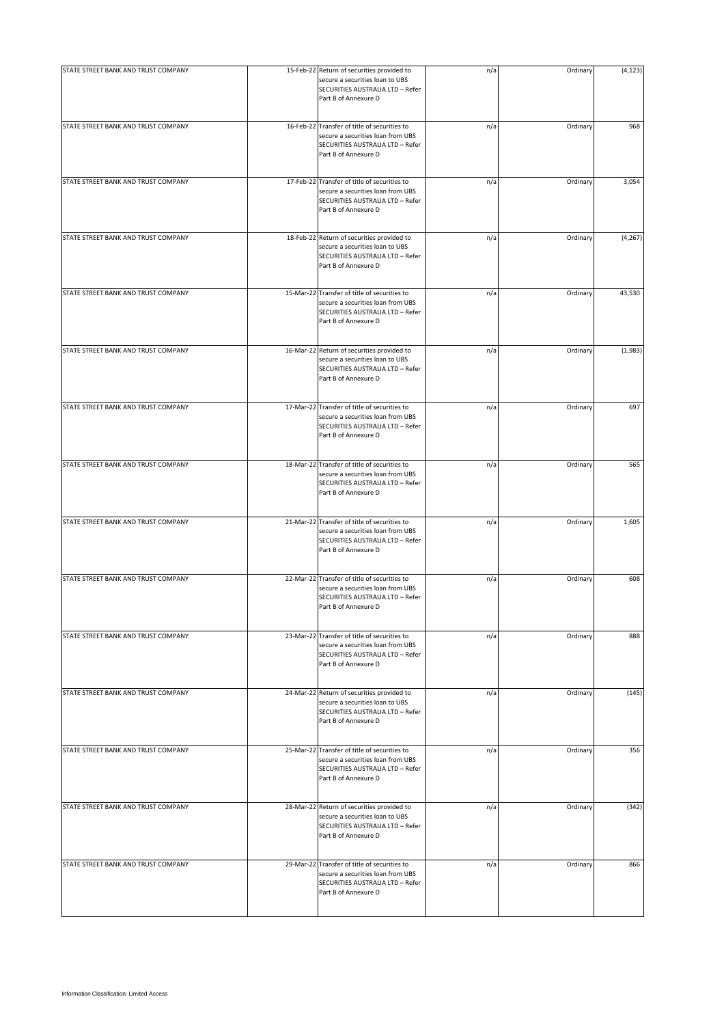| STATE STREET BANK AND TRUST COMPANY | 15-Feb-22 Return of securities provided to<br>secure a securities loan to UBS<br>SECURITIES AUSTRALIA LTD - Refer<br>Part B of Annexure D     | n/a | Ordinary | (4, 123) |
|-------------------------------------|-----------------------------------------------------------------------------------------------------------------------------------------------|-----|----------|----------|
| STATE STREET BANK AND TRUST COMPANY | 16-Feb-22 Transfer of title of securities to<br>secure a securities loan from UBS<br>SECURITIES AUSTRALIA LTD - Refer<br>Part B of Annexure D | n/a | Ordinary | 968      |
| STATE STREET BANK AND TRUST COMPANY | 17-Feb-22 Transfer of title of securities to<br>secure a securities loan from UBS<br>SECURITIES AUSTRALIA LTD - Refer<br>Part B of Annexure D | n/a | Ordinary | 3,054    |
| STATE STREET BANK AND TRUST COMPANY | 18-Feb-22 Return of securities provided to<br>secure a securities loan to UBS<br>SECURITIES AUSTRALIA LTD - Refer<br>Part B of Annexure D     | n/a | Ordinary | (4, 267) |
| STATE STREET BANK AND TRUST COMPANY | 15-Mar-22 Transfer of title of securities to<br>secure a securities loan from UBS<br>SECURITIES AUSTRALIA LTD - Refer<br>Part B of Annexure D | n/a | Ordinary | 43,530   |
| STATE STREET BANK AND TRUST COMPANY | 16-Mar-22 Return of securities provided to<br>secure a securities loan to UBS<br>SECURITIES AUSTRALIA LTD - Refer<br>Part B of Annexure D     | n/a | Ordinary | (1,983)  |
| STATE STREET BANK AND TRUST COMPANY | 17-Mar-22 Transfer of title of securities to<br>secure a securities loan from UBS<br>SECURITIES AUSTRALIA LTD - Refer<br>Part B of Annexure D | n/a | Ordinary | 697      |
| STATE STREET BANK AND TRUST COMPANY | 18-Mar-22 Transfer of title of securities to<br>secure a securities loan from UBS<br>SECURITIES AUSTRALIA LTD - Refer<br>Part B of Annexure D | n/a | Ordinary | 565      |
| STATE STREET BANK AND TRUST COMPANY | 21-Mar-22 Transfer of title of securities to<br>secure a securities loan from UBS<br>SECURITIES AUSTRALIA LTD - Refer<br>Part B of Annexure D | n/a | Ordinary | 1,605    |
| STATE STREET BANK AND TRUST COMPANY | 22-Mar-22 Transfer of title of securities to<br>secure a securities loan from UBS<br>SECURITIES AUSTRALIA LTD - Refer<br>Part B of Annexure D | n/a | Ordinary | 608      |
| STATE STREET BANK AND TRUST COMPANY | 23-Mar-22 Transfer of title of securities to<br>secure a securities loan from UBS<br>SECURITIES AUSTRALIA LTD - Refer<br>Part B of Annexure D | n/a | Ordinary | 888      |
| STATE STREET BANK AND TRUST COMPANY | 24-Mar-22 Return of securities provided to<br>secure a securities loan to UBS<br>SECURITIES AUSTRALIA LTD - Refer<br>Part B of Annexure D     | n/a | Ordinary | (145)    |
| STATE STREET BANK AND TRUST COMPANY | 25-Mar-22 Transfer of title of securities to<br>secure a securities loan from UBS<br>SECURITIES AUSTRALIA LTD - Refer<br>Part B of Annexure D | n/a | Ordinary | 356      |
| STATE STREET BANK AND TRUST COMPANY | 28-Mar-22 Return of securities provided to<br>secure a securities loan to UBS<br>SECURITIES AUSTRALIA LTD - Refer<br>Part B of Annexure D     | n/a | Ordinary | (342)    |
| STATE STREET BANK AND TRUST COMPANY | 29-Mar-22 Transfer of title of securities to<br>secure a securities loan from UBS<br>SECURITIES AUSTRALIA LTD - Refer<br>Part B of Annexure D | n/a | Ordinary | 866      |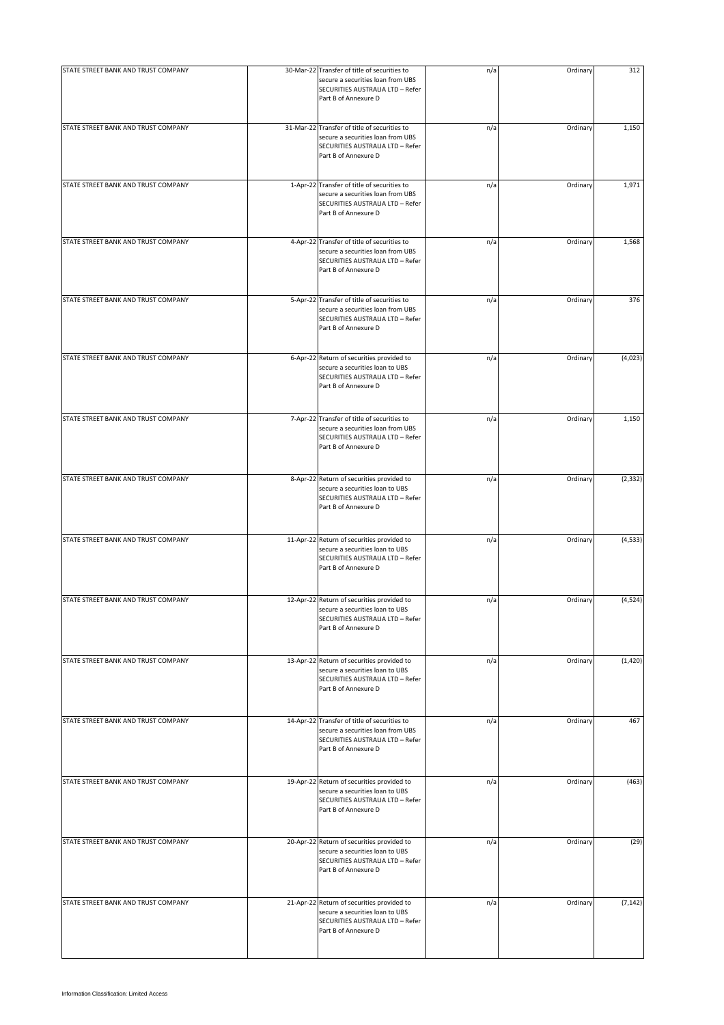| STATE STREET BANK AND TRUST COMPANY | 30-Mar-22 Transfer of title of securities to                                                                                                  | n/a | Ordinary | 312      |
|-------------------------------------|-----------------------------------------------------------------------------------------------------------------------------------------------|-----|----------|----------|
|                                     | secure a securities loan from UBS<br>SECURITIES AUSTRALIA LTD - Refer<br>Part B of Annexure D                                                 |     |          |          |
| STATE STREET BANK AND TRUST COMPANY | 31-Mar-22 Transfer of title of securities to<br>secure a securities loan from UBS<br>SECURITIES AUSTRALIA LTD - Refer<br>Part B of Annexure D | n/a | Ordinary | 1,150    |
| STATE STREET BANK AND TRUST COMPANY | 1-Apr-22 Transfer of title of securities to<br>secure a securities loan from UBS<br>SECURITIES AUSTRALIA LTD - Refer<br>Part B of Annexure D  | n/a | Ordinary | 1,971    |
| STATE STREET BANK AND TRUST COMPANY | 4-Apr-22 Transfer of title of securities to<br>secure a securities loan from UBS<br>SECURITIES AUSTRALIA LTD - Refer<br>Part B of Annexure D  | n/a | Ordinary | 1,568    |
| STATE STREET BANK AND TRUST COMPANY | 5-Apr-22 Transfer of title of securities to<br>secure a securities loan from UBS<br>SECURITIES AUSTRALIA LTD - Refer<br>Part B of Annexure D  | n/a | Ordinary | 376      |
| STATE STREET BANK AND TRUST COMPANY | 6-Apr-22 Return of securities provided to<br>secure a securities loan to UBS<br>SECURITIES AUSTRALIA LTD - Refer<br>Part B of Annexure D      | n/a | Ordinary | (4,023)  |
| STATE STREET BANK AND TRUST COMPANY | 7-Apr-22 Transfer of title of securities to<br>secure a securities loan from UBS<br>SECURITIES AUSTRALIA LTD - Refer<br>Part B of Annexure D  | n/a | Ordinary | 1,150    |
| STATE STREET BANK AND TRUST COMPANY | 8-Apr-22 Return of securities provided to<br>secure a securities loan to UBS<br>SECURITIES AUSTRALIA LTD - Refer<br>Part B of Annexure D      | n/a | Ordinary | (2, 332) |
| STATE STREET BANK AND TRUST COMPANY | 11-Apr-22 Return of securities provided to<br>secure a securities loan to UBS<br>SECURITIES AUSTRALIA LTD - Refer<br>Part B of Annexure D     | n/a | Ordinary | (4, 533) |
| STATE STREET BANK AND TRUST COMPANY | 12-Apr-22 Return of securities provided to<br>secure a securities loan to UBS<br>SECURITIES AUSTRALIA LTD - Refer<br>Part B of Annexure D     | n/a | Ordinary | (4,524)  |
| STATE STREET BANK AND TRUST COMPANY | 13-Apr-22 Return of securities provided to<br>secure a securities loan to UBS<br>SECURITIES AUSTRALIA LTD - Refer<br>Part B of Annexure D     | n/a | Ordinary | (1, 420) |
| STATE STREET BANK AND TRUST COMPANY | 14-Apr-22 Transfer of title of securities to<br>secure a securities loan from UBS<br>SECURITIES AUSTRALIA LTD - Refer<br>Part B of Annexure D | n/a | Ordinary | 467      |
| STATE STREET BANK AND TRUST COMPANY | 19-Apr-22 Return of securities provided to<br>secure a securities loan to UBS<br>SECURITIES AUSTRALIA LTD - Refer<br>Part B of Annexure D     | n/a | Ordinary | (463)    |
| STATE STREET BANK AND TRUST COMPANY | 20-Apr-22 Return of securities provided to<br>secure a securities loan to UBS<br>SECURITIES AUSTRALIA LTD - Refer<br>Part B of Annexure D     | n/a | Ordinary | (29)     |
| STATE STREET BANK AND TRUST COMPANY | 21-Apr-22 Return of securities provided to<br>secure a securities loan to UBS<br>SECURITIES AUSTRALIA LTD - Refer<br>Part B of Annexure D     | n/a | Ordinary | (7, 142) |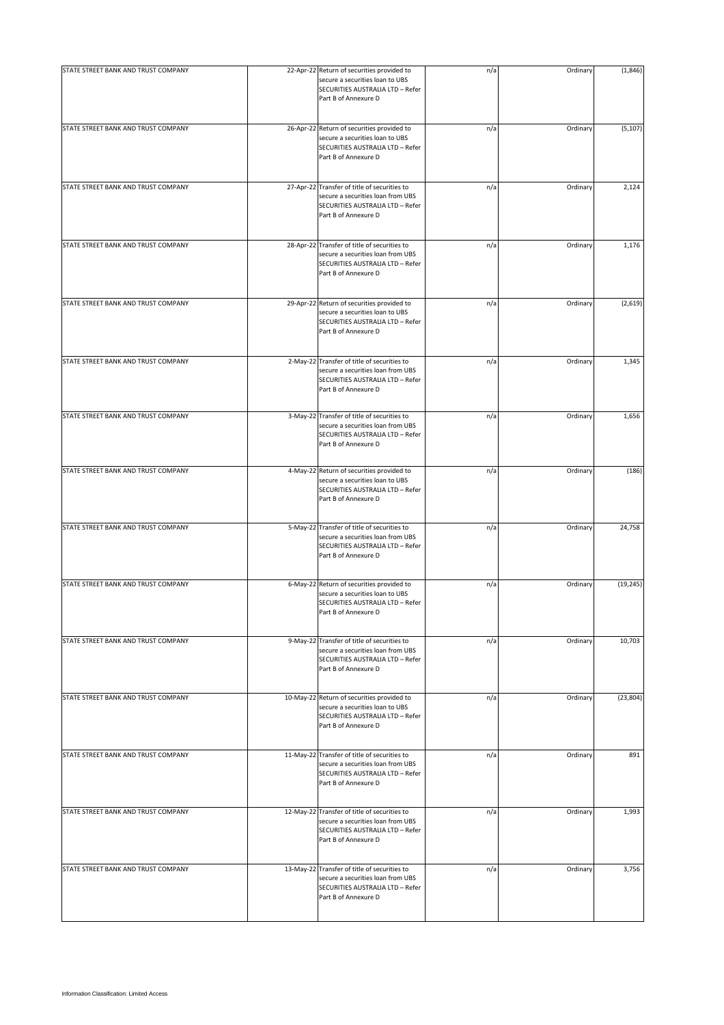| STATE STREET BANK AND TRUST COMPANY | 22-Apr-22 Return of securities provided to<br>secure a securities loan to UBS<br>SECURITIES AUSTRALIA LTD - Refer<br>Part B of Annexure D     | n/a | Ordinary | (1, 846)  |
|-------------------------------------|-----------------------------------------------------------------------------------------------------------------------------------------------|-----|----------|-----------|
| STATE STREET BANK AND TRUST COMPANY | 26-Apr-22 Return of securities provided to<br>secure a securities loan to UBS<br>SECURITIES AUSTRALIA LTD - Refer<br>Part B of Annexure D     | n/a | Ordinary | (5, 107)  |
| STATE STREET BANK AND TRUST COMPANY | 27-Apr-22 Transfer of title of securities to<br>secure a securities loan from UBS<br>SECURITIES AUSTRALIA LTD - Refer<br>Part B of Annexure D | n/a | Ordinary | 2,124     |
| STATE STREET BANK AND TRUST COMPANY | 28-Apr-22 Transfer of title of securities to<br>secure a securities loan from UBS<br>SECURITIES AUSTRALIA LTD - Refer<br>Part B of Annexure D | n/a | Ordinary | 1,176     |
| STATE STREET BANK AND TRUST COMPANY | 29-Apr-22 Return of securities provided to<br>secure a securities loan to UBS<br>SECURITIES AUSTRALIA LTD - Refer<br>Part B of Annexure D     | n/a | Ordinary | (2,619)   |
| STATE STREET BANK AND TRUST COMPANY | 2-May-22 Transfer of title of securities to<br>secure a securities loan from UBS<br>SECURITIES AUSTRALIA LTD - Refer<br>Part B of Annexure D  | n/a | Ordinary | 1,345     |
| STATE STREET BANK AND TRUST COMPANY | 3-May-22 Transfer of title of securities to<br>secure a securities loan from UBS<br>SECURITIES AUSTRALIA LTD - Refer<br>Part B of Annexure D  | n/a | Ordinary | 1,656     |
| STATE STREET BANK AND TRUST COMPANY | 4-May-22 Return of securities provided to<br>secure a securities loan to UBS<br>SECURITIES AUSTRALIA LTD - Refer<br>Part B of Annexure D      | n/a | Ordinary | (186)     |
| STATE STREET BANK AND TRUST COMPANY | 5-May-22 Transfer of title of securities to<br>secure a securities loan from UBS<br>SECURITIES AUSTRALIA LTD - Refer<br>Part B of Annexure D  | n/a | Ordinary | 24,758    |
| STATE STREET BANK AND TRUST COMPANY | 6-May-22 Return of securities provided to<br>secure a securities loan to UBS<br>SECURITIES AUSTRALIA LTD - Refer<br>Part B of Annexure D      | n/a | Ordinary | (19, 245) |
| STATE STREET BANK AND TRUST COMPANY | 9-May-22 Transfer of title of securities to<br>secure a securities loan from UBS<br>SECURITIES AUSTRALIA LTD - Refer<br>Part B of Annexure D  | n/a | Ordinary | 10,703    |
| STATE STREET BANK AND TRUST COMPANY | 10-May-22 Return of securities provided to<br>secure a securities loan to UBS<br>SECURITIES AUSTRALIA LTD - Refer<br>Part B of Annexure D     | n/a | Ordinary | (23, 804) |
| STATE STREET BANK AND TRUST COMPANY | 11-May-22 Transfer of title of securities to<br>secure a securities loan from UBS<br>SECURITIES AUSTRALIA LTD - Refer<br>Part B of Annexure D | n/a | Ordinary | 891       |
| STATE STREET BANK AND TRUST COMPANY | 12-May-22 Transfer of title of securities to<br>secure a securities loan from UBS<br>SECURITIES AUSTRALIA LTD - Refer<br>Part B of Annexure D | n/a | Ordinary | 1,993     |
| STATE STREET BANK AND TRUST COMPANY | 13-May-22 Transfer of title of securities to<br>secure a securities loan from UBS<br>SECURITIES AUSTRALIA LTD - Refer<br>Part B of Annexure D | n/a | Ordinary | 3,756     |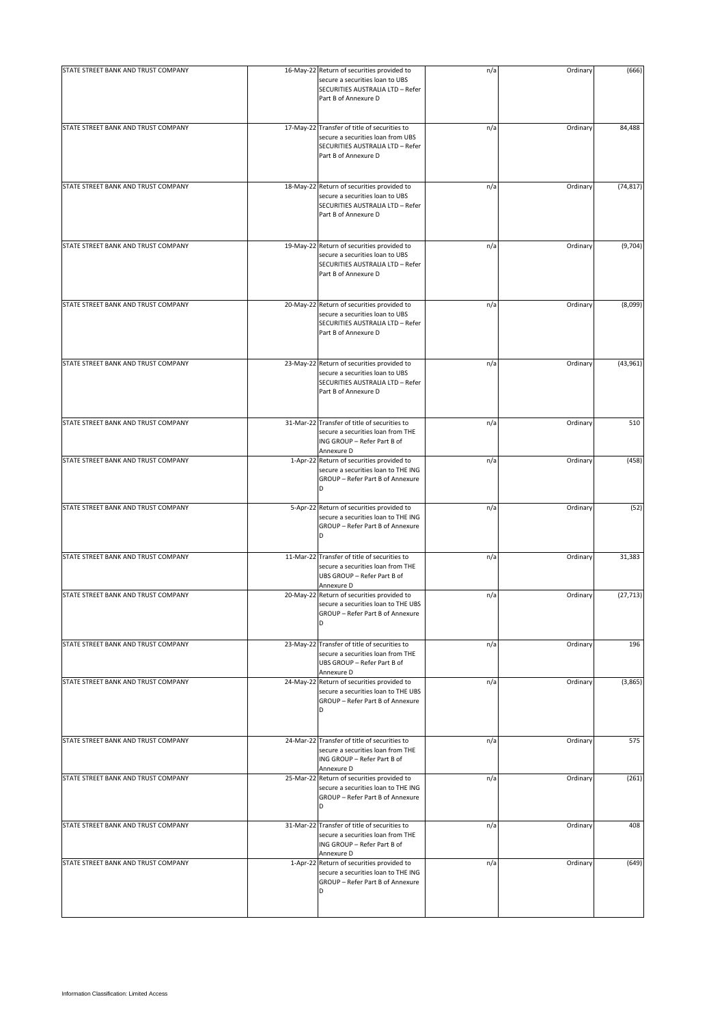| STATE STREET BANK AND TRUST COMPANY | 16-May-22 Return of securities provided to                                                                                                    | n/a | Ordinary | (666)     |
|-------------------------------------|-----------------------------------------------------------------------------------------------------------------------------------------------|-----|----------|-----------|
|                                     | secure a securities loan to UBS<br>SECURITIES AUSTRALIA LTD - Refer<br>Part B of Annexure D                                                   |     |          |           |
| STATE STREET BANK AND TRUST COMPANY | 17-May-22 Transfer of title of securities to<br>secure a securities loan from UBS<br>SECURITIES AUSTRALIA LTD - Refer<br>Part B of Annexure D | n/a | Ordinary | 84,488    |
| STATE STREET BANK AND TRUST COMPANY | 18-May-22 Return of securities provided to<br>secure a securities loan to UBS<br>SECURITIES AUSTRALIA LTD - Refer<br>Part B of Annexure D     | n/a | Ordinary | (74, 817) |
| STATE STREET BANK AND TRUST COMPANY | 19-May-22 Return of securities provided to<br>secure a securities loan to UBS<br>SECURITIES AUSTRALIA LTD - Refer<br>Part B of Annexure D     | n/a | Ordinary | (9,704)   |
| STATE STREET BANK AND TRUST COMPANY | 20-May-22 Return of securities provided to<br>secure a securities loan to UBS<br>SECURITIES AUSTRALIA LTD - Refer<br>Part B of Annexure D     | n/a | Ordinary | (8,099)   |
| STATE STREET BANK AND TRUST COMPANY | 23-May-22 Return of securities provided to<br>secure a securities loan to UBS<br>SECURITIES AUSTRALIA LTD - Refer<br>Part B of Annexure D     | n/a | Ordinary | (43, 961) |
| STATE STREET BANK AND TRUST COMPANY | 31-Mar-22 Transfer of title of securities to<br>secure a securities loan from THE<br>ING GROUP - Refer Part B of<br>Annexure D                | n/a | Ordinary | 510       |
| STATE STREET BANK AND TRUST COMPANY | 1-Apr-22 Return of securities provided to<br>secure a securities loan to THE ING<br>GROUP - Refer Part B of Annexure<br>D                     | n/a | Ordinary | (458)     |
| STATE STREET BANK AND TRUST COMPANY | 5-Apr-22 Return of securities provided to<br>secure a securities loan to THE ING<br>GROUP - Refer Part B of Annexure<br>D                     | n/a | Ordinary | (52)      |
| STATE STREET BANK AND TRUST COMPANY | 11-Mar-22 Transfer of title of securities to<br>secure a securities loan from THE<br>UBS GROUP - Refer Part B of<br>Annexure D                | n/a | Ordinary | 31,383    |
| STATE STREET BANK AND TRUST COMPANY | 20-May-22 Return of securities provided to<br>secure a securities loan to THE UBS<br>GROUP – Refer Part B of Annexure<br>D                    | n/a | Ordinary | (27, 713) |
| STATE STREET BANK AND TRUST COMPANY | 23-May-22 Transfer of title of securities to<br>secure a securities loan from THE<br>UBS GROUP - Refer Part B of<br>Annexure D                | n/a | Ordinary | 196       |
| STATE STREET BANK AND TRUST COMPANY | 24-May-22 Return of securities provided to<br>secure a securities loan to THE UBS<br>GROUP - Refer Part B of Annexure<br>D                    | n/a | Ordinary | (3,865)   |
| STATE STREET BANK AND TRUST COMPANY | 24-Mar-22 Transfer of title of securities to<br>secure a securities loan from THE<br>ING GROUP - Refer Part B of<br>Annexure D                | n/a | Ordinary | 575       |
| STATE STREET BANK AND TRUST COMPANY | 25-Mar-22 Return of securities provided to<br>secure a securities loan to THE ING<br>GROUP - Refer Part B of Annexure<br>D                    | n/a | Ordinary | (261)     |
| STATE STREET BANK AND TRUST COMPANY | 31-Mar-22 Transfer of title of securities to<br>secure a securities loan from THE<br>ING GROUP - Refer Part B of<br>Annexure D                | n/a | Ordinary | 408       |
| STATE STREET BANK AND TRUST COMPANY | 1-Apr-22 Return of securities provided to<br>secure a securities loan to THE ING<br>GROUP - Refer Part B of Annexure<br>D                     | n/a | Ordinary | (649)     |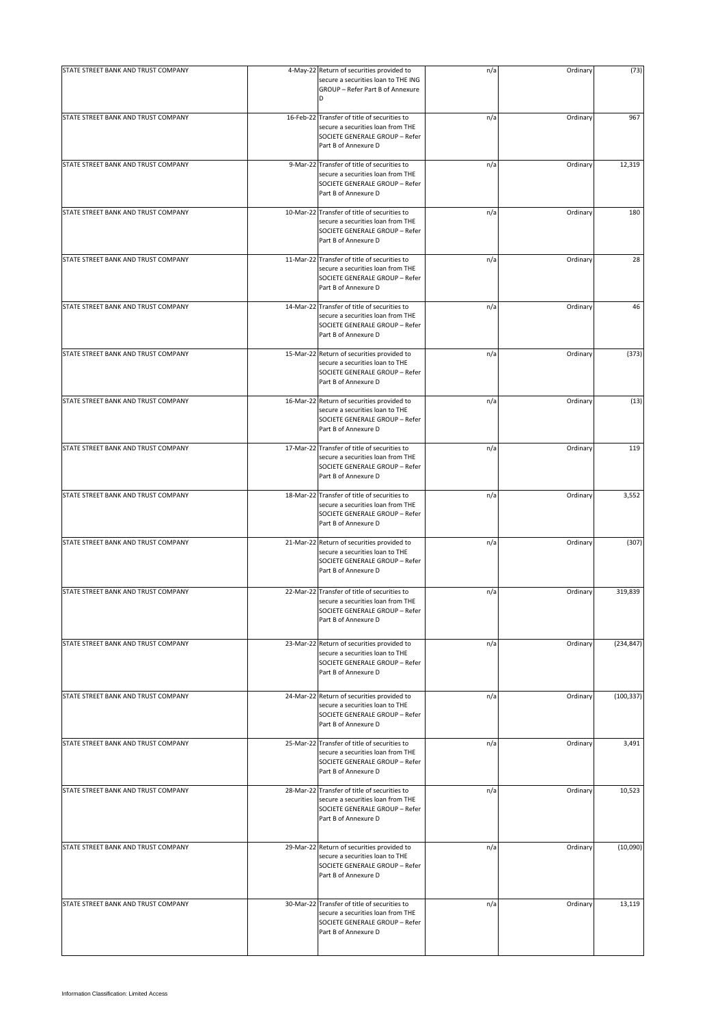| STATE STREET BANK AND TRUST COMPANY | 4-May-22 Return of securities provided to<br>secure a securities loan to THE ING                                                            | n/a | Ordinary | (73)       |
|-------------------------------------|---------------------------------------------------------------------------------------------------------------------------------------------|-----|----------|------------|
|                                     | GROUP - Refer Part B of Annexure<br>D                                                                                                       |     |          |            |
| STATE STREET BANK AND TRUST COMPANY | 16-Feb-22 Transfer of title of securities to<br>secure a securities loan from THE<br>SOCIETE GENERALE GROUP - Refer<br>Part B of Annexure D | n/a | Ordinary | 967        |
| STATE STREET BANK AND TRUST COMPANY | 9-Mar-22 Transfer of title of securities to<br>secure a securities loan from THE<br>SOCIETE GENERALE GROUP - Refer<br>Part B of Annexure D  | n/a | Ordinary | 12,319     |
| STATE STREET BANK AND TRUST COMPANY | 10-Mar-22 Transfer of title of securities to<br>secure a securities loan from THE<br>SOCIETE GENERALE GROUP - Refer<br>Part B of Annexure D | n/a | Ordinary | 180        |
| STATE STREET BANK AND TRUST COMPANY | 11-Mar-22 Transfer of title of securities to<br>secure a securities loan from THE<br>SOCIETE GENERALE GROUP - Refer<br>Part B of Annexure D | n/a | Ordinary | 28         |
| STATE STREET BANK AND TRUST COMPANY | 14-Mar-22 Transfer of title of securities to<br>secure a securities loan from THE<br>SOCIETE GENERALE GROUP - Refer<br>Part B of Annexure D | n/a | Ordinary | 46         |
| STATE STREET BANK AND TRUST COMPANY | 15-Mar-22 Return of securities provided to<br>secure a securities loan to THE<br>SOCIETE GENERALE GROUP - Refer<br>Part B of Annexure D     | n/a | Ordinary | (373)      |
| STATE STREET BANK AND TRUST COMPANY | 16-Mar-22 Return of securities provided to<br>secure a securities loan to THE<br>SOCIETE GENERALE GROUP - Refer<br>Part B of Annexure D     | n/a | Ordinary | (13)       |
| STATE STREET BANK AND TRUST COMPANY | 17-Mar-22 Transfer of title of securities to<br>secure a securities loan from THE<br>SOCIETE GENERALE GROUP - Refer<br>Part B of Annexure D | n/a | Ordinary | 119        |
| STATE STREET BANK AND TRUST COMPANY | 18-Mar-22 Transfer of title of securities to<br>secure a securities loan from THE<br>SOCIETE GENERALE GROUP - Refer<br>Part B of Annexure D | n/a | Ordinary | 3,552      |
| STATE STREET BANK AND TRUST COMPANY | 21-Mar-22 Return of securities provided to<br>secure a securities loan to THE<br>SOCIETE GENERALE GROUP - Refer<br>Part B of Annexure D     | n/a | Ordinary | (307)      |
| STATE STREET BANK AND TRUST COMPANY | 22-Mar-22 Transfer of title of securities to<br>secure a securities loan from THE<br>SOCIETE GENERALE GROUP - Refer<br>Part B of Annexure D | n/a | Ordinary | 319,839    |
| STATE STREET BANK AND TRUST COMPANY | 23-Mar-22 Return of securities provided to<br>secure a securities loan to THE<br>SOCIETE GENERALE GROUP - Refer<br>Part B of Annexure D     | n/a | Ordinary | (234, 847) |
| STATE STREET BANK AND TRUST COMPANY | 24-Mar-22 Return of securities provided to<br>secure a securities loan to THE<br>SOCIETE GENERALE GROUP - Refer<br>Part B of Annexure D     | n/a | Ordinary | (100, 337) |
| STATE STREET BANK AND TRUST COMPANY | 25-Mar-22 Transfer of title of securities to<br>secure a securities loan from THE<br>SOCIETE GENERALE GROUP - Refer<br>Part B of Annexure D | n/a | Ordinary | 3,491      |
| STATE STREET BANK AND TRUST COMPANY | 28-Mar-22 Transfer of title of securities to<br>secure a securities loan from THE<br>SOCIETE GENERALE GROUP - Refer<br>Part B of Annexure D | n/a | Ordinary | 10,523     |
| STATE STREET BANK AND TRUST COMPANY | 29-Mar-22 Return of securities provided to<br>secure a securities loan to THE<br>SOCIETE GENERALE GROUP - Refer<br>Part B of Annexure D     | n/a | Ordinary | (10,090)   |
| STATE STREET BANK AND TRUST COMPANY | 30-Mar-22 Transfer of title of securities to<br>secure a securities loan from THE<br>SOCIETE GENERALE GROUP - Refer<br>Part B of Annexure D | n/a | Ordinary | 13,119     |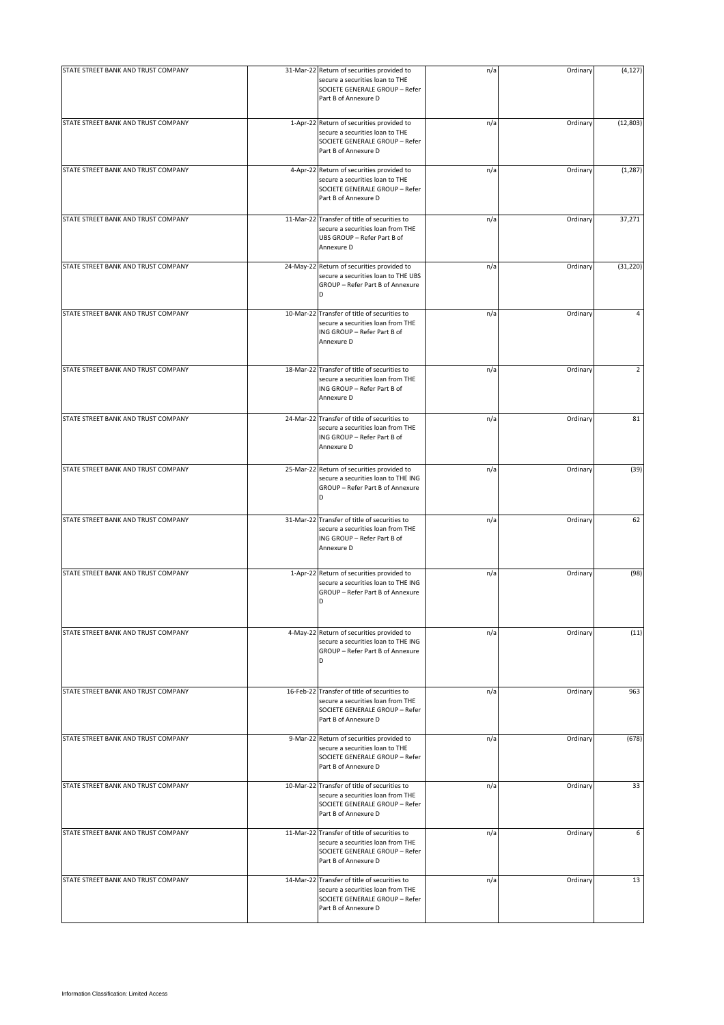| STATE STREET BANK AND TRUST COMPANY |           | 31-Mar-22 Return of securities provided to<br>secure a securities loan to THE<br>SOCIETE GENERALE GROUP - Refer<br>Part B of Annexure D     | n/a | Ordinary | (4, 127)  |
|-------------------------------------|-----------|---------------------------------------------------------------------------------------------------------------------------------------------|-----|----------|-----------|
| STATE STREET BANK AND TRUST COMPANY |           | 1-Apr-22 Return of securities provided to<br>secure a securities loan to THE<br>SOCIETE GENERALE GROUP - Refer<br>Part B of Annexure D      | n/a | Ordinary | (12, 803) |
| STATE STREET BANK AND TRUST COMPANY |           | 4-Apr-22 Return of securities provided to<br>secure a securities loan to THE<br>SOCIETE GENERALE GROUP - Refer<br>Part B of Annexure D      | n/a | Ordinary | (1, 287)  |
| STATE STREET BANK AND TRUST COMPANY |           | 11-Mar-22 Transfer of title of securities to<br>secure a securities loan from THE<br>UBS GROUP - Refer Part B of<br>Annexure D              | n/a | Ordinary | 37,271    |
| STATE STREET BANK AND TRUST COMPANY |           | 24-May-22 Return of securities provided to<br>secure a securities loan to THE UBS<br>GROUP - Refer Part B of Annexure<br>D                  | n/a | Ordinary | (31, 220) |
| STATE STREET BANK AND TRUST COMPANY | 10-Mar-22 | 2 Transfer of title of securities to<br>secure a securities loan from THE<br>ING GROUP - Refer Part B of<br>Annexure D                      | n/a | Ordinary | 4         |
| STATE STREET BANK AND TRUST COMPANY |           | 18-Mar-22 Transfer of title of securities to<br>secure a securities loan from THE<br>ING GROUP - Refer Part B of<br>Annexure D              | n/a | Ordinary | 2         |
| STATE STREET BANK AND TRUST COMPANY |           | 24-Mar-22 Transfer of title of securities to<br>secure a securities loan from THE<br>ING GROUP - Refer Part B of<br>Annexure D              | n/a | Ordinary | 81        |
| STATE STREET BANK AND TRUST COMPANY |           | 25-Mar-22 Return of securities provided to<br>secure a securities loan to THE ING<br>GROUP - Refer Part B of Annexure<br>D                  | n/a | Ordinary | (39)      |
| STATE STREET BANK AND TRUST COMPANY |           | 31-Mar-22 Transfer of title of securities to<br>secure a securities loan from THE<br>ING GROUP - Refer Part B of<br>Annexure D              | n/a | Ordinary | 62        |
| STATE STREET BANK AND TRUST COMPANY |           | 1-Apr-22 Return of securities provided to<br>secure a securities loan to THE ING<br>GROUP - Refer Part B of Annexure<br>D                   | n/a | Ordinary | (98)      |
| STATE STREET BANK AND TRUST COMPANY |           | 4-May-22 Return of securities provided to<br>secure a securities loan to THE ING<br>GROUP - Refer Part B of Annexure<br><sub>D</sub>        | n/a | Ordinary | (11)      |
| STATE STREET BANK AND TRUST COMPANY |           | 16-Feb-22 Transfer of title of securities to<br>secure a securities loan from THE<br>SOCIETE GENERALE GROUP - Refer<br>Part B of Annexure D | n/a | Ordinary | 963       |
| STATE STREET BANK AND TRUST COMPANY |           | 9-Mar-22 Return of securities provided to<br>secure a securities loan to THE<br>SOCIETE GENERALE GROUP - Refer<br>Part B of Annexure D      | n/a | Ordinary | (678)     |
| STATE STREET BANK AND TRUST COMPANY |           | 10-Mar-22 Transfer of title of securities to<br>secure a securities loan from THE<br>SOCIETE GENERALE GROUP - Refer<br>Part B of Annexure D | n/a | Ordinary | 33        |
| STATE STREET BANK AND TRUST COMPANY |           | 11-Mar-22 Transfer of title of securities to<br>secure a securities loan from THE<br>SOCIETE GENERALE GROUP - Refer<br>Part B of Annexure D | n/a | Ordinary | 6         |
| STATE STREET BANK AND TRUST COMPANY |           | 14-Mar-22 Transfer of title of securities to<br>secure a securities loan from THE<br>SOCIETE GENERALE GROUP - Refer<br>Part B of Annexure D | n/a | Ordinary | 13        |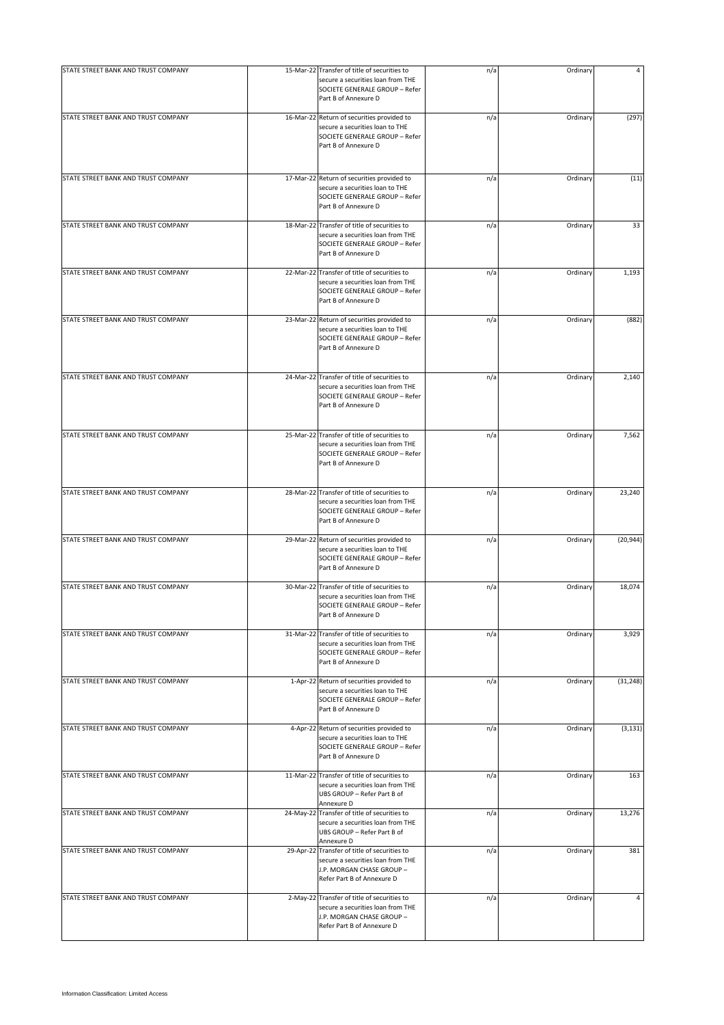| STATE STREET BANK AND TRUST COMPANY | 15-Mar-22 Transfer of title of securities to                                                                                                 | n/a | Ordinary |           |
|-------------------------------------|----------------------------------------------------------------------------------------------------------------------------------------------|-----|----------|-----------|
|                                     | secure a securities loan from THE<br>SOCIETE GENERALE GROUP - Refer<br>Part B of Annexure D                                                  |     |          |           |
| STATE STREET BANK AND TRUST COMPANY | 16-Mar-22 Return of securities provided to<br>secure a securities loan to THE<br>SOCIETE GENERALE GROUP - Refer<br>Part B of Annexure D      | n/a | Ordinary | (297)     |
| STATE STREET BANK AND TRUST COMPANY | 17-Mar-22 Return of securities provided to<br>secure a securities loan to THE<br>SOCIETE GENERALE GROUP - Refer<br>Part B of Annexure D      | n/a | Ordinary | (11)      |
| STATE STREET BANK AND TRUST COMPANY | 18-Mar-22 Transfer of title of securities to<br>secure a securities loan from THE<br>SOCIETE GENERALE GROUP - Refer<br>Part B of Annexure D  | n/a | Ordinary | 33        |
| STATE STREET BANK AND TRUST COMPANY | 22-Mar-22 Transfer of title of securities to<br>secure a securities loan from THE<br>SOCIETE GENERALE GROUP - Refer<br>Part B of Annexure D  | n/a | Ordinary | 1,193     |
| STATE STREET BANK AND TRUST COMPANY | 23-Mar-22 Return of securities provided to<br>secure a securities loan to THE<br>SOCIETE GENERALE GROUP - Refer<br>Part B of Annexure D      | n/a | Ordinary | (882)     |
| STATE STREET BANK AND TRUST COMPANY | 24-Mar-22 Transfer of title of securities to<br>secure a securities loan from THE<br>SOCIETE GENERALE GROUP - Refer<br>Part B of Annexure D  | n/a | Ordinary | 2,140     |
| STATE STREET BANK AND TRUST COMPANY | 25-Mar-22 Transfer of title of securities to<br>secure a securities loan from THE<br>SOCIETE GENERALE GROUP - Refer<br>Part B of Annexure D  | n/a | Ordinary | 7,562     |
| STATE STREET BANK AND TRUST COMPANY | 28-Mar-22 Transfer of title of securities to<br>secure a securities loan from THE<br>SOCIETE GENERALE GROUP - Refer<br>Part B of Annexure D  | n/a | Ordinary | 23,240    |
| STATE STREET BANK AND TRUST COMPANY | 29-Mar-22 Return of securities provided to<br>secure a securities loan to THE<br>SOCIETE GENERALE GROUP - Refer<br>Part B of Annexure D      | n/a | Ordinary | (20, 944) |
| STATE STREET BANK AND TRUST COMPANY | 30-Mar-22 Transfer of title of securities to<br>secure a securities loan from THE<br>SOCIETE GENERALE GROUP - Refer<br>Part B of Annexure D  | n/a | Ordinary | 18,074    |
| STATE STREET BANK AND TRUST COMPANY | 31-Mar-22 Transfer of title of securities to<br>secure a securities loan from THE<br>SOCIETE GENERALE GROUP - Refer<br>Part B of Annexure D  | n/a | Ordinary | 3,929     |
| STATE STREET BANK AND TRUST COMPANY | 1-Apr-22 Return of securities provided to<br>secure a securities loan to THE<br>SOCIETE GENERALE GROUP - Refer<br>Part B of Annexure D       | n/a | Ordinary | (31, 248) |
| STATE STREET BANK AND TRUST COMPANY | 4-Apr-22 Return of securities provided to<br>secure a securities loan to THE<br>SOCIETE GENERALE GROUP - Refer<br>Part B of Annexure D       | n/a | Ordinary | (3, 131)  |
| STATE STREET BANK AND TRUST COMPANY | 11-Mar-22 Transfer of title of securities to<br>secure a securities loan from THE<br>UBS GROUP - Refer Part B of<br>Annexure D               | n/a | Ordinary | 163       |
| STATE STREET BANK AND TRUST COMPANY | 24-May-22 Transfer of title of securities to<br>secure a securities loan from THE<br>UBS GROUP - Refer Part B of<br>Annexure D               | n/a | Ordinary | 13,276    |
| STATE STREET BANK AND TRUST COMPANY | 29-Apr-22 Transfer of title of securities to<br>secure a securities loan from THE<br>J.P. MORGAN CHASE GROUP -<br>Refer Part B of Annexure D | n/a | Ordinary | 381       |
| STATE STREET BANK AND TRUST COMPANY | 2-May-22 Transfer of title of securities to<br>secure a securities loan from THE<br>J.P. MORGAN CHASE GROUP -<br>Refer Part B of Annexure D  | n/a | Ordinary | 4         |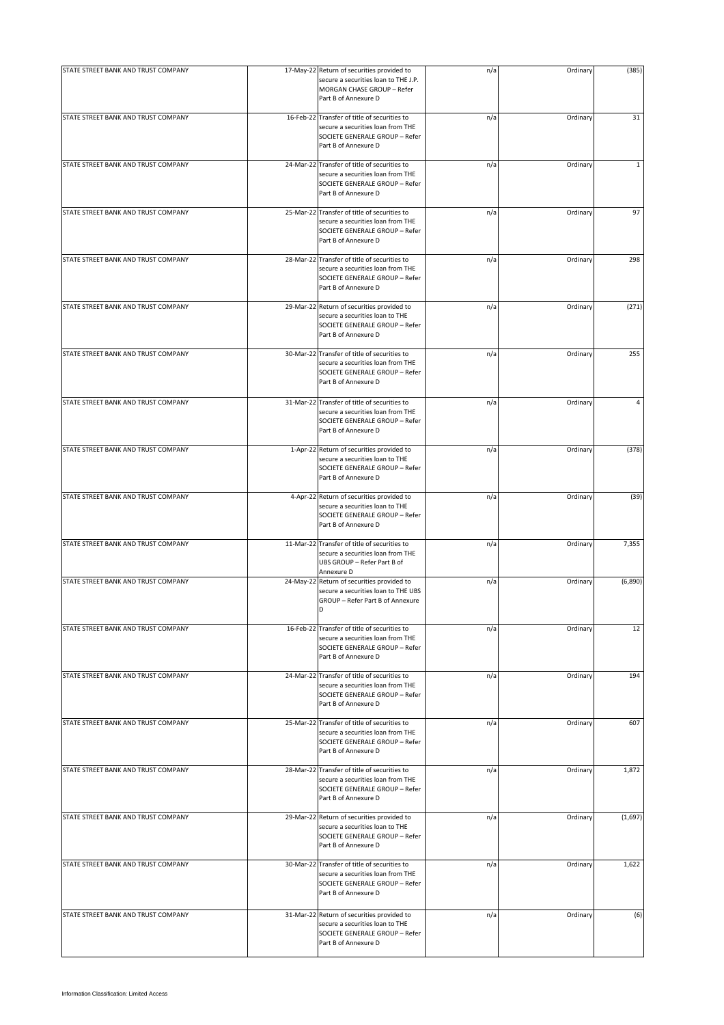| STATE STREET BANK AND TRUST COMPANY | 17-May-22 Return of securities provided to<br>secure a securities loan to THE J.P.<br>MORGAN CHASE GROUP - Refer<br>Part B of Annexure D    | n/a | Ordinary | (385)        |
|-------------------------------------|---------------------------------------------------------------------------------------------------------------------------------------------|-----|----------|--------------|
| STATE STREET BANK AND TRUST COMPANY | 16-Feb-22 Transfer of title of securities to<br>secure a securities loan from THE<br>SOCIETE GENERALE GROUP - Refer<br>Part B of Annexure D | n/a | Ordinary | 31           |
| STATE STREET BANK AND TRUST COMPANY | 24-Mar-22 Transfer of title of securities to<br>secure a securities loan from THE<br>SOCIETE GENERALE GROUP - Refer<br>Part B of Annexure D | n/a | Ordinary | $\mathbf{1}$ |
| STATE STREET BANK AND TRUST COMPANY | 25-Mar-22 Transfer of title of securities to<br>secure a securities loan from THE<br>SOCIETE GENERALE GROUP - Refer<br>Part B of Annexure D | n/a | Ordinary | 97           |
| STATE STREET BANK AND TRUST COMPANY | 28-Mar-22 Transfer of title of securities to<br>secure a securities loan from THE<br>SOCIETE GENERALE GROUP - Refer<br>Part B of Annexure D | n/a | Ordinary | 298          |
| STATE STREET BANK AND TRUST COMPANY | 29-Mar-22 Return of securities provided to<br>secure a securities loan to THE<br>SOCIETE GENERALE GROUP - Refer<br>Part B of Annexure D     | n/a | Ordinary | (271)        |
| STATE STREET BANK AND TRUST COMPANY | 30-Mar-22 Transfer of title of securities to<br>secure a securities loan from THE<br>SOCIETE GENERALE GROUP - Refer<br>Part B of Annexure D | n/a | Ordinary | 255          |
| STATE STREET BANK AND TRUST COMPANY | 31-Mar-22 Transfer of title of securities to<br>secure a securities loan from THE<br>SOCIETE GENERALE GROUP - Refer<br>Part B of Annexure D | n/a | Ordinary | 4            |
| STATE STREET BANK AND TRUST COMPANY | 1-Apr-22 Return of securities provided to<br>secure a securities loan to THE<br>SOCIETE GENERALE GROUP - Refer<br>Part B of Annexure D      | n/a | Ordinary | (378)        |
| STATE STREET BANK AND TRUST COMPANY | 4-Apr-22 Return of securities provided to<br>secure a securities loan to THE<br>SOCIETE GENERALE GROUP - Refer<br>Part B of Annexure D      | n/a | Ordinary | (39)         |
| STATE STREET BANK AND TRUST COMPANY | 11-Mar-22 Transfer of title of securities to<br>secure a securities loan from THE<br>UBS GROUP - Refer Part B of<br>Annexure D              | n/a | Ordinary | 7,355        |
| STATE STREET BANK AND TRUST COMPANY | 24-May-22 Return of securities provided to<br>secure a securities loan to THE UBS<br>GROUP - Refer Part B of Annexure                       | n/a | Ordinary | (6,890)      |
| STATE STREET BANK AND TRUST COMPANY | 16-Feb-22 Transfer of title of securities to<br>secure a securities loan from THE<br>SOCIETE GENERALE GROUP - Refer<br>Part B of Annexure D | n/a | Ordinary | 12           |
| STATE STREET BANK AND TRUST COMPANY | 24-Mar-22 Transfer of title of securities to<br>secure a securities loan from THE<br>SOCIETE GENERALE GROUP - Refer<br>Part B of Annexure D | n/a | Ordinary | 194          |
| STATE STREET BANK AND TRUST COMPANY | 25-Mar-22 Transfer of title of securities to<br>secure a securities loan from THE<br>SOCIETE GENERALE GROUP - Refer<br>Part B of Annexure D | n/a | Ordinary | 607          |
| STATE STREET BANK AND TRUST COMPANY | 28-Mar-22 Transfer of title of securities to<br>secure a securities loan from THE<br>SOCIETE GENERALE GROUP - Refer<br>Part B of Annexure D | n/a | Ordinary | 1,872        |
| STATE STREET BANK AND TRUST COMPANY | 29-Mar-22 Return of securities provided to<br>secure a securities loan to THE<br>SOCIETE GENERALE GROUP - Refer<br>Part B of Annexure D     | n/a | Ordinary | (1,697)      |
| STATE STREET BANK AND TRUST COMPANY | 30-Mar-22 Transfer of title of securities to<br>secure a securities loan from THE<br>SOCIETE GENERALE GROUP - Refer<br>Part B of Annexure D | n/a | Ordinary | 1,622        |
| STATE STREET BANK AND TRUST COMPANY | 31-Mar-22 Return of securities provided to<br>secure a securities loan to THE<br>SOCIETE GENERALE GROUP - Refer<br>Part B of Annexure D     | n/a | Ordinary | (6)          |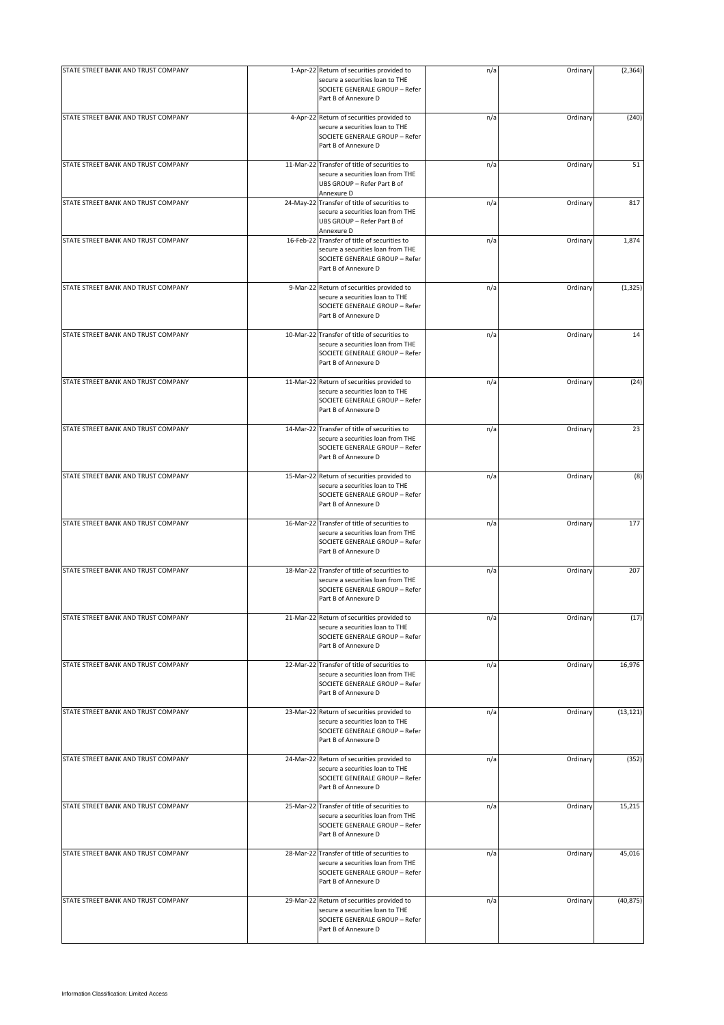| STATE STREET BANK AND TRUST COMPANY | 1-Apr-22 Return of securities provided to                                                                                                   | n/a | Ordinary | (2, 364)  |
|-------------------------------------|---------------------------------------------------------------------------------------------------------------------------------------------|-----|----------|-----------|
|                                     | secure a securities loan to THE<br>SOCIETE GENERALE GROUP - Refer<br>Part B of Annexure D                                                   |     |          |           |
| STATE STREET BANK AND TRUST COMPANY | 4-Apr-22 Return of securities provided to<br>secure a securities loan to THE<br>SOCIETE GENERALE GROUP - Refer<br>Part B of Annexure D      | n/a | Ordinary | (240)     |
| STATE STREET BANK AND TRUST COMPANY | 11-Mar-22 Transfer of title of securities to<br>secure a securities loan from THE<br>UBS GROUP - Refer Part B of<br>Annexure D              | n/a | Ordinary | 51        |
| STATE STREET BANK AND TRUST COMPANY | 24-May-22 Transfer of title of securities to<br>secure a securities loan from THE<br>UBS GROUP - Refer Part B of<br>Annexure D              | n/a | Ordinary | 817       |
| STATE STREET BANK AND TRUST COMPANY | 16-Feb-22 Transfer of title of securities to<br>secure a securities loan from THE<br>SOCIETE GENERALE GROUP - Refer<br>Part B of Annexure D | n/a | Ordinary | 1,874     |
| STATE STREET BANK AND TRUST COMPANY | 9-Mar-22 Return of securities provided to<br>secure a securities loan to THE<br>SOCIETE GENERALE GROUP - Refer<br>Part B of Annexure D      | n/a | Ordinary | (1, 325)  |
| STATE STREET BANK AND TRUST COMPANY | 10-Mar-22 Transfer of title of securities to<br>secure a securities loan from THE<br>SOCIETE GENERALE GROUP - Refer<br>Part B of Annexure D | n/a | Ordinary | 14        |
| STATE STREET BANK AND TRUST COMPANY | 11-Mar-22 Return of securities provided to<br>secure a securities loan to THE<br>SOCIETE GENERALE GROUP - Refer<br>Part B of Annexure D     | n/a | Ordinary | (24)      |
| STATE STREET BANK AND TRUST COMPANY | 14-Mar-22 Transfer of title of securities to<br>secure a securities loan from THE<br>SOCIETE GENERALE GROUP - Refer<br>Part B of Annexure D | n/a | Ordinary | 23        |
| STATE STREET BANK AND TRUST COMPANY | 15-Mar-22 Return of securities provided to<br>secure a securities loan to THE<br>SOCIETE GENERALE GROUP - Refer<br>Part B of Annexure D     | n/a | Ordinary | (8)       |
| STATE STREET BANK AND TRUST COMPANY | 16-Mar-22 Transfer of title of securities to<br>secure a securities loan from THE<br>SOCIETE GENERALE GROUP - Refer<br>Part B of Annexure D | n/a | Ordinary | 177       |
| STATE STREET BANK AND TRUST COMPANY | 18-Mar-22 Transfer of title of securities to<br>secure a securities loan from THE<br>SOCIETE GENERALE GROUP - Refer<br>Part B of Annexure D | n/a | Ordinary | 207       |
| STATE STREET BANK AND TRUST COMPANY | 21-Mar-22 Return of securities provided to<br>secure a securities loan to THE<br>SOCIETE GENERALE GROUP - Refer<br>Part B of Annexure D     | n/a | Ordinary | (17)      |
| STATE STREET BANK AND TRUST COMPANY | 22-Mar-22 Transfer of title of securities to<br>secure a securities loan from THE<br>SOCIETE GENERALE GROUP - Refer<br>Part B of Annexure D | n/a | Ordinary | 16,976    |
| STATE STREET BANK AND TRUST COMPANY | 23-Mar-22 Return of securities provided to<br>secure a securities loan to THE<br>SOCIETE GENERALE GROUP - Refer<br>Part B of Annexure D     | n/a | Ordinary | (13, 121) |
| STATE STREET BANK AND TRUST COMPANY | 24-Mar-22 Return of securities provided to<br>secure a securities loan to THE<br>SOCIETE GENERALE GROUP - Refer<br>Part B of Annexure D     | n/a | Ordinary | (352)     |
| STATE STREET BANK AND TRUST COMPANY | 25-Mar-22 Transfer of title of securities to<br>secure a securities loan from THE<br>SOCIETE GENERALE GROUP - Refer<br>Part B of Annexure D | n/a | Ordinary | 15,215    |
| STATE STREET BANK AND TRUST COMPANY | 28-Mar-22 Transfer of title of securities to<br>secure a securities loan from THE<br>SOCIETE GENERALE GROUP - Refer<br>Part B of Annexure D | n/a | Ordinary | 45,016    |
| STATE STREET BANK AND TRUST COMPANY | 29-Mar-22 Return of securities provided to<br>secure a securities loan to THE<br>SOCIETE GENERALE GROUP - Refer<br>Part B of Annexure D     | n/a | Ordinary | (40, 875) |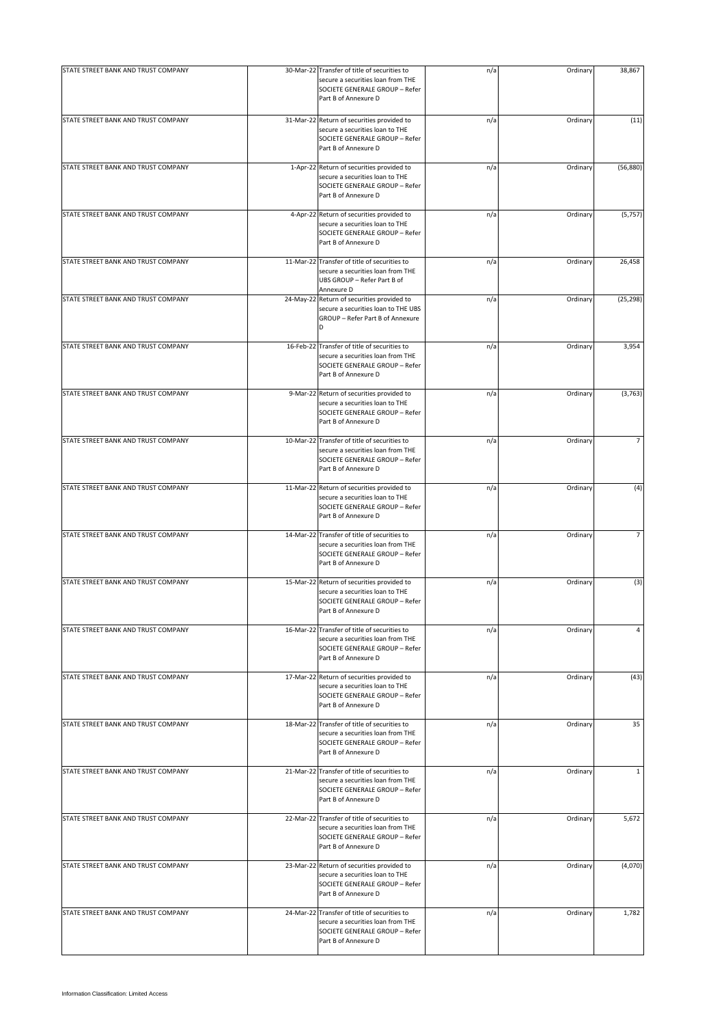| STATE STREET BANK AND TRUST COMPANY | 30-Mar-22 Transfer of title of securities to                                                                                                | n/a | Ordinary | 38,867       |
|-------------------------------------|---------------------------------------------------------------------------------------------------------------------------------------------|-----|----------|--------------|
|                                     | secure a securities loan from THE<br>SOCIETE GENERALE GROUP - Refer<br>Part B of Annexure D                                                 |     |          |              |
| STATE STREET BANK AND TRUST COMPANY | 31-Mar-22 Return of securities provided to<br>secure a securities loan to THE<br>SOCIETE GENERALE GROUP - Refer<br>Part B of Annexure D     | n/a | Ordinary | (11)         |
| STATE STREET BANK AND TRUST COMPANY | 1-Apr-22 Return of securities provided to<br>secure a securities loan to THE<br>SOCIETE GENERALE GROUP - Refer<br>Part B of Annexure D      | n/a | Ordinary | (56, 880)    |
| STATE STREET BANK AND TRUST COMPANY | 4-Apr-22 Return of securities provided to<br>secure a securities loan to THE<br>SOCIETE GENERALE GROUP - Refer<br>Part B of Annexure D      | n/a | Ordinary | (5, 757)     |
| STATE STREET BANK AND TRUST COMPANY | 11-Mar-22 Transfer of title of securities to<br>secure a securities loan from THE<br>UBS GROUP - Refer Part B of<br>Annexure D              | n/a | Ordinary | 26,458       |
| STATE STREET BANK AND TRUST COMPANY | 24-May-22 Return of securities provided to<br>secure a securities loan to THE UBS<br>GROUP - Refer Part B of Annexure<br>D                  | n/a | Ordinary | (25, 298)    |
| STATE STREET BANK AND TRUST COMPANY | 16-Feb-22 Transfer of title of securities to<br>secure a securities loan from THE<br>SOCIETE GENERALE GROUP - Refer<br>Part B of Annexure D | n/a | Ordinary | 3,954        |
| STATE STREET BANK AND TRUST COMPANY | 9-Mar-22 Return of securities provided to<br>secure a securities loan to THE<br>SOCIETE GENERALE GROUP - Refer<br>Part B of Annexure D      | n/a | Ordinary | (3, 763)     |
| STATE STREET BANK AND TRUST COMPANY | 10-Mar-22 Transfer of title of securities to<br>secure a securities loan from THE<br>SOCIETE GENERALE GROUP - Refer<br>Part B of Annexure D | n/a | Ordinary |              |
| STATE STREET BANK AND TRUST COMPANY | 11-Mar-22 Return of securities provided to<br>secure a securities loan to THE<br>SOCIETE GENERALE GROUP - Refer<br>Part B of Annexure D     | n/a | Ordinary | (4)          |
| STATE STREET BANK AND TRUST COMPANY | 14-Mar-22 Transfer of title of securities to<br>secure a securities loan from THE<br>SOCIETE GENERALE GROUP - Refer<br>Part B of Annexure D | n/a | Ordinary | 7            |
| STATE STREET BANK AND TRUST COMPANY | 15-Mar-22 Return of securities provided to<br>secure a securities loan to THE<br>SOCIETE GENERALE GROUP - Refer<br>Part B of Annexure D     | n/a | Ordinary | (3)          |
| STATE STREET BANK AND TRUST COMPANY | 16-Mar-22 Transfer of title of securities to<br>secure a securities loan from THE<br>SOCIETE GENERALE GROUP - Refer<br>Part B of Annexure D | n/a | Ordinary | 4            |
| STATE STREET BANK AND TRUST COMPANY | 17-Mar-22 Return of securities provided to<br>secure a securities loan to THE<br>SOCIETE GENERALE GROUP - Refer<br>Part B of Annexure D     | n/a | Ordinary | (43)         |
| STATE STREET BANK AND TRUST COMPANY | 18-Mar-22 Transfer of title of securities to<br>secure a securities loan from THE<br>SOCIETE GENERALE GROUP - Refer<br>Part B of Annexure D | n/a | Ordinary | 35           |
| STATE STREET BANK AND TRUST COMPANY | 21-Mar-22 Transfer of title of securities to<br>secure a securities loan from THE<br>SOCIETE GENERALE GROUP - Refer<br>Part B of Annexure D | n/a | Ordinary | $\mathbf{1}$ |
| STATE STREET BANK AND TRUST COMPANY | 22-Mar-22 Transfer of title of securities to<br>secure a securities loan from THE<br>SOCIETE GENERALE GROUP - Refer<br>Part B of Annexure D | n/a | Ordinary | 5,672        |
| STATE STREET BANK AND TRUST COMPANY | 23-Mar-22 Return of securities provided to<br>secure a securities loan to THE<br>SOCIETE GENERALE GROUP - Refer<br>Part B of Annexure D     | n/a | Ordinary | (4,070)      |
| STATE STREET BANK AND TRUST COMPANY | 24-Mar-22 Transfer of title of securities to<br>secure a securities loan from THE<br>SOCIETE GENERALE GROUP - Refer<br>Part B of Annexure D | n/a | Ordinary | 1,782        |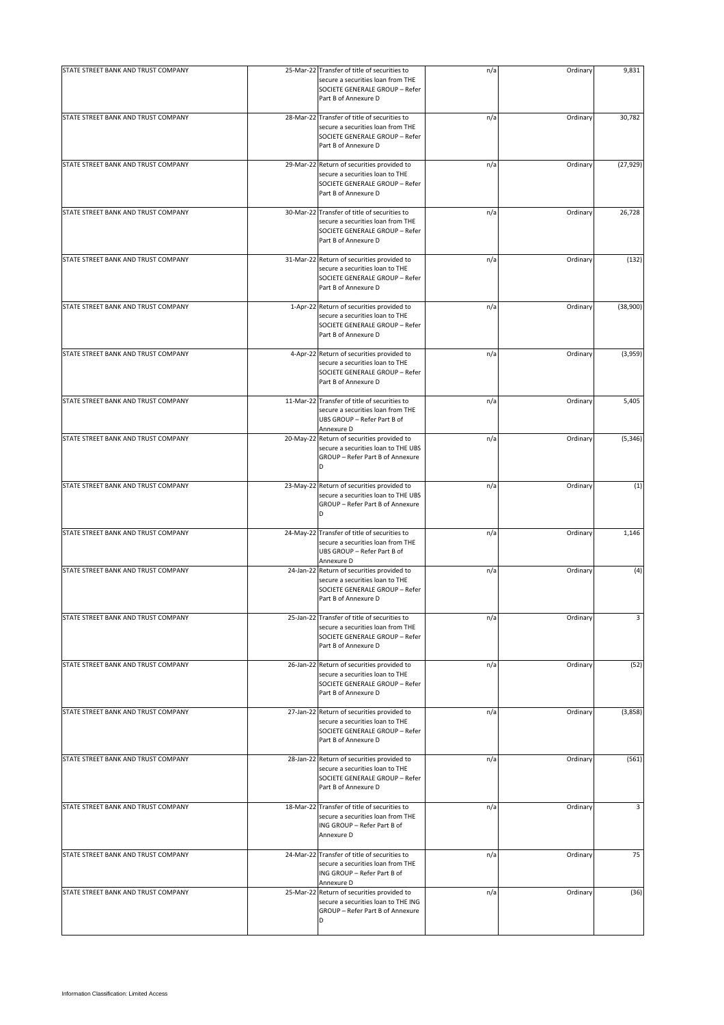| STATE STREET BANK AND TRUST COMPANY | 25-Mar-22 Transfer of title of securities to                                                                                                | n/a | Ordinary | 9,831     |
|-------------------------------------|---------------------------------------------------------------------------------------------------------------------------------------------|-----|----------|-----------|
|                                     | secure a securities loan from THE<br>SOCIETE GENERALE GROUP - Refer<br>Part B of Annexure D                                                 |     |          |           |
| STATE STREET BANK AND TRUST COMPANY | 28-Mar-22 Transfer of title of securities to<br>secure a securities loan from THE<br>SOCIETE GENERALE GROUP - Refer<br>Part B of Annexure D | n/a | Ordinary | 30,782    |
| STATE STREET BANK AND TRUST COMPANY | 29-Mar-22 Return of securities provided to<br>secure a securities loan to THE<br>SOCIETE GENERALE GROUP - Refer<br>Part B of Annexure D     | n/a | Ordinary | (27, 929) |
| STATE STREET BANK AND TRUST COMPANY | 30-Mar-22 Transfer of title of securities to<br>secure a securities loan from THE<br>SOCIETE GENERALE GROUP - Refer<br>Part B of Annexure D | n/a | Ordinary | 26,728    |
| STATE STREET BANK AND TRUST COMPANY | 31-Mar-22 Return of securities provided to<br>secure a securities loan to THE<br>SOCIETE GENERALE GROUP - Refer<br>Part B of Annexure D     | n/a | Ordinary | (132)     |
| STATE STREET BANK AND TRUST COMPANY | 1-Apr-22 Return of securities provided to<br>secure a securities loan to THE<br>SOCIETE GENERALE GROUP - Refer<br>Part B of Annexure D      | n/a | Ordinary | (38,900)  |
| STATE STREET BANK AND TRUST COMPANY | 4-Apr-22 Return of securities provided to<br>secure a securities loan to THE<br>SOCIETE GENERALE GROUP - Refer<br>Part B of Annexure D      | n/a | Ordinary | (3,959)   |
| STATE STREET BANK AND TRUST COMPANY | 11-Mar-22 Transfer of title of securities to<br>secure a securities loan from THE<br>UBS GROUP - Refer Part B of<br>Annexure D              | n/a | Ordinary | 5,405     |
| STATE STREET BANK AND TRUST COMPANY | 20-May-22 Return of securities provided to<br>secure a securities loan to THE UBS<br>GROUP - Refer Part B of Annexure<br>D                  | n/a | Ordinary | (5, 346)  |
| STATE STREET BANK AND TRUST COMPANY | 23-May-22 Return of securities provided to<br>secure a securities loan to THE UBS<br>GROUP - Refer Part B of Annexure<br>D                  | n/a | Ordinary | (1)       |
| STATE STREET BANK AND TRUST COMPANY | 24-May-22 Transfer of title of securities to<br>secure a securities loan from THE<br>UBS GROUP - Refer Part B of<br>Annexure D              | n/a | Ordinary | 1,146     |
| STATE STREET BANK AND TRUST COMPANY | 24-Jan-22 Return of securities provided to<br>secure a securities loan to THE<br>SOCIETE GENERALE GROUP - Refer<br>Part B of Annexure D     | n/a | Ordinary | (4)       |
| STATE STREET BANK AND TRUST COMPANY | 25-Jan-22 Transfer of title of securities to<br>secure a securities loan from THE<br>SOCIETE GENERALE GROUP - Refer<br>Part B of Annexure D | n/a | Ordinary | 3         |
| STATE STREET BANK AND TRUST COMPANY | 26-Jan-22 Return of securities provided to<br>secure a securities loan to THE<br>SOCIETE GENERALE GROUP - Refer<br>Part B of Annexure D     | n/a | Ordinary | (52)      |
| STATE STREET BANK AND TRUST COMPANY | 27-Jan-22 Return of securities provided to<br>secure a securities loan to THE<br>SOCIETE GENERALE GROUP - Refer<br>Part B of Annexure D     | n/a | Ordinary | (3,858)   |
| STATE STREET BANK AND TRUST COMPANY | 28-Jan-22 Return of securities provided to<br>secure a securities loan to THE<br>SOCIETE GENERALE GROUP - Refer<br>Part B of Annexure D     | n/a | Ordinary | (561)     |
| STATE STREET BANK AND TRUST COMPANY | 18-Mar-22 Transfer of title of securities to<br>secure a securities loan from THE<br>ING GROUP - Refer Part B of<br>Annexure D              | n/a | Ordinary | 3         |
| STATE STREET BANK AND TRUST COMPANY | 24-Mar-22 Transfer of title of securities to<br>secure a securities loan from THE<br>ING GROUP - Refer Part B of<br>Annexure D              | n/a | Ordinary | 75        |
| STATE STREET BANK AND TRUST COMPANY | 25-Mar-22 Return of securities provided to<br>secure a securities loan to THE ING<br>GROUP - Refer Part B of Annexure<br>D                  | n/a | Ordinary | (36)      |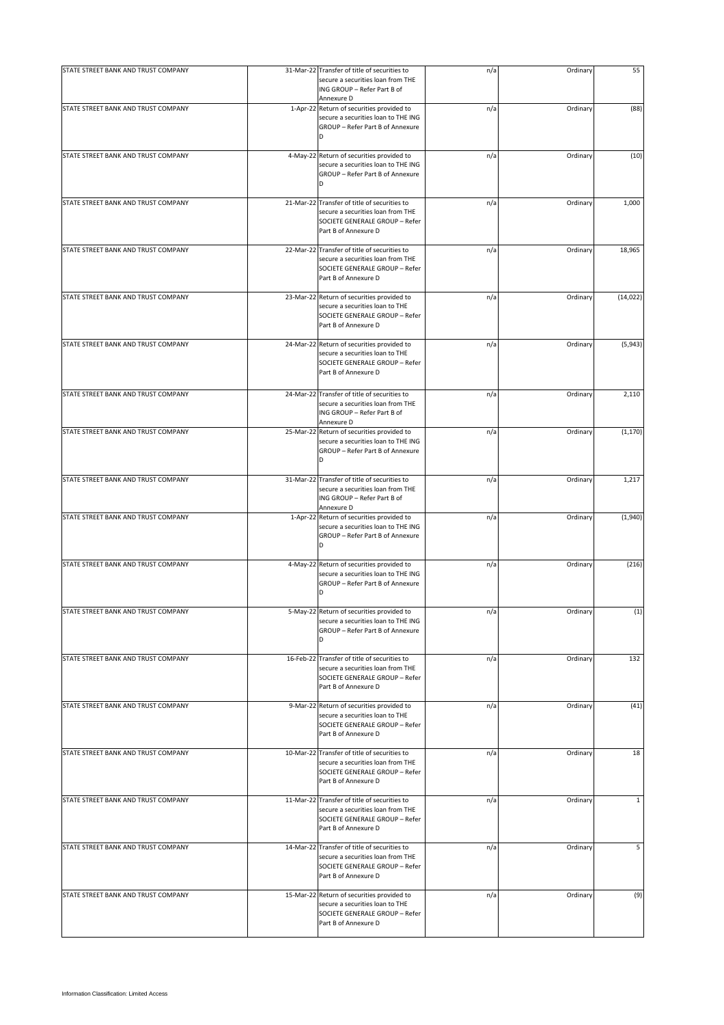| STATE STREET BANK AND TRUST COMPANY | 31-Mar-22 Transfer of title of securities to<br>secure a securities loan from THE                                                           | n/a | Ordinary | 55           |
|-------------------------------------|---------------------------------------------------------------------------------------------------------------------------------------------|-----|----------|--------------|
|                                     | ING GROUP - Refer Part B of<br>Annexure D                                                                                                   |     |          |              |
| STATE STREET BANK AND TRUST COMPANY | 1-Apr-22 Return of securities provided to<br>secure a securities loan to THE ING<br>GROUP - Refer Part B of Annexure<br>D                   | n/a | Ordinary | (88)         |
| STATE STREET BANK AND TRUST COMPANY | 4-May-22 Return of securities provided to<br>secure a securities loan to THE ING<br>GROUP - Refer Part B of Annexure<br>D                   | n/a | Ordinary | (10)         |
| STATE STREET BANK AND TRUST COMPANY | 21-Mar-22 Transfer of title of securities to<br>secure a securities loan from THE<br>SOCIETE GENERALE GROUP - Refer<br>Part B of Annexure D | n/a | Ordinary | 1,000        |
| STATE STREET BANK AND TRUST COMPANY | 22-Mar-22 Transfer of title of securities to<br>secure a securities loan from THE<br>SOCIETE GENERALE GROUP - Refer<br>Part B of Annexure D | n/a | Ordinary | 18,965       |
| STATE STREET BANK AND TRUST COMPANY | 23-Mar-22 Return of securities provided to<br>secure a securities loan to THE<br>SOCIETE GENERALE GROUP - Refer<br>Part B of Annexure D     | n/a | Ordinary | (14, 022)    |
| STATE STREET BANK AND TRUST COMPANY | 24-Mar-22 Return of securities provided to<br>secure a securities loan to THE<br>SOCIETE GENERALE GROUP - Refer<br>Part B of Annexure D     | n/a | Ordinary | (5,943)      |
| STATE STREET BANK AND TRUST COMPANY | 24-Mar-22 Transfer of title of securities to<br>secure a securities loan from THE<br>ING GROUP - Refer Part B of<br>Annexure D              | n/a | Ordinary | 2,110        |
| STATE STREET BANK AND TRUST COMPANY | 25-Mar-22 Return of securities provided to<br>secure a securities loan to THE ING<br>GROUP - Refer Part B of Annexure<br>D                  | n/a | Ordinary | (1, 170)     |
| STATE STREET BANK AND TRUST COMPANY | 31-Mar-22 Transfer of title of securities to<br>secure a securities loan from THE<br>ING GROUP - Refer Part B of<br>Annexure D              | n/a | Ordinary | 1,217        |
| STATE STREET BANK AND TRUST COMPANY | 1-Apr-22 Return of securities provided to<br>secure a securities loan to THE ING<br>GROUP - Refer Part B of Annexure<br>D                   | n/a | Ordinary | (1,940)      |
| STATE STREET BANK AND TRUST COMPANY | 4-May-22 Return of securities provided to<br>secure a securities loan to THE ING<br>GROUP - Refer Part B of Annexure<br>D                   | n/a | Ordinary | (216)        |
| STATE STREET BANK AND TRUST COMPANY | 5-May-22 Return of securities provided to<br>secure a securities loan to THE ING<br>GROUP - Refer Part B of Annexure<br>D                   | n/a | Ordinary | (1)          |
| STATE STREET BANK AND TRUST COMPANY | 16-Feb-22 Transfer of title of securities to<br>secure a securities loan from THE<br>SOCIETE GENERALE GROUP - Refer<br>Part B of Annexure D | n/a | Ordinary | 132          |
| STATE STREET BANK AND TRUST COMPANY | 9-Mar-22 Return of securities provided to<br>secure a securities loan to THE<br>SOCIETE GENERALE GROUP - Refer<br>Part B of Annexure D      | n/a | Ordinary | (41)         |
| STATE STREET BANK AND TRUST COMPANY | 10-Mar-22 Transfer of title of securities to<br>secure a securities loan from THE<br>SOCIETE GENERALE GROUP - Refer<br>Part B of Annexure D | n/a | Ordinary | 18           |
| STATE STREET BANK AND TRUST COMPANY | 11-Mar-22 Transfer of title of securities to<br>secure a securities loan from THE<br>SOCIETE GENERALE GROUP - Refer<br>Part B of Annexure D | n/a | Ordinary | $\mathbf{1}$ |
| STATE STREET BANK AND TRUST COMPANY | 14-Mar-22 Transfer of title of securities to<br>secure a securities loan from THE<br>SOCIETE GENERALE GROUP - Refer<br>Part B of Annexure D | n/a | Ordinary | 5            |
| STATE STREET BANK AND TRUST COMPANY | 15-Mar-22 Return of securities provided to<br>secure a securities loan to THE<br>SOCIETE GENERALE GROUP - Refer<br>Part B of Annexure D     | n/a | Ordinary | (9)          |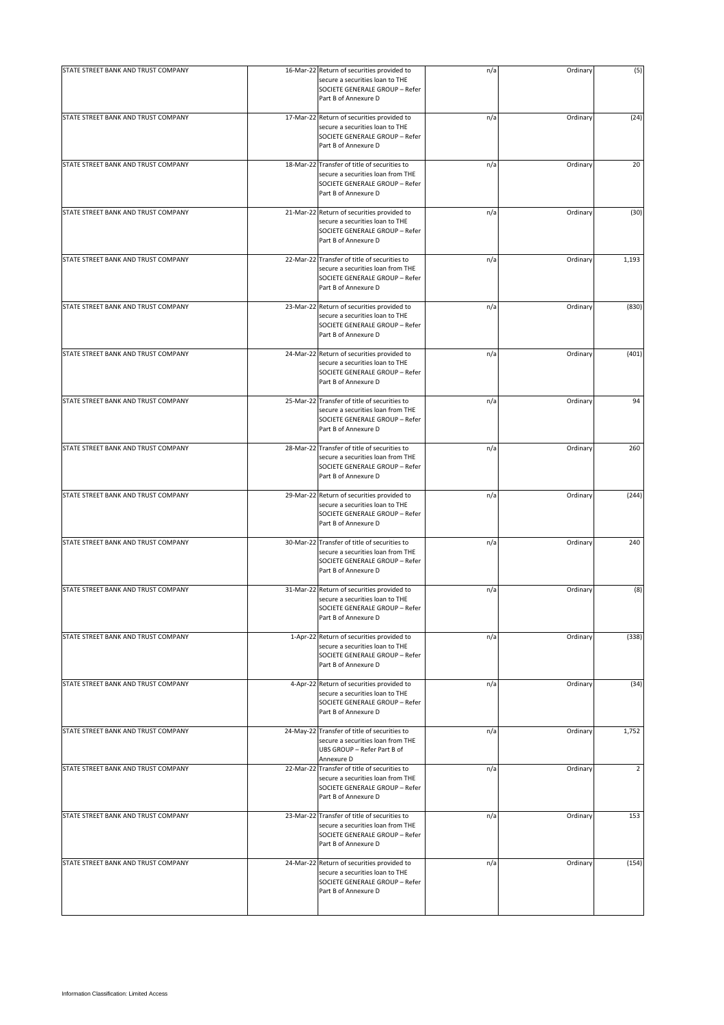| STATE STREET BANK AND TRUST COMPANY | 16-Mar-22 Return of securities provided to                                                                                                  | n/a | Ordinary | (5)            |
|-------------------------------------|---------------------------------------------------------------------------------------------------------------------------------------------|-----|----------|----------------|
|                                     | secure a securities loan to THE<br>SOCIETE GENERALE GROUP - Refer<br>Part B of Annexure D                                                   |     |          |                |
| STATE STREET BANK AND TRUST COMPANY | 17-Mar-22 Return of securities provided to<br>secure a securities loan to THE<br>SOCIETE GENERALE GROUP - Refer<br>Part B of Annexure D     | n/a | Ordinary | (24)           |
| STATE STREET BANK AND TRUST COMPANY | 18-Mar-22 Transfer of title of securities to<br>secure a securities loan from THE<br>SOCIETE GENERALE GROUP - Refer<br>Part B of Annexure D | n/a | Ordinary | 20             |
| STATE STREET BANK AND TRUST COMPANY | 21-Mar-22 Return of securities provided to<br>secure a securities loan to THE<br>SOCIETE GENERALE GROUP - Refer<br>Part B of Annexure D     | n/a | Ordinary | (30)           |
| STATE STREET BANK AND TRUST COMPANY | 22-Mar-22 Transfer of title of securities to<br>secure a securities loan from THE<br>SOCIETE GENERALE GROUP - Refer<br>Part B of Annexure D | n/a | Ordinary | 1,193          |
| STATE STREET BANK AND TRUST COMPANY | 23-Mar-22 Return of securities provided to<br>secure a securities loan to THE<br>SOCIETE GENERALE GROUP - Refer<br>Part B of Annexure D     | n/a | Ordinary | (830)          |
| STATE STREET BANK AND TRUST COMPANY | 24-Mar-22 Return of securities provided to<br>secure a securities loan to THE<br>SOCIETE GENERALE GROUP - Refer<br>Part B of Annexure D     | n/a | Ordinary | (401)          |
| STATE STREET BANK AND TRUST COMPANY | 25-Mar-22 Transfer of title of securities to<br>secure a securities loan from THE<br>SOCIETE GENERALE GROUP - Refer<br>Part B of Annexure D | n/a | Ordinary | 94             |
| STATE STREET BANK AND TRUST COMPANY | 28-Mar-22 Transfer of title of securities to<br>secure a securities loan from THE<br>SOCIETE GENERALE GROUP - Refer<br>Part B of Annexure D | n/a | Ordinary | 260            |
| STATE STREET BANK AND TRUST COMPANY | 29-Mar-22 Return of securities provided to<br>secure a securities loan to THE<br>SOCIETE GENERALE GROUP - Refer<br>Part B of Annexure D     | n/a | Ordinary | (244)          |
| STATE STREET BANK AND TRUST COMPANY | 30-Mar-22 Transfer of title of securities to<br>secure a securities loan from THE<br>SOCIETE GENERALE GROUP - Refer<br>Part B of Annexure D | n/a | Ordinary | 240            |
| STATE STREET BANK AND TRUST COMPANY | 31-Mar-22 Return of securities provided to<br>secure a securities loan to THE<br>SOCIETE GENERALE GROUP - Refer<br>Part B of Annexure D     | n/a | Ordinary | (8)            |
| STATE STREET BANK AND TRUST COMPANY | 1-Apr-22 Return of securities provided to<br>secure a securities loan to THE<br>SOCIETE GENERALE GROUP - Refer<br>Part B of Annexure D      | n/a | Ordinary | (338)          |
| STATE STREET BANK AND TRUST COMPANY | 4-Apr-22 Return of securities provided to<br>secure a securities loan to THE<br>SOCIETE GENERALE GROUP - Refer<br>Part B of Annexure D      | n/a | Ordinary | (34)           |
| STATE STREET BANK AND TRUST COMPANY | 24-May-22 Transfer of title of securities to<br>secure a securities loan from THE<br>UBS GROUP - Refer Part B of<br>Annexure D              | n/a | Ordinary | 1,752          |
| STATE STREET BANK AND TRUST COMPANY | 22-Mar-22 Transfer of title of securities to<br>secure a securities loan from THE<br>SOCIETE GENERALE GROUP - Refer<br>Part B of Annexure D | n/a | Ordinary | $\overline{2}$ |
| STATE STREET BANK AND TRUST COMPANY | 23-Mar-22 Transfer of title of securities to<br>secure a securities loan from THE<br>SOCIETE GENERALE GROUP - Refer<br>Part B of Annexure D | n/a | Ordinary | 153            |
| STATE STREET BANK AND TRUST COMPANY | 24-Mar-22 Return of securities provided to<br>secure a securities loan to THE<br>SOCIETE GENERALE GROUP - Refer<br>Part B of Annexure D     | n/a | Ordinary | (154)          |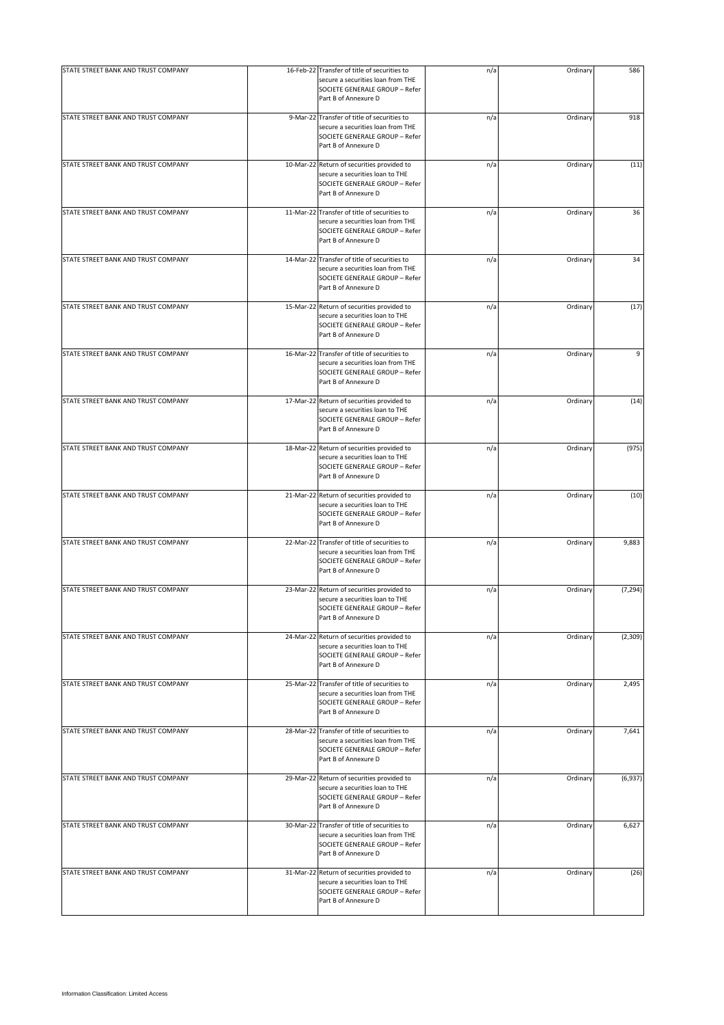| STATE STREET BANK AND TRUST COMPANY | 16-Feb-22 Transfer of title of securities to<br>secure a securities loan from THE<br>SOCIETE GENERALE GROUP - Refer<br>Part B of Annexure D | n/a | Ordinary | 586      |
|-------------------------------------|---------------------------------------------------------------------------------------------------------------------------------------------|-----|----------|----------|
| STATE STREET BANK AND TRUST COMPANY | 9-Mar-22 Transfer of title of securities to<br>secure a securities loan from THE<br>SOCIETE GENERALE GROUP - Refer<br>Part B of Annexure D  | n/a | Ordinary | 918      |
| STATE STREET BANK AND TRUST COMPANY | 10-Mar-22 Return of securities provided to<br>secure a securities loan to THE<br>SOCIETE GENERALE GROUP - Refer<br>Part B of Annexure D     | n/a | Ordinary | (11)     |
| STATE STREET BANK AND TRUST COMPANY | 11-Mar-22 Transfer of title of securities to<br>secure a securities loan from THE<br>SOCIETE GENERALE GROUP - Refer<br>Part B of Annexure D | n/a | Ordinary | 36       |
| STATE STREET BANK AND TRUST COMPANY | 14-Mar-22 Transfer of title of securities to<br>secure a securities loan from THE<br>SOCIETE GENERALE GROUP - Refer<br>Part B of Annexure D | n/a | Ordinary | 34       |
| STATE STREET BANK AND TRUST COMPANY | 15-Mar-22 Return of securities provided to<br>secure a securities loan to THE<br>SOCIETE GENERALE GROUP - Refer<br>Part B of Annexure D     | n/a | Ordinary | (17)     |
| STATE STREET BANK AND TRUST COMPANY | 16-Mar-22 Transfer of title of securities to<br>secure a securities loan from THE<br>SOCIETE GENERALE GROUP - Refer<br>Part B of Annexure D | n/a | Ordinary | 9        |
| STATE STREET BANK AND TRUST COMPANY | 17-Mar-22 Return of securities provided to<br>secure a securities loan to THE<br>SOCIETE GENERALE GROUP - Refer<br>Part B of Annexure D     | n/a | Ordinary | (14)     |
| STATE STREET BANK AND TRUST COMPANY | 18-Mar-22 Return of securities provided to<br>secure a securities loan to THE<br>SOCIETE GENERALE GROUP - Refer<br>Part B of Annexure D     | n/a | Ordinary | (975)    |
| STATE STREET BANK AND TRUST COMPANY | 21-Mar-22 Return of securities provided to<br>secure a securities loan to THE<br>SOCIETE GENERALE GROUP - Refer<br>Part B of Annexure D     | n/a | Ordinary | (10)     |
| STATE STREET BANK AND TRUST COMPANY | 22-Mar-22 Transfer of title of securities to<br>secure a securities loan from THE<br>SOCIETE GENERALE GROUP - Refer<br>Part B of Annexure D | n/a | Ordinary | 9,883    |
| STATE STREET BANK AND TRUST COMPANY | 23-Mar-22 Return of securities provided to<br>secure a securities loan to THE<br>SOCIETE GENERALE GROUP - Refer<br>Part B of Annexure D     | n/a | Ordinary | (7, 294) |
| STATE STREET BANK AND TRUST COMPANY | 24-Mar-22 Return of securities provided to<br>secure a securities loan to THE<br>SOCIETE GENERALE GROUP - Refer<br>Part B of Annexure D     | n/a | Ordinary | (2,309)  |
| STATE STREET BANK AND TRUST COMPANY | 25-Mar-22 Transfer of title of securities to<br>secure a securities loan from THE<br>SOCIETE GENERALE GROUP - Refer<br>Part B of Annexure D | n/a | Ordinary | 2,495    |
| STATE STREET BANK AND TRUST COMPANY | 28-Mar-22 Transfer of title of securities to<br>secure a securities loan from THE<br>SOCIETE GENERALE GROUP - Refer<br>Part B of Annexure D | n/a | Ordinary | 7,641    |
| STATE STREET BANK AND TRUST COMPANY | 29-Mar-22 Return of securities provided to<br>secure a securities loan to THE<br>SOCIETE GENERALE GROUP - Refer<br>Part B of Annexure D     | n/a | Ordinary | (6,937)  |
| STATE STREET BANK AND TRUST COMPANY | 30-Mar-22 Transfer of title of securities to<br>secure a securities loan from THE<br>SOCIETE GENERALE GROUP - Refer<br>Part B of Annexure D | n/a | Ordinary | 6,627    |
| STATE STREET BANK AND TRUST COMPANY | 31-Mar-22 Return of securities provided to<br>secure a securities loan to THE<br>SOCIETE GENERALE GROUP - Refer<br>Part B of Annexure D     | n/a | Ordinary | (26)     |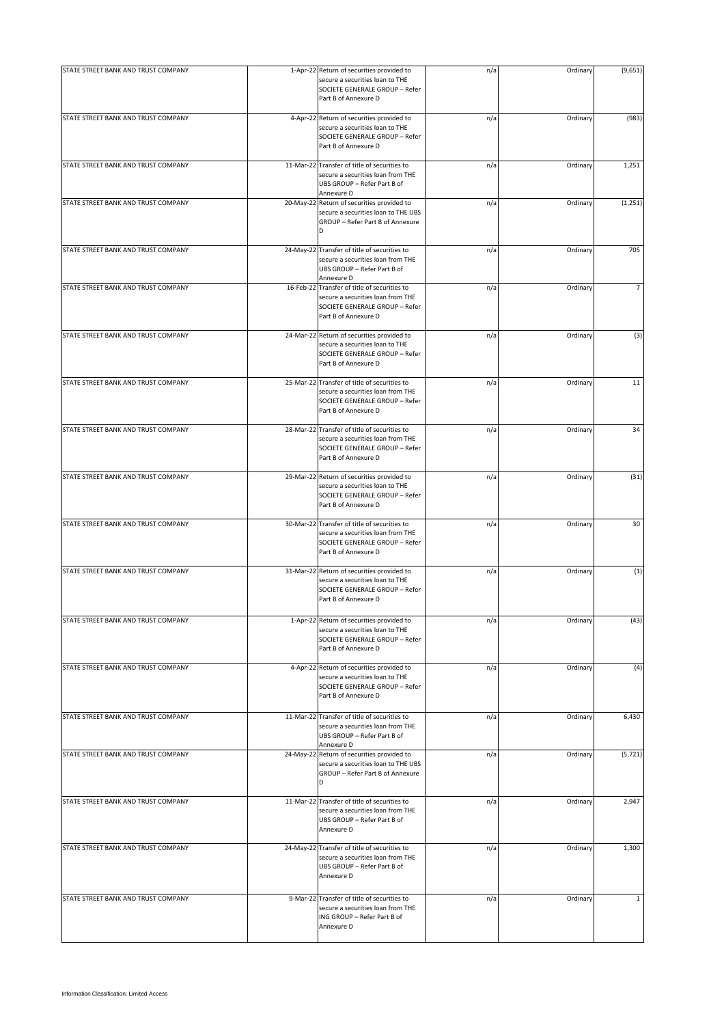| STATE STREET BANK AND TRUST COMPANY | 1-Apr-22 Return of securities provided to                                                                                                   | n/a | Ordinary | (9,651)        |
|-------------------------------------|---------------------------------------------------------------------------------------------------------------------------------------------|-----|----------|----------------|
|                                     | secure a securities loan to THE<br>SOCIETE GENERALE GROUP - Refer<br>Part B of Annexure D                                                   |     |          |                |
| STATE STREET BANK AND TRUST COMPANY | 4-Apr-22 Return of securities provided to<br>secure a securities loan to THE<br>SOCIETE GENERALE GROUP - Refer<br>Part B of Annexure D      | n/a | Ordinary | (983)          |
| STATE STREET BANK AND TRUST COMPANY | 11-Mar-22 Transfer of title of securities to<br>secure a securities loan from THE<br>UBS GROUP - Refer Part B of<br>Annexure D              | n/a | Ordinary | 1,251          |
| STATE STREET BANK AND TRUST COMPANY | 20-May-22 Return of securities provided to<br>secure a securities loan to THE UBS<br>GROUP - Refer Part B of Annexure<br>D                  | n/a | Ordinary | (1, 251)       |
| STATE STREET BANK AND TRUST COMPANY | 24-May-22 Transfer of title of securities to<br>secure a securities loan from THE<br>UBS GROUP - Refer Part B of<br>Annexure D              | n/a | Ordinary | 705            |
| STATE STREET BANK AND TRUST COMPANY | 16-Feb-22 Transfer of title of securities to<br>secure a securities loan from THE<br>SOCIETE GENERALE GROUP - Refer<br>Part B of Annexure D | n/a | Ordinary | $\overline{7}$ |
| STATE STREET BANK AND TRUST COMPANY | 24-Mar-22 Return of securities provided to<br>secure a securities loan to THE<br>SOCIETE GENERALE GROUP - Refer<br>Part B of Annexure D     | n/a | Ordinary | (3)            |
| STATE STREET BANK AND TRUST COMPANY | 25-Mar-22 Transfer of title of securities to<br>secure a securities loan from THE<br>SOCIETE GENERALE GROUP - Refer<br>Part B of Annexure D | n/a | Ordinary | 11             |
| STATE STREET BANK AND TRUST COMPANY | 28-Mar-22 Transfer of title of securities to<br>secure a securities loan from THE<br>SOCIETE GENERALE GROUP - Refer<br>Part B of Annexure D | n/a | Ordinary | 34             |
| STATE STREET BANK AND TRUST COMPANY | 29-Mar-22 Return of securities provided to<br>secure a securities loan to THE<br>SOCIETE GENERALE GROUP - Refer<br>Part B of Annexure D     | n/a | Ordinary | (31)           |
| STATE STREET BANK AND TRUST COMPANY | 30-Mar-22 Transfer of title of securities to<br>secure a securities loan from THE<br>SOCIETE GENERALE GROUP - Refer<br>Part B of Annexure D | n/a | Ordinary | 30             |
| STATE STREET BANK AND TRUST COMPANY | 31-Mar-22 Return of securities provided to<br>secure a securities loan to THE<br>SOCIETE GENERALE GROUP - Refer<br>Part B of Annexure D     | n/a | Ordinary | (1)            |
| STATE STREET BANK AND TRUST COMPANY | 1-Apr-22 Return of securities provided to<br>secure a securities loan to THE<br>SOCIETE GENERALE GROUP - Refer<br>Part B of Annexure D      | n/a | Ordinar  | (43)           |
| STATE STREET BANK AND TRUST COMPANY | 4-Apr-22 Return of securities provided to<br>secure a securities loan to THE<br>SOCIETE GENERALE GROUP - Refer<br>Part B of Annexure D      | n/a | Ordinary | (4)            |
| STATE STREET BANK AND TRUST COMPANY | 11-Mar-22 Transfer of title of securities to<br>secure a securities loan from THE<br>UBS GROUP - Refer Part B of<br>Annexure D              | n/a | Ordinary | 6,430          |
| STATE STREET BANK AND TRUST COMPANY | 24-May-22 Return of securities provided to<br>secure a securities loan to THE UBS<br>GROUP - Refer Part B of Annexure<br>D                  | n/a | Ordinary | (5, 721)       |
| STATE STREET BANK AND TRUST COMPANY | 11-Mar-22 Transfer of title of securities to<br>secure a securities loan from THE<br>UBS GROUP - Refer Part B of<br>Annexure D              | n/a | Ordinary | 2,947          |
| STATE STREET BANK AND TRUST COMPANY | 24-May-22 Transfer of title of securities to<br>secure a securities loan from THE<br>UBS GROUP - Refer Part B of<br>Annexure D              | n/a | Ordinary | 1,300          |
| STATE STREET BANK AND TRUST COMPANY | 9-Mar-22 Transfer of title of securities to<br>secure a securities loan from THE<br>ING GROUP - Refer Part B of<br>Annexure D               | n/a | Ordinary | $\mathbf{1}$   |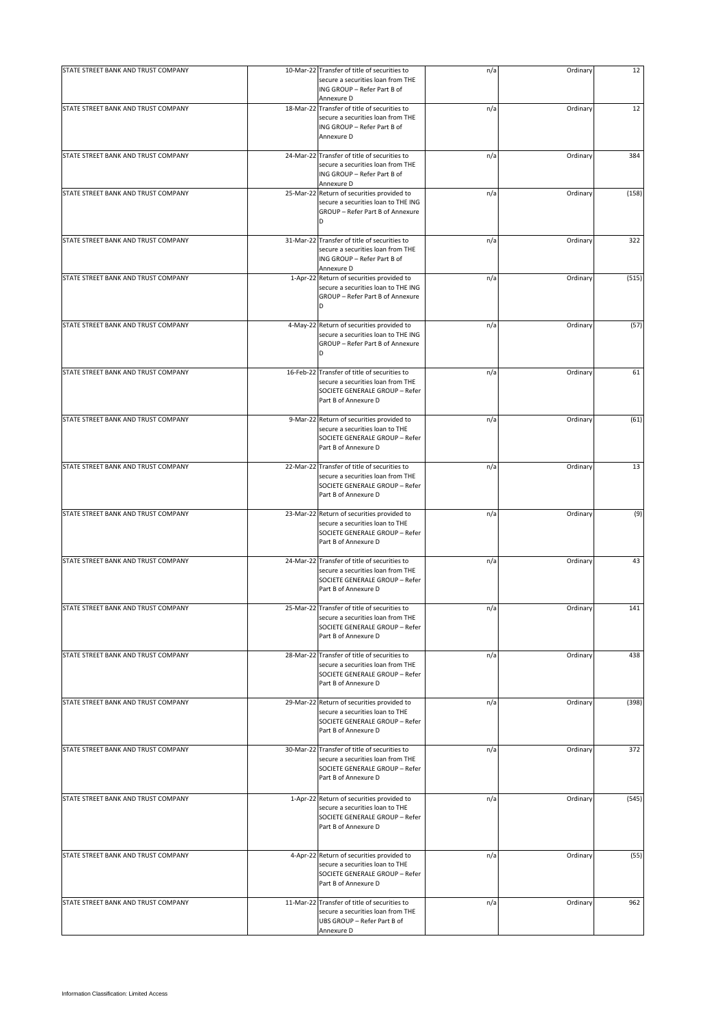| STATE STREET BANK AND TRUST COMPANY | 10-Mar-22 Transfer of title of securities to<br>secure a securities loan from THE<br>ING GROUP - Refer Part B of<br>Annexure D              | n/a | Ordinary | 12    |
|-------------------------------------|---------------------------------------------------------------------------------------------------------------------------------------------|-----|----------|-------|
| STATE STREET BANK AND TRUST COMPANY | 18-Mar-22 Transfer of title of securities to<br>secure a securities loan from THE<br>ING GROUP - Refer Part B of<br>Annexure D              | n/a | Ordinary | 12    |
| STATE STREET BANK AND TRUST COMPANY | 24-Mar-22 Transfer of title of securities to<br>secure a securities loan from THE<br>ING GROUP - Refer Part B of<br>Annexure D              | n/a | Ordinary | 384   |
| STATE STREET BANK AND TRUST COMPANY | 25-Mar-22 Return of securities provided to<br>secure a securities loan to THE ING<br>GROUP - Refer Part B of Annexure<br>D                  | n/a | Ordinary | (158) |
| STATE STREET BANK AND TRUST COMPANY | 31-Mar-22 Transfer of title of securities to<br>secure a securities loan from THE<br>ING GROUP - Refer Part B of<br>Annexure D              | n/a | Ordinary | 322   |
| STATE STREET BANK AND TRUST COMPANY | 1-Apr-22 Return of securities provided to<br>secure a securities loan to THE ING<br>GROUP - Refer Part B of Annexure<br>D                   | n/a | Ordinary | (515) |
| STATE STREET BANK AND TRUST COMPANY | 4-May-22 Return of securities provided to<br>secure a securities loan to THE ING<br>GROUP - Refer Part B of Annexure<br>D                   | n/a | Ordinary | (57)  |
| STATE STREET BANK AND TRUST COMPANY | 16-Feb-22 Transfer of title of securities to<br>secure a securities loan from THE<br>SOCIETE GENERALE GROUP - Refer<br>Part B of Annexure D | n/a | Ordinary | 61    |
| STATE STREET BANK AND TRUST COMPANY | 9-Mar-22 Return of securities provided to<br>secure a securities loan to THE<br>SOCIETE GENERALE GROUP - Refer<br>Part B of Annexure D      | n/a | Ordinary | (61)  |
| STATE STREET BANK AND TRUST COMPANY | 22-Mar-22 Transfer of title of securities to<br>secure a securities loan from THE<br>SOCIETE GENERALE GROUP - Refer<br>Part B of Annexure D | n/a | Ordinary | 13    |
| STATE STREET BANK AND TRUST COMPANY | 23-Mar-22 Return of securities provided to<br>secure a securities loan to THE<br>SOCIETE GENERALE GROUP - Refer<br>Part B of Annexure D     | n/a | Ordinary | (9)   |
| STATE STREET BANK AND TRUST COMPANY | 24-Mar-22 Transfer of title of securities to<br>secure a securities loan from THE<br>SOCIETE GENERALE GROUP - Refer<br>Part B of Annexure D | n/a | Ordinary | 43    |
| STATE STREET BANK AND TRUST COMPANY | 25-Mar-22 Transfer of title of securities to<br>secure a securities loan from THE<br>SOCIETE GENERALE GROUP - Refer<br>Part B of Annexure D | n/a | Ordinary | 141   |
| STATE STREET BANK AND TRUST COMPANY | 28-Mar-22 Transfer of title of securities to<br>secure a securities loan from THE<br>SOCIETE GENERALE GROUP - Refer<br>Part B of Annexure D | n/a | Ordinary | 438   |
| STATE STREET BANK AND TRUST COMPANY | 29-Mar-22 Return of securities provided to<br>secure a securities loan to THE<br>SOCIETE GENERALE GROUP - Refer<br>Part B of Annexure D     | n/a | Ordinary | (398) |
| STATE STREET BANK AND TRUST COMPANY | 30-Mar-22 Transfer of title of securities to<br>secure a securities loan from THE<br>SOCIETE GENERALE GROUP - Refer<br>Part B of Annexure D | n/a | Ordinary | 372   |
| STATE STREET BANK AND TRUST COMPANY | 1-Apr-22 Return of securities provided to<br>secure a securities loan to THE<br>SOCIETE GENERALE GROUP - Refer<br>Part B of Annexure D      | n/a | Ordinary | (545) |
| STATE STREET BANK AND TRUST COMPANY | 4-Apr-22 Return of securities provided to<br>secure a securities loan to THE<br>SOCIETE GENERALE GROUP - Refer<br>Part B of Annexure D      | n/a | Ordinary | (55)  |
| STATE STREET BANK AND TRUST COMPANY | 11-Mar-22 Transfer of title of securities to<br>secure a securities loan from THE<br>UBS GROUP - Refer Part B of<br>Annexure D              | n/a | Ordinary | 962   |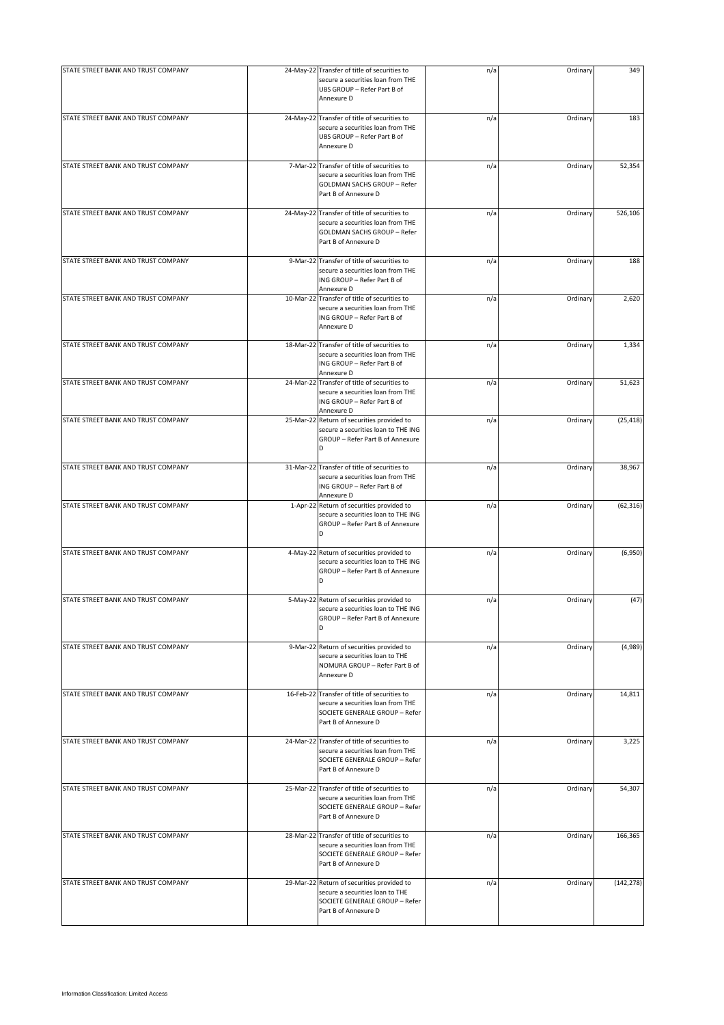| STATE STREET BANK AND TRUST COMPANY |           | 24-May-22 Transfer of title of securities to                                                                                                | n/a | Ordinary | 349        |
|-------------------------------------|-----------|---------------------------------------------------------------------------------------------------------------------------------------------|-----|----------|------------|
|                                     |           | secure a securities loan from THE<br>UBS GROUP - Refer Part B of<br>Annexure D                                                              |     |          |            |
| STATE STREET BANK AND TRUST COMPANY |           | 24-May-22 Transfer of title of securities to<br>secure a securities loan from THE<br>UBS GROUP - Refer Part B of<br>Annexure D              | n/a | Ordinary | 183        |
| STATE STREET BANK AND TRUST COMPANY |           | 7-Mar-22 Transfer of title of securities to<br>secure a securities loan from THE<br>GOLDMAN SACHS GROUP - Refer<br>Part B of Annexure D     | n/a | Ordinary | 52,354     |
| STATE STREET BANK AND TRUST COMPANY |           | 24-May-22 Transfer of title of securities to<br>secure a securities loan from THE<br>GOLDMAN SACHS GROUP - Refer<br>Part B of Annexure D    | n/a | Ordinary | 526,106    |
| STATE STREET BANK AND TRUST COMPANY |           | 9-Mar-22 Transfer of title of securities to<br>secure a securities loan from THE<br>ING GROUP - Refer Part B of<br>Annexure D               | n/a | Ordinary | 188        |
| STATE STREET BANK AND TRUST COMPANY |           | 10-Mar-22 Transfer of title of securities to<br>secure a securities loan from THE<br>ING GROUP - Refer Part B of<br>Annexure D              | n/a | Ordinary | 2,620      |
| STATE STREET BANK AND TRUST COMPANY |           | 18-Mar-22 Transfer of title of securities to<br>secure a securities loan from THE<br>ING GROUP - Refer Part B of<br>Annexure D              | n/a | Ordinary | 1,334      |
| STATE STREET BANK AND TRUST COMPANY |           | 24-Mar-22 Transfer of title of securities to<br>secure a securities loan from THE<br>ING GROUP - Refer Part B of<br>Annexure D              | n/a | Ordinary | 51,623     |
| STATE STREET BANK AND TRUST COMPANY | 25-Mar-22 | Return of securities provided to<br>secure a securities loan to THE ING<br>GROUP - Refer Part B of Annexure<br>D                            | n/a | Ordinary | (25, 418)  |
| STATE STREET BANK AND TRUST COMPANY |           | 31-Mar-22 Transfer of title of securities to<br>secure a securities loan from THE<br>ING GROUP - Refer Part B of<br>Annexure D              | n/a | Ordinary | 38,967     |
| STATE STREET BANK AND TRUST COMPANY |           | 1-Apr-22 Return of securities provided to<br>secure a securities loan to THE ING<br>GROUP - Refer Part B of Annexure<br>D                   | n/a | Ordinary | (62, 316)  |
| STATE STREET BANK AND TRUST COMPANY |           | 4-May-22 Return of securities provided to<br>secure a securities loan to THE ING<br>GROUP - Refer Part B of Annexure<br>D                   | n/a | Ordinary | (6,950)    |
| STATE STREET BANK AND TRUST COMPANY |           | 5-May-22 Return of securities provided to<br>secure a securities loan to THE ING<br>GROUP - Refer Part B of Annexure<br>D                   | n/a | Ordinary | (47)       |
| STATE STREET BANK AND TRUST COMPANY |           | 9-Mar-22 Return of securities provided to<br>secure a securities loan to THE<br>NOMURA GROUP - Refer Part B of<br>Annexure D                | n/a | Ordinary | (4,989)    |
| STATE STREET BANK AND TRUST COMPANY |           | 16-Feb-22 Transfer of title of securities to<br>secure a securities loan from THE<br>SOCIETE GENERALE GROUP - Refer<br>Part B of Annexure D | n/a | Ordinary | 14,811     |
| STATE STREET BANK AND TRUST COMPANY |           | 24-Mar-22 Transfer of title of securities to<br>secure a securities loan from THE<br>SOCIETE GENERALE GROUP - Refer<br>Part B of Annexure D | n/a | Ordinary | 3,225      |
| STATE STREET BANK AND TRUST COMPANY |           | 25-Mar-22 Transfer of title of securities to<br>secure a securities loan from THE<br>SOCIETE GENERALE GROUP - Refer<br>Part B of Annexure D | n/a | Ordinary | 54,307     |
| STATE STREET BANK AND TRUST COMPANY |           | 28-Mar-22 Transfer of title of securities to<br>secure a securities loan from THE<br>SOCIETE GENERALE GROUP - Refer<br>Part B of Annexure D | n/a | Ordinary | 166,365    |
| STATE STREET BANK AND TRUST COMPANY |           | 29-Mar-22 Return of securities provided to<br>secure a securities loan to THE<br>SOCIETE GENERALE GROUP - Refer<br>Part B of Annexure D     | n/a | Ordinary | (142, 278) |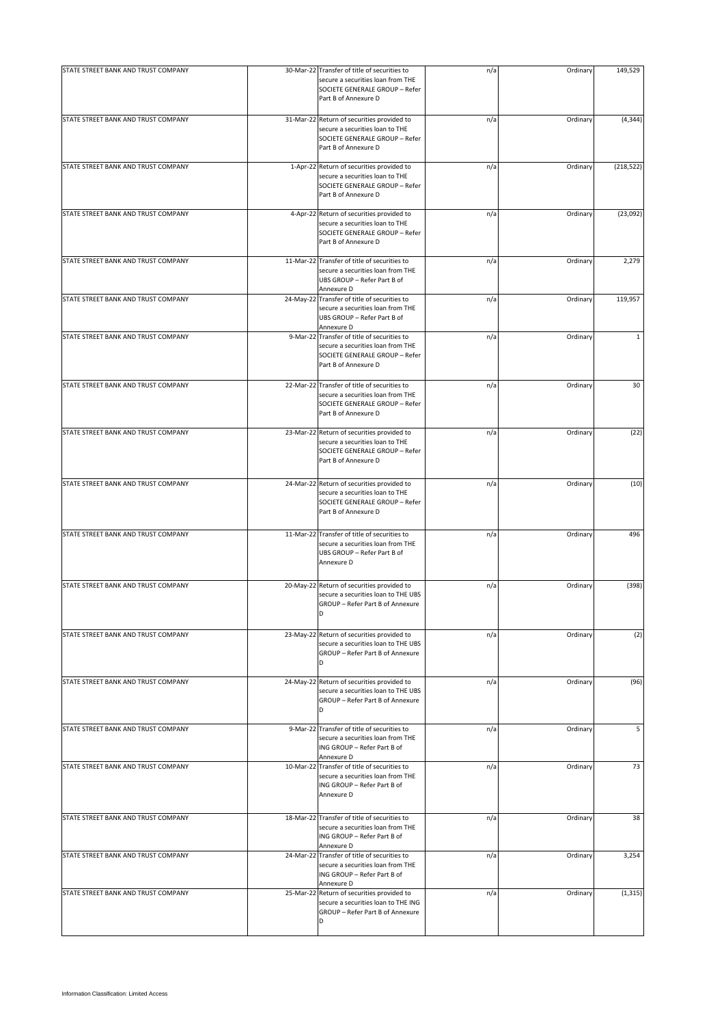| STATE STREET BANK AND TRUST COMPANY | 30-Mar-22 Transfer of title of securities to                                                                                                | n/a | Ordinary | 149,529      |
|-------------------------------------|---------------------------------------------------------------------------------------------------------------------------------------------|-----|----------|--------------|
|                                     | secure a securities loan from THE<br>SOCIETE GENERALE GROUP - Refer<br>Part B of Annexure D                                                 |     |          |              |
| STATE STREET BANK AND TRUST COMPANY | 31-Mar-22 Return of securities provided to<br>secure a securities loan to THE<br>SOCIETE GENERALE GROUP - Refer<br>Part B of Annexure D     | n/a | Ordinary | (4, 344)     |
| STATE STREET BANK AND TRUST COMPANY | 1-Apr-22 Return of securities provided to<br>secure a securities loan to THE<br>SOCIETE GENERALE GROUP - Refer<br>Part B of Annexure D      | n/a | Ordinary | (218, 522)   |
| STATE STREET BANK AND TRUST COMPANY | 4-Apr-22 Return of securities provided to<br>secure a securities loan to THE<br>SOCIETE GENERALE GROUP - Refer<br>Part B of Annexure D      | n/a | Ordinary | (23,092)     |
| STATE STREET BANK AND TRUST COMPANY | 11-Mar-22 Transfer of title of securities to<br>secure a securities loan from THE<br>UBS GROUP - Refer Part B of<br>Annexure D              | n/a | Ordinary | 2,279        |
| STATE STREET BANK AND TRUST COMPANY | 24-May-22 Transfer of title of securities to<br>secure a securities loan from THE<br>UBS GROUP - Refer Part B of<br>Annexure D              | n/a | Ordinary | 119,957      |
| STATE STREET BANK AND TRUST COMPANY | 9-Mar-22 Transfer of title of securities to<br>secure a securities loan from THE<br>SOCIETE GENERALE GROUP - Refer<br>Part B of Annexure D  | n/a | Ordinary | $\mathbf{1}$ |
| STATE STREET BANK AND TRUST COMPANY | 22-Mar-22 Transfer of title of securities to<br>secure a securities loan from THE<br>SOCIETE GENERALE GROUP - Refer<br>Part B of Annexure D | n/a | Ordinary | 30           |
| STATE STREET BANK AND TRUST COMPANY | 23-Mar-22 Return of securities provided to<br>secure a securities loan to THE<br>SOCIETE GENERALE GROUP - Refer<br>Part B of Annexure D     | n/a | Ordinary | (22)         |
| STATE STREET BANK AND TRUST COMPANY | 24-Mar-22 Return of securities provided to<br>secure a securities loan to THE<br>SOCIETE GENERALE GROUP - Refer<br>Part B of Annexure D     | n/a | Ordinary | (10)         |
| STATE STREET BANK AND TRUST COMPANY | 11-Mar-22 Transfer of title of securities to<br>secure a securities loan from THE<br>UBS GROUP - Refer Part B of<br>Annexure D              | n/a | Ordinary | 496          |
| STATE STREET BANK AND TRUST COMPANY | 20-May-22 Return of securities provided to<br>secure a securities loan to THE UBS<br>GROUP - Refer Part B of Annexure<br>D                  | n/a | Ordinary | (398)        |
| STATE STREET BANK AND TRUST COMPANY | 23-May-22 Return of securities provided to<br>secure a securities loan to THE UBS<br>GROUP - Refer Part B of Annexure<br>D                  | n/a | Ordinary | (2)          |
| STATE STREET BANK AND TRUST COMPANY | 24-May-22 Return of securities provided to<br>secure a securities loan to THE UBS<br>GROUP - Refer Part B of Annexure<br>D                  | n/a | Ordinary | (96)         |
| STATE STREET BANK AND TRUST COMPANY | 9-Mar-22 Transfer of title of securities to<br>secure a securities loan from THE<br>ING GROUP - Refer Part B of<br>Annexure D               | n/a | Ordinary | 5            |
| STATE STREET BANK AND TRUST COMPANY | 10-Mar-22 Transfer of title of securities to<br>secure a securities loan from THE<br>ING GROUP - Refer Part B of<br>Annexure D              | n/a | Ordinary | 73           |
| STATE STREET BANK AND TRUST COMPANY | 18-Mar-22 Transfer of title of securities to<br>secure a securities loan from THE<br>ING GROUP - Refer Part B of<br>Annexure D              | n/a | Ordinary | 38           |
| STATE STREET BANK AND TRUST COMPANY | 24-Mar-22 Transfer of title of securities to<br>secure a securities loan from THE<br>ING GROUP - Refer Part B of<br>Annexure D              | n/a | Ordinary | 3,254        |
| STATE STREET BANK AND TRUST COMPANY | 25-Mar-22 Return of securities provided to<br>secure a securities loan to THE ING<br>GROUP - Refer Part B of Annexure<br>D                  | n/a | Ordinary | (1, 315)     |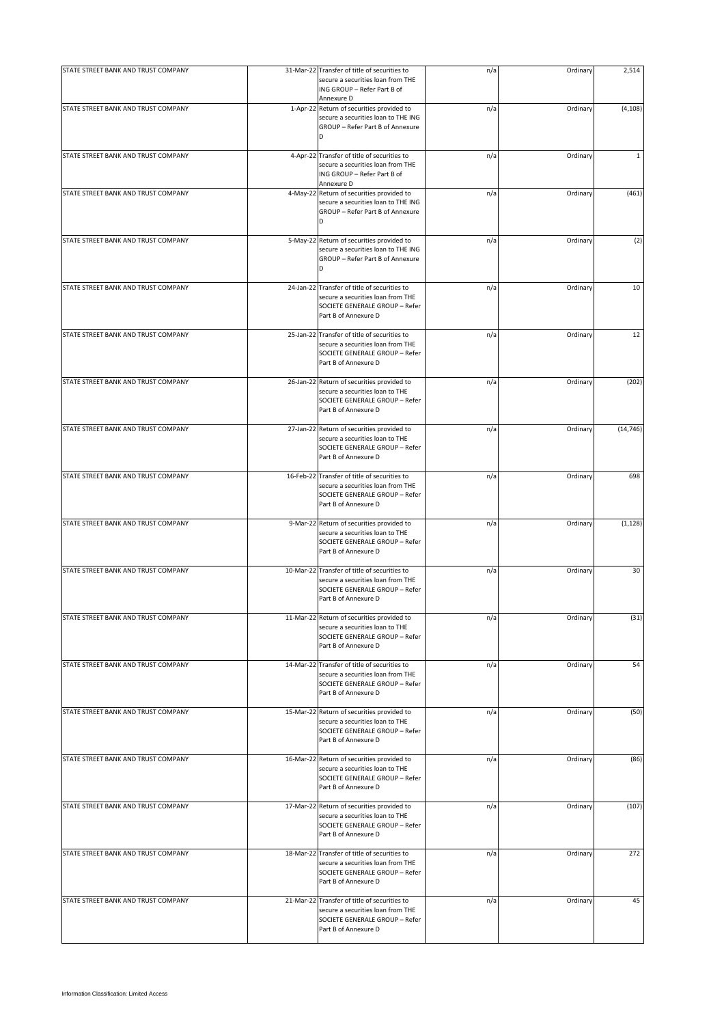| STATE STREET BANK AND TRUST COMPANY | 31-Mar-22 Transfer of title of securities to<br>secure a securities loan from THE                                                           | n/a | Ordinary | 2,514        |
|-------------------------------------|---------------------------------------------------------------------------------------------------------------------------------------------|-----|----------|--------------|
|                                     | ING GROUP - Refer Part B of<br>Annexure D                                                                                                   |     |          |              |
| STATE STREET BANK AND TRUST COMPANY | 1-Apr-22 Return of securities provided to<br>secure a securities loan to THE ING<br>GROUP - Refer Part B of Annexure<br>D                   | n/a | Ordinary | (4, 108)     |
| STATE STREET BANK AND TRUST COMPANY | 4-Apr-22 Transfer of title of securities to<br>secure a securities loan from THE<br>ING GROUP - Refer Part B of<br>Annexure D               | n/a | Ordinary | $\mathbf{1}$ |
| STATE STREET BANK AND TRUST COMPANY | 4-May-22 Return of securities provided to<br>secure a securities loan to THE ING<br>GROUP - Refer Part B of Annexure<br>D                   | n/a | Ordinary | (461)        |
| STATE STREET BANK AND TRUST COMPANY | 5-May-22 Return of securities provided to<br>secure a securities loan to THE ING<br>GROUP - Refer Part B of Annexure<br>D                   | n/a | Ordinary | (2)          |
| STATE STREET BANK AND TRUST COMPANY | 24-Jan-22 Transfer of title of securities to<br>secure a securities loan from THE<br>SOCIETE GENERALE GROUP - Refer<br>Part B of Annexure D | n/a | Ordinary | 10           |
| STATE STREET BANK AND TRUST COMPANY | 25-Jan-22 Transfer of title of securities to<br>secure a securities loan from THE<br>SOCIETE GENERALE GROUP - Refer<br>Part B of Annexure D | n/a | Ordinary | 12           |
| STATE STREET BANK AND TRUST COMPANY | 26-Jan-22 Return of securities provided to<br>secure a securities loan to THE<br>SOCIETE GENERALE GROUP - Refer<br>Part B of Annexure D     | n/a | Ordinary | (202)        |
| STATE STREET BANK AND TRUST COMPANY | 27-Jan-22 Return of securities provided to<br>secure a securities loan to THE<br>SOCIETE GENERALE GROUP - Refer<br>Part B of Annexure D     | n/a | Ordinary | (14, 746)    |
| STATE STREET BANK AND TRUST COMPANY | 16-Feb-22 Transfer of title of securities to<br>secure a securities loan from THE<br>SOCIETE GENERALE GROUP - Refer<br>Part B of Annexure D | n/a | Ordinary | 698          |
| STATE STREET BANK AND TRUST COMPANY | 9-Mar-22 Return of securities provided to<br>secure a securities loan to THE<br>SOCIETE GENERALE GROUP - Refer<br>Part B of Annexure D      | n/a | Ordinary | (1, 128)     |
| STATE STREET BANK AND TRUST COMPANY | 10-Mar-22 Transfer of title of securities to<br>secure a securities loan from THE<br>SOCIETE GENERALE GROUP - Refer<br>Part B of Annexure D | n/a | Ordinary | 30           |
| STATE STREET BANK AND TRUST COMPANY | 11-Mar-22 Return of securities provided to<br>secure a securities loan to THE<br>SOCIETE GENERALE GROUP - Refer<br>Part B of Annexure D     | n/a | Ordinary | (31)         |
| STATE STREET BANK AND TRUST COMPANY | 14-Mar-22 Transfer of title of securities to<br>secure a securities loan from THE<br>SOCIETE GENERALE GROUP - Refer<br>Part B of Annexure D | n/a | Ordinary | 54           |
| STATE STREET BANK AND TRUST COMPANY | 15-Mar-22 Return of securities provided to<br>secure a securities loan to THE<br>SOCIETE GENERALE GROUP - Refer<br>Part B of Annexure D     | n/a | Ordinary | (50)         |
| STATE STREET BANK AND TRUST COMPANY | 16-Mar-22 Return of securities provided to<br>secure a securities loan to THE<br>SOCIETE GENERALE GROUP - Refer<br>Part B of Annexure D     | n/a | Ordinary | (86)         |
| STATE STREET BANK AND TRUST COMPANY | 17-Mar-22 Return of securities provided to<br>secure a securities loan to THE<br>SOCIETE GENERALE GROUP - Refer<br>Part B of Annexure D     | n/a | Ordinary | (107)        |
| STATE STREET BANK AND TRUST COMPANY | 18-Mar-22 Transfer of title of securities to<br>secure a securities loan from THE<br>SOCIETE GENERALE GROUP - Refer<br>Part B of Annexure D | n/a | Ordinary | 272          |
| STATE STREET BANK AND TRUST COMPANY | 21-Mar-22 Transfer of title of securities to<br>secure a securities loan from THE<br>SOCIETE GENERALE GROUP - Refer<br>Part B of Annexure D | n/a | Ordinary | 45           |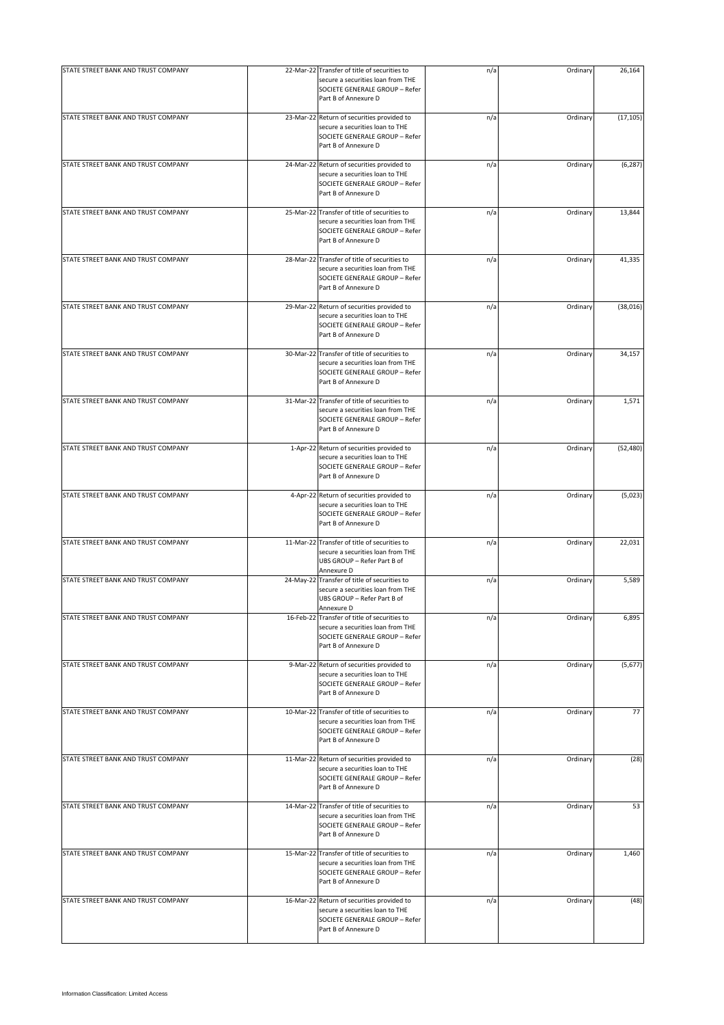| STATE STREET BANK AND TRUST COMPANY | 22-Mar-22 Transfer of title of securities to                                                                                                | n/a | Ordinary | 26,164    |
|-------------------------------------|---------------------------------------------------------------------------------------------------------------------------------------------|-----|----------|-----------|
|                                     | secure a securities loan from THE<br>SOCIETE GENERALE GROUP - Refer<br>Part B of Annexure D                                                 |     |          |           |
| STATE STREET BANK AND TRUST COMPANY | 23-Mar-22 Return of securities provided to<br>secure a securities loan to THE<br>SOCIETE GENERALE GROUP - Refer<br>Part B of Annexure D     | n/a | Ordinary | (17, 105) |
| STATE STREET BANK AND TRUST COMPANY | 24-Mar-22 Return of securities provided to<br>secure a securities loan to THE<br>SOCIETE GENERALE GROUP - Refer<br>Part B of Annexure D     | n/a | Ordinary | (6, 287)  |
| STATE STREET BANK AND TRUST COMPANY | 25-Mar-22 Transfer of title of securities to<br>secure a securities loan from THE<br>SOCIETE GENERALE GROUP - Refer<br>Part B of Annexure D | n/a | Ordinary | 13,844    |
| STATE STREET BANK AND TRUST COMPANY | 28-Mar-22 Transfer of title of securities to<br>secure a securities loan from THE<br>SOCIETE GENERALE GROUP - Refer<br>Part B of Annexure D | n/a | Ordinary | 41,335    |
| STATE STREET BANK AND TRUST COMPANY | 29-Mar-22 Return of securities provided to<br>secure a securities loan to THE<br>SOCIETE GENERALE GROUP - Refer<br>Part B of Annexure D     | n/a | Ordinary | (38, 016) |
| STATE STREET BANK AND TRUST COMPANY | 30-Mar-22 Transfer of title of securities to<br>secure a securities loan from THE<br>SOCIETE GENERALE GROUP - Refer<br>Part B of Annexure D | n/a | Ordinary | 34,157    |
| STATE STREET BANK AND TRUST COMPANY | 31-Mar-22 Transfer of title of securities to<br>secure a securities loan from THE<br>SOCIETE GENERALE GROUP - Refer<br>Part B of Annexure D | n/a | Ordinary | 1,571     |
| STATE STREET BANK AND TRUST COMPANY | 1-Apr-22 Return of securities provided to<br>secure a securities loan to THE<br>SOCIETE GENERALE GROUP - Refer<br>Part B of Annexure D      | n/a | Ordinary | (52, 480) |
| STATE STREET BANK AND TRUST COMPANY | 4-Apr-22 Return of securities provided to<br>secure a securities loan to THE<br>SOCIETE GENERALE GROUP - Refer<br>Part B of Annexure D      | n/a | Ordinary | (5,023)   |
| STATE STREET BANK AND TRUST COMPANY | 11-Mar-22 Transfer of title of securities to<br>secure a securities loan from THE<br>UBS GROUP - Refer Part B of<br>Annexure D              | n/a | Ordinary | 22,031    |
| STATE STREET BANK AND TRUST COMPANY | 24-May-22 Transfer of title of securities to<br>secure a securities loan from THE<br>UBS GROUP - Refer Part B of<br>Annexure D              | n/a | Ordinary | 5,589     |
| STATE STREET BANK AND TRUST COMPANY | 16-Feb-22 Transfer of title of securities to<br>secure a securities loan from THE<br>SOCIETE GENERALE GROUP - Refer<br>Part B of Annexure D | n/a | Ordinary | 6,895     |
| STATE STREET BANK AND TRUST COMPANY | 9-Mar-22 Return of securities provided to<br>secure a securities loan to THE<br>SOCIETE GENERALE GROUP - Refer<br>Part B of Annexure D      | n/a | Ordinary | (5,677)   |
| STATE STREET BANK AND TRUST COMPANY | 10-Mar-22 Transfer of title of securities to<br>secure a securities loan from THE<br>SOCIETE GENERALE GROUP - Refer<br>Part B of Annexure D | n/a | Ordinary | 77        |
| STATE STREET BANK AND TRUST COMPANY | 11-Mar-22 Return of securities provided to<br>secure a securities loan to THE<br>SOCIETE GENERALE GROUP - Refer<br>Part B of Annexure D     | n/a | Ordinary | (28)      |
| STATE STREET BANK AND TRUST COMPANY | 14-Mar-22 Transfer of title of securities to<br>secure a securities loan from THE<br>SOCIETE GENERALE GROUP - Refer<br>Part B of Annexure D | n/a | Ordinary | 53        |
| STATE STREET BANK AND TRUST COMPANY | 15-Mar-22 Transfer of title of securities to<br>secure a securities loan from THE<br>SOCIETE GENERALE GROUP - Refer<br>Part B of Annexure D | n/a | Ordinary | 1,460     |
| STATE STREET BANK AND TRUST COMPANY | 16-Mar-22 Return of securities provided to<br>secure a securities loan to THE<br>SOCIETE GENERALE GROUP - Refer<br>Part B of Annexure D     | n/a | Ordinary | (48)      |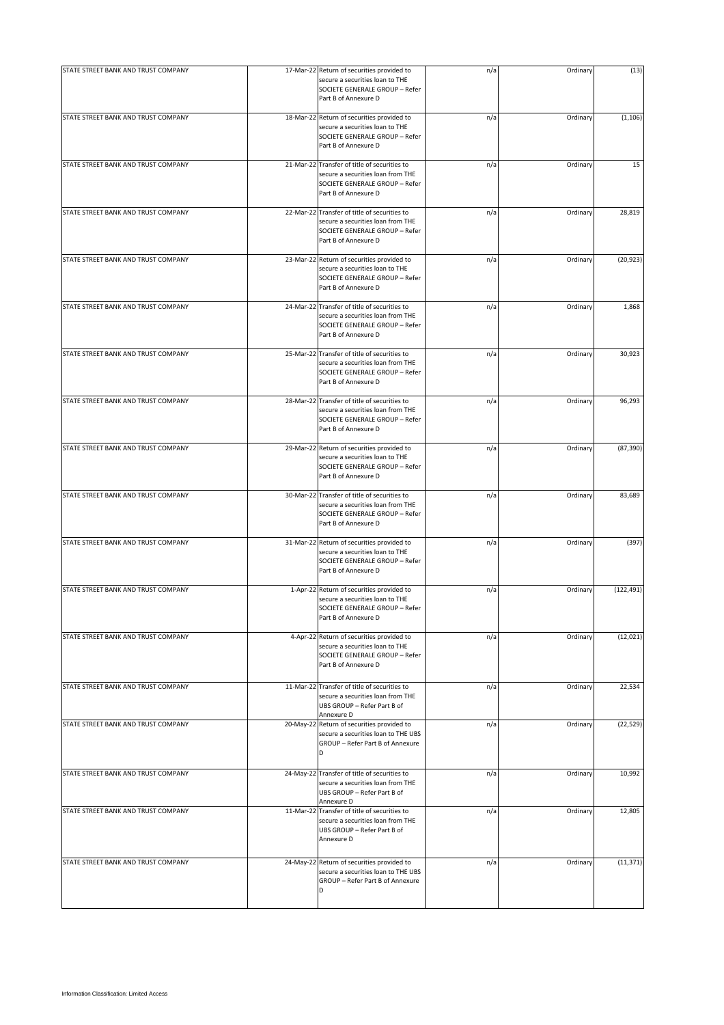| STATE STREET BANK AND TRUST COMPANY | 17-Mar-22 Return of securities provided to                                                                                                  | n/a | Ordinary | (13)       |
|-------------------------------------|---------------------------------------------------------------------------------------------------------------------------------------------|-----|----------|------------|
|                                     | secure a securities loan to THE<br>SOCIETE GENERALE GROUP - Refer<br>Part B of Annexure D                                                   |     |          |            |
| STATE STREET BANK AND TRUST COMPANY | 18-Mar-22 Return of securities provided to<br>secure a securities loan to THE<br>SOCIETE GENERALE GROUP - Refer<br>Part B of Annexure D     | n/a | Ordinary | (1, 106)   |
| STATE STREET BANK AND TRUST COMPANY | 21-Mar-22 Transfer of title of securities to<br>secure a securities loan from THE<br>SOCIETE GENERALE GROUP - Refer<br>Part B of Annexure D | n/a | Ordinary | 15         |
| STATE STREET BANK AND TRUST COMPANY | 22-Mar-22 Transfer of title of securities to<br>secure a securities loan from THE<br>SOCIETE GENERALE GROUP - Refer<br>Part B of Annexure D | n/a | Ordinary | 28,819     |
| STATE STREET BANK AND TRUST COMPANY | 23-Mar-22 Return of securities provided to<br>secure a securities loan to THE<br>SOCIETE GENERALE GROUP - Refer<br>Part B of Annexure D     | n/a | Ordinary | (20, 923)  |
| STATE STREET BANK AND TRUST COMPANY | 24-Mar-22 Transfer of title of securities to<br>secure a securities loan from THE<br>SOCIETE GENERALE GROUP - Refer<br>Part B of Annexure D | n/a | Ordinary | 1,868      |
| STATE STREET BANK AND TRUST COMPANY | 25-Mar-22 Transfer of title of securities to<br>secure a securities loan from THE<br>SOCIETE GENERALE GROUP - Refer<br>Part B of Annexure D | n/a | Ordinary | 30,923     |
| STATE STREET BANK AND TRUST COMPANY | 28-Mar-22 Transfer of title of securities to<br>secure a securities loan from THE<br>SOCIETE GENERALE GROUP - Refer<br>Part B of Annexure D | n/a | Ordinary | 96,293     |
| STATE STREET BANK AND TRUST COMPANY | 29-Mar-22 Return of securities provided to<br>secure a securities loan to THE<br>SOCIETE GENERALE GROUP - Refer<br>Part B of Annexure D     | n/a | Ordinary | (87, 390)  |
| STATE STREET BANK AND TRUST COMPANY | 30-Mar-22 Transfer of title of securities to<br>secure a securities loan from THE<br>SOCIETE GENERALE GROUP - Refer<br>Part B of Annexure D | n/a | Ordinary | 83,689     |
| STATE STREET BANK AND TRUST COMPANY | 31-Mar-22 Return of securities provided to<br>secure a securities loan to THE<br>SOCIETE GENERALE GROUP - Refer<br>Part B of Annexure D     | n/a | Ordinary | (397)      |
| STATE STREET BANK AND TRUST COMPANY | 1-Apr-22 Return of securities provided to<br>secure a securities loan to THE<br>SOCIETE GENERALE GROUP - Refer<br>Part B of Annexure D      | n/a | Ordinary | (122, 491) |
| STATE STREET BANK AND TRUST COMPANY | 4-Apr-22 Return of securities provided to<br>secure a securities loan to THE<br>SOCIETE GENERALE GROUP - Refer<br>Part B of Annexure D      | n/a | Ordinary | (12, 021)  |
| STATE STREET BANK AND TRUST COMPANY | 11-Mar-22 Transfer of title of securities to<br>secure a securities loan from THE<br>UBS GROUP - Refer Part B of<br>Annexure D              | n/a | Ordinary | 22,534     |
| STATE STREET BANK AND TRUST COMPANY | 20-May-22 Return of securities provided to<br>secure a securities loan to THE UBS<br>GROUP - Refer Part B of Annexure<br>D                  | n/a | Ordinary | (22, 529)  |
| STATE STREET BANK AND TRUST COMPANY | 24-May-22 Transfer of title of securities to<br>secure a securities loan from THE<br>UBS GROUP - Refer Part B of<br>Annexure D              | n/a | Ordinary | 10,992     |
| STATE STREET BANK AND TRUST COMPANY | 11-Mar-22 Transfer of title of securities to<br>secure a securities loan from THE<br>UBS GROUP - Refer Part B of<br>Annexure D              | n/a | Ordinary | 12,805     |
| STATE STREET BANK AND TRUST COMPANY | 24-May-22 Return of securities provided to<br>secure a securities loan to THE UBS<br>GROUP - Refer Part B of Annexure<br>D                  | n/a | Ordinary | (11, 371)  |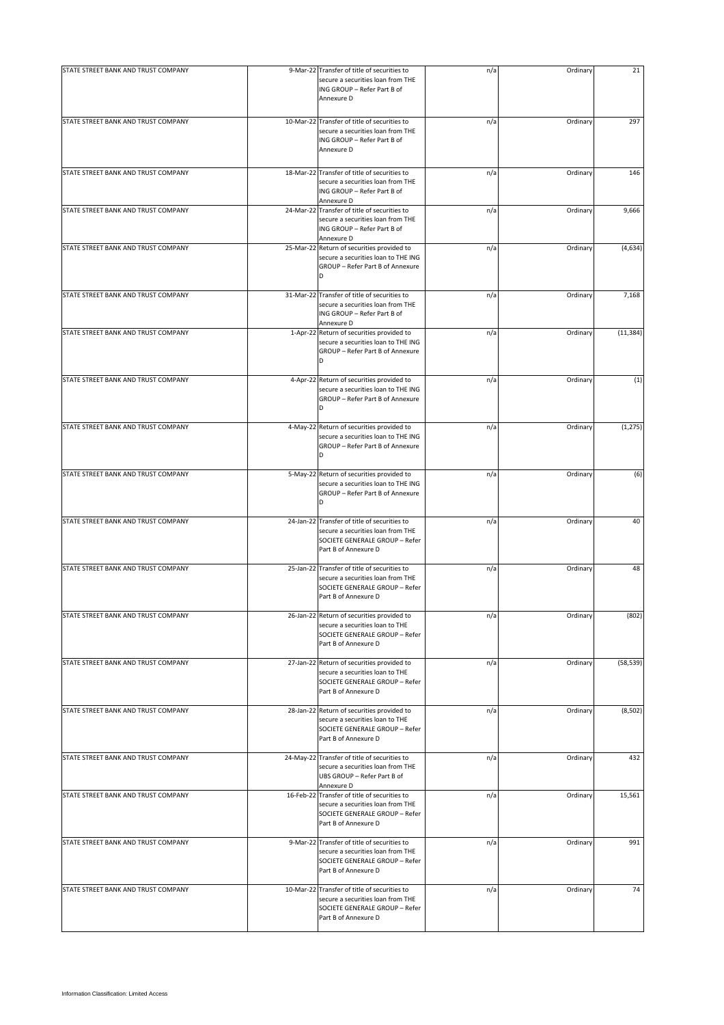| STATE STREET BANK AND TRUST COMPANY | 9-Mar-22 Transfer of title of securities to                                                                                                 | n/a | Ordinary | 21        |
|-------------------------------------|---------------------------------------------------------------------------------------------------------------------------------------------|-----|----------|-----------|
|                                     | secure a securities loan from THE<br>ING GROUP - Refer Part B of<br>Annexure D                                                              |     |          |           |
| STATE STREET BANK AND TRUST COMPANY | 10-Mar-22 Transfer of title of securities to<br>secure a securities loan from THE<br>ING GROUP - Refer Part B of<br>Annexure D              | n/a | Ordinary | 297       |
| STATE STREET BANK AND TRUST COMPANY | 18-Mar-22 Transfer of title of securities to<br>secure a securities loan from THE<br>ING GROUP - Refer Part B of<br>Annexure D              | n/a | Ordinary | 146       |
| STATE STREET BANK AND TRUST COMPANY | 24-Mar-22 Transfer of title of securities to<br>secure a securities loan from THE<br>ING GROUP - Refer Part B of<br>Annexure D              | n/a | Ordinary | 9,666     |
| STATE STREET BANK AND TRUST COMPANY | 25-Mar-22 Return of securities provided to<br>secure a securities loan to THE ING<br>GROUP - Refer Part B of Annexure<br>D                  | n/a | Ordinary | (4,634)   |
| STATE STREET BANK AND TRUST COMPANY | 31-Mar-22 Transfer of title of securities to<br>secure a securities loan from THE<br>ING GROUP - Refer Part B of<br>Annexure D              | n/a | Ordinary | 7,168     |
| STATE STREET BANK AND TRUST COMPANY | 1-Apr-22 Return of securities provided to<br>secure a securities loan to THE ING<br>GROUP - Refer Part B of Annexure<br>D                   | n/a | Ordinary | (11, 384) |
| STATE STREET BANK AND TRUST COMPANY | 4-Apr-22 Return of securities provided to<br>secure a securities loan to THE ING<br>GROUP - Refer Part B of Annexure<br>D                   | n/a | Ordinary | (1)       |
| STATE STREET BANK AND TRUST COMPANY | 4-May-22 Return of securities provided to<br>secure a securities loan to THE ING<br>GROUP - Refer Part B of Annexure<br>D                   | n/a | Ordinary | (1, 275)  |
| STATE STREET BANK AND TRUST COMPANY | 5-May-22 Return of securities provided to<br>secure a securities loan to THE ING<br>GROUP - Refer Part B of Annexure<br>D                   | n/a | Ordinary | (6)       |
| STATE STREET BANK AND TRUST COMPANY | 24-Jan-22 Transfer of title of securities to<br>secure a securities loan from THE<br>SOCIETE GENERALE GROUP - Refer<br>Part B of Annexure D | n/a | Ordinary | 40        |
| STATE STREET BANK AND TRUST COMPANY | 25-Jan-22 Transfer of title of securities to<br>secure a securities loan from THE<br>SOCIETE GENERALE GROUP - Refer<br>Part B of Annexure D | n/a | Ordinary | 48        |
| STATE STREET BANK AND TRUST COMPANY | 26-Jan-22 Return of securities provided to<br>secure a securities loan to THE<br>SOCIETE GENERALE GROUP - Refer<br>Part B of Annexure D     | n/a | Ordinary | (802)     |
| STATE STREET BANK AND TRUST COMPANY | 27-Jan-22 Return of securities provided to<br>secure a securities loan to THE<br>SOCIETE GENERALE GROUP - Refer<br>Part B of Annexure D     | n/a | Ordinary | (58, 539) |
| STATE STREET BANK AND TRUST COMPANY | 28-Jan-22 Return of securities provided to<br>secure a securities loan to THE<br>SOCIETE GENERALE GROUP - Refer<br>Part B of Annexure D     | n/a | Ordinary | (8, 502)  |
| STATE STREET BANK AND TRUST COMPANY | 24-May-22 Transfer of title of securities to<br>secure a securities loan from THE<br>UBS GROUP - Refer Part B of<br>Annexure D              | n/a | Ordinary | 432       |
| STATE STREET BANK AND TRUST COMPANY | 16-Feb-22 Transfer of title of securities to<br>secure a securities loan from THE<br>SOCIETE GENERALE GROUP - Refer<br>Part B of Annexure D | n/a | Ordinary | 15,561    |
| STATE STREET BANK AND TRUST COMPANY | 9-Mar-22 Transfer of title of securities to<br>secure a securities loan from THE<br>SOCIETE GENERALE GROUP - Refer<br>Part B of Annexure D  | n/a | Ordinary | 991       |
| STATE STREET BANK AND TRUST COMPANY | 10-Mar-22 Transfer of title of securities to<br>secure a securities loan from THE<br>SOCIETE GENERALE GROUP - Refer<br>Part B of Annexure D | n/a | Ordinary | 74        |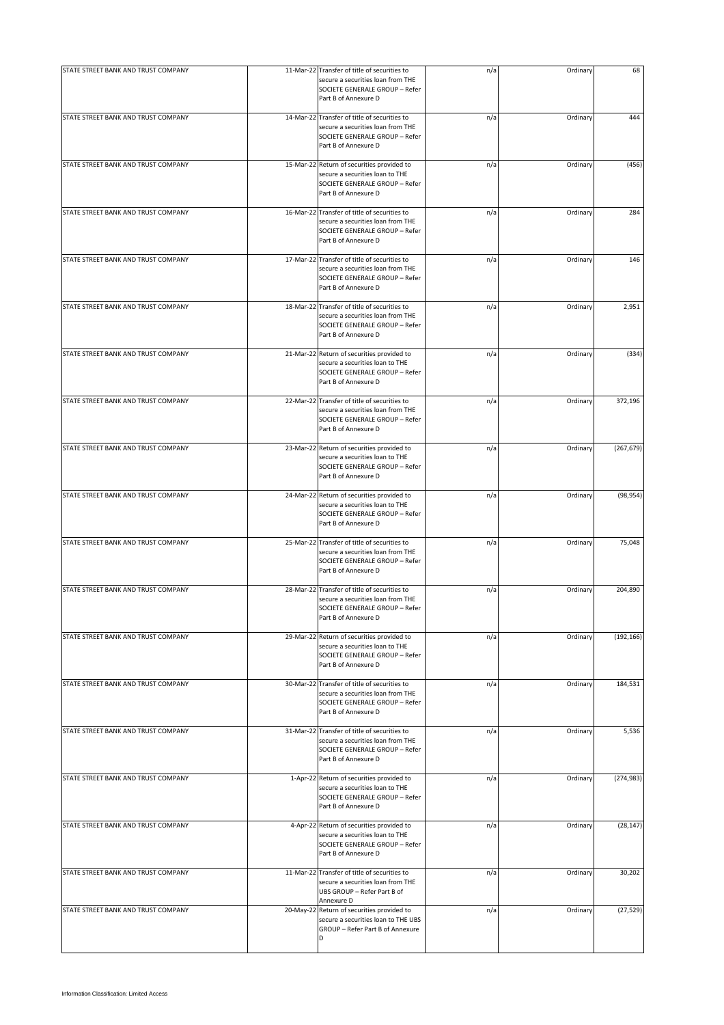| STATE STREET BANK AND TRUST COMPANY |           | 11-Mar-22 Transfer of title of securities to                                                                                                | n/a | Ordinary | 68         |
|-------------------------------------|-----------|---------------------------------------------------------------------------------------------------------------------------------------------|-----|----------|------------|
|                                     |           | secure a securities loan from THE<br>SOCIETE GENERALE GROUP - Refer<br>Part B of Annexure D                                                 |     |          |            |
| STATE STREET BANK AND TRUST COMPANY |           | 14-Mar-22 Transfer of title of securities to<br>secure a securities loan from THE<br>SOCIETE GENERALE GROUP - Refer<br>Part B of Annexure D | n/a | Ordinary | 444        |
| STATE STREET BANK AND TRUST COMPANY |           | 15-Mar-22 Return of securities provided to<br>secure a securities loan to THE<br>SOCIETE GENERALE GROUP - Refer<br>Part B of Annexure D     | n/a | Ordinary | (456)      |
| STATE STREET BANK AND TRUST COMPANY |           | 16-Mar-22 Transfer of title of securities to<br>secure a securities loan from THE<br>SOCIETE GENERALE GROUP - Refer<br>Part B of Annexure D | n/a | Ordinary | 284        |
| STATE STREET BANK AND TRUST COMPANY |           | 17-Mar-22 Transfer of title of securities to<br>secure a securities loan from THE<br>SOCIETE GENERALE GROUP - Refer<br>Part B of Annexure D | n/a | Ordinary | 146        |
| STATE STREET BANK AND TRUST COMPANY |           | 18-Mar-22 Transfer of title of securities to<br>secure a securities loan from THE<br>SOCIETE GENERALE GROUP - Refer<br>Part B of Annexure D | n/a | Ordinary | 2,951      |
| STATE STREET BANK AND TRUST COMPANY |           | 21-Mar-22 Return of securities provided to<br>secure a securities loan to THE<br>SOCIETE GENERALE GROUP - Refer<br>Part B of Annexure D     | n/a | Ordinary | (334)      |
| STATE STREET BANK AND TRUST COMPANY |           | 22-Mar-22 Transfer of title of securities to<br>secure a securities loan from THE<br>SOCIETE GENERALE GROUP - Refer<br>Part B of Annexure D | n/a | Ordinary | 372,196    |
| STATE STREET BANK AND TRUST COMPANY |           | 23-Mar-22 Return of securities provided to<br>secure a securities loan to THE<br>SOCIETE GENERALE GROUP - Refer<br>Part B of Annexure D     | n/a | Ordinary | (267, 679) |
| STATE STREET BANK AND TRUST COMPANY |           | 24-Mar-22 Return of securities provided to<br>secure a securities loan to THE<br>SOCIETE GENERALE GROUP - Refer<br>Part B of Annexure D     | n/a | Ordinary | (98, 954)  |
| STATE STREET BANK AND TRUST COMPANY |           | 25-Mar-22 Transfer of title of securities to<br>secure a securities loan from THE<br>SOCIETE GENERALE GROUP - Refer<br>Part B of Annexure D | n/a | Ordinary | 75,048     |
| STATE STREET BANK AND TRUST COMPANY |           | 28-Mar-22 Transfer of title of securities to<br>secure a securities loan from THE<br>SOCIETE GENERALE GROUP - Refer<br>Part B of Annexure D | n/a | Ordinary | 204,890    |
| STATE STREET BANK AND TRUST COMPANY |           | 29-Mar-22 Return of securities provided to<br>secure a securities loan to THE<br>SOCIETE GENERALE GROUP - Refer<br>Part B of Annexure D     | n/a | Ordinary | (192, 166) |
| STATE STREET BANK AND TRUST COMPANY |           | 30-Mar-22 Transfer of title of securities to<br>secure a securities loan from THE<br>SOCIETE GENERALE GROUP - Refer<br>Part B of Annexure D | n/a | Ordinary | 184,531    |
| STATE STREET BANK AND TRUST COMPANY |           | 31-Mar-22 Transfer of title of securities to<br>secure a securities loan from THE<br>SOCIETE GENERALE GROUP - Refer<br>Part B of Annexure D | n/a | Ordinary | 5,536      |
| STATE STREET BANK AND TRUST COMPANY |           | 1-Apr-22 Return of securities provided to<br>secure a securities loan to THE<br>SOCIETE GENERALE GROUP - Refer<br>Part B of Annexure D      | n/a | Ordinary | (274, 983) |
| STATE STREET BANK AND TRUST COMPANY |           | 4-Apr-22 Return of securities provided to<br>secure a securities loan to THE<br>SOCIETE GENERALE GROUP - Refer<br>Part B of Annexure D      | n/a | Ordinary | (28, 147)  |
| STATE STREET BANK AND TRUST COMPANY |           | 11-Mar-22 Transfer of title of securities to<br>secure a securities loan from THE<br>UBS GROUP - Refer Part B of<br>Annexure D              | n/a | Ordinary | 30,202     |
| STATE STREET BANK AND TRUST COMPANY | 20-May-22 | Return of securities provided to<br>secure a securities loan to THE UBS<br>GROUP - Refer Part B of Annexure<br><sub>D</sub>                 | n/a | Ordinary | (27, 529)  |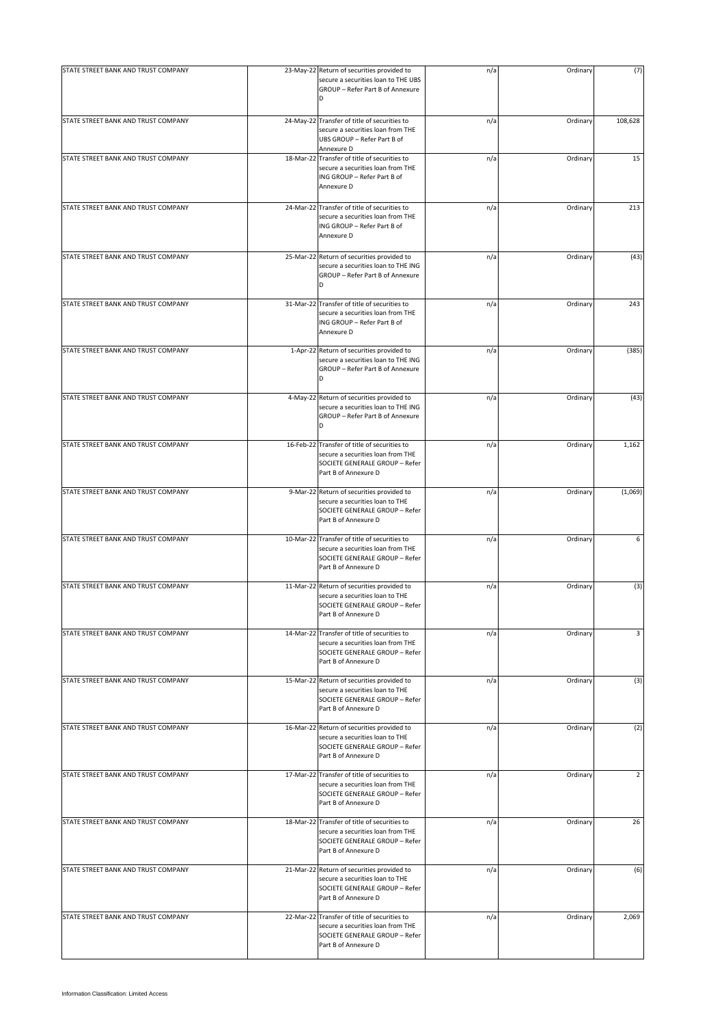| STATE STREET BANK AND TRUST COMPANY |           | 23-May-22 Return of securities provided to                                                                                                  | n/a | Ordinary | (7)     |
|-------------------------------------|-----------|---------------------------------------------------------------------------------------------------------------------------------------------|-----|----------|---------|
|                                     |           | secure a securities loan to THE UBS<br>GROUP - Refer Part B of Annexure<br>D                                                                |     |          |         |
| STATE STREET BANK AND TRUST COMPANY |           | 24-May-22 Transfer of title of securities to<br>secure a securities loan from THE<br>UBS GROUP - Refer Part B of<br>Annexure D              | n/a | Ordinary | 108,628 |
| STATE STREET BANK AND TRUST COMPANY | 18-Mar-22 | Transfer of title of securities to<br>secure a securities loan from THE<br>ING GROUP - Refer Part B of<br>Annexure D                        | n/a | Ordinary | 15      |
| STATE STREET BANK AND TRUST COMPANY |           | 24-Mar-22 Transfer of title of securities to<br>secure a securities loan from THE<br>ING GROUP - Refer Part B of<br>Annexure D              | n/a | Ordinary | 213     |
| STATE STREET BANK AND TRUST COMPANY |           | 25-Mar-22 Return of securities provided to<br>secure a securities loan to THE ING<br>GROUP - Refer Part B of Annexure<br>D                  | n/a | Ordinary | (43)    |
| STATE STREET BANK AND TRUST COMPANY |           | 31-Mar-22 Transfer of title of securities to<br>secure a securities loan from THE<br>ING GROUP - Refer Part B of<br>Annexure D              | n/a | Ordinary | 243     |
| STATE STREET BANK AND TRUST COMPANY |           | 1-Apr-22 Return of securities provided to<br>secure a securities loan to THE ING<br>GROUP - Refer Part B of Annexure<br>D                   | n/a | Ordinary | (385)   |
| STATE STREET BANK AND TRUST COMPANY |           | 4-May-22 Return of securities provided to<br>secure a securities loan to THE ING<br>GROUP - Refer Part B of Annexure<br>D                   | n/a | Ordinary | (43)    |
| STATE STREET BANK AND TRUST COMPANY |           | 16-Feb-22 Transfer of title of securities to<br>secure a securities loan from THE<br>SOCIETE GENERALE GROUP - Refer<br>Part B of Annexure D | n/a | Ordinary | 1,162   |
| STATE STREET BANK AND TRUST COMPANY |           | 9-Mar-22 Return of securities provided to<br>secure a securities loan to THE<br>SOCIETE GENERALE GROUP - Refer<br>Part B of Annexure D      | n/a | Ordinary | (1,069) |
| STATE STREET BANK AND TRUST COMPANY |           | 10-Mar-22 Transfer of title of securities to<br>secure a securities loan from THE<br>SOCIETE GENERALE GROUP - Refer<br>Part B of Annexure D | n/a | Ordinary | 6       |
| STATE STREET BANK AND TRUST COMPANY |           | 11-Mar-22 Return of securities provided to<br>secure a securities loan to THE<br>SOCIETE GENERALE GROUP - Refer<br>Part B of Annexure D     | n/a | Ordinary | (3)     |
| STATE STREET BANK AND TRUST COMPANY |           | 14-Mar-22 Transfer of title of securities to<br>secure a securities loan from THE<br>SOCIETE GENERALE GROUP - Refer<br>Part B of Annexure D | n/a | Ordinary | 3       |
| STATE STREET BANK AND TRUST COMPANY |           | 15-Mar-22 Return of securities provided to<br>secure a securities loan to THE<br>SOCIETE GENERALE GROUP - Refer<br>Part B of Annexure D     | n/a | Ordinary | (3)     |
| STATE STREET BANK AND TRUST COMPANY |           | 16-Mar-22 Return of securities provided to<br>secure a securities loan to THE<br>SOCIETE GENERALE GROUP - Refer<br>Part B of Annexure D     | n/a | Ordinary | (2)     |
| STATE STREET BANK AND TRUST COMPANY |           | 17-Mar-22 Transfer of title of securities to<br>secure a securities loan from THE<br>SOCIETE GENERALE GROUP - Refer<br>Part B of Annexure D | n/a | Ordinary | 2       |
| STATE STREET BANK AND TRUST COMPANY |           | 18-Mar-22 Transfer of title of securities to<br>secure a securities loan from THE<br>SOCIETE GENERALE GROUP - Refer<br>Part B of Annexure D | n/a | Ordinary | 26      |
| STATE STREET BANK AND TRUST COMPANY |           | 21-Mar-22 Return of securities provided to<br>secure a securities loan to THE<br>SOCIETE GENERALE GROUP - Refer<br>Part B of Annexure D     | n/a | Ordinary | (6)     |
| STATE STREET BANK AND TRUST COMPANY |           | 22-Mar-22 Transfer of title of securities to<br>secure a securities loan from THE<br>SOCIETE GENERALE GROUP - Refer<br>Part B of Annexure D | n/a | Ordinary | 2,069   |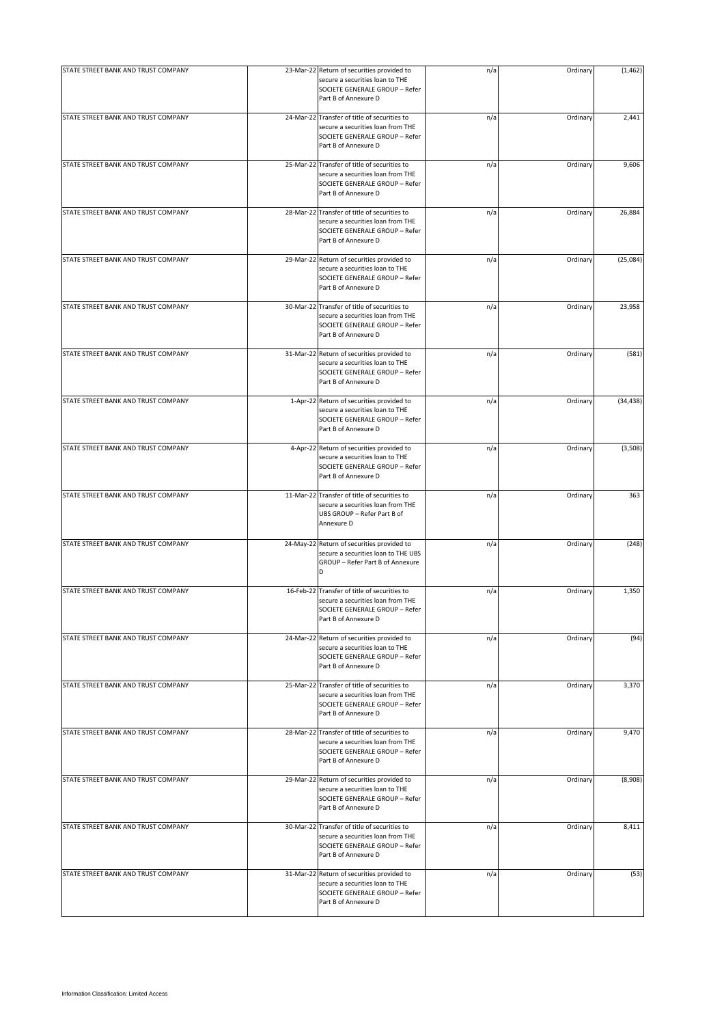| STATE STREET BANK AND TRUST COMPANY | 23-Mar-22 Return of securities provided to<br>secure a securities loan to THE<br>SOCIETE GENERALE GROUP - Refer<br>Part B of Annexure D     | n/a | Ordinary | (1, 462)  |
|-------------------------------------|---------------------------------------------------------------------------------------------------------------------------------------------|-----|----------|-----------|
| STATE STREET BANK AND TRUST COMPANY | 24-Mar-22 Transfer of title of securities to<br>secure a securities loan from THE<br>SOCIETE GENERALE GROUP - Refer<br>Part B of Annexure D | n/a | Ordinary | 2,441     |
| STATE STREET BANK AND TRUST COMPANY | 25-Mar-22 Transfer of title of securities to<br>secure a securities loan from THE<br>SOCIETE GENERALE GROUP - Refer<br>Part B of Annexure D | n/a | Ordinary | 9,606     |
| STATE STREET BANK AND TRUST COMPANY | 28-Mar-22 Transfer of title of securities to<br>secure a securities loan from THE<br>SOCIETE GENERALE GROUP - Refer<br>Part B of Annexure D | n/a | Ordinary | 26,884    |
| STATE STREET BANK AND TRUST COMPANY | 29-Mar-22 Return of securities provided to<br>secure a securities loan to THE<br>SOCIETE GENERALE GROUP - Refer<br>Part B of Annexure D     | n/a | Ordinary | (25,084)  |
| STATE STREET BANK AND TRUST COMPANY | 30-Mar-22 Transfer of title of securities to<br>secure a securities loan from THE<br>SOCIETE GENERALE GROUP - Refer<br>Part B of Annexure D | n/a | Ordinary | 23,958    |
| STATE STREET BANK AND TRUST COMPANY | 31-Mar-22 Return of securities provided to<br>secure a securities loan to THE<br>SOCIETE GENERALE GROUP - Refer<br>Part B of Annexure D     | n/a | Ordinary | (581)     |
| STATE STREET BANK AND TRUST COMPANY | 1-Apr-22 Return of securities provided to<br>secure a securities loan to THE<br>SOCIETE GENERALE GROUP - Refer<br>Part B of Annexure D      | n/a | Ordinary | (34, 438) |
| STATE STREET BANK AND TRUST COMPANY | 4-Apr-22 Return of securities provided to<br>secure a securities loan to THE<br>SOCIETE GENERALE GROUP - Refer<br>Part B of Annexure D      | n/a | Ordinary | (3,508)   |
| STATE STREET BANK AND TRUST COMPANY | 11-Mar-22 Transfer of title of securities to<br>secure a securities loan from THE<br>UBS GROUP - Refer Part B of<br>Annexure D              | n/a | Ordinary | 363       |
| STATE STREET BANK AND TRUST COMPANY | 24-May-22 Return of securities provided to<br>secure a securities loan to THE UBS<br>GROUP - Refer Part B of Annexure<br>D                  | n/a | Ordinary | (248)     |
| STATE STREET BANK AND TRUST COMPANY | 16-Feb-22 Transfer of title of securities to<br>secure a securities loan from THE<br>SOCIETE GENERALE GROUP - Refer<br>Part B of Annexure D | n/a | Ordinary | 1,350     |
| STATE STREET BANK AND TRUST COMPANY | 24-Mar-22 Return of securities provided to<br>secure a securities loan to THE<br>SOCIETE GENERALE GROUP - Refer<br>Part B of Annexure D     | n/a | Ordinary | (94)      |
| STATE STREET BANK AND TRUST COMPANY | 25-Mar-22 Transfer of title of securities to<br>secure a securities loan from THE<br>SOCIETE GENERALE GROUP - Refer<br>Part B of Annexure D | n/a | Ordinary | 3,370     |
| STATE STREET BANK AND TRUST COMPANY | 28-Mar-22 Transfer of title of securities to<br>secure a securities loan from THE<br>SOCIETE GENERALE GROUP - Refer<br>Part B of Annexure D | n/a | Ordinary | 9,470     |
| STATE STREET BANK AND TRUST COMPANY | 29-Mar-22 Return of securities provided to<br>secure a securities loan to THE<br>SOCIETE GENERALE GROUP - Refer<br>Part B of Annexure D     | n/a | Ordinary | (8,908)   |
| STATE STREET BANK AND TRUST COMPANY | 30-Mar-22 Transfer of title of securities to<br>secure a securities loan from THE<br>SOCIETE GENERALE GROUP - Refer<br>Part B of Annexure D | n/a | Ordinary | 8,411     |
| STATE STREET BANK AND TRUST COMPANY | 31-Mar-22 Return of securities provided to<br>secure a securities loan to THE<br>SOCIETE GENERALE GROUP - Refer<br>Part B of Annexure D     | n/a | Ordinary | (53)      |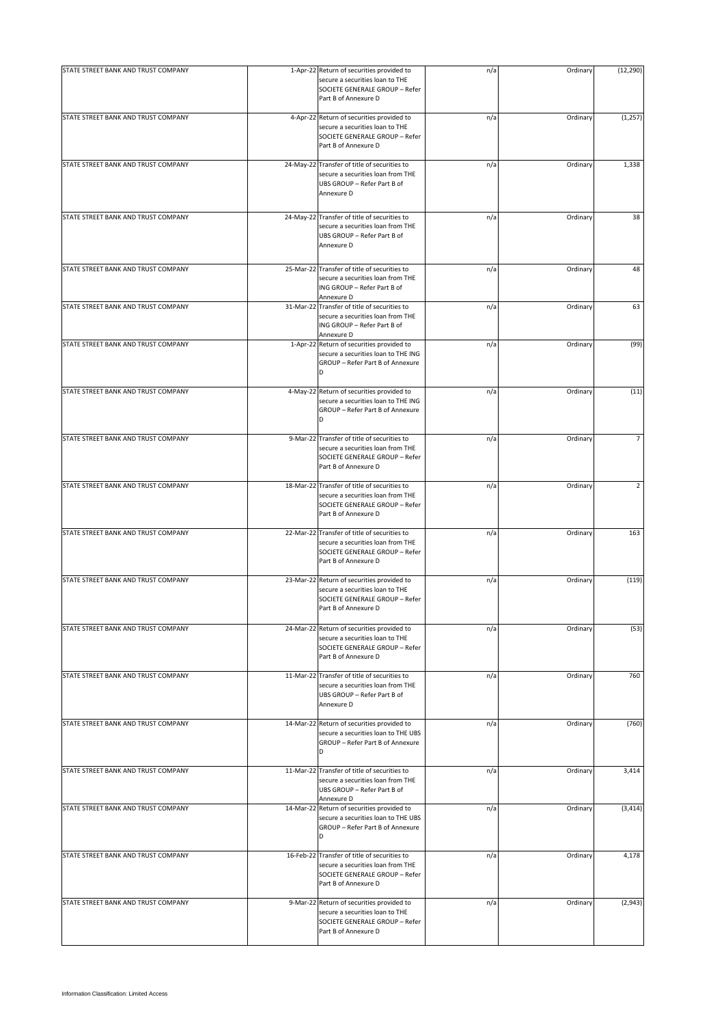| STATE STREET BANK AND TRUST COMPANY | 1-Apr-22 Return of securities provided to<br>secure a securities loan to THE<br>SOCIETE GENERALE GROUP - Refer<br>Part B of Annexure D      | n/a | Ordinary | (12, 290)      |
|-------------------------------------|---------------------------------------------------------------------------------------------------------------------------------------------|-----|----------|----------------|
| STATE STREET BANK AND TRUST COMPANY | 4-Apr-22 Return of securities provided to<br>secure a securities loan to THE<br>SOCIETE GENERALE GROUP - Refer<br>Part B of Annexure D      | n/a | Ordinary | (1, 257)       |
| STATE STREET BANK AND TRUST COMPANY | 24-May-22 Transfer of title of securities to<br>secure a securities loan from THE<br>UBS GROUP - Refer Part B of<br>Annexure D              | n/a | Ordinary | 1,338          |
| STATE STREET BANK AND TRUST COMPANY | 24-May-22 Transfer of title of securities to<br>secure a securities loan from THE<br>UBS GROUP - Refer Part B of<br>Annexure D              | n/a | Ordinary | 38             |
| STATE STREET BANK AND TRUST COMPANY | 25-Mar-22 Transfer of title of securities to<br>secure a securities loan from THE<br>ING GROUP - Refer Part B of<br>Annexure D              | n/a | Ordinary | 48             |
| STATE STREET BANK AND TRUST COMPANY | 31-Mar-22 Transfer of title of securities to<br>secure a securities loan from THE<br>ING GROUP - Refer Part B of<br>Annexure D              | n/a | Ordinary | 63             |
| STATE STREET BANK AND TRUST COMPANY | 1-Apr-22 Return of securities provided to<br>secure a securities loan to THE ING<br>GROUP - Refer Part B of Annexure<br>D                   | n/a | Ordinary | (99)           |
| STATE STREET BANK AND TRUST COMPANY | 4-May-22 Return of securities provided to<br>secure a securities loan to THE ING<br>GROUP - Refer Part B of Annexure<br>D                   | n/a | Ordinary | (11)           |
| STATE STREET BANK AND TRUST COMPANY | 9-Mar-22 Transfer of title of securities to<br>secure a securities loan from THE<br>SOCIETE GENERALE GROUP - Refer<br>Part B of Annexure D  | n/a | Ordinary | $\overline{7}$ |
| STATE STREET BANK AND TRUST COMPANY | 18-Mar-22 Transfer of title of securities to<br>secure a securities loan from THE<br>SOCIETE GENERALE GROUP - Refer<br>Part B of Annexure D | n/a | Ordinary | $\overline{2}$ |
| STATE STREET BANK AND TRUST COMPANY | 22-Mar-22 Transfer of title of securities to<br>secure a securities loan from THE<br>SOCIETE GENERALE GROUP - Refer<br>Part B of Annexure D | n/a | Ordinary | 163            |
| STATE STREET BANK AND TRUST COMPANY | 23-Mar-22 Return of securities provided to<br>secure a securities loan to THE<br>SOCIETE GENERALE GROUP - Refer<br>Part B of Annexure D     | n/a | Ordinary | (119)          |
| STATE STREET BANK AND TRUST COMPANY | 24-Mar-22 Return of securities provided to<br>secure a securities loan to THE<br>SOCIETE GENERALE GROUP - Refer<br>Part B of Annexure D     | n/a | Ordinary | (53)           |
| STATE STREET BANK AND TRUST COMPANY | 11-Mar-22 Transfer of title of securities to<br>secure a securities loan from THE<br>UBS GROUP - Refer Part B of<br>Annexure D              | n/a | Ordinary | 760            |
| STATE STREET BANK AND TRUST COMPANY | 14-Mar-22 Return of securities provided to<br>secure a securities loan to THE UBS<br>GROUP - Refer Part B of Annexure<br>D                  | n/a | Ordinary | (760)          |
| STATE STREET BANK AND TRUST COMPANY | 11-Mar-22 Transfer of title of securities to<br>secure a securities loan from THE<br>UBS GROUP - Refer Part B of<br>Annexure D              | n/a | Ordinary | 3,414          |
| STATE STREET BANK AND TRUST COMPANY | 14-Mar-22 Return of securities provided to<br>secure a securities loan to THE UBS<br>GROUP - Refer Part B of Annexure<br>D                  | n/a | Ordinary | (3, 414)       |
| STATE STREET BANK AND TRUST COMPANY | 16-Feb-22 Transfer of title of securities to<br>secure a securities loan from THE<br>SOCIETE GENERALE GROUP - Refer<br>Part B of Annexure D | n/a | Ordinary | 4,178          |
| STATE STREET BANK AND TRUST COMPANY | 9-Mar-22 Return of securities provided to<br>secure a securities loan to THE<br>SOCIETE GENERALE GROUP - Refer<br>Part B of Annexure D      | n/a | Ordinary | (2,943)        |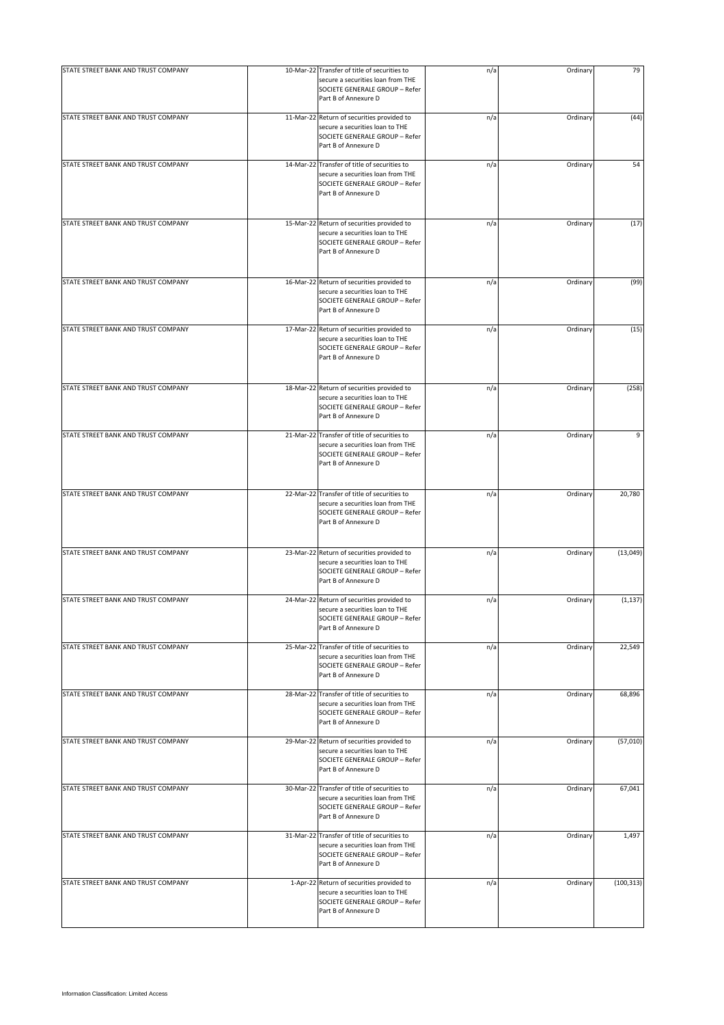| STATE STREET BANK AND TRUST COMPANY | 10-Mar-22 Transfer of title of securities to<br>secure a securities loan from THE                                                           | n/a | Ordinary | 79         |
|-------------------------------------|---------------------------------------------------------------------------------------------------------------------------------------------|-----|----------|------------|
|                                     | SOCIETE GENERALE GROUP - Refer<br>Part B of Annexure D                                                                                      |     |          |            |
| STATE STREET BANK AND TRUST COMPANY | 11-Mar-22 Return of securities provided to<br>secure a securities loan to THE<br>SOCIETE GENERALE GROUP - Refer<br>Part B of Annexure D     | n/a | Ordinary | (44)       |
| STATE STREET BANK AND TRUST COMPANY | 14-Mar-22 Transfer of title of securities to<br>secure a securities loan from THE<br>SOCIETE GENERALE GROUP - Refer<br>Part B of Annexure D | n/a | Ordinary | 54         |
| STATE STREET BANK AND TRUST COMPANY | 15-Mar-22 Return of securities provided to<br>secure a securities loan to THE<br>SOCIETE GENERALE GROUP - Refer<br>Part B of Annexure D     | n/a | Ordinary | (17)       |
| STATE STREET BANK AND TRUST COMPANY | 16-Mar-22 Return of securities provided to<br>secure a securities loan to THE<br>SOCIETE GENERALE GROUP - Refer<br>Part B of Annexure D     | n/a | Ordinary | (99)       |
| STATE STREET BANK AND TRUST COMPANY | 17-Mar-22 Return of securities provided to<br>secure a securities loan to THE<br>SOCIETE GENERALE GROUP - Refer<br>Part B of Annexure D     | n/a | Ordinary | (15)       |
| STATE STREET BANK AND TRUST COMPANY | 18-Mar-22 Return of securities provided to<br>secure a securities loan to THE<br>SOCIETE GENERALE GROUP - Refer<br>Part B of Annexure D     | n/a | Ordinary | (258)      |
| STATE STREET BANK AND TRUST COMPANY | 21-Mar-22 Transfer of title of securities to<br>secure a securities loan from THE<br>SOCIETE GENERALE GROUP - Refer<br>Part B of Annexure D | n/a | Ordinary | 9          |
| STATE STREET BANK AND TRUST COMPANY | 22-Mar-22 Transfer of title of securities to<br>secure a securities loan from THE<br>SOCIETE GENERALE GROUP - Refer<br>Part B of Annexure D | n/a | Ordinary | 20,780     |
| STATE STREET BANK AND TRUST COMPANY | 23-Mar-22 Return of securities provided to<br>secure a securities loan to THE<br>SOCIETE GENERALE GROUP - Refer<br>Part B of Annexure D     | n/a | Ordinary | (13,049)   |
| STATE STREET BANK AND TRUST COMPANY | 24-Mar-22 Return of securities provided to<br>secure a securities loan to THE<br>SOCIETE GENERALE GROUP - Refer<br>Part B of Annexure D     | n/a | Ordinary | (1, 137)   |
| STATE STREET BANK AND TRUST COMPANY | 25-Mar-22 Transfer of title of securities to<br>secure a securities loan from THE<br>SOCIETE GENERALE GROUP - Refer<br>Part B of Annexure D | n/a | Ordinary | 22,549     |
| STATE STREET BANK AND TRUST COMPANY | 28-Mar-22 Transfer of title of securities to<br>secure a securities loan from THE<br>SOCIETE GENERALE GROUP - Refer<br>Part B of Annexure D | n/a | Ordinary | 68,896     |
| STATE STREET BANK AND TRUST COMPANY | 29-Mar-22 Return of securities provided to<br>secure a securities loan to THE<br>SOCIETE GENERALE GROUP - Refer<br>Part B of Annexure D     | n/a | Ordinary | (57,010)   |
| STATE STREET BANK AND TRUST COMPANY | 30-Mar-22 Transfer of title of securities to<br>secure a securities loan from THE<br>SOCIETE GENERALE GROUP - Refer<br>Part B of Annexure D | n/a | Ordinary | 67,041     |
| STATE STREET BANK AND TRUST COMPANY | 31-Mar-22 Transfer of title of securities to<br>secure a securities loan from THE<br>SOCIETE GENERALE GROUP - Refer<br>Part B of Annexure D | n/a | Ordinary | 1,497      |
| STATE STREET BANK AND TRUST COMPANY | 1-Apr-22 Return of securities provided to<br>secure a securities loan to THE<br>SOCIETE GENERALE GROUP - Refer<br>Part B of Annexure D      | n/a | Ordinary | (100, 313) |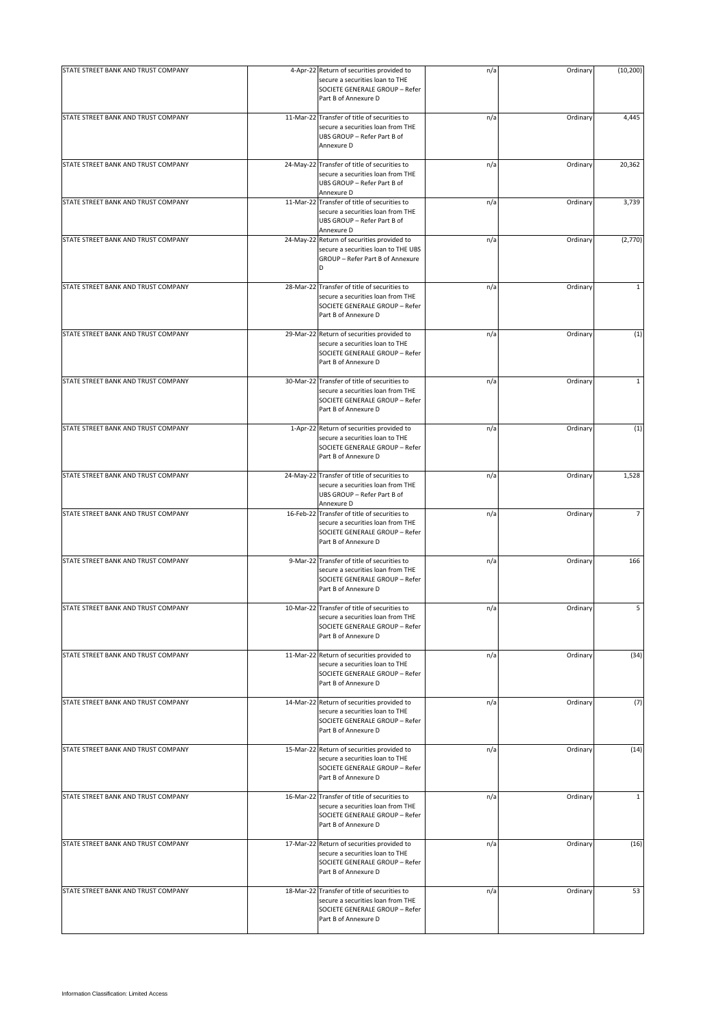| STATE STREET BANK AND TRUST COMPANY | 4-Apr-22 Return of securities provided to                                                                                                   | n/a | Ordinary | (10, 200)    |
|-------------------------------------|---------------------------------------------------------------------------------------------------------------------------------------------|-----|----------|--------------|
|                                     | secure a securities loan to THE<br>SOCIETE GENERALE GROUP - Refer<br>Part B of Annexure D                                                   |     |          |              |
| STATE STREET BANK AND TRUST COMPANY | 11-Mar-22 Transfer of title of securities to<br>secure a securities loan from THE<br>UBS GROUP - Refer Part B of<br>Annexure D              | n/a | Ordinary | 4,445        |
| STATE STREET BANK AND TRUST COMPANY | 24-May-22 Transfer of title of securities to<br>secure a securities loan from THE<br>UBS GROUP - Refer Part B of<br>Annexure D              | n/a | Ordinary | 20,362       |
| STATE STREET BANK AND TRUST COMPANY | 11-Mar-22 Transfer of title of securities to<br>secure a securities loan from THE<br>UBS GROUP - Refer Part B of<br>Annexure D              | n/a | Ordinary | 3,739        |
| STATE STREET BANK AND TRUST COMPANY | 24-May-22 Return of securities provided to<br>secure a securities loan to THE UBS<br>GROUP - Refer Part B of Annexure<br>D                  | n/a | Ordinary | (2,770)      |
| STATE STREET BANK AND TRUST COMPANY | 28-Mar-22 Transfer of title of securities to<br>secure a securities loan from THE<br>SOCIETE GENERALE GROUP - Refer<br>Part B of Annexure D | n/a | Ordinary | $\mathbf{1}$ |
| STATE STREET BANK AND TRUST COMPANY | 29-Mar-22 Return of securities provided to<br>secure a securities loan to THE<br>SOCIETE GENERALE GROUP - Refer<br>Part B of Annexure D     | n/a | Ordinary | (1)          |
| STATE STREET BANK AND TRUST COMPANY | 30-Mar-22 Transfer of title of securities to<br>secure a securities loan from THE<br>SOCIETE GENERALE GROUP - Refer<br>Part B of Annexure D | n/a | Ordinary | $\mathbf{1}$ |
| STATE STREET BANK AND TRUST COMPANY | 1-Apr-22 Return of securities provided to<br>secure a securities loan to THE<br>SOCIETE GENERALE GROUP - Refer<br>Part B of Annexure D      | n/a | Ordinary | (1)          |
| STATE STREET BANK AND TRUST COMPANY | 24-May-22 Transfer of title of securities to<br>secure a securities loan from THE<br>UBS GROUP - Refer Part B of<br>Annexure D              | n/a | Ordinary | 1,528        |
| STATE STREET BANK AND TRUST COMPANY | 16-Feb-22 Transfer of title of securities to<br>secure a securities loan from THE<br>SOCIETE GENERALE GROUP - Refer<br>Part B of Annexure D | n/a | Ordinary | 7            |
| STATE STREET BANK AND TRUST COMPANY | 9-Mar-22 Transfer of title of securities to<br>secure a securities loan from THE<br>SOCIETE GENERALE GROUP - Refer<br>Part B of Annexure D  | n/a | Ordinary | 166          |
| STATE STREET BANK AND TRUST COMPANY | 10-Mar-22 Transfer of title of securities to<br>secure a securities loan from THE<br>SOCIETE GENERALE GROUP - Refer<br>Part B of Annexure D | n/a | Ordinary | 5            |
| STATE STREET BANK AND TRUST COMPANY | 11-Mar-22 Return of securities provided to<br>secure a securities loan to THE<br>SOCIETE GENERALE GROUP - Refer<br>Part B of Annexure D     | n/a | Ordinary | (34)         |
| STATE STREET BANK AND TRUST COMPANY | 14-Mar-22 Return of securities provided to<br>secure a securities loan to THE<br>SOCIETE GENERALE GROUP - Refer<br>Part B of Annexure D     | n/a | Ordinary | (7)          |
| STATE STREET BANK AND TRUST COMPANY | 15-Mar-22 Return of securities provided to<br>secure a securities loan to THE<br>SOCIETE GENERALE GROUP - Refer<br>Part B of Annexure D     | n/a | Ordinary | (14)         |
| STATE STREET BANK AND TRUST COMPANY | 16-Mar-22 Transfer of title of securities to<br>secure a securities loan from THE<br>SOCIETE GENERALE GROUP - Refer<br>Part B of Annexure D | n/a | Ordinary | $\mathbf{1}$ |
| STATE STREET BANK AND TRUST COMPANY | 17-Mar-22 Return of securities provided to<br>secure a securities loan to THE<br>SOCIETE GENERALE GROUP - Refer<br>Part B of Annexure D     | n/a | Ordinary | (16)         |
| STATE STREET BANK AND TRUST COMPANY | 18-Mar-22 Transfer of title of securities to<br>secure a securities loan from THE<br>SOCIETE GENERALE GROUP - Refer<br>Part B of Annexure D | n/a | Ordinary | 53           |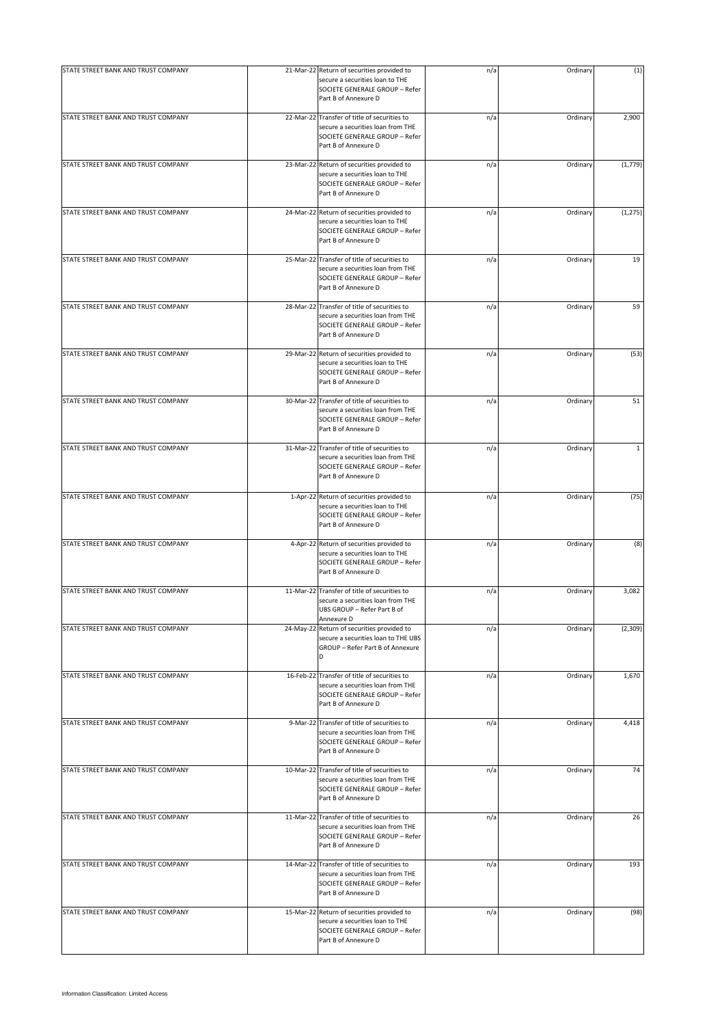| STATE STREET BANK AND TRUST COMPANY |           | 21-Mar-22 Return of securities provided to                                                                                                  | n/a | Ordinary | (1)          |
|-------------------------------------|-----------|---------------------------------------------------------------------------------------------------------------------------------------------|-----|----------|--------------|
|                                     |           | secure a securities loan to THE<br>SOCIETE GENERALE GROUP - Refer<br>Part B of Annexure D                                                   |     |          |              |
| STATE STREET BANK AND TRUST COMPANY |           | 22-Mar-22 Transfer of title of securities to<br>secure a securities loan from THE<br>SOCIETE GENERALE GROUP - Refer<br>Part B of Annexure D | n/a | Ordinary | 2,900        |
| STATE STREET BANK AND TRUST COMPANY |           | 23-Mar-22 Return of securities provided to<br>secure a securities loan to THE<br>SOCIETE GENERALE GROUP - Refer<br>Part B of Annexure D     | n/a | Ordinary | (1, 779)     |
| STATE STREET BANK AND TRUST COMPANY |           | 24-Mar-22 Return of securities provided to<br>secure a securities loan to THE<br>SOCIETE GENERALE GROUP - Refer<br>Part B of Annexure D     | n/a | Ordinary | (1, 275)     |
| STATE STREET BANK AND TRUST COMPANY |           | 25-Mar-22 Transfer of title of securities to<br>secure a securities loan from THE<br>SOCIETE GENERALE GROUP - Refer<br>Part B of Annexure D | n/a | Ordinary | 19           |
| STATE STREET BANK AND TRUST COMPANY |           | 28-Mar-22 Transfer of title of securities to<br>secure a securities loan from THE<br>SOCIETE GENERALE GROUP - Refer<br>Part B of Annexure D | n/a | Ordinary | 59           |
| STATE STREET BANK AND TRUST COMPANY |           | 29-Mar-22 Return of securities provided to<br>secure a securities loan to THE<br>SOCIETE GENERALE GROUP - Refer<br>Part B of Annexure D     | n/a | Ordinary | (53)         |
| STATE STREET BANK AND TRUST COMPANY |           | 30-Mar-22 Transfer of title of securities to<br>secure a securities loan from THE<br>SOCIETE GENERALE GROUP - Refer<br>Part B of Annexure D | n/a | Ordinary | 51           |
| STATE STREET BANK AND TRUST COMPANY |           | 31-Mar-22 Transfer of title of securities to<br>secure a securities loan from THE<br>SOCIETE GENERALE GROUP - Refer<br>Part B of Annexure D | n/a | Ordinary | $\mathbf{1}$ |
| STATE STREET BANK AND TRUST COMPANY |           | 1-Apr-22 Return of securities provided to<br>secure a securities loan to THE<br>SOCIETE GENERALE GROUP - Refer<br>Part B of Annexure D      | n/a | Ordinary | (75)         |
| STATE STREET BANK AND TRUST COMPANY |           | 4-Apr-22 Return of securities provided to<br>secure a securities loan to THE<br>SOCIETE GENERALE GROUP - Refer<br>Part B of Annexure D      | n/a | Ordinary | (8)          |
| STATE STREET BANK AND TRUST COMPANY |           | 11-Mar-22 Transfer of title of securities to<br>secure a securities loan from THE<br>UBS GROUP - Refer Part B of<br>Annexure D              | n/a | Ordinary | 3,082        |
| STATE STREET BANK AND TRUST COMPANY | 24-May-22 | Return of securities provided to<br>secure a securities loan to THE UBS<br>GROUP - Refer Part B of Annexure<br>D                            | n/a | Ordinary | (2,309)      |
| STATE STREET BANK AND TRUST COMPANY |           | 16-Feb-22 Transfer of title of securities to<br>secure a securities loan from THE<br>SOCIETE GENERALE GROUP - Refer<br>Part B of Annexure D | n/a | Ordinary | 1,670        |
| STATE STREET BANK AND TRUST COMPANY |           | 9-Mar-22 Transfer of title of securities to<br>secure a securities loan from THE<br>SOCIETE GENERALE GROUP - Refer<br>Part B of Annexure D  | n/a | Ordinary | 4,418        |
| STATE STREET BANK AND TRUST COMPANY |           | 10-Mar-22 Transfer of title of securities to<br>secure a securities loan from THE<br>SOCIETE GENERALE GROUP - Refer<br>Part B of Annexure D | n/a | Ordinary | 74           |
| STATE STREET BANK AND TRUST COMPANY |           | 11-Mar-22 Transfer of title of securities to<br>secure a securities loan from THE<br>SOCIETE GENERALE GROUP - Refer<br>Part B of Annexure D | n/a | Ordinary | 26           |
| STATE STREET BANK AND TRUST COMPANY |           | 14-Mar-22 Transfer of title of securities to<br>secure a securities loan from THE<br>SOCIETE GENERALE GROUP - Refer<br>Part B of Annexure D | n/a | Ordinary | 193          |
| STATE STREET BANK AND TRUST COMPANY |           | 15-Mar-22 Return of securities provided to<br>secure a securities loan to THE<br>SOCIETE GENERALE GROUP - Refer<br>Part B of Annexure D     | n/a | Ordinary | (98)         |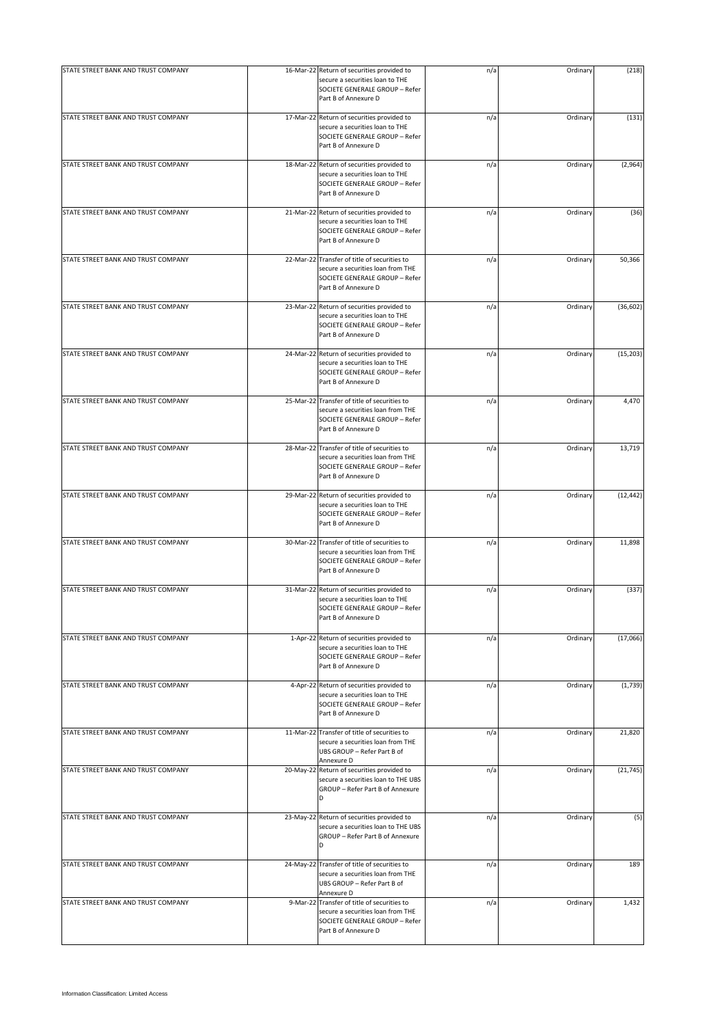| STATE STREET BANK AND TRUST COMPANY |                                                                                                                                             |     | Ordinary |           |
|-------------------------------------|---------------------------------------------------------------------------------------------------------------------------------------------|-----|----------|-----------|
|                                     | 16-Mar-22 Return of securities provided to<br>secure a securities loan to THE<br>SOCIETE GENERALE GROUP - Refer<br>Part B of Annexure D     | n/a |          | (218)     |
| STATE STREET BANK AND TRUST COMPANY | 17-Mar-22 Return of securities provided to<br>secure a securities loan to THE<br>SOCIETE GENERALE GROUP - Refer<br>Part B of Annexure D     | n/a | Ordinary | (131)     |
| STATE STREET BANK AND TRUST COMPANY | 18-Mar-22 Return of securities provided to<br>secure a securities loan to THE<br>SOCIETE GENERALE GROUP - Refer<br>Part B of Annexure D     | n/a | Ordinary | (2,964)   |
| STATE STREET BANK AND TRUST COMPANY | 21-Mar-22 Return of securities provided to<br>secure a securities loan to THE<br>SOCIETE GENERALE GROUP - Refer<br>Part B of Annexure D     | n/a | Ordinary | (36)      |
| STATE STREET BANK AND TRUST COMPANY | 22-Mar-22 Transfer of title of securities to<br>secure a securities loan from THE<br>SOCIETE GENERALE GROUP - Refer<br>Part B of Annexure D | n/a | Ordinary | 50,366    |
| STATE STREET BANK AND TRUST COMPANY | 23-Mar-22 Return of securities provided to<br>secure a securities loan to THE<br>SOCIETE GENERALE GROUP - Refer<br>Part B of Annexure D     | n/a | Ordinary | (36, 602) |
| STATE STREET BANK AND TRUST COMPANY | 24-Mar-22 Return of securities provided to<br>secure a securities loan to THE<br>SOCIETE GENERALE GROUP - Refer<br>Part B of Annexure D     | n/a | Ordinary | (15, 203) |
| STATE STREET BANK AND TRUST COMPANY | 25-Mar-22 Transfer of title of securities to<br>secure a securities loan from THE<br>SOCIETE GENERALE GROUP - Refer<br>Part B of Annexure D | n/a | Ordinary | 4,470     |
| STATE STREET BANK AND TRUST COMPANY | 28-Mar-22 Transfer of title of securities to<br>secure a securities loan from THE<br>SOCIETE GENERALE GROUP - Refer<br>Part B of Annexure D | n/a | Ordinary | 13,719    |
| STATE STREET BANK AND TRUST COMPANY | 29-Mar-22 Return of securities provided to<br>secure a securities loan to THE<br>SOCIETE GENERALE GROUP - Refer<br>Part B of Annexure D     | n/a | Ordinary | (12, 442) |
| STATE STREET BANK AND TRUST COMPANY | 30-Mar-22 Transfer of title of securities to<br>secure a securities loan from THE<br>SOCIETE GENERALE GROUP - Refer<br>Part B of Annexure D | n/a | Ordinary | 11,898    |
| STATE STREET BANK AND TRUST COMPANY | 31-Mar-22 Return of securities provided to<br>secure a securities loan to THE<br>SOCIETE GENERALE GROUP - Refer<br>Part B of Annexure D     | n/a | Ordinary | (337)     |
| STATE STREET BANK AND TRUST COMPANY | 1-Apr-22 Return of securities provided to<br>secure a securities loan to THE<br>SOCIETE GENERALE GROUP - Refer<br>Part B of Annexure D      | n/a | Ordinary | (17,066)  |
| STATE STREET BANK AND TRUST COMPANY | 4-Apr-22 Return of securities provided to<br>secure a securities loan to THE<br>SOCIETE GENERALE GROUP - Refer<br>Part B of Annexure D      | n/a | Ordinary | (1,739)   |
| STATE STREET BANK AND TRUST COMPANY | 11-Mar-22 Transfer of title of securities to<br>secure a securities loan from THE<br>UBS GROUP - Refer Part B of<br>Annexure D              | n/a | Ordinary | 21,820    |
| STATE STREET BANK AND TRUST COMPANY | 20-May-22 Return of securities provided to<br>secure a securities loan to THE UBS<br>GROUP - Refer Part B of Annexure<br>D                  | n/a | Ordinary | (21, 745) |
| STATE STREET BANK AND TRUST COMPANY | 23-May-22 Return of securities provided to<br>secure a securities loan to THE UBS<br>GROUP - Refer Part B of Annexure<br>D                  | n/a | Ordinary | (5)       |
| STATE STREET BANK AND TRUST COMPANY | 24-May-22 Transfer of title of securities to<br>secure a securities loan from THE<br>UBS GROUP - Refer Part B of<br>Annexure D              | n/a | Ordinary | 189       |
| STATE STREET BANK AND TRUST COMPANY | 9-Mar-22 Transfer of title of securities to<br>secure a securities loan from THE<br>SOCIETE GENERALE GROUP - Refer<br>Part B of Annexure D  | n/a | Ordinary | 1,432     |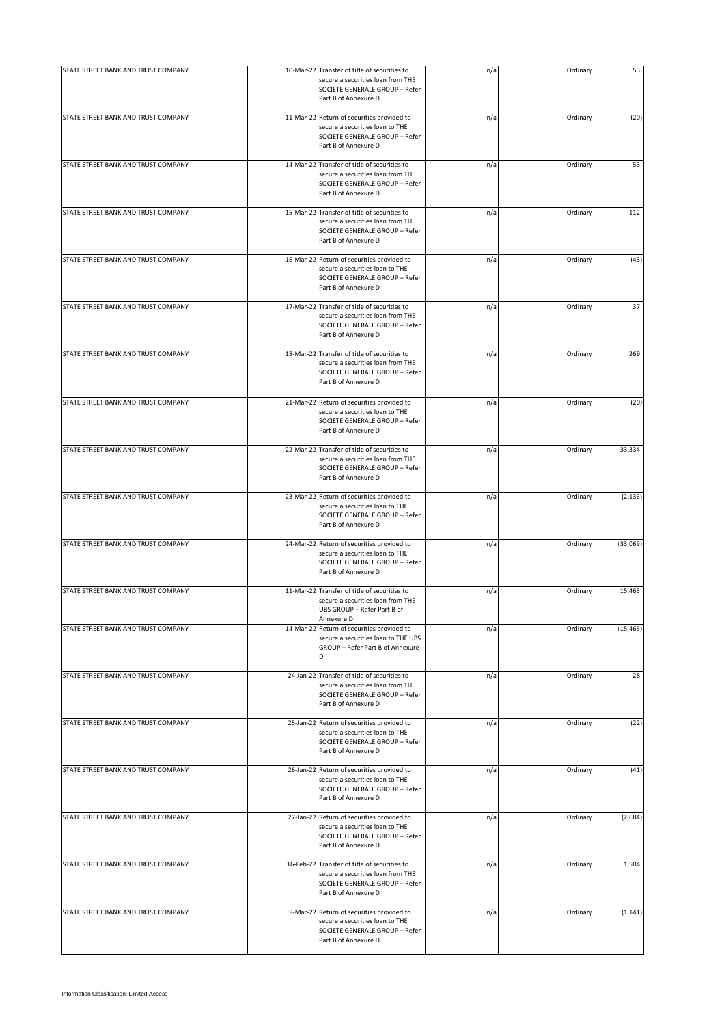| STATE STREET BANK AND TRUST COMPANY |           | 10-Mar-22 Transfer of title of securities to                                                                                                | n/a | Ordinary | 53        |
|-------------------------------------|-----------|---------------------------------------------------------------------------------------------------------------------------------------------|-----|----------|-----------|
|                                     |           | secure a securities loan from THE<br>SOCIETE GENERALE GROUP - Refer<br>Part B of Annexure D                                                 |     |          |           |
| STATE STREET BANK AND TRUST COMPANY |           | 11-Mar-22 Return of securities provided to<br>secure a securities loan to THE<br>SOCIETE GENERALE GROUP - Refer<br>Part B of Annexure D     | n/a | Ordinary | (20)      |
| STATE STREET BANK AND TRUST COMPANY |           | 14-Mar-22 Transfer of title of securities to<br>secure a securities loan from THE<br>SOCIETE GENERALE GROUP - Refer<br>Part B of Annexure D | n/a | Ordinary | 53        |
| STATE STREET BANK AND TRUST COMPANY |           | 15-Mar-22 Transfer of title of securities to<br>secure a securities loan from THE<br>SOCIETE GENERALE GROUP - Refer<br>Part B of Annexure D | n/a | Ordinary | 112       |
| STATE STREET BANK AND TRUST COMPANY |           | 16-Mar-22 Return of securities provided to<br>secure a securities loan to THE<br>SOCIETE GENERALE GROUP - Refer<br>Part B of Annexure D     | n/a | Ordinary | (43)      |
| STATE STREET BANK AND TRUST COMPANY |           | 17-Mar-22 Transfer of title of securities to<br>secure a securities loan from THE<br>SOCIETE GENERALE GROUP - Refer<br>Part B of Annexure D | n/a | Ordinary | 37        |
| STATE STREET BANK AND TRUST COMPANY |           | 18-Mar-22 Transfer of title of securities to<br>secure a securities loan from THE<br>SOCIETE GENERALE GROUP - Refer<br>Part B of Annexure D | n/a | Ordinary | 269       |
| STATE STREET BANK AND TRUST COMPANY |           | 21-Mar-22 Return of securities provided to<br>secure a securities loan to THE<br>SOCIETE GENERALE GROUP - Refer<br>Part B of Annexure D     | n/a | Ordinary | (20)      |
| STATE STREET BANK AND TRUST COMPANY |           | 22-Mar-22 Transfer of title of securities to<br>secure a securities loan from THE<br>SOCIETE GENERALE GROUP - Refer<br>Part B of Annexure D | n/a | Ordinary | 33,334    |
| STATE STREET BANK AND TRUST COMPANY |           | 23-Mar-22 Return of securities provided to<br>secure a securities loan to THE<br>SOCIETE GENERALE GROUP - Refer<br>Part B of Annexure D     | n/a | Ordinary | (2, 136)  |
| STATE STREET BANK AND TRUST COMPANY |           | 24-Mar-22 Return of securities provided to<br>secure a securities loan to THE<br>SOCIETE GENERALE GROUP - Refer<br>Part B of Annexure D     | n/a | Ordinary | (33,069)  |
| STATE STREET BANK AND TRUST COMPANY |           | 11-Mar-22 Transfer of title of securities to<br>secure a securities loan from THE<br>UBS GROUP - Refer Part B of<br>Annexure D              | n/a | Ordinary | 15,465    |
| STATE STREET BANK AND TRUST COMPANY | 14-Mar-22 | Return of securities provided to<br>secure a securities loan to THE UBS<br>GROUP - Refer Part B of Annexure<br>D                            | n/a | Ordinary | (15, 465) |
| STATE STREET BANK AND TRUST COMPANY |           | 24-Jan-22 Transfer of title of securities to<br>secure a securities loan from THE<br>SOCIETE GENERALE GROUP - Refer<br>Part B of Annexure D | n/a | Ordinary | 28        |
| STATE STREET BANK AND TRUST COMPANY |           | 25-Jan-22 Return of securities provided to<br>secure a securities loan to THE<br>SOCIETE GENERALE GROUP - Refer<br>Part B of Annexure D     | n/a | Ordinary | (22)      |
| STATE STREET BANK AND TRUST COMPANY |           | 26-Jan-22 Return of securities provided to<br>secure a securities loan to THE<br>SOCIETE GENERALE GROUP - Refer<br>Part B of Annexure D     | n/a | Ordinary | (41)      |
| STATE STREET BANK AND TRUST COMPANY |           | 27-Jan-22 Return of securities provided to<br>secure a securities loan to THE<br>SOCIETE GENERALE GROUP - Refer<br>Part B of Annexure D     | n/a | Ordinary | (2,684)   |
| STATE STREET BANK AND TRUST COMPANY |           | 16-Feb-22 Transfer of title of securities to<br>secure a securities loan from THE<br>SOCIETE GENERALE GROUP - Refer<br>Part B of Annexure D | n/a | Ordinary | 1,504     |
| STATE STREET BANK AND TRUST COMPANY |           | 9-Mar-22 Return of securities provided to<br>secure a securities loan to THE<br>SOCIETE GENERALE GROUP - Refer<br>Part B of Annexure D      | n/a | Ordinary | (1, 141)  |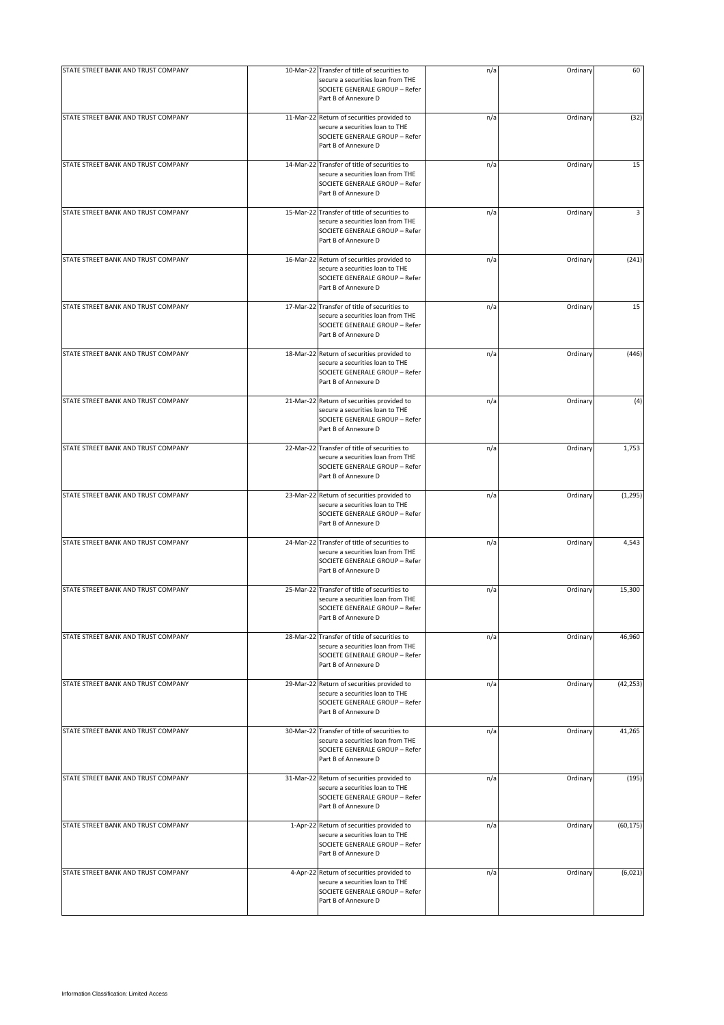| STATE STREET BANK AND TRUST COMPANY | 10-Mar-22 Transfer of title of securities to                                                                                                | n/a | Ordinary | 60        |
|-------------------------------------|---------------------------------------------------------------------------------------------------------------------------------------------|-----|----------|-----------|
|                                     | secure a securities loan from THE<br>SOCIETE GENERALE GROUP - Refer<br>Part B of Annexure D                                                 |     |          |           |
| STATE STREET BANK AND TRUST COMPANY | 11-Mar-22 Return of securities provided to<br>secure a securities loan to THE<br>SOCIETE GENERALE GROUP - Refer<br>Part B of Annexure D     | n/a | Ordinary | (32)      |
| STATE STREET BANK AND TRUST COMPANY | 14-Mar-22 Transfer of title of securities to<br>secure a securities loan from THE<br>SOCIETE GENERALE GROUP - Refer<br>Part B of Annexure D | n/a | Ordinary | 15        |
| STATE STREET BANK AND TRUST COMPANY | 15-Mar-22 Transfer of title of securities to<br>secure a securities loan from THE<br>SOCIETE GENERALE GROUP - Refer<br>Part B of Annexure D | n/a | Ordinary | 3         |
| STATE STREET BANK AND TRUST COMPANY | 16-Mar-22 Return of securities provided to<br>secure a securities loan to THE<br>SOCIETE GENERALE GROUP - Refer<br>Part B of Annexure D     | n/a | Ordinary | (241)     |
| STATE STREET BANK AND TRUST COMPANY | 17-Mar-22 Transfer of title of securities to<br>secure a securities loan from THE<br>SOCIETE GENERALE GROUP - Refer<br>Part B of Annexure D | n/a | Ordinary | 15        |
| STATE STREET BANK AND TRUST COMPANY | 18-Mar-22 Return of securities provided to<br>secure a securities loan to THE<br>SOCIETE GENERALE GROUP - Refer<br>Part B of Annexure D     | n/a | Ordinary | (446)     |
| STATE STREET BANK AND TRUST COMPANY | 21-Mar-22 Return of securities provided to<br>secure a securities loan to THE<br>SOCIETE GENERALE GROUP - Refer<br>Part B of Annexure D     | n/a | Ordinary | (4)       |
| STATE STREET BANK AND TRUST COMPANY | 22-Mar-22 Transfer of title of securities to<br>secure a securities loan from THE<br>SOCIETE GENERALE GROUP - Refer<br>Part B of Annexure D | n/a | Ordinary | 1,753     |
| STATE STREET BANK AND TRUST COMPANY | 23-Mar-22 Return of securities provided to<br>secure a securities loan to THE<br>SOCIETE GENERALE GROUP - Refer<br>Part B of Annexure D     | n/a | Ordinary | (1, 295)  |
| STATE STREET BANK AND TRUST COMPANY | 24-Mar-22 Transfer of title of securities to<br>secure a securities loan from THE<br>SOCIETE GENERALE GROUP - Refer<br>Part B of Annexure D | n/a | Ordinary | 4,543     |
| STATE STREET BANK AND TRUST COMPANY | 25-Mar-22 Transfer of title of securities to<br>secure a securities loan from THE<br>SOCIETE GENERALE GROUP - Refer<br>Part B of Annexure D | n/a | Ordinary | 15,300    |
| STATE STREET BANK AND TRUST COMPANY | 28-Mar-22 Transfer of title of securities to<br>secure a securities loan from THE<br>SOCIETE GENERALE GROUP - Refer<br>Part B of Annexure D | n/a | Ordinary | 46,960    |
| STATE STREET BANK AND TRUST COMPANY | 29-Mar-22 Return of securities provided to<br>secure a securities loan to THE<br>SOCIETE GENERALE GROUP - Refer<br>Part B of Annexure D     | n/a | Ordinary | (42, 253) |
| STATE STREET BANK AND TRUST COMPANY | 30-Mar-22 Transfer of title of securities to<br>secure a securities loan from THE<br>SOCIETE GENERALE GROUP - Refer<br>Part B of Annexure D | n/a | Ordinary | 41,265    |
| STATE STREET BANK AND TRUST COMPANY | 31-Mar-22 Return of securities provided to<br>secure a securities loan to THE<br>SOCIETE GENERALE GROUP - Refer<br>Part B of Annexure D     | n/a | Ordinary | (195)     |
| STATE STREET BANK AND TRUST COMPANY | 1-Apr-22 Return of securities provided to<br>secure a securities loan to THE<br>SOCIETE GENERALE GROUP - Refer<br>Part B of Annexure D      | n/a | Ordinary | (60, 175) |
| STATE STREET BANK AND TRUST COMPANY | 4-Apr-22 Return of securities provided to<br>secure a securities loan to THE<br>SOCIETE GENERALE GROUP - Refer<br>Part B of Annexure D      | n/a | Ordinary | (6,021)   |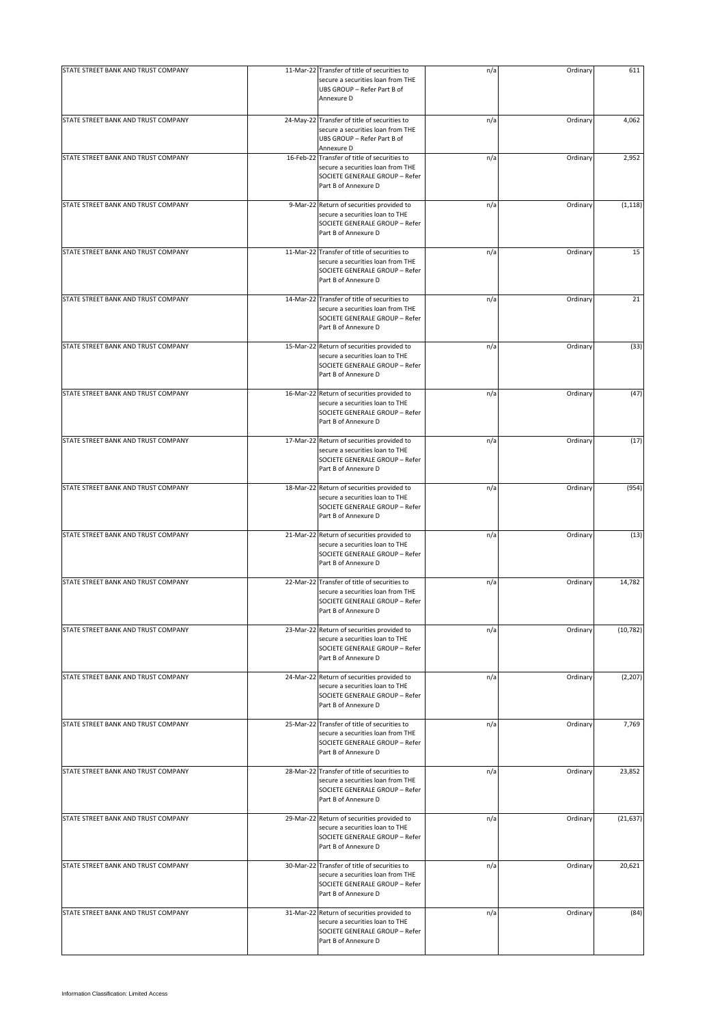| STATE STREET BANK AND TRUST COMPANY | 11-Mar-22 Transfer of title of securities to                                                                                                | n/a | Ordinary | 611       |
|-------------------------------------|---------------------------------------------------------------------------------------------------------------------------------------------|-----|----------|-----------|
|                                     | secure a securities loan from THE<br>UBS GROUP - Refer Part B of<br>Annexure D                                                              |     |          |           |
| STATE STREET BANK AND TRUST COMPANY | 24-May-22 Transfer of title of securities to<br>secure a securities loan from THE<br>UBS GROUP - Refer Part B of<br>Annexure D              | n/a | Ordinary | 4,062     |
| STATE STREET BANK AND TRUST COMPANY | 16-Feb-22 Transfer of title of securities to<br>secure a securities loan from THE<br>SOCIETE GENERALE GROUP - Refer<br>Part B of Annexure D | n/a | Ordinary | 2,952     |
| STATE STREET BANK AND TRUST COMPANY | 9-Mar-22 Return of securities provided to<br>secure a securities loan to THE<br>SOCIETE GENERALE GROUP - Refer<br>Part B of Annexure D      | n/a | Ordinary | (1, 118)  |
| STATE STREET BANK AND TRUST COMPANY | 11-Mar-22 Transfer of title of securities to<br>secure a securities loan from THE<br>SOCIETE GENERALE GROUP - Refer<br>Part B of Annexure D | n/a | Ordinary | 15        |
| STATE STREET BANK AND TRUST COMPANY | 14-Mar-22 Transfer of title of securities to<br>secure a securities loan from THE<br>SOCIETE GENERALE GROUP - Refer<br>Part B of Annexure D | n/a | Ordinary | 21        |
| STATE STREET BANK AND TRUST COMPANY | 15-Mar-22 Return of securities provided to<br>secure a securities loan to THE<br>SOCIETE GENERALE GROUP - Refer<br>Part B of Annexure D     | n/a | Ordinary | (33)      |
| STATE STREET BANK AND TRUST COMPANY | 16-Mar-22 Return of securities provided to<br>secure a securities loan to THE<br>SOCIETE GENERALE GROUP - Refer<br>Part B of Annexure D     | n/a | Ordinary | (47)      |
| STATE STREET BANK AND TRUST COMPANY | 17-Mar-22 Return of securities provided to<br>secure a securities loan to THE<br>SOCIETE GENERALE GROUP - Refer<br>Part B of Annexure D     | n/a | Ordinary | (17)      |
| STATE STREET BANK AND TRUST COMPANY | 18-Mar-22 Return of securities provided to<br>secure a securities loan to THE<br>SOCIETE GENERALE GROUP - Refer<br>Part B of Annexure D     | n/a | Ordinary | (954)     |
| STATE STREET BANK AND TRUST COMPANY | 21-Mar-22 Return of securities provided to<br>secure a securities loan to THE<br>SOCIETE GENERALE GROUP - Refer<br>Part B of Annexure D     | n/a | Ordinary | (13)      |
| STATE STREET BANK AND TRUST COMPANY | 22-Mar-22 Transfer of title of securities to<br>secure a securities loan from THE<br>SOCIETE GENERALE GROUP - Refer<br>Part B of Annexure D | n/a | Ordinary | 14,782    |
| STATE STREET BANK AND TRUST COMPANY | 23-Mar-22 Return of securities provided to<br>secure a securities loan to THE<br>SOCIETE GENERALE GROUP - Refer<br>Part B of Annexure D     | n/a | Ordinary | (10, 782) |
| STATE STREET BANK AND TRUST COMPANY | 24-Mar-22 Return of securities provided to<br>secure a securities loan to THE<br>SOCIETE GENERALE GROUP - Refer<br>Part B of Annexure D     | n/a | Ordinary | (2, 207)  |
| STATE STREET BANK AND TRUST COMPANY | 25-Mar-22 Transfer of title of securities to<br>secure a securities loan from THE<br>SOCIETE GENERALE GROUP - Refer<br>Part B of Annexure D | n/a | Ordinary | 7,769     |
| STATE STREET BANK AND TRUST COMPANY | 28-Mar-22 Transfer of title of securities to<br>secure a securities loan from THE<br>SOCIETE GENERALE GROUP - Refer<br>Part B of Annexure D | n/a | Ordinary | 23,852    |
| STATE STREET BANK AND TRUST COMPANY | 29-Mar-22 Return of securities provided to<br>secure a securities loan to THE<br>SOCIETE GENERALE GROUP - Refer<br>Part B of Annexure D     | n/a | Ordinary | (21, 637) |
| STATE STREET BANK AND TRUST COMPANY | 30-Mar-22 Transfer of title of securities to<br>secure a securities loan from THE<br>SOCIETE GENERALE GROUP - Refer<br>Part B of Annexure D | n/a | Ordinary | 20,621    |
| STATE STREET BANK AND TRUST COMPANY | 31-Mar-22 Return of securities provided to<br>secure a securities loan to THE<br>SOCIETE GENERALE GROUP - Refer<br>Part B of Annexure D     | n/a | Ordinary | (84)      |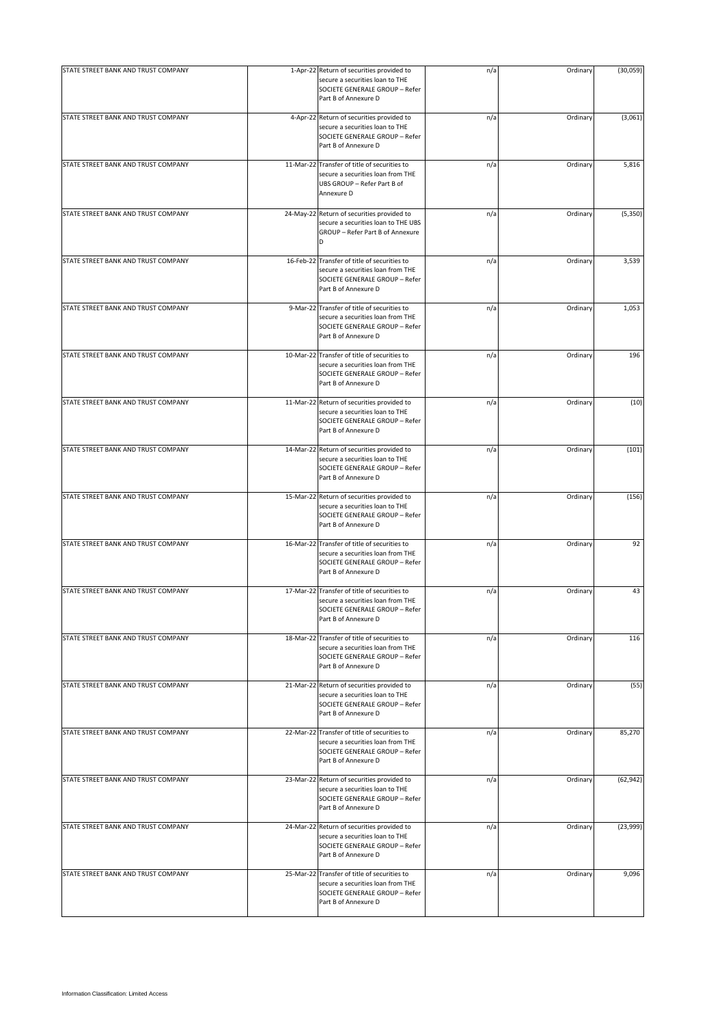| STATE STREET BANK AND TRUST COMPANY |                                                                                                                                             |     |          |           |
|-------------------------------------|---------------------------------------------------------------------------------------------------------------------------------------------|-----|----------|-----------|
|                                     | 1-Apr-22 Return of securities provided to<br>secure a securities loan to THE<br>SOCIETE GENERALE GROUP - Refer<br>Part B of Annexure D      | n/a | Ordinary | (30, 059) |
| STATE STREET BANK AND TRUST COMPANY | 4-Apr-22 Return of securities provided to<br>secure a securities loan to THE<br>SOCIETE GENERALE GROUP - Refer<br>Part B of Annexure D      | n/a | Ordinary | (3,061)   |
| STATE STREET BANK AND TRUST COMPANY | 11-Mar-22 Transfer of title of securities to<br>secure a securities loan from THE<br>UBS GROUP - Refer Part B of<br>Annexure D              | n/a | Ordinary | 5,816     |
| STATE STREET BANK AND TRUST COMPANY | 24-May-22 Return of securities provided to<br>secure a securities loan to THE UBS<br>GROUP - Refer Part B of Annexure<br>D                  | n/a | Ordinary | (5, 350)  |
| STATE STREET BANK AND TRUST COMPANY | 16-Feb-22 Transfer of title of securities to<br>secure a securities loan from THE<br>SOCIETE GENERALE GROUP - Refer<br>Part B of Annexure D | n/a | Ordinary | 3,539     |
| STATE STREET BANK AND TRUST COMPANY | 9-Mar-22 Transfer of title of securities to<br>secure a securities loan from THE<br>SOCIETE GENERALE GROUP - Refer<br>Part B of Annexure D  | n/a | Ordinary | 1,053     |
| STATE STREET BANK AND TRUST COMPANY | 10-Mar-22 Transfer of title of securities to<br>secure a securities loan from THE<br>SOCIETE GENERALE GROUP - Refer<br>Part B of Annexure D | n/a | Ordinary | 196       |
| STATE STREET BANK AND TRUST COMPANY | 11-Mar-22 Return of securities provided to<br>secure a securities loan to THE<br>SOCIETE GENERALE GROUP - Refer<br>Part B of Annexure D     | n/a | Ordinary | (10)      |
| STATE STREET BANK AND TRUST COMPANY | 14-Mar-22 Return of securities provided to<br>secure a securities loan to THE<br>SOCIETE GENERALE GROUP - Refer<br>Part B of Annexure D     | n/a | Ordinary | (101)     |
| STATE STREET BANK AND TRUST COMPANY | 15-Mar-22 Return of securities provided to<br>secure a securities loan to THE<br>SOCIETE GENERALE GROUP - Refer<br>Part B of Annexure D     | n/a | Ordinary | (156)     |
| STATE STREET BANK AND TRUST COMPANY | 16-Mar-22 Transfer of title of securities to<br>secure a securities loan from THE<br>SOCIETE GENERALE GROUP - Refer<br>Part B of Annexure D | n/a | Ordinary | 92        |
| STATE STREET BANK AND TRUST COMPANY | 17-Mar-22 Transfer of title of securities to<br>secure a securities loan from THE<br>SOCIETE GENERALE GROUP - Refer<br>Part B of Annexure D | n/a | Ordinary | 43        |
| STATE STREET BANK AND TRUST COMPANY | 18-Mar-22 Transfer of title of securities to<br>secure a securities loan from THE<br>SOCIETE GENERALE GROUP - Refer<br>Part B of Annexure D | n/a | Ordinary | 116       |
| STATE STREET BANK AND TRUST COMPANY | 21-Mar-22 Return of securities provided to<br>secure a securities loan to THE<br>SOCIETE GENERALE GROUP - Refer<br>Part B of Annexure D     | n/a | Ordinary | (55)      |
| STATE STREET BANK AND TRUST COMPANY | 22-Mar-22 Transfer of title of securities to<br>secure a securities loan from THE<br>SOCIETE GENERALE GROUP - Refer<br>Part B of Annexure D | n/a | Ordinary | 85,270    |
| STATE STREET BANK AND TRUST COMPANY | 23-Mar-22 Return of securities provided to<br>secure a securities loan to THE<br>SOCIETE GENERALE GROUP - Refer<br>Part B of Annexure D     | n/a | Ordinary | (62, 942) |
| STATE STREET BANK AND TRUST COMPANY | 24-Mar-22 Return of securities provided to<br>secure a securities loan to THE<br>SOCIETE GENERALE GROUP - Refer<br>Part B of Annexure D     | n/a | Ordinary | (23,999)  |
| STATE STREET BANK AND TRUST COMPANY | 25-Mar-22 Transfer of title of securities to<br>secure a securities loan from THE<br>SOCIETE GENERALE GROUP - Refer<br>Part B of Annexure D | n/a | Ordinary | 9,096     |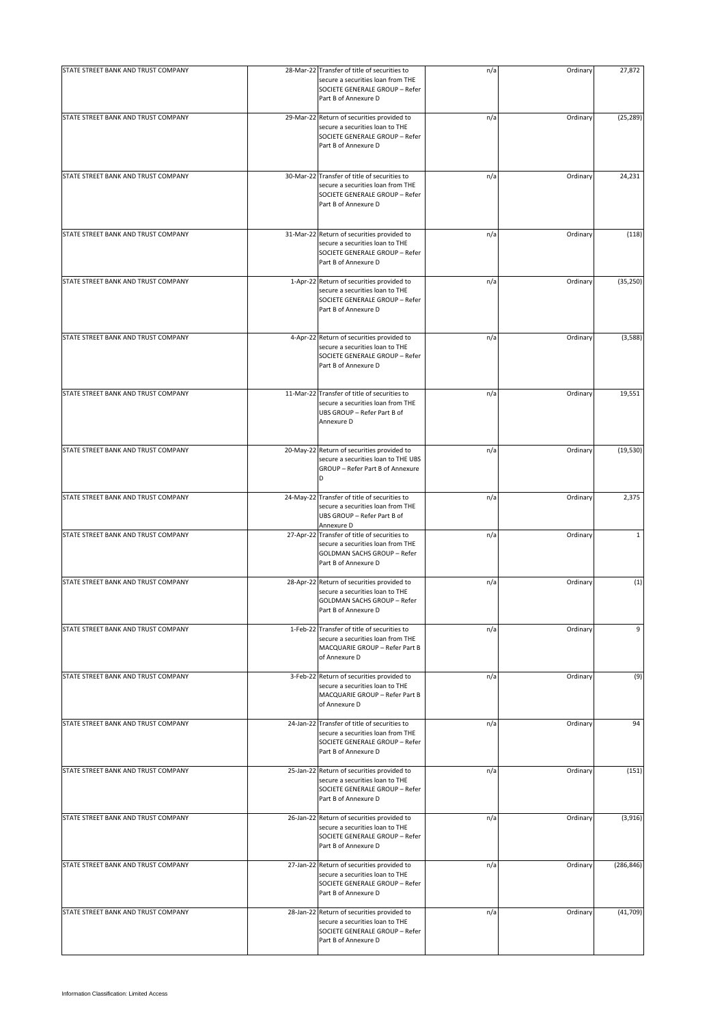| STATE STREET BANK AND TRUST COMPANY | 28-Mar-22 Transfer of title of securities to                                                                                                    | n/a | Ordinary | 27,872       |
|-------------------------------------|-------------------------------------------------------------------------------------------------------------------------------------------------|-----|----------|--------------|
|                                     | secure a securities loan from THE<br>SOCIETE GENERALE GROUP - Refer<br>Part B of Annexure D                                                     |     |          |              |
| STATE STREET BANK AND TRUST COMPANY | 29-Mar-22 Return of securities provided to<br>secure a securities loan to THE<br>SOCIETE GENERALE GROUP - Refer<br>Part B of Annexure D         | n/a | Ordinary | (25, 289)    |
| STATE STREET BANK AND TRUST COMPANY | 30-Mar-22 Transfer of title of securities to<br>secure a securities loan from THE<br>SOCIETE GENERALE GROUP - Refer<br>Part B of Annexure D     | n/a | Ordinary | 24,231       |
| STATE STREET BANK AND TRUST COMPANY | 31-Mar-22 Return of securities provided to<br>secure a securities loan to THE<br>SOCIETE GENERALE GROUP - Refer<br>Part B of Annexure D         | n/a | Ordinary | (118)        |
| STATE STREET BANK AND TRUST COMPANY | 1-Apr-22 Return of securities provided to<br>secure a securities loan to THE<br>SOCIETE GENERALE GROUP - Refer<br>Part B of Annexure D          | n/a | Ordinary | (35, 250)    |
| STATE STREET BANK AND TRUST COMPANY | 4-Apr-22 Return of securities provided to<br>secure a securities loan to THE<br>SOCIETE GENERALE GROUP - Refer<br>Part B of Annexure D          | n/a | Ordinary | (3,588)      |
| STATE STREET BANK AND TRUST COMPANY | 11-Mar-22 Transfer of title of securities to<br>secure a securities loan from THE<br>UBS GROUP - Refer Part B of<br>Annexure D                  | n/a | Ordinary | 19,551       |
| STATE STREET BANK AND TRUST COMPANY | 20-May-22 Return of securities provided to<br>secure a securities loan to THE UBS<br>GROUP - Refer Part B of Annexure<br>D                      | n/a | Ordinary | (19, 530)    |
| STATE STREET BANK AND TRUST COMPANY | 24-May-22 Transfer of title of securities to<br>secure a securities loan from THE<br>UBS GROUP - Refer Part B of<br>Annexure D                  | n/a | Ordinary | 2,375        |
| STATE STREET BANK AND TRUST COMPANY | 27-Apr-22 Transfer of title of securities to<br>secure a securities loan from THE<br><b>GOLDMAN SACHS GROUP - Refer</b><br>Part B of Annexure D | n/a | Ordinary | $\mathbf{1}$ |
| STATE STREET BANK AND TRUST COMPANY | 28-Apr-22 Return of securities provided to<br>secure a securities loan to THE<br>GOLDMAN SACHS GROUP - Refer<br>Part B of Annexure D            | n/a | Ordinary | (1)          |
| STATE STREET BANK AND TRUST COMPANY | 1-Feb-22 Transfer of title of securities to<br>secure a securities loan from THE<br>MACQUARIE GROUP - Refer Part B<br>of Annexure D             | n/a | Ordinary | 9            |
| STATE STREET BANK AND TRUST COMPANY | 3-Feb-22 Return of securities provided to<br>secure a securities loan to THE<br>MACQUARIE GROUP - Refer Part B<br>of Annexure D                 | n/a | Ordinary | (9)          |
| STATE STREET BANK AND TRUST COMPANY | 24-Jan-22 Transfer of title of securities to<br>secure a securities loan from THE<br>SOCIETE GENERALE GROUP - Refer<br>Part B of Annexure D     | n/a | Ordinary | 94           |
| STATE STREET BANK AND TRUST COMPANY | 25-Jan-22 Return of securities provided to<br>secure a securities loan to THE<br>SOCIETE GENERALE GROUP - Refer<br>Part B of Annexure D         | n/a | Ordinary | (151)        |
| STATE STREET BANK AND TRUST COMPANY | 26-Jan-22 Return of securities provided to<br>secure a securities loan to THE<br>SOCIETE GENERALE GROUP - Refer<br>Part B of Annexure D         | n/a | Ordinary | (3,916)      |
| STATE STREET BANK AND TRUST COMPANY | 27-Jan-22 Return of securities provided to<br>secure a securities loan to THE<br>SOCIETE GENERALE GROUP - Refer<br>Part B of Annexure D         | n/a | Ordinary | (286, 846)   |
| STATE STREET BANK AND TRUST COMPANY | 28-Jan-22 Return of securities provided to<br>secure a securities loan to THE<br>SOCIETE GENERALE GROUP - Refer<br>Part B of Annexure D         | n/a | Ordinary | (41, 709)    |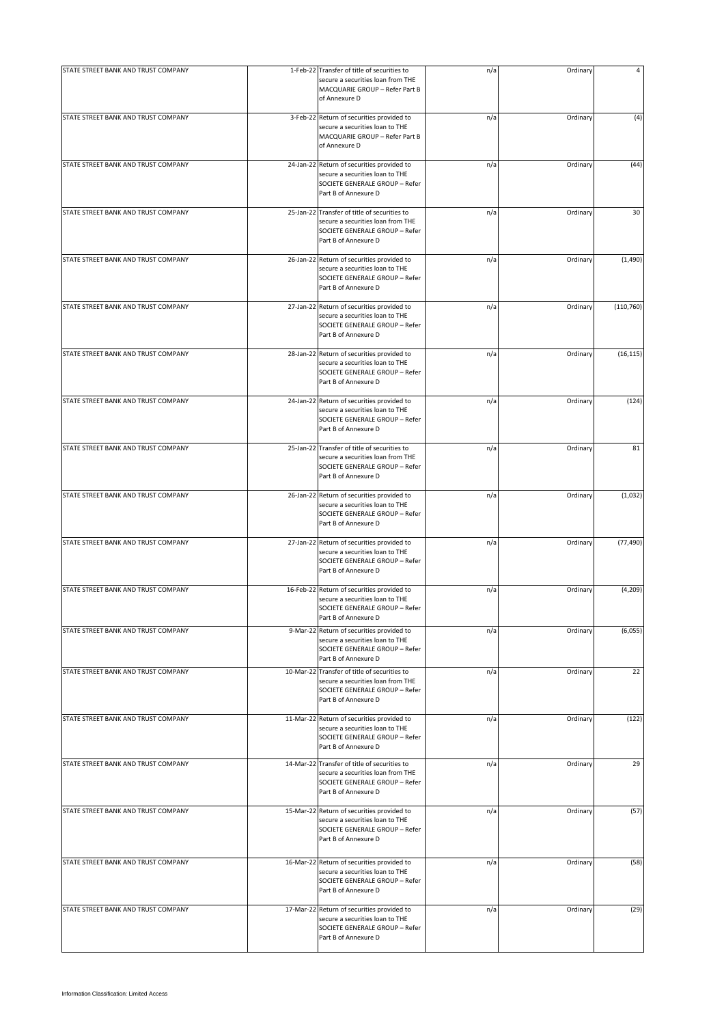| STATE STREET BANK AND TRUST COMPANY | 1-Feb-22 Transfer of title of securities to                                                                                                 | n/a | Ordinary |            |
|-------------------------------------|---------------------------------------------------------------------------------------------------------------------------------------------|-----|----------|------------|
|                                     | secure a securities loan from THE<br>MACQUARIE GROUP - Refer Part B<br>of Annexure D                                                        |     |          |            |
| STATE STREET BANK AND TRUST COMPANY | 3-Feb-22 Return of securities provided to<br>secure a securities loan to THE<br>MACQUARIE GROUP - Refer Part B<br>of Annexure D             | n/a | Ordinary | (4)        |
| STATE STREET BANK AND TRUST COMPANY | 24-Jan-22 Return of securities provided to<br>secure a securities loan to THE<br>SOCIETE GENERALE GROUP - Refer<br>Part B of Annexure D     | n/a | Ordinary | (44)       |
| STATE STREET BANK AND TRUST COMPANY | 25-Jan-22 Transfer of title of securities to<br>secure a securities loan from THE<br>SOCIETE GENERALE GROUP - Refer<br>Part B of Annexure D | n/a | Ordinary | 30         |
| STATE STREET BANK AND TRUST COMPANY | 26-Jan-22 Return of securities provided to<br>secure a securities loan to THE<br>SOCIETE GENERALE GROUP - Refer<br>Part B of Annexure D     | n/a | Ordinary | (1,490)    |
| STATE STREET BANK AND TRUST COMPANY | 27-Jan-22 Return of securities provided to<br>secure a securities loan to THE<br>SOCIETE GENERALE GROUP - Refer<br>Part B of Annexure D     | n/a | Ordinary | (110, 760) |
| STATE STREET BANK AND TRUST COMPANY | 28-Jan-22 Return of securities provided to<br>secure a securities loan to THE<br>SOCIETE GENERALE GROUP - Refer<br>Part B of Annexure D     | n/a | Ordinary | (16, 115)  |
| STATE STREET BANK AND TRUST COMPANY | 24-Jan-22 Return of securities provided to<br>secure a securities loan to THE<br>SOCIETE GENERALE GROUP - Refer<br>Part B of Annexure D     | n/a | Ordinary | (124)      |
| STATE STREET BANK AND TRUST COMPANY | 25-Jan-22 Transfer of title of securities to<br>secure a securities loan from THE<br>SOCIETE GENERALE GROUP - Refer<br>Part B of Annexure D | n/a | Ordinary | 81         |
| STATE STREET BANK AND TRUST COMPANY | 26-Jan-22 Return of securities provided to<br>secure a securities loan to THE<br>SOCIETE GENERALE GROUP - Refer<br>Part B of Annexure D     | n/a | Ordinary | (1,032)    |
| STATE STREET BANK AND TRUST COMPANY | 27-Jan-22 Return of securities provided to<br>secure a securities loan to THE<br>SOCIETE GENERALE GROUP - Refer<br>Part B of Annexure D     | n/a | Ordinary | (77, 490)  |
| STATE STREET BANK AND TRUST COMPANY | 16-Feb-22 Return of securities provided to<br>secure a securities loan to THE<br>SOCIETE GENERALE GROUP - Refer<br>Part B of Annexure D     | n/a | Ordinary | (4, 209)   |
| STATE STREET BANK AND TRUST COMPANY | 9-Mar-22 Return of securities provided to<br>secure a securities loan to THE<br>SOCIETE GENERALE GROUP - Refer<br>Part B of Annexure D      | n/a | Ordinary | (6,055)    |
| STATE STREET BANK AND TRUST COMPANY | 10-Mar-22 Transfer of title of securities to<br>secure a securities loan from THE<br>SOCIETE GENERALE GROUP - Refer<br>Part B of Annexure D | n/a | Ordinary | 22         |
| STATE STREET BANK AND TRUST COMPANY | 11-Mar-22 Return of securities provided to<br>secure a securities loan to THE<br>SOCIETE GENERALE GROUP - Refer<br>Part B of Annexure D     | n/a | Ordinary | (122)      |
| STATE STREET BANK AND TRUST COMPANY | 14-Mar-22 Transfer of title of securities to<br>secure a securities loan from THE<br>SOCIETE GENERALE GROUP - Refer<br>Part B of Annexure D | n/a | Ordinary | 29         |
| STATE STREET BANK AND TRUST COMPANY | 15-Mar-22 Return of securities provided to<br>secure a securities loan to THE<br>SOCIETE GENERALE GROUP - Refer<br>Part B of Annexure D     | n/a | Ordinary | (57)       |
| STATE STREET BANK AND TRUST COMPANY | 16-Mar-22 Return of securities provided to<br>secure a securities loan to THE<br>SOCIETE GENERALE GROUP - Refer<br>Part B of Annexure D     | n/a | Ordinary | (58)       |
| STATE STREET BANK AND TRUST COMPANY | 17-Mar-22 Return of securities provided to<br>secure a securities loan to THE<br>SOCIETE GENERALE GROUP - Refer<br>Part B of Annexure D     | n/a | Ordinary | (29)       |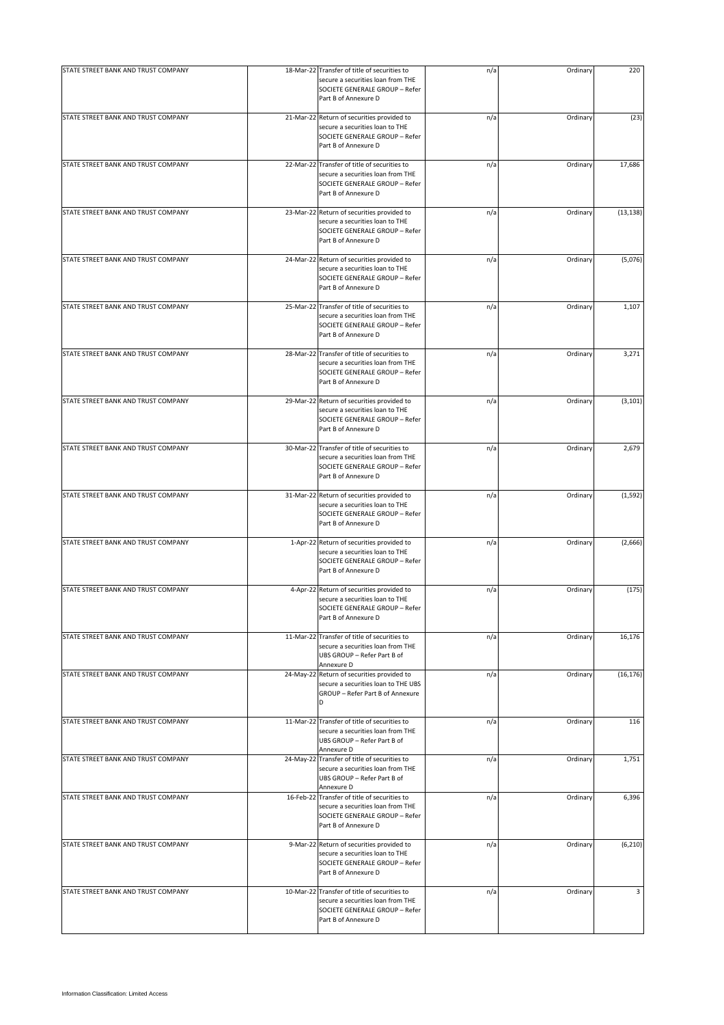| STATE STREET BANK AND TRUST COMPANY | 18-Mar-22 Transfer of title of securities to                                                                                                | n/a | Ordinary | 220       |
|-------------------------------------|---------------------------------------------------------------------------------------------------------------------------------------------|-----|----------|-----------|
|                                     | secure a securities loan from THE<br>SOCIETE GENERALE GROUP - Refer<br>Part B of Annexure D                                                 |     |          |           |
| STATE STREET BANK AND TRUST COMPANY | 21-Mar-22 Return of securities provided to<br>secure a securities loan to THE<br>SOCIETE GENERALE GROUP - Refer<br>Part B of Annexure D     | n/a | Ordinary | (23)      |
| STATE STREET BANK AND TRUST COMPANY | 22-Mar-22 Transfer of title of securities to<br>secure a securities loan from THE<br>SOCIETE GENERALE GROUP - Refer<br>Part B of Annexure D | n/a | Ordinary | 17,686    |
| STATE STREET BANK AND TRUST COMPANY | 23-Mar-22 Return of securities provided to<br>secure a securities loan to THE<br>SOCIETE GENERALE GROUP - Refer<br>Part B of Annexure D     | n/a | Ordinary | (13, 138) |
| STATE STREET BANK AND TRUST COMPANY | 24-Mar-22 Return of securities provided to<br>secure a securities loan to THE<br>SOCIETE GENERALE GROUP - Refer<br>Part B of Annexure D     | n/a | Ordinary | (5,076)   |
| STATE STREET BANK AND TRUST COMPANY | 25-Mar-22 Transfer of title of securities to<br>secure a securities loan from THE<br>SOCIETE GENERALE GROUP - Refer<br>Part B of Annexure D | n/a | Ordinary | 1,107     |
| STATE STREET BANK AND TRUST COMPANY | 28-Mar-22 Transfer of title of securities to<br>secure a securities loan from THE<br>SOCIETE GENERALE GROUP - Refer<br>Part B of Annexure D | n/a | Ordinary | 3,271     |
| STATE STREET BANK AND TRUST COMPANY | 29-Mar-22 Return of securities provided to<br>secure a securities loan to THE<br>SOCIETE GENERALE GROUP - Refer<br>Part B of Annexure D     | n/a | Ordinary | (3, 101)  |
| STATE STREET BANK AND TRUST COMPANY | 30-Mar-22 Transfer of title of securities to<br>secure a securities loan from THE<br>SOCIETE GENERALE GROUP - Refer<br>Part B of Annexure D | n/a | Ordinary | 2,679     |
| STATE STREET BANK AND TRUST COMPANY | 31-Mar-22 Return of securities provided to<br>secure a securities loan to THE<br>SOCIETE GENERALE GROUP - Refer<br>Part B of Annexure D     | n/a | Ordinary | (1, 592)  |
| STATE STREET BANK AND TRUST COMPANY | 1-Apr-22 Return of securities provided to<br>secure a securities loan to THE<br>SOCIETE GENERALE GROUP - Refer<br>Part B of Annexure D      | n/a | Ordinary | (2,666)   |
| STATE STREET BANK AND TRUST COMPANY | 4-Apr-22 Return of securities provided to<br>secure a securities loan to THE<br>SOCIETE GENERALE GROUP - Refer<br>Part B of Annexure D      | n/a | Ordinary | (175)     |
| STATE STREET BANK AND TRUST COMPANY | 11-Mar-22 Transfer of title of securities to<br>secure a securities loan from THE<br>UBS GROUP - Refer Part B of<br>Annexure D              | n/a | Ordinary | 16,176    |
| STATE STREET BANK AND TRUST COMPANY | 24-May-22 Return of securities provided to<br>secure a securities loan to THE UBS<br>GROUP - Refer Part B of Annexure<br>D                  | n/a | Ordinary | (16, 176) |
| STATE STREET BANK AND TRUST COMPANY | 11-Mar-22 Transfer of title of securities to<br>secure a securities loan from THE<br>UBS GROUP - Refer Part B of<br>Annexure D              | n/a | Ordinary | 116       |
| STATE STREET BANK AND TRUST COMPANY | 24-May-22 Transfer of title of securities to<br>secure a securities loan from THE<br>UBS GROUP - Refer Part B of<br>Annexure D              | n/a | Ordinary | 1,751     |
| STATE STREET BANK AND TRUST COMPANY | 16-Feb-22 Transfer of title of securities to<br>secure a securities loan from THE<br>SOCIETE GENERALE GROUP - Refer<br>Part B of Annexure D | n/a | Ordinary | 6,396     |
| STATE STREET BANK AND TRUST COMPANY | 9-Mar-22 Return of securities provided to<br>secure a securities loan to THE<br>SOCIETE GENERALE GROUP - Refer<br>Part B of Annexure D      | n/a | Ordinary | (6, 210)  |
| STATE STREET BANK AND TRUST COMPANY | 10-Mar-22 Transfer of title of securities to<br>secure a securities loan from THE<br>SOCIETE GENERALE GROUP - Refer<br>Part B of Annexure D | n/a | Ordinary | 3         |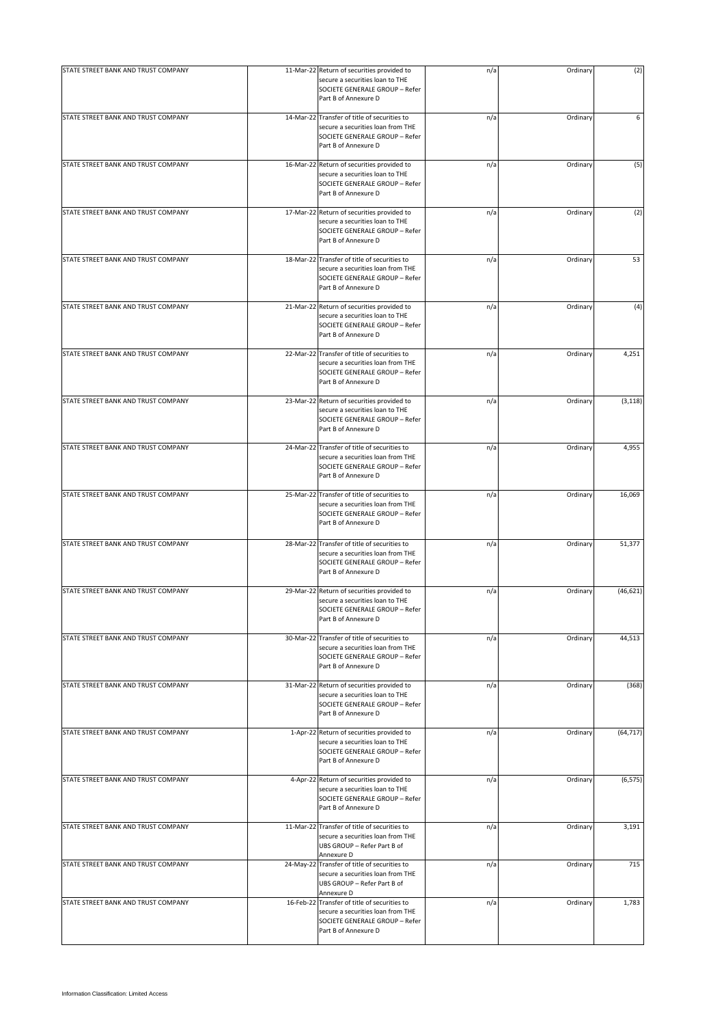| STATE STREET BANK AND TRUST COMPANY | 11-Mar-22 Return of securities provided to                                                                                                  | n/a | Ordinary | (2)       |
|-------------------------------------|---------------------------------------------------------------------------------------------------------------------------------------------|-----|----------|-----------|
|                                     | secure a securities loan to THE<br>SOCIETE GENERALE GROUP - Refer<br>Part B of Annexure D                                                   |     |          |           |
| STATE STREET BANK AND TRUST COMPANY | 14-Mar-22 Transfer of title of securities to<br>secure a securities loan from THE<br>SOCIETE GENERALE GROUP - Refer<br>Part B of Annexure D | n/a | Ordinary | 6         |
| STATE STREET BANK AND TRUST COMPANY | 16-Mar-22 Return of securities provided to<br>secure a securities loan to THE<br>SOCIETE GENERALE GROUP - Refer<br>Part B of Annexure D     | n/a | Ordinary | (5)       |
| STATE STREET BANK AND TRUST COMPANY | 17-Mar-22 Return of securities provided to<br>secure a securities loan to THE<br>SOCIETE GENERALE GROUP - Refer<br>Part B of Annexure D     | n/a | Ordinary | (2)       |
| STATE STREET BANK AND TRUST COMPANY | 18-Mar-22 Transfer of title of securities to<br>secure a securities loan from THE<br>SOCIETE GENERALE GROUP - Refer<br>Part B of Annexure D | n/a | Ordinary | 53        |
| STATE STREET BANK AND TRUST COMPANY | 21-Mar-22 Return of securities provided to<br>secure a securities loan to THE<br>SOCIETE GENERALE GROUP - Refer<br>Part B of Annexure D     | n/a | Ordinary | (4)       |
| STATE STREET BANK AND TRUST COMPANY | 22-Mar-22 Transfer of title of securities to<br>secure a securities loan from THE<br>SOCIETE GENERALE GROUP - Refer<br>Part B of Annexure D | n/a | Ordinary | 4,251     |
| STATE STREET BANK AND TRUST COMPANY | 23-Mar-22 Return of securities provided to<br>secure a securities loan to THE<br>SOCIETE GENERALE GROUP - Refer<br>Part B of Annexure D     | n/a | Ordinary | (3, 118)  |
| STATE STREET BANK AND TRUST COMPANY | 24-Mar-22 Transfer of title of securities to<br>secure a securities loan from THE<br>SOCIETE GENERALE GROUP - Refer<br>Part B of Annexure D | n/a | Ordinary | 4,955     |
| STATE STREET BANK AND TRUST COMPANY | 25-Mar-22 Transfer of title of securities to<br>secure a securities loan from THE<br>SOCIETE GENERALE GROUP - Refer<br>Part B of Annexure D | n/a | Ordinary | 16,069    |
| STATE STREET BANK AND TRUST COMPANY | 28-Mar-22 Transfer of title of securities to<br>secure a securities loan from THE<br>SOCIETE GENERALE GROUP - Refer<br>Part B of Annexure D | n/a | Ordinary | 51,377    |
| STATE STREET BANK AND TRUST COMPANY | 29-Mar-22 Return of securities provided to<br>secure a securities loan to THE<br>SOCIETE GENERALE GROUP - Refer<br>Part B of Annexure D     | n/a | Ordinary | (46, 621) |
| STATE STREET BANK AND TRUST COMPANY | 30-Mar-22 Transfer of title of securities to<br>secure a securities loan from THE<br>SOCIETE GENERALE GROUP - Refer<br>Part B of Annexure D | n/a | Ordinary | 44,513    |
| STATE STREET BANK AND TRUST COMPANY | 31-Mar-22 Return of securities provided to<br>secure a securities loan to THE<br>SOCIETE GENERALE GROUP - Refer<br>Part B of Annexure D     | n/a | Ordinary | (368)     |
| STATE STREET BANK AND TRUST COMPANY | 1-Apr-22 Return of securities provided to<br>secure a securities loan to THE<br>SOCIETE GENERALE GROUP - Refer<br>Part B of Annexure D      | n/a | Ordinary | (64, 717) |
| STATE STREET BANK AND TRUST COMPANY | 4-Apr-22 Return of securities provided to<br>secure a securities loan to THE<br>SOCIETE GENERALE GROUP - Refer<br>Part B of Annexure D      | n/a | Ordinary | (6, 575)  |
| STATE STREET BANK AND TRUST COMPANY | 11-Mar-22 Transfer of title of securities to<br>secure a securities loan from THE<br>UBS GROUP - Refer Part B of<br>Annexure D              | n/a | Ordinary | 3,191     |
| STATE STREET BANK AND TRUST COMPANY | 24-May-22 Transfer of title of securities to<br>secure a securities loan from THE<br>UBS GROUP - Refer Part B of<br>Annexure D              | n/a | Ordinary | 715       |
| STATE STREET BANK AND TRUST COMPANY | 16-Feb-22 Transfer of title of securities to<br>secure a securities loan from THE<br>SOCIETE GENERALE GROUP - Refer<br>Part B of Annexure D | n/a | Ordinary | 1,783     |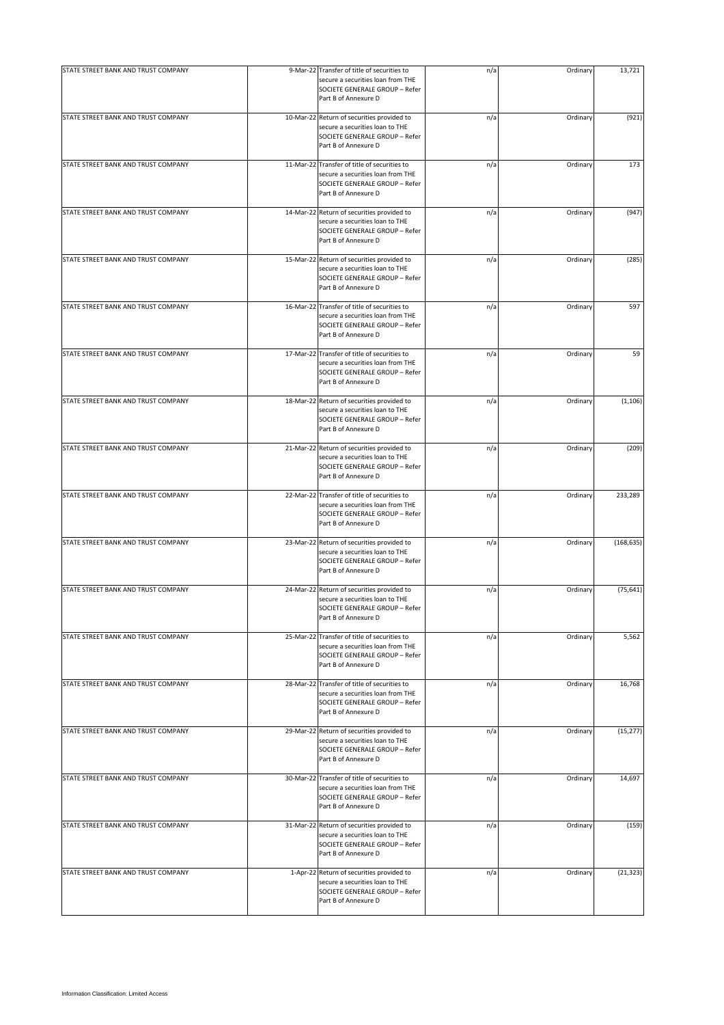| STATE STREET BANK AND TRUST COMPANY | 9-Mar-22 Transfer of title of securities to                                                                                                 | n/a | Ordinary | 13,721     |
|-------------------------------------|---------------------------------------------------------------------------------------------------------------------------------------------|-----|----------|------------|
|                                     | secure a securities loan from THE<br>SOCIETE GENERALE GROUP - Refer<br>Part B of Annexure D                                                 |     |          |            |
| STATE STREET BANK AND TRUST COMPANY | 10-Mar-22 Return of securities provided to<br>secure a securities loan to THE<br>SOCIETE GENERALE GROUP - Refer<br>Part B of Annexure D     | n/a | Ordinary | (921)      |
| STATE STREET BANK AND TRUST COMPANY | 11-Mar-22 Transfer of title of securities to<br>secure a securities loan from THE<br>SOCIETE GENERALE GROUP - Refer<br>Part B of Annexure D | n/a | Ordinary | 173        |
| STATE STREET BANK AND TRUST COMPANY | 14-Mar-22 Return of securities provided to<br>secure a securities loan to THE<br>SOCIETE GENERALE GROUP - Refer<br>Part B of Annexure D     | n/a | Ordinary | (947)      |
| STATE STREET BANK AND TRUST COMPANY | 15-Mar-22 Return of securities provided to<br>secure a securities loan to THE<br>SOCIETE GENERALE GROUP - Refer<br>Part B of Annexure D     | n/a | Ordinary | (285)      |
| STATE STREET BANK AND TRUST COMPANY | 16-Mar-22 Transfer of title of securities to<br>secure a securities loan from THE<br>SOCIETE GENERALE GROUP - Refer<br>Part B of Annexure D | n/a | Ordinary | 597        |
| STATE STREET BANK AND TRUST COMPANY | 17-Mar-22 Transfer of title of securities to<br>secure a securities loan from THE<br>SOCIETE GENERALE GROUP - Refer<br>Part B of Annexure D | n/a | Ordinary | 59         |
| STATE STREET BANK AND TRUST COMPANY | 18-Mar-22 Return of securities provided to<br>secure a securities loan to THE<br>SOCIETE GENERALE GROUP - Refer<br>Part B of Annexure D     | n/a | Ordinary | (1, 106)   |
| STATE STREET BANK AND TRUST COMPANY | 21-Mar-22 Return of securities provided to<br>secure a securities loan to THE<br>SOCIETE GENERALE GROUP - Refer<br>Part B of Annexure D     | n/a | Ordinary | (209)      |
| STATE STREET BANK AND TRUST COMPANY | 22-Mar-22 Transfer of title of securities to<br>secure a securities loan from THE<br>SOCIETE GENERALE GROUP - Refer<br>Part B of Annexure D | n/a | Ordinary | 233,289    |
| STATE STREET BANK AND TRUST COMPANY | 23-Mar-22 Return of securities provided to<br>secure a securities loan to THE<br>SOCIETE GENERALE GROUP - Refer<br>Part B of Annexure D     | n/a | Ordinary | (168, 635) |
| STATE STREET BANK AND TRUST COMPANY | 24-Mar-22 Return of securities provided to<br>secure a securities loan to THE<br>SOCIETE GENERALE GROUP - Refer<br>Part B of Annexure D     | n/a | Ordinary | (75, 641)  |
| STATE STREET BANK AND TRUST COMPANY | 25-Mar-22 Transfer of title of securities to<br>secure a securities loan from THE<br>SOCIETE GENERALE GROUP - Refer<br>Part B of Annexure D | n/a | Ordinary | 5,562      |
| STATE STREET BANK AND TRUST COMPANY | 28-Mar-22 Transfer of title of securities to<br>secure a securities loan from THE<br>SOCIETE GENERALE GROUP - Refer<br>Part B of Annexure D | n/a | Ordinary | 16,768     |
| STATE STREET BANK AND TRUST COMPANY | 29-Mar-22 Return of securities provided to<br>secure a securities loan to THE<br>SOCIETE GENERALE GROUP - Refer<br>Part B of Annexure D     | n/a | Ordinary | (15, 277)  |
| STATE STREET BANK AND TRUST COMPANY | 30-Mar-22 Transfer of title of securities to<br>secure a securities loan from THE<br>SOCIETE GENERALE GROUP - Refer<br>Part B of Annexure D | n/a | Ordinary | 14,697     |
| STATE STREET BANK AND TRUST COMPANY | 31-Mar-22 Return of securities provided to<br>secure a securities loan to THE<br>SOCIETE GENERALE GROUP - Refer<br>Part B of Annexure D     | n/a | Ordinary | (159)      |
| STATE STREET BANK AND TRUST COMPANY | 1-Apr-22 Return of securities provided to<br>secure a securities loan to THE<br>SOCIETE GENERALE GROUP - Refer<br>Part B of Annexure D      | n/a | Ordinary | (21, 323)  |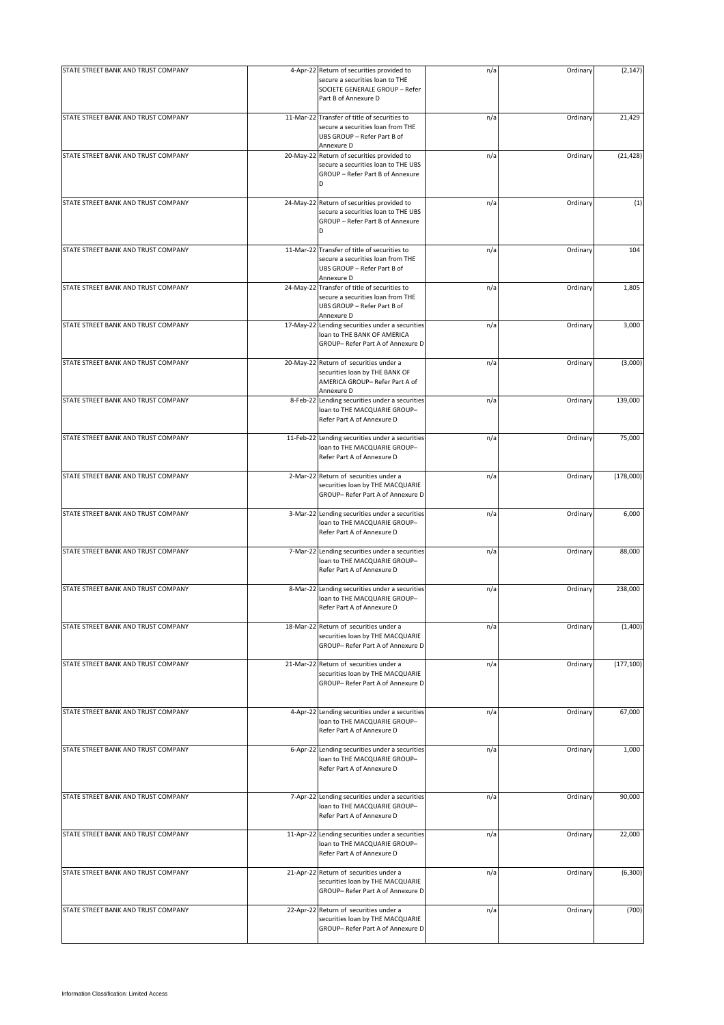| STATE STREET BANK AND TRUST COMPANY | 4-Apr-22 Return of securities provided to                                                                                      | n/a | Ordinary | (2, 147)   |
|-------------------------------------|--------------------------------------------------------------------------------------------------------------------------------|-----|----------|------------|
|                                     | secure a securities loan to THE<br>SOCIETE GENERALE GROUP - Refer<br>Part B of Annexure D                                      |     |          |            |
| STATE STREET BANK AND TRUST COMPANY | 11-Mar-22 Transfer of title of securities to<br>secure a securities loan from THE<br>UBS GROUP - Refer Part B of<br>Annexure D | n/a | Ordinary | 21,429     |
| STATE STREET BANK AND TRUST COMPANY | 20-May-22 Return of securities provided to<br>secure a securities loan to THE UBS<br>GROUP - Refer Part B of Annexure<br>D     | n/a | Ordinary | (21, 428)  |
| STATE STREET BANK AND TRUST COMPANY | 24-May-22 Return of securities provided to<br>secure a securities loan to THE UBS<br>GROUP - Refer Part B of Annexure<br>D     | n/a | Ordinary | (1)        |
| STATE STREET BANK AND TRUST COMPANY | 11-Mar-22 Transfer of title of securities to<br>secure a securities loan from THE<br>UBS GROUP - Refer Part B of<br>Annexure D | n/a | Ordinary | 104        |
| STATE STREET BANK AND TRUST COMPANY | 24-May-22 Transfer of title of securities to<br>secure a securities loan from THE<br>UBS GROUP - Refer Part B of<br>Annexure D | n/a | Ordinary | 1,805      |
| STATE STREET BANK AND TRUST COMPANY | 17-May-22 Lending securities under a securities<br>loan to THE BANK OF AMERICA<br>GROUP- Refer Part A of Annexure D            | n/a | Ordinary | 3,000      |
| STATE STREET BANK AND TRUST COMPANY | 20-May-22 Return of securities under a<br>securities loan by THE BANK OF<br>AMERICA GROUP- Refer Part A of<br>Annexure D       | n/a | Ordinary | (3,000)    |
| STATE STREET BANK AND TRUST COMPANY | 8-Feb-22 Lending securities under a securities<br>loan to THE MACQUARIE GROUP-<br>Refer Part A of Annexure D                   | n/a | Ordinary | 139,000    |
| STATE STREET BANK AND TRUST COMPANY | 11-Feb-22 Lending securities under a securities<br>loan to THE MACQUARIE GROUP-<br>Refer Part A of Annexure D                  | n/a | Ordinary | 75,000     |
| STATE STREET BANK AND TRUST COMPANY | 2-Mar-22 Return of securities under a<br>securities loan by THE MACQUARIE<br>GROUP- Refer Part A of Annexure D                 | n/a | Ordinary | (178,000)  |
| STATE STREET BANK AND TRUST COMPANY | 3-Mar-22 Lending securities under a securities<br>loan to THE MACQUARIE GROUP-<br>Refer Part A of Annexure D                   | n/a | Ordinary | 6,000      |
| STATE STREET BANK AND TRUST COMPANY | 7-Mar-22 Lending securities under a securities<br>loan to THE MACQUARIE GROUP-<br>Refer Part A of Annexure D                   | n/a | Ordinary | 88,000     |
| STATE STREET BANK AND TRUST COMPANY | 8-Mar-22 Lending securities under a securities<br>loan to THE MACQUARIE GROUP-<br>Refer Part A of Annexure D                   | n/a | Ordinary | 238,000    |
| STATE STREET BANK AND TRUST COMPANY | 18-Mar-22 Return of securities under a<br>securities loan by THE MACQUARIE<br>GROUP- Refer Part A of Annexure D                | n/a | Ordinary | (1,400)    |
| STATE STREET BANK AND TRUST COMPANY | 21-Mar-22 Return of securities under a<br>securities loan by THE MACQUARIE<br>GROUP- Refer Part A of Annexure D                | n/a | Ordinary | (177, 100) |
| STATE STREET BANK AND TRUST COMPANY | 4-Apr-22 Lending securities under a securities<br>loan to THE MACQUARIE GROUP-<br>Refer Part A of Annexure D                   | n/a | Ordinary | 67,000     |
| STATE STREET BANK AND TRUST COMPANY | 6-Apr-22 Lending securities under a securities<br>loan to THE MACQUARIE GROUP-<br>Refer Part A of Annexure D                   | n/a | Ordinary | 1,000      |
| STATE STREET BANK AND TRUST COMPANY | 7-Apr-22 Lending securities under a securities<br>loan to THE MACQUARIE GROUP-<br>Refer Part A of Annexure D                   | n/a | Ordinary | 90,000     |
| STATE STREET BANK AND TRUST COMPANY | 11-Apr-22 Lending securities under a securities<br>loan to THE MACQUARIE GROUP-<br>Refer Part A of Annexure D                  | n/a | Ordinary | 22,000     |
| STATE STREET BANK AND TRUST COMPANY | 21-Apr-22 Return of securities under a<br>securities loan by THE MACQUARIE<br>GROUP- Refer Part A of Annexure D                | n/a | Ordinary | (6, 300)   |
| STATE STREET BANK AND TRUST COMPANY | 22-Apr-22 Return of securities under a<br>securities loan by THE MACQUARIE<br>GROUP- Refer Part A of Annexure D                | n/a | Ordinary | (700)      |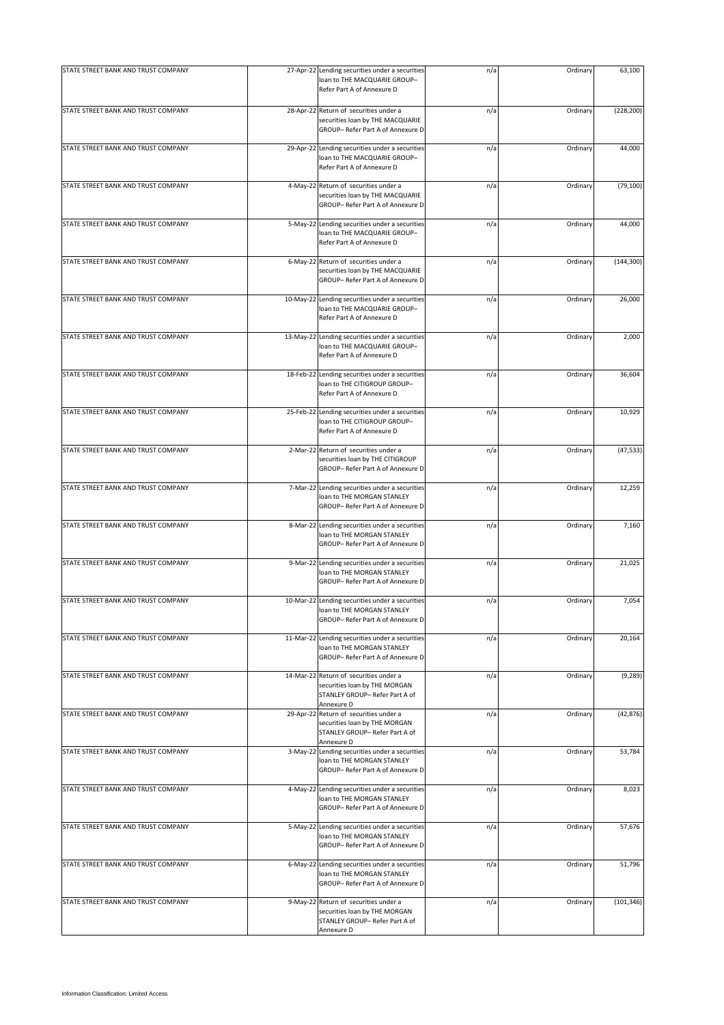| STATE STREET BANK AND TRUST COMPANY | 27-Apr-22 Lending securities under a securities<br>loan to THE MACQUARIE GROUP-<br>Refer Part A of Annexure D           | n/a | Ordinary | 63,100     |
|-------------------------------------|-------------------------------------------------------------------------------------------------------------------------|-----|----------|------------|
| STATE STREET BANK AND TRUST COMPANY | 28-Apr-22 Return of securities under a<br>securities loan by THE MACQUARIE<br>GROUP- Refer Part A of Annexure D         | n/a | Ordinary | (228, 200) |
| STATE STREET BANK AND TRUST COMPANY | 29-Apr-22 Lending securities under a securities<br>loan to THE MACQUARIE GROUP-<br>Refer Part A of Annexure D           | n/a | Ordinary | 44,000     |
| STATE STREET BANK AND TRUST COMPANY | 4-May-22 Return of securities under a<br>securities loan by THE MACQUARIE<br>GROUP- Refer Part A of Annexure D          | n/a | Ordinary | (79, 100)  |
| STATE STREET BANK AND TRUST COMPANY | 5-May-22 Lending securities under a securities<br>loan to THE MACQUARIE GROUP-<br>Refer Part A of Annexure D            | n/a | Ordinary | 44,000     |
| STATE STREET BANK AND TRUST COMPANY | 6-May-22 Return of securities under a<br>securities loan by THE MACQUARIE<br>GROUP- Refer Part A of Annexure D          | n/a | Ordinary | (144, 300) |
| STATE STREET BANK AND TRUST COMPANY | 10-May-22 Lending securities under a securities<br>loan to THE MACQUARIE GROUP-<br>Refer Part A of Annexure D           | n/a | Ordinary | 26,000     |
| STATE STREET BANK AND TRUST COMPANY | 13-May-22 Lending securities under a securities<br>loan to THE MACQUARIE GROUP-<br>Refer Part A of Annexure D           | n/a | Ordinary | 2,000      |
| STATE STREET BANK AND TRUST COMPANY | 18-Feb-22 Lending securities under a securities<br>loan to THE CITIGROUP GROUP-<br>Refer Part A of Annexure D           | n/a | Ordinary | 36,604     |
| STATE STREET BANK AND TRUST COMPANY | 25-Feb-22 Lending securities under a securities<br>loan to THE CITIGROUP GROUP-<br>Refer Part A of Annexure D           | n/a | Ordinary | 10,929     |
| STATE STREET BANK AND TRUST COMPANY | 2-Mar-22 Return of securities under a<br>securities loan by THE CITIGROUP<br>GROUP- Refer Part A of Annexure D          | n/a | Ordinary | (47, 533)  |
| STATE STREET BANK AND TRUST COMPANY | 7-Mar-22 Lending securities under a securities<br>loan to THE MORGAN STANLEY<br>GROUP- Refer Part A of Annexure D       | n/a | Ordinary | 12,259     |
| STATE STREET BANK AND TRUST COMPANY | 8-Mar-22 Lending securities under a securities<br>loan to THE MORGAN STANLEY<br>GROUP- Refer Part A of Annexure D       | n/a | Ordinary | 7,160      |
| STATE STREET BANK AND TRUST COMPANY | 9-Mar-22 Lending securities under a securities<br>loan to THE MORGAN STANLEY<br>GROUP-Refer Part A of Annexure D        | n/a | Ordinary | 21,025     |
| STATE STREET BANK AND TRUST COMPANY | 10-Mar-22 Lending securities under a securities<br>loan to THE MORGAN STANLEY<br>GROUP- Refer Part A of Annexure D      | n/a | Ordinary | 7,054      |
| STATE STREET BANK AND TRUST COMPANY | 11-Mar-22 Lending securities under a securities<br>loan to THE MORGAN STANLEY<br>GROUP- Refer Part A of Annexure D      | n/a | Ordinary | 20,164     |
| STATE STREET BANK AND TRUST COMPANY | 14-Mar-22 Return of securities under a<br>securities loan by THE MORGAN<br>STANLEY GROUP- Refer Part A of<br>Annexure D | n/a | Ordinary | (9, 289)   |
| STATE STREET BANK AND TRUST COMPANY | 29-Apr-22 Return of securities under a<br>securities loan by THE MORGAN<br>STANLEY GROUP- Refer Part A of<br>Annexure D | n/a | Ordinary | (42, 876)  |
| STATE STREET BANK AND TRUST COMPANY | 3-May-22 Lending securities under a securities<br>loan to THE MORGAN STANLEY<br>GROUP- Refer Part A of Annexure D       | n/a | Ordinary | 53,784     |
| STATE STREET BANK AND TRUST COMPANY | 4-May-22 Lending securities under a securities<br>loan to THE MORGAN STANLEY<br>GROUP-Refer Part A of Annexure D        | n/a | Ordinary | 8,023      |
| STATE STREET BANK AND TRUST COMPANY | 5-May-22 Lending securities under a securities<br>loan to THE MORGAN STANLEY<br>GROUP- Refer Part A of Annexure D       | n/a | Ordinary | 57,676     |
| STATE STREET BANK AND TRUST COMPANY | 6-May-22 Lending securities under a securities<br>loan to THE MORGAN STANLEY<br>GROUP- Refer Part A of Annexure D       | n/a | Ordinary | 51,796     |
| STATE STREET BANK AND TRUST COMPANY | 9-May-22 Return of securities under a<br>securities loan by THE MORGAN<br>STANLEY GROUP- Refer Part A of<br>Annexure D  | n/a | Ordinary | (101, 346) |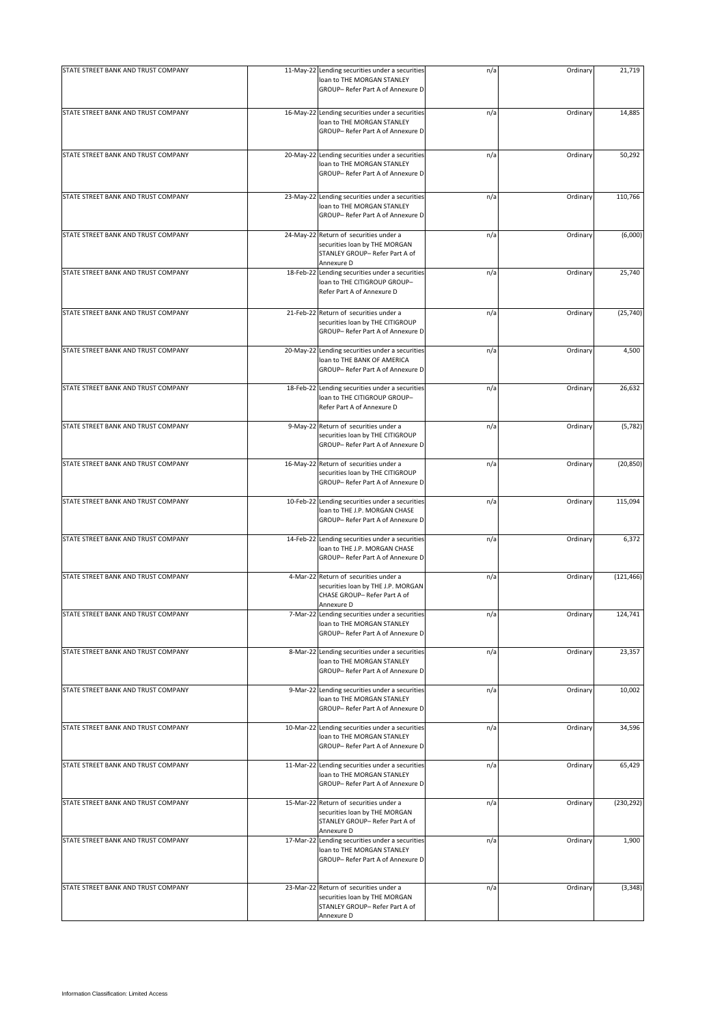| STATE STREET BANK AND TRUST COMPANY | 11-May-22 Lending securities under a securities<br>loan to THE MORGAN STANLEY<br>GROUP- Refer Part A of Annexure D        | n/a | Ordinary | 21,719     |
|-------------------------------------|---------------------------------------------------------------------------------------------------------------------------|-----|----------|------------|
| STATE STREET BANK AND TRUST COMPANY | 16-May-22 Lending securities under a securities<br>loan to THE MORGAN STANLEY<br>GROUP- Refer Part A of Annexure D        | n/a | Ordinary | 14,885     |
| STATE STREET BANK AND TRUST COMPANY | 20-May-22 Lending securities under a securities<br>loan to THE MORGAN STANLEY<br>GROUP- Refer Part A of Annexure D        | n/a | Ordinary | 50,292     |
| STATE STREET BANK AND TRUST COMPANY | 23-May-22 Lending securities under a securities<br>loan to THE MORGAN STANLEY<br>GROUP- Refer Part A of Annexure D        | n/a | Ordinary | 110,766    |
| STATE STREET BANK AND TRUST COMPANY | 24-May-22 Return of securities under a<br>securities loan by THE MORGAN<br>STANLEY GROUP- Refer Part A of<br>Annexure D   | n/a | Ordinary | (6,000)    |
| STATE STREET BANK AND TRUST COMPANY | 18-Feb-22 Lending securities under a securities<br>loan to THE CITIGROUP GROUP-<br>Refer Part A of Annexure D             | n/a | Ordinary | 25,740     |
| STATE STREET BANK AND TRUST COMPANY | 21-Feb-22 Return of securities under a<br>securities loan by THE CITIGROUP<br>GROUP- Refer Part A of Annexure D           | n/a | Ordinary | (25, 740)  |
| STATE STREET BANK AND TRUST COMPANY | 20-May-22 Lending securities under a securities<br>loan to THE BANK OF AMERICA<br>GROUP- Refer Part A of Annexure D       | n/a | Ordinary | 4,500      |
| STATE STREET BANK AND TRUST COMPANY | 18-Feb-22 Lending securities under a securities<br>loan to THE CITIGROUP GROUP-<br>Refer Part A of Annexure D             | n/a | Ordinary | 26,632     |
| STATE STREET BANK AND TRUST COMPANY | 9-May-22 Return of securities under a<br>securities loan by THE CITIGROUP<br>GROUP- Refer Part A of Annexure D            | n/a | Ordinary | (5,782)    |
| STATE STREET BANK AND TRUST COMPANY | 16-May-22 Return of securities under a<br>securities loan by THE CITIGROUP<br>GROUP- Refer Part A of Annexure D           | n/a | Ordinary | (20, 850)  |
| STATE STREET BANK AND TRUST COMPANY | 10-Feb-22 Lending securities under a securities<br>loan to THE J.P. MORGAN CHASE<br>GROUP- Refer Part A of Annexure D     | n/a | Ordinary | 115,094    |
| STATE STREET BANK AND TRUST COMPANY | 14-Feb-22 Lending securities under a securities<br>loan to THE J.P. MORGAN CHASE<br>GROUP- Refer Part A of Annexure D     | n/a | Ordinary | 6,372      |
| STATE STREET BANK AND TRUST COMPANY | 4-Mar-22 Return of securities under a<br>securities loan by THE J.P. MORGAN<br>CHASE GROUP- Refer Part A of<br>Annexure D | n/a | Ordinary | (121, 466) |
| STATE STREET BANK AND TRUST COMPANY | 7-Mar-22 Lending securities under a securities<br>loan to THE MORGAN STANLEY<br>GROUP- Refer Part A of Annexure D         | n/a | Ordinary | 124,741    |
| STATE STREET BANK AND TRUST COMPANY | 8-Mar-22 Lending securities under a securities<br>loan to THE MORGAN STANLEY<br>GROUP- Refer Part A of Annexure D         | n/a | Ordinary | 23,357     |
| STATE STREET BANK AND TRUST COMPANY | 9-Mar-22 Lending securities under a securities<br>loan to THE MORGAN STANLEY<br>GROUP- Refer Part A of Annexure D         | n/a | Ordinary | 10,002     |
| STATE STREET BANK AND TRUST COMPANY | 10-Mar-22 Lending securities under a securities<br>loan to THE MORGAN STANLEY<br>GROUP-Refer Part A of Annexure D         | n/a | Ordinary | 34,596     |
| STATE STREET BANK AND TRUST COMPANY | 11-Mar-22 Lending securities under a securities<br>loan to THE MORGAN STANLEY<br>GROUP- Refer Part A of Annexure D        | n/a | Ordinary | 65,429     |
| STATE STREET BANK AND TRUST COMPANY | 15-Mar-22 Return of securities under a<br>securities loan by THE MORGAN<br>STANLEY GROUP- Refer Part A of<br>Annexure D   | n/a | Ordinary | (230, 292) |
| STATE STREET BANK AND TRUST COMPANY | 17-Mar-22 Lending securities under a securities<br>loan to THE MORGAN STANLEY<br>GROUP-Refer Part A of Annexure D         | n/a | Ordinary | 1,900      |
| STATE STREET BANK AND TRUST COMPANY | 23-Mar-22 Return of securities under a<br>securities loan by THE MORGAN<br>STANLEY GROUP- Refer Part A of<br>Annexure D   | n/a | Ordinary | (3, 348)   |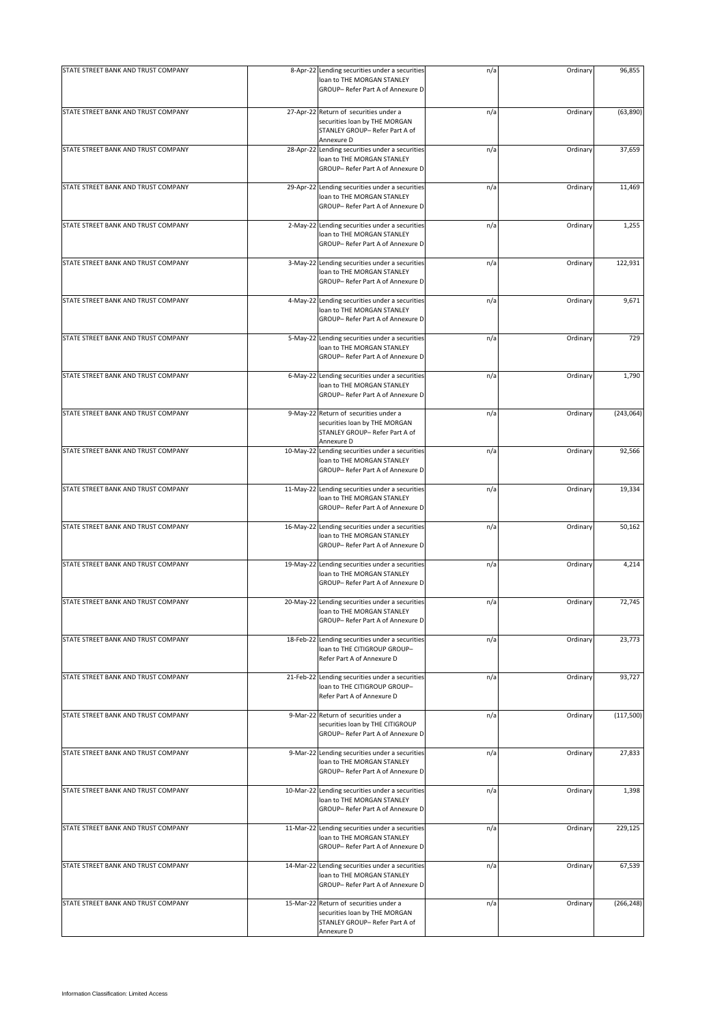| STATE STREET BANK AND TRUST COMPANY | 8-Apr-22 Lending securities under a securities<br>loan to THE MORGAN STANLEY                                            | n/a | Ordinary | 96,855     |
|-------------------------------------|-------------------------------------------------------------------------------------------------------------------------|-----|----------|------------|
|                                     | GROUP- Refer Part A of Annexure D                                                                                       |     |          |            |
| STATE STREET BANK AND TRUST COMPANY | 27-Apr-22 Return of securities under a<br>securities loan by THE MORGAN<br>STANLEY GROUP- Refer Part A of<br>Annexure D | n/a | Ordinary | (63, 890)  |
| STATE STREET BANK AND TRUST COMPANY | 28-Apr-22 Lending securities under a securities<br>loan to THE MORGAN STANLEY<br>GROUP- Refer Part A of Annexure D      | n/a | Ordinary | 37,659     |
| STATE STREET BANK AND TRUST COMPANY | 29-Apr-22 Lending securities under a securities<br>loan to THE MORGAN STANLEY<br>GROUP- Refer Part A of Annexure D      | n/a | Ordinary | 11,469     |
| STATE STREET BANK AND TRUST COMPANY | 2-May-22 Lending securities under a securities<br>loan to THE MORGAN STANLEY<br>GROUP- Refer Part A of Annexure D       | n/a | Ordinary | 1,255      |
| STATE STREET BANK AND TRUST COMPANY | 3-May-22 Lending securities under a securities<br>loan to THE MORGAN STANLEY<br>GROUP- Refer Part A of Annexure D       | n/a | Ordinary | 122,931    |
| STATE STREET BANK AND TRUST COMPANY | 4-May-22 Lending securities under a securities<br>loan to THE MORGAN STANLEY<br>GROUP-Refer Part A of Annexure D        | n/a | Ordinary | 9,671      |
| STATE STREET BANK AND TRUST COMPANY | 5-May-22 Lending securities under a securities<br>loan to THE MORGAN STANLEY<br>GROUP- Refer Part A of Annexure D       | n/a | Ordinary | 729        |
| STATE STREET BANK AND TRUST COMPANY | 6-May-22 Lending securities under a securities<br>loan to THE MORGAN STANLEY<br>GROUP- Refer Part A of Annexure D       | n/a | Ordinary | 1,790      |
| STATE STREET BANK AND TRUST COMPANY | 9-May-22 Return of securities under a<br>securities loan by THE MORGAN<br>STANLEY GROUP- Refer Part A of<br>Annexure D  | n/a | Ordinary | (243,064)  |
| STATE STREET BANK AND TRUST COMPANY | 10-May-22 Lending securities under a securities<br>loan to THE MORGAN STANLEY<br>GROUP- Refer Part A of Annexure D      | n/a | Ordinary | 92,566     |
| STATE STREET BANK AND TRUST COMPANY | 11-May-22 Lending securities under a securities<br>loan to THE MORGAN STANLEY<br>GROUP- Refer Part A of Annexure D      | n/a | Ordinary | 19,334     |
| STATE STREET BANK AND TRUST COMPANY | 16-May-22 Lending securities under a securities<br>loan to THE MORGAN STANLEY<br>GROUP- Refer Part A of Annexure D      | n/a | Ordinary | 50,162     |
| STATE STREET BANK AND TRUST COMPANY | 19-May-22 Lending securities under a securities<br>loan to THE MORGAN STANLEY<br>GROUP- Refer Part A of Annexure D      | n/a | Ordinary | 4,214      |
| STATE STREET BANK AND TRUST COMPANY | 20-May-22 Lending securities under a securities<br>loan to THE MORGAN STANLEY<br>GROUP- Refer Part A of Annexure D      | n/a | Ordinary | 72,745     |
| STATE STREET BANK AND TRUST COMPANY | 18-Feb-22 Lending securities under a securities<br>loan to THE CITIGROUP GROUP-<br>Refer Part A of Annexure D           | n/a | Ordinary | 23,773     |
| STATE STREET BANK AND TRUST COMPANY | 21-Feb-22 Lending securities under a securities<br>loan to THE CITIGROUP GROUP-<br>Refer Part A of Annexure D           | n/a | Ordinary | 93,727     |
| STATE STREET BANK AND TRUST COMPANY | 9-Mar-22 Return of securities under a<br>securities loan by THE CITIGROUP<br>GROUP- Refer Part A of Annexure D          | n/a | Ordinary | (117,500)  |
| STATE STREET BANK AND TRUST COMPANY | 9-Mar-22 Lending securities under a securities<br>loan to THE MORGAN STANLEY<br>GROUP- Refer Part A of Annexure D       | n/a | Ordinary | 27,833     |
| STATE STREET BANK AND TRUST COMPANY | 10-Mar-22 Lending securities under a securities<br>loan to THE MORGAN STANLEY<br>GROUP- Refer Part A of Annexure D      | n/a | Ordinary | 1,398      |
| STATE STREET BANK AND TRUST COMPANY | 11-Mar-22 Lending securities under a securities<br>loan to THE MORGAN STANLEY<br>GROUP- Refer Part A of Annexure D      | n/a | Ordinary | 229,125    |
| STATE STREET BANK AND TRUST COMPANY | 14-Mar-22 Lending securities under a securities<br>loan to THE MORGAN STANLEY<br>GROUP- Refer Part A of Annexure D      | n/a | Ordinary | 67,539     |
| STATE STREET BANK AND TRUST COMPANY | 15-Mar-22 Return of securities under a<br>securities loan by THE MORGAN<br>STANLEY GROUP- Refer Part A of<br>Annexure D | n/a | Ordinary | (266, 248) |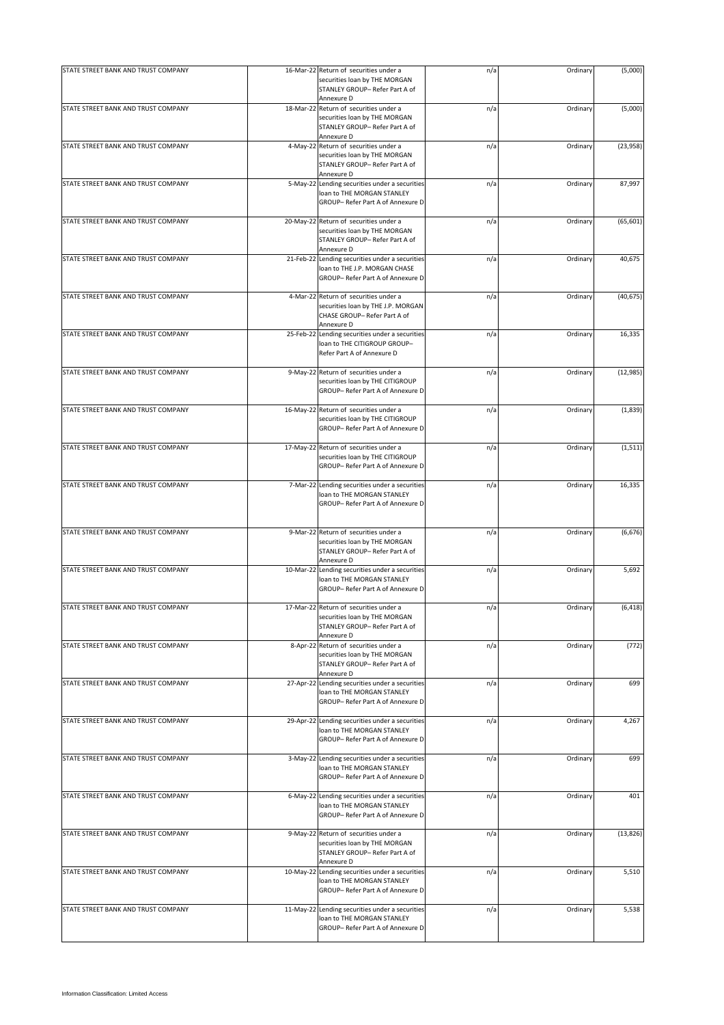| STATE STREET BANK AND TRUST COMPANY |           | 16-Mar-22 Return of securities under a<br>securities loan by THE MORGAN<br>STANLEY GROUP- Refer Part A of                 | n/a | Ordinary | (5,000)   |
|-------------------------------------|-----------|---------------------------------------------------------------------------------------------------------------------------|-----|----------|-----------|
|                                     |           | Annexure D                                                                                                                |     |          |           |
| STATE STREET BANK AND TRUST COMPANY |           | 18-Mar-22 Return of securities under a<br>securities loan by THE MORGAN<br>STANLEY GROUP- Refer Part A of<br>Annexure D   | n/a | Ordinary | (5,000)   |
| STATE STREET BANK AND TRUST COMPANY |           | 4-May-22 Return of securities under a<br>securities loan by THE MORGAN<br>STANLEY GROUP- Refer Part A of<br>Annexure D    | n/a | Ordinary | (23, 958) |
| STATE STREET BANK AND TRUST COMPANY | 5-May-22  | Lending securities under a securities<br>loan to THE MORGAN STANLEY<br>GROUP- Refer Part A of Annexure D                  | n/a | Ordinary | 87,997    |
| STATE STREET BANK AND TRUST COMPANY |           | 20-May-22 Return of securities under a<br>securities loan by THE MORGAN<br>STANLEY GROUP- Refer Part A of<br>Annexure D   | n/a | Ordinary | (65, 601) |
| STATE STREET BANK AND TRUST COMPANY | 21-Feb-22 | Lending securities under a securities<br>loan to THE J.P. MORGAN CHASE<br>GROUP- Refer Part A of Annexure D               | n/a | Ordinary | 40,675    |
| STATE STREET BANK AND TRUST COMPANY |           | 4-Mar-22 Return of securities under a<br>securities loan by THE J.P. MORGAN<br>CHASE GROUP- Refer Part A of<br>Annexure D | n/a | Ordinary | (40, 675) |
| STATE STREET BANK AND TRUST COMPANY |           | 25-Feb-22 Lending securities under a securities<br>loan to THE CITIGROUP GROUP-<br>Refer Part A of Annexure D             | n/a | Ordinary | 16,335    |
| STATE STREET BANK AND TRUST COMPANY |           | 9-May-22 Return of securities under a<br>securities loan by THE CITIGROUP<br>GROUP- Refer Part A of Annexure D            | n/a | Ordinary | (12, 985) |
| STATE STREET BANK AND TRUST COMPANY |           | 16-May-22 Return of securities under a<br>securities loan by THE CITIGROUP<br>GROUP- Refer Part A of Annexure D           | n/a | Ordinary | (1,839)   |
| STATE STREET BANK AND TRUST COMPANY |           | 17-May-22 Return of securities under a<br>securities loan by THE CITIGROUP<br>GROUP- Refer Part A of Annexure D           | n/a | Ordinary | (1, 511)  |
| STATE STREET BANK AND TRUST COMPANY |           | 7-Mar-22 Lending securities under a securities<br>loan to THE MORGAN STANLEY<br>GROUP- Refer Part A of Annexure D         | n/a | Ordinary | 16,335    |
| STATE STREET BANK AND TRUST COMPANY |           | 9-Mar-22 Return of securities under a<br>securities loan by THE MORGAN<br>STANLEY GROUP- Refer Part A of<br>Annexure D    | n/a | Ordinary | (6, 676)  |
| STATE STREET BANK AND TRUST COMPANY | 10-Mar-22 | Lending securities under a securities<br>loan to THE MORGAN STANLEY<br>GROUP- Refer Part A of Annexure D                  | n/a | Ordinary | 5,692     |
| STATE STREET BANK AND TRUST COMPANY |           | 17-Mar-22 Return of securities under a<br>securities loan by THE MORGAN<br>STANLEY GROUP- Refer Part A of<br>Annexure D   | n/a | Ordinary | (6, 418)  |
| STATE STREET BANK AND TRUST COMPANY |           | 8-Apr-22 Return of securities under a<br>securities loan by THE MORGAN<br>STANLEY GROUP- Refer Part A of<br>Annexure D    | n/a | Ordinary | (772)     |
| STATE STREET BANK AND TRUST COMPANY | 27-Apr-22 | Lending securities under a securities<br>loan to THE MORGAN STANLEY<br>GROUP- Refer Part A of Annexure D                  | n/a | Ordinary | 699       |
| STATE STREET BANK AND TRUST COMPANY |           | 29-Apr-22 Lending securities under a securities<br>loan to THE MORGAN STANLEY<br>GROUP- Refer Part A of Annexure D        | n/a | Ordinary | 4,267     |
| STATE STREET BANK AND TRUST COMPANY |           | 3-May-22 Lending securities under a securities<br>loan to THE MORGAN STANLEY<br>GROUP- Refer Part A of Annexure D         | n/a | Ordinary | 699       |
| STATE STREET BANK AND TRUST COMPANY |           | 6-May-22 Lending securities under a securities<br>loan to THE MORGAN STANLEY<br>GROUP- Refer Part A of Annexure D         | n/a | Ordinary | 401       |
| STATE STREET BANK AND TRUST COMPANY |           | 9-May-22 Return of securities under a<br>securities loan by THE MORGAN<br>STANLEY GROUP- Refer Part A of<br>Annexure D    | n/a | Ordinary | (13, 826) |
| STATE STREET BANK AND TRUST COMPANY |           | 10-May-22 Lending securities under a securities<br>loan to THE MORGAN STANLEY<br>GROUP- Refer Part A of Annexure D        | n/a | Ordinary | 5,510     |
| STATE STREET BANK AND TRUST COMPANY |           | 11-May-22 Lending securities under a securities<br>loan to THE MORGAN STANLEY<br>GROUP- Refer Part A of Annexure D        | n/a | Ordinary | 5,538     |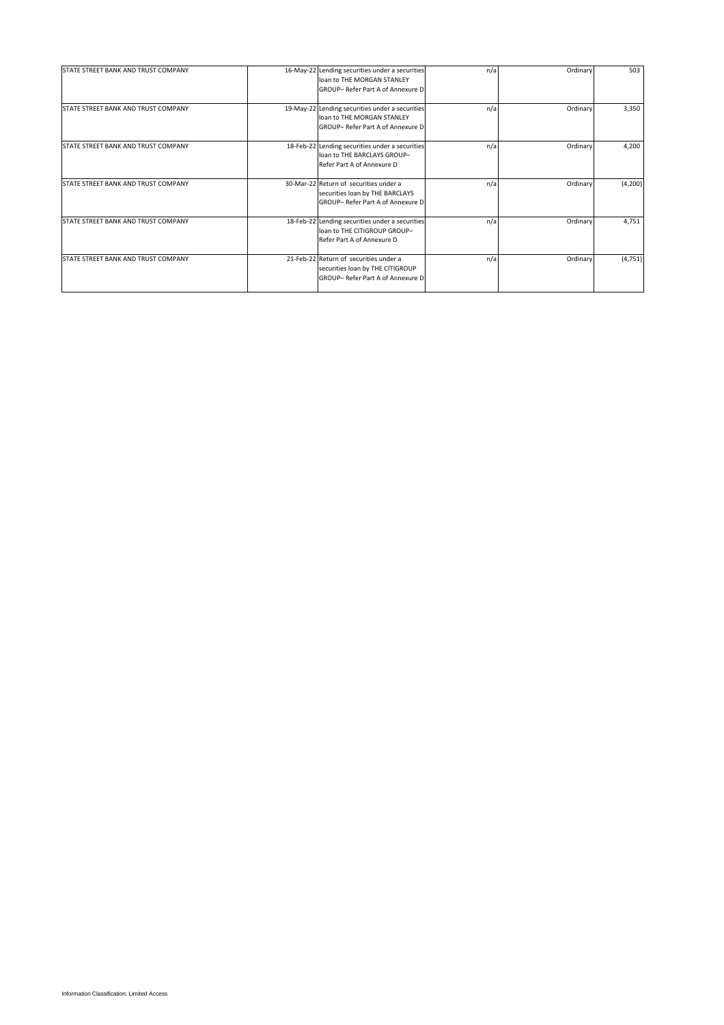| STATE STREET BANK AND TRUST COMPANY | 16-May-22 Lending securities under a securities | n/a | Ordinary | 503      |
|-------------------------------------|-------------------------------------------------|-----|----------|----------|
|                                     | loan to THE MORGAN STANLEY                      |     |          |          |
|                                     | GROUP- Refer Part A of Annexure D               |     |          |          |
| STATE STREET BANK AND TRUST COMPANY | 19-May-22 Lending securities under a securities | n/a | Ordinary | 3,350    |
|                                     | loan to THE MORGAN STANLEY                      |     |          |          |
|                                     | GROUP- Refer Part A of Annexure D               |     |          |          |
| STATE STREET BANK AND TRUST COMPANY | 18-Feb-22 Lending securities under a securities | n/a | Ordinary | 4,200    |
|                                     | loan to THE BARCLAYS GROUP-                     |     |          |          |
|                                     | Refer Part A of Annexure D                      |     |          |          |
| STATE STREET BANK AND TRUST COMPANY | 30-Mar-22 Return of securities under a          | n/a | Ordinary | (4,200)  |
|                                     | securities loan by THE BARCLAYS                 |     |          |          |
|                                     | GROUP- Refer Part A of Annexure D               |     |          |          |
| STATE STREET BANK AND TRUST COMPANY | 18-Feb-22 Lending securities under a securities | n/a | Ordinary | 4,751    |
|                                     | loan to THE CITIGROUP GROUP-                    |     |          |          |
|                                     | Refer Part A of Annexure D                      |     |          |          |
| STATE STREET BANK AND TRUST COMPANY | 21-Feb-22 Return of securities under a          | n/a | Ordinary | (4, 751) |
|                                     | securities loan by THE CITIGROUP                |     |          |          |
|                                     | GROUP- Refer Part A of Annexure D               |     |          |          |
|                                     |                                                 |     |          |          |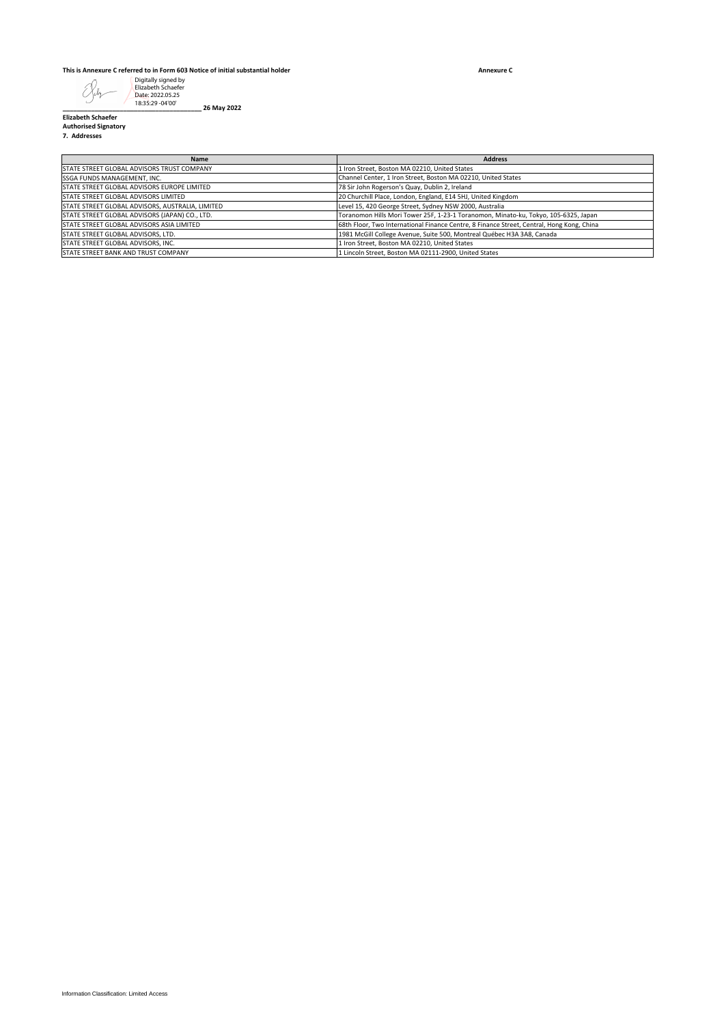## **This is Annexure C referred to in Form 603 Notice of initial substantial holder**

**Annexure C**

| Digitally signed by<br>Elizabeth Schaefer<br>Date: 2022.05.25                                      |                                                                                                                                                |
|----------------------------------------------------------------------------------------------------|------------------------------------------------------------------------------------------------------------------------------------------------|
| 18:35:29 -04'00'<br>26 May 2022<br><b>Elizabeth Schaefer</b>                                       |                                                                                                                                                |
| <b>Authorised Signatory</b><br>7. Addresses                                                        |                                                                                                                                                |
|                                                                                                    |                                                                                                                                                |
| Name<br>STATE STREET GLOBAL ADVISORS TRUST COMPANY                                                 | <b>Address</b><br>1 Iron Street, Boston MA 02210, United States                                                                                |
| SSGA FUNDS MANAGEMENT, INC.                                                                        | Channel Center, 1 Iron Street, Boston MA 02210, United States                                                                                  |
| STATE STREET GLOBAL ADVISORS EUROPE LIMITED<br>STATE STREET GLOBAL ADVISORS LIMITED                | 78 Sir John Rogerson's Quay, Dublin 2, Ireland<br>20 Churchill Place, London, England, E14 5HJ, United Kingdom                                 |
| STATE STREET GLOBAL ADVISORS, AUSTRALIA, LIMITED<br>STATE STREET GLOBAL ADVISORS (JAPAN) CO., LTD. | Level 15, 420 George Street, Sydney NSW 2000, Australia<br>Toranomon Hills Mori Tower 25F, 1-23-1 Toranomon, Minato-ku, Tokyo, 105-6325, Japan |
| STATE STREET GLOBAL ADVISORS ASIA LIMITED                                                          | 68th Floor, Two International Finance Centre, 8 Finance Street, Central, Hong Kong, China                                                      |
| STATE STREET GLOBAL ADVISORS, LTD.<br>STATE STREET GLOBAL ADVISORS, INC.                           | 1981 McGill College Avenue, Suite 500, Montreal Québec H3A 3A8, Canada<br>1 Iron Street, Boston MA 02210, United States                        |
| STATE STREET BANK AND TRUST COMPANY                                                                | 1 Lincoln Street, Boston MA 02111-2900, United States                                                                                          |
|                                                                                                    |                                                                                                                                                |
|                                                                                                    |                                                                                                                                                |
|                                                                                                    |                                                                                                                                                |
|                                                                                                    |                                                                                                                                                |
|                                                                                                    |                                                                                                                                                |
|                                                                                                    |                                                                                                                                                |
|                                                                                                    |                                                                                                                                                |
|                                                                                                    |                                                                                                                                                |
|                                                                                                    |                                                                                                                                                |
|                                                                                                    |                                                                                                                                                |
|                                                                                                    |                                                                                                                                                |
|                                                                                                    |                                                                                                                                                |
|                                                                                                    |                                                                                                                                                |
|                                                                                                    |                                                                                                                                                |
|                                                                                                    |                                                                                                                                                |
|                                                                                                    |                                                                                                                                                |
|                                                                                                    |                                                                                                                                                |
|                                                                                                    |                                                                                                                                                |
|                                                                                                    |                                                                                                                                                |
|                                                                                                    |                                                                                                                                                |
|                                                                                                    |                                                                                                                                                |
|                                                                                                    |                                                                                                                                                |
|                                                                                                    |                                                                                                                                                |
|                                                                                                    |                                                                                                                                                |
|                                                                                                    |                                                                                                                                                |
|                                                                                                    |                                                                                                                                                |
|                                                                                                    |                                                                                                                                                |
|                                                                                                    |                                                                                                                                                |
|                                                                                                    |                                                                                                                                                |
|                                                                                                    |                                                                                                                                                |
|                                                                                                    |                                                                                                                                                |
|                                                                                                    |                                                                                                                                                |
|                                                                                                    |                                                                                                                                                |
|                                                                                                    |                                                                                                                                                |
|                                                                                                    |                                                                                                                                                |
|                                                                                                    |                                                                                                                                                |
|                                                                                                    |                                                                                                                                                |
|                                                                                                    |                                                                                                                                                |
|                                                                                                    |                                                                                                                                                |
|                                                                                                    |                                                                                                                                                |
|                                                                                                    |                                                                                                                                                |
|                                                                                                    |                                                                                                                                                |
|                                                                                                    |                                                                                                                                                |
|                                                                                                    |                                                                                                                                                |
|                                                                                                    |                                                                                                                                                |
|                                                                                                    |                                                                                                                                                |
| Information Classification: Limited Access                                                         |                                                                                                                                                |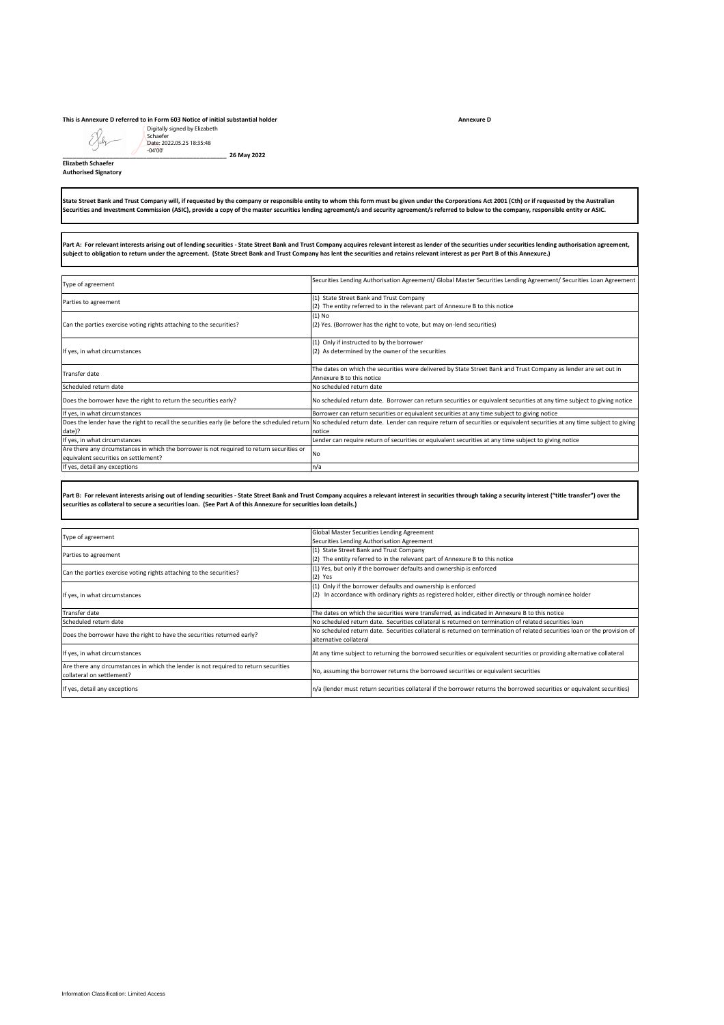## **This is Annexure D referred to in Form 603 Notice of initial substantial holder**

## **Elizabeth Schaefer Authorised Signatory**

| Digitally signed by Elizabeth<br>Schaefer<br>Date: 2022.05.25 18:35:48<br>$-04'00'$<br>26 May 2022                                                                               |                                                                                                                                                                                                                                                                                                                                                                                                        |
|----------------------------------------------------------------------------------------------------------------------------------------------------------------------------------|--------------------------------------------------------------------------------------------------------------------------------------------------------------------------------------------------------------------------------------------------------------------------------------------------------------------------------------------------------------------------------------------------------|
| <b>Elizabeth Schaefer</b><br><b>Authorised Signatory</b>                                                                                                                         |                                                                                                                                                                                                                                                                                                                                                                                                        |
|                                                                                                                                                                                  | State Street Bank and Trust Company will, if requested by the company or responsible entity to whom this form must be given under the Corporations Act 2001 (Cth) or if requested by the Australian<br>Securities and Investment Commission (ASIC), provide a copy of the master securities lending agreement/s and security agreement/s referred to below to the company, responsible entity or ASIC. |
| subject to obligation to return under the agreement. (State Street Bank and Trust Company has lent the securities and retains relevant interest as per Part B of this Annexure.) | Part A: For relevant interests arising out of lending securities - State Street Bank and Trust Company acquires relevant interest as lender of the securities under securities lending authorisation agreement,                                                                                                                                                                                        |
| Type of agreement                                                                                                                                                                | Securities Lending Authorisation Agreement/ Global Master Securities Lending Agreement/ Securities Loan Agreement                                                                                                                                                                                                                                                                                      |
| Parties to agreement                                                                                                                                                             | (1) State Street Bank and Trust Company                                                                                                                                                                                                                                                                                                                                                                |
| Can the parties exercise voting rights attaching to the securities?                                                                                                              | (2) The entity referred to in the relevant part of Annexure B to this notice<br>$(1)$ No<br>(2) Yes. (Borrower has the right to vote, but may on-lend securities)                                                                                                                                                                                                                                      |
| If yes, in what circumstances                                                                                                                                                    | (1) Only if instructed to by the borrower<br>(2) As determined by the owner of the securities                                                                                                                                                                                                                                                                                                          |
| Transfer date                                                                                                                                                                    | The dates on which the securities were delivered by State Street Bank and Trust Company as lender are set out in                                                                                                                                                                                                                                                                                       |
| Scheduled return date                                                                                                                                                            | Annexure B to this notice<br>No scheduled return date                                                                                                                                                                                                                                                                                                                                                  |
| Does the borrower have the right to return the securities early?                                                                                                                 | No scheduled return date. Borrower can return securities or equivalent securities at any time subject to giving notice                                                                                                                                                                                                                                                                                 |
| If yes, in what circumstances                                                                                                                                                    | Borrower can return securities or equivalent securities at any time subject to giving notice                                                                                                                                                                                                                                                                                                           |
| Does the lender have the right to recall the securities early (ie before the scheduled return<br>date)?                                                                          | No scheduled return date. Lender can require return of securities or equivalent securities at any time subject to giving<br>notice                                                                                                                                                                                                                                                                     |
| If yes, in what circumstances<br>Are there any circumstances in which the borrower is not required to return securities or                                                       | Lender can require return of securities or equivalent securities at any time subject to giving notice                                                                                                                                                                                                                                                                                                  |
| equivalent securities on settlement?                                                                                                                                             | No                                                                                                                                                                                                                                                                                                                                                                                                     |
| If yes, detail any exceptions                                                                                                                                                    | n/a                                                                                                                                                                                                                                                                                                                                                                                                    |
| securities as collateral to secure a securities Ioan. (See Part A of this Annexure for securities Ioan details.)                                                                 | Part B: For relevant interests arising out of lending securities - State Street Bank and Trust Company acquires a relevant interest in securities through taking a security interest ("title transfer") over the                                                                                                                                                                                       |
| Type of agreement                                                                                                                                                                | Global Master Securities Lending Agreement                                                                                                                                                                                                                                                                                                                                                             |
| Parties to agreement                                                                                                                                                             | Securities Lending Authorisation Agreement<br>(1) State Street Bank and Trust Company                                                                                                                                                                                                                                                                                                                  |
|                                                                                                                                                                                  | (2) The entity referred to in the relevant part of Annexure B to this notice<br>(1) Yes, but only if the borrower defaults and ownership is enforced                                                                                                                                                                                                                                                   |
| Can the parties exercise voting rights attaching to the securities?<br>If yes, in what circumstances                                                                             | (2) Yes<br>(1) Only if the borrower defaults and ownership is enforced<br>(2) In accordance with ordinary rights as registered holder, either directly or through nominee holder                                                                                                                                                                                                                       |
|                                                                                                                                                                                  |                                                                                                                                                                                                                                                                                                                                                                                                        |
| Transfer date<br>Scheduled return date                                                                                                                                           | The dates on which the securities were transferred, as indicated in Annexure B to this notice<br>No scheduled return date. Securities collateral is returned on termination of related securities loan                                                                                                                                                                                                 |
| Does the borrower have the right to have the securities returned early?                                                                                                          | No scheduled return date. Securities collateral is returned on termination of related securities loan or the provision of<br>alternative collateral                                                                                                                                                                                                                                                    |
| If yes, in what circumstances                                                                                                                                                    | At any time subject to returning the borrowed securities or equivalent securities or providing alternative collateral                                                                                                                                                                                                                                                                                  |
| Are there any circumstances in which the lender is not required to return securities                                                                                             | No, assuming the borrower returns the borrowed securities or equivalent securities                                                                                                                                                                                                                                                                                                                     |
| collateral on settlement?                                                                                                                                                        |                                                                                                                                                                                                                                                                                                                                                                                                        |
| If yes, detail any exceptions                                                                                                                                                    | n/a (lender must return securities collateral if the borrower returns the borrowed securities or equivalent securities)                                                                                                                                                                                                                                                                                |
|                                                                                                                                                                                  |                                                                                                                                                                                                                                                                                                                                                                                                        |
| Information Classification: Limited Access                                                                                                                                       |                                                                                                                                                                                                                                                                                                                                                                                                        |

|                                                                                      | Global Master Securities Lending Agreement                                                                                |
|--------------------------------------------------------------------------------------|---------------------------------------------------------------------------------------------------------------------------|
| Type of agreement                                                                    | Securities Lending Authorisation Agreement                                                                                |
|                                                                                      | (1) State Street Bank and Trust Company                                                                                   |
| Parties to agreement                                                                 | (2) The entity referred to in the relevant part of Annexure B to this notice                                              |
|                                                                                      | (1) Yes, but only if the borrower defaults and ownership is enforced                                                      |
| Can the parties exercise voting rights attaching to the securities?                  | $(2)$ Yes                                                                                                                 |
|                                                                                      | (1) Only if the borrower defaults and ownership is enforced                                                               |
| If yes, in what circumstances                                                        | (2) In accordance with ordinary rights as registered holder, either directly or through nominee holder                    |
|                                                                                      |                                                                                                                           |
| Transfer date                                                                        | The dates on which the securities were transferred, as indicated in Annexure B to this notice                             |
| Scheduled return date                                                                | No scheduled return date. Securities collateral is returned on termination of related securities loan                     |
|                                                                                      | No scheduled return date. Securities collateral is returned on termination of related securities loan or the provision of |
| Does the borrower have the right to have the securities returned early?              | alternative collateral                                                                                                    |
| If yes, in what circumstances                                                        | At any time subject to returning the borrowed securities or equivalent securities or providing alternative collateral     |
| Are there any circumstances in which the lender is not required to return securities | No, assuming the borrower returns the borrowed securities or equivalent securities                                        |
| collateral on settlement?                                                            |                                                                                                                           |
| If yes, detail any exceptions                                                        | n/a (lender must return securities collateral if the borrower returns the borrowed securities or equivalent securities)   |

**Annexure D**